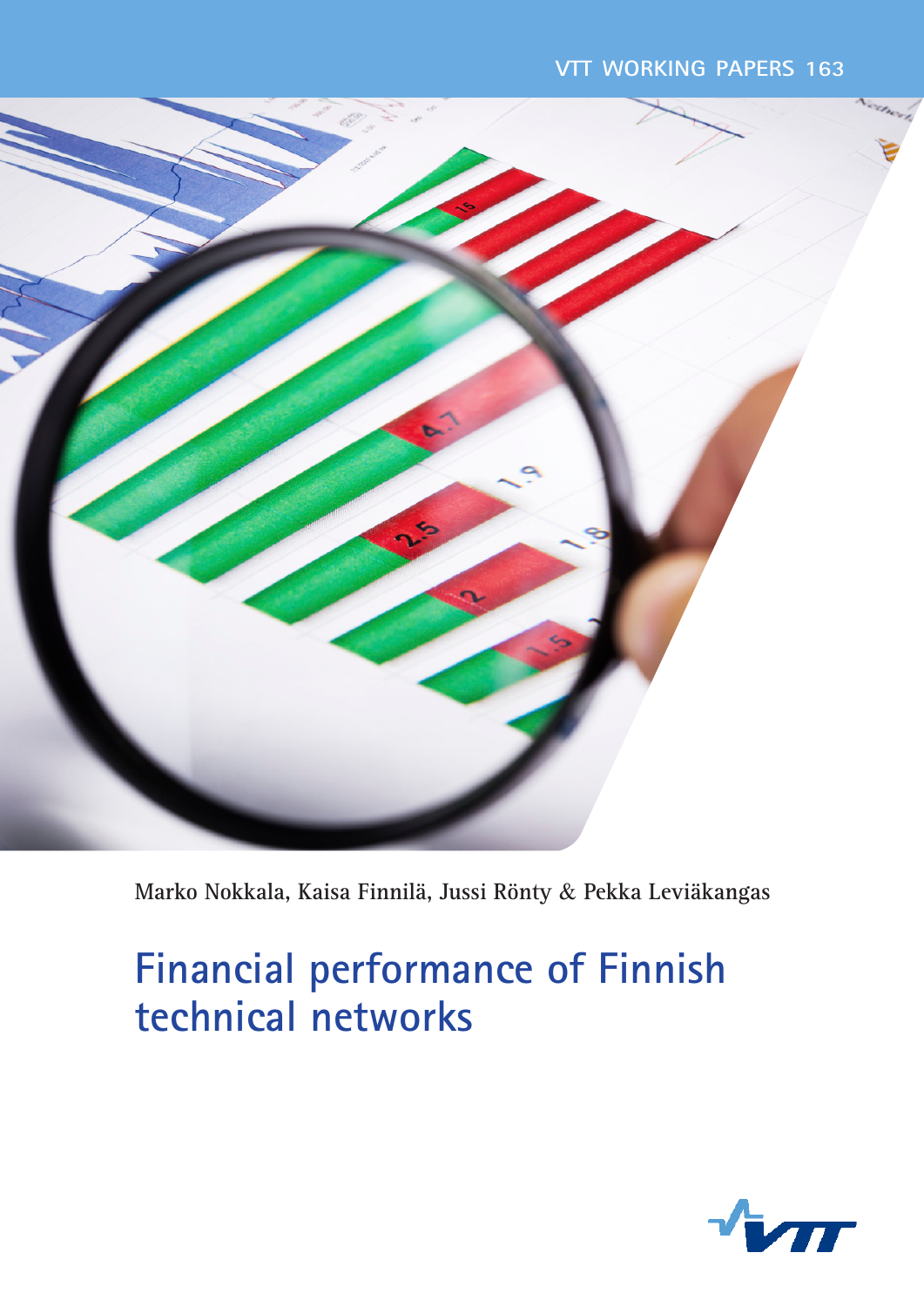

**Marko Nokkala, Kaisa Finnilä, Jussi Rönty** & **Pekka Leviäkangas** 

# **Financial performance of Finnish technical networks**

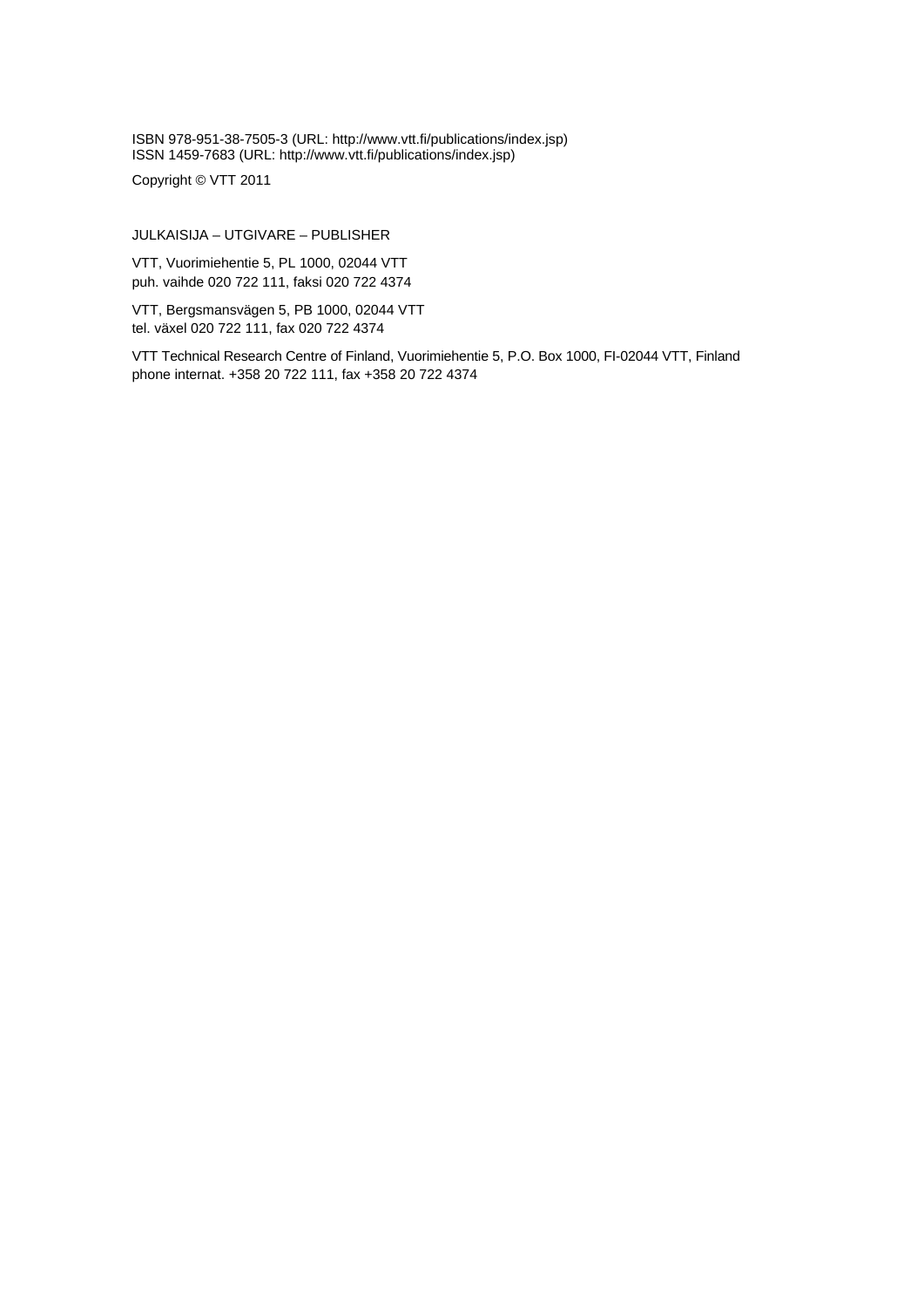ISBN 978-951-38-7505-3 (URL: [http://www.vtt.fi/publications/index.jsp\)](http://www.vtt.fi/publications/index.jsp)  ISSN 1459-7683 (URL: [http://www.vtt.fi/publications/index.jsp\)](http://www.vtt.fi/publications/index.jsp) 

Copyright © VTT 2011

JULKAISIJA – UTGIVARE – PUBLISHER

VTT, Vuorimiehentie 5, PL 1000, 02044 VTT puh. vaihde 020 722 111, faksi 020 722 4374

VTT, Bergsmansvägen 5, PB 1000, 02044 VTT tel. växel 020 722 111, fax 020 722 4374

VTT Technical Research Centre of Finland, Vuorimiehentie 5, P.O. Box 1000, FI-02044 VTT, Finland phone internat. +358 20 722 111, fax +358 20 722 4374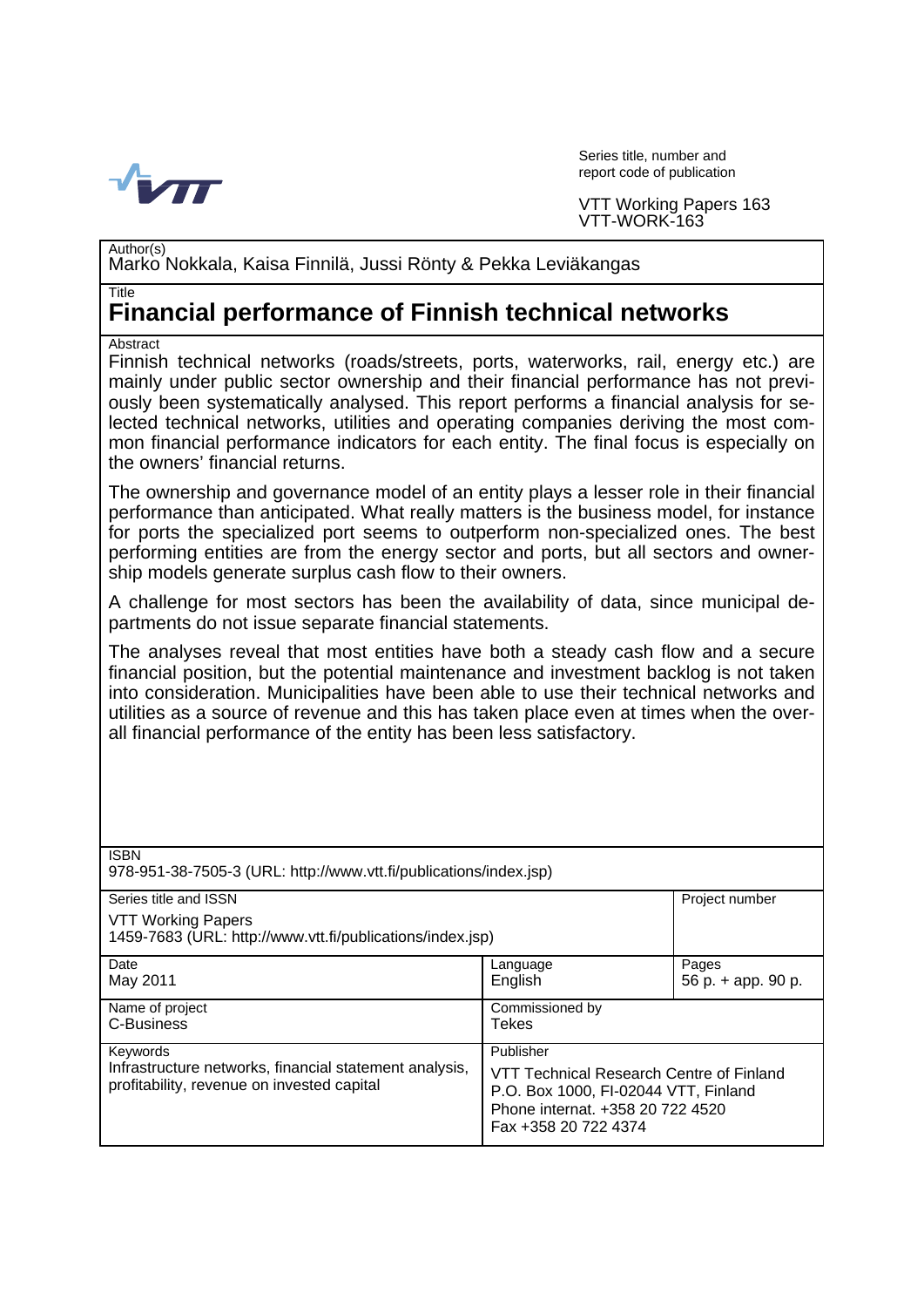

Series title, number and report code of publication

VTT Working Papers 163 VTT-WORK-163

Author(s) Marko Nokkala, Kaisa Finnilä, Jussi Rönty & Pekka Leviäkangas

#### Title

## **Financial performance of Finnish technical networks**

Abstract

Finnish technical networks (roads/streets, ports, waterworks, rail, energy etc.) are mainly under public sector ownership and their financial performance has not previously been systematically analysed. This report performs a financial analysis for selected technical networks, utilities and operating companies deriving the most common financial performance indicators for each entity. The final focus is especially on the owners' financial returns.

The ownership and governance model of an entity plays a lesser role in their financial performance than anticipated. What really matters is the business model, for instance for ports the specialized port seems to outperform non-specialized ones. The best performing entities are from the energy sector and ports, but all sectors and ownership models generate surplus cash flow to their owners.

A challenge for most sectors has been the availability of data, since municipal departments do not issue separate financial statements.

The analyses reveal that most entities have both a steady cash flow and a secure financial position, but the potential maintenance and investment backlog is not taken into consideration. Municipalities have been able to use their technical networks and utilities as a source of revenue and this has taken place even at times when the overall financial performance of the entity has been less satisfactory.

| <b>ISBN</b><br>978-951-38-7505-3 (URL: http://www.vtt.fi/publications/index.jsp)                     |                                                                                                                                              |                    |  |
|------------------------------------------------------------------------------------------------------|----------------------------------------------------------------------------------------------------------------------------------------------|--------------------|--|
| Series title and ISSN<br>VTT Working Papers                                                          |                                                                                                                                              | Project number     |  |
| 1459-7683 (URL: http://www.vtt.fi/publications/index.jsp)                                            |                                                                                                                                              |                    |  |
| Date                                                                                                 | Language                                                                                                                                     | Pages              |  |
| May 2011                                                                                             | English                                                                                                                                      | 56 p. + app. 90 p. |  |
| Name of project                                                                                      | Commissioned by                                                                                                                              |                    |  |
| C-Business                                                                                           | Tekes                                                                                                                                        |                    |  |
| Keywords                                                                                             | Publisher                                                                                                                                    |                    |  |
| Infrastructure networks, financial statement analysis,<br>profitability, revenue on invested capital | VTT Technical Research Centre of Finland<br>P.O. Box 1000, FI-02044 VTT, Finland<br>Phone internat. +358 20 722 4520<br>Fax +358 20 722 4374 |                    |  |
|                                                                                                      |                                                                                                                                              |                    |  |
|                                                                                                      |                                                                                                                                              |                    |  |
|                                                                                                      |                                                                                                                                              |                    |  |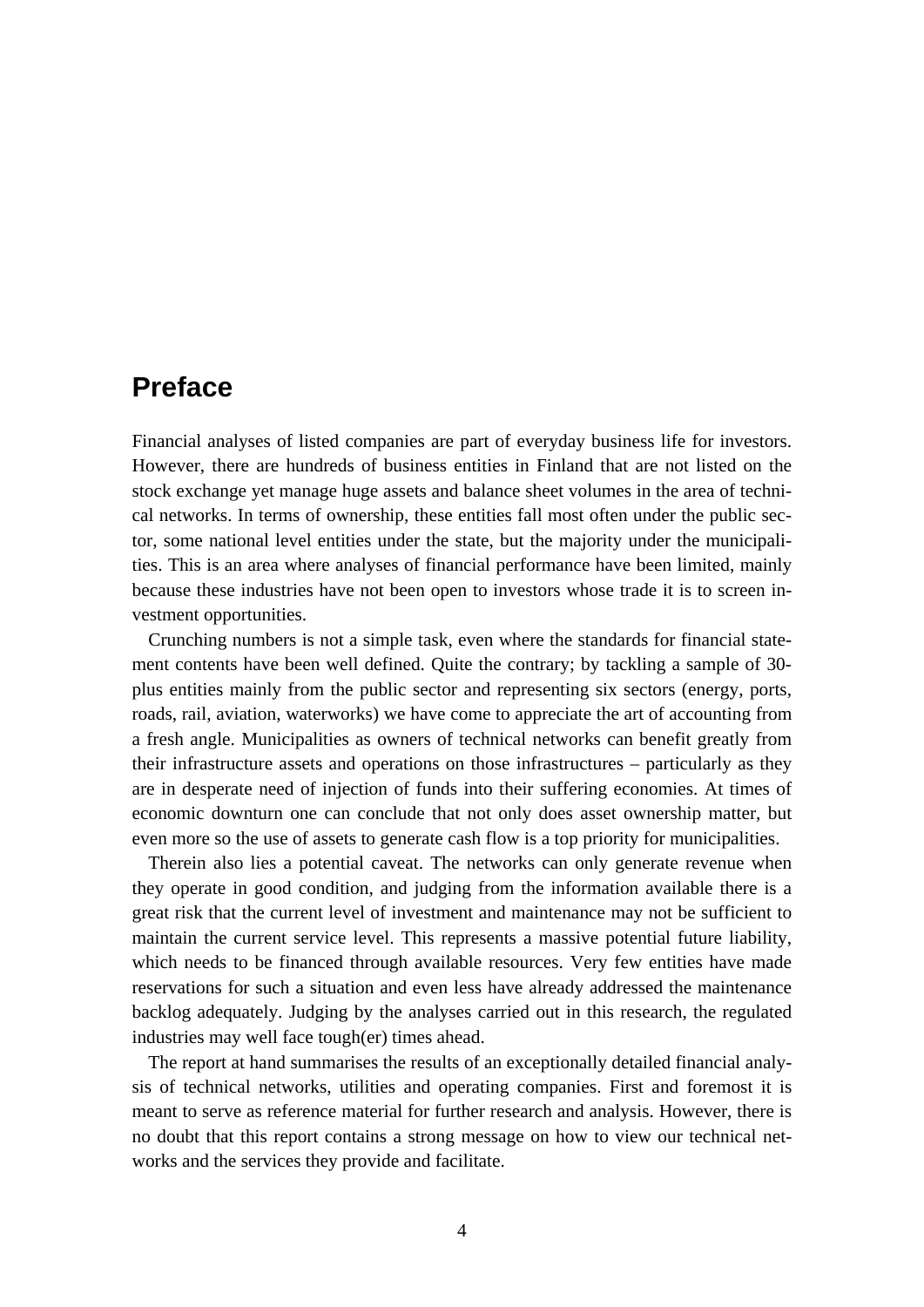## **Preface**

Financial analyses of listed companies are part of everyday business life for investors. However, there are hundreds of business entities in Finland that are not listed on the stock exchange yet manage huge assets and balance sheet volumes in the area of technical networks. In terms of ownership, these entities fall most often under the public sector, some national level entities under the state, but the majority under the municipalities. This is an area where analyses of financial performance have been limited, mainly because these industries have not been open to investors whose trade it is to screen investment opportunities.

Crunching numbers is not a simple task, even where the standards for financial statement contents have been well defined. Quite the contrary; by tackling a sample of 30 plus entities mainly from the public sector and representing six sectors (energy, ports, roads, rail, aviation, waterworks) we have come to appreciate the art of accounting from a fresh angle. Municipalities as owners of technical networks can benefit greatly from their infrastructure assets and operations on those infrastructures – particularly as they are in desperate need of injection of funds into their suffering economies. At times of economic downturn one can conclude that not only does asset ownership matter, but even more so the use of assets to generate cash flow is a top priority for municipalities.

Therein also lies a potential caveat. The networks can only generate revenue when they operate in good condition, and judging from the information available there is a great risk that the current level of investment and maintenance may not be sufficient to maintain the current service level. This represents a massive potential future liability, which needs to be financed through available resources. Very few entities have made reservations for such a situation and even less have already addressed the maintenance backlog adequately. Judging by the analyses carried out in this research, the regulated industries may well face tough(er) times ahead.

The report at hand summarises the results of an exceptionally detailed financial analysis of technical networks, utilities and operating companies. First and foremost it is meant to serve as reference material for further research and analysis. However, there is no doubt that this report contains a strong message on how to view our technical networks and the services they provide and facilitate.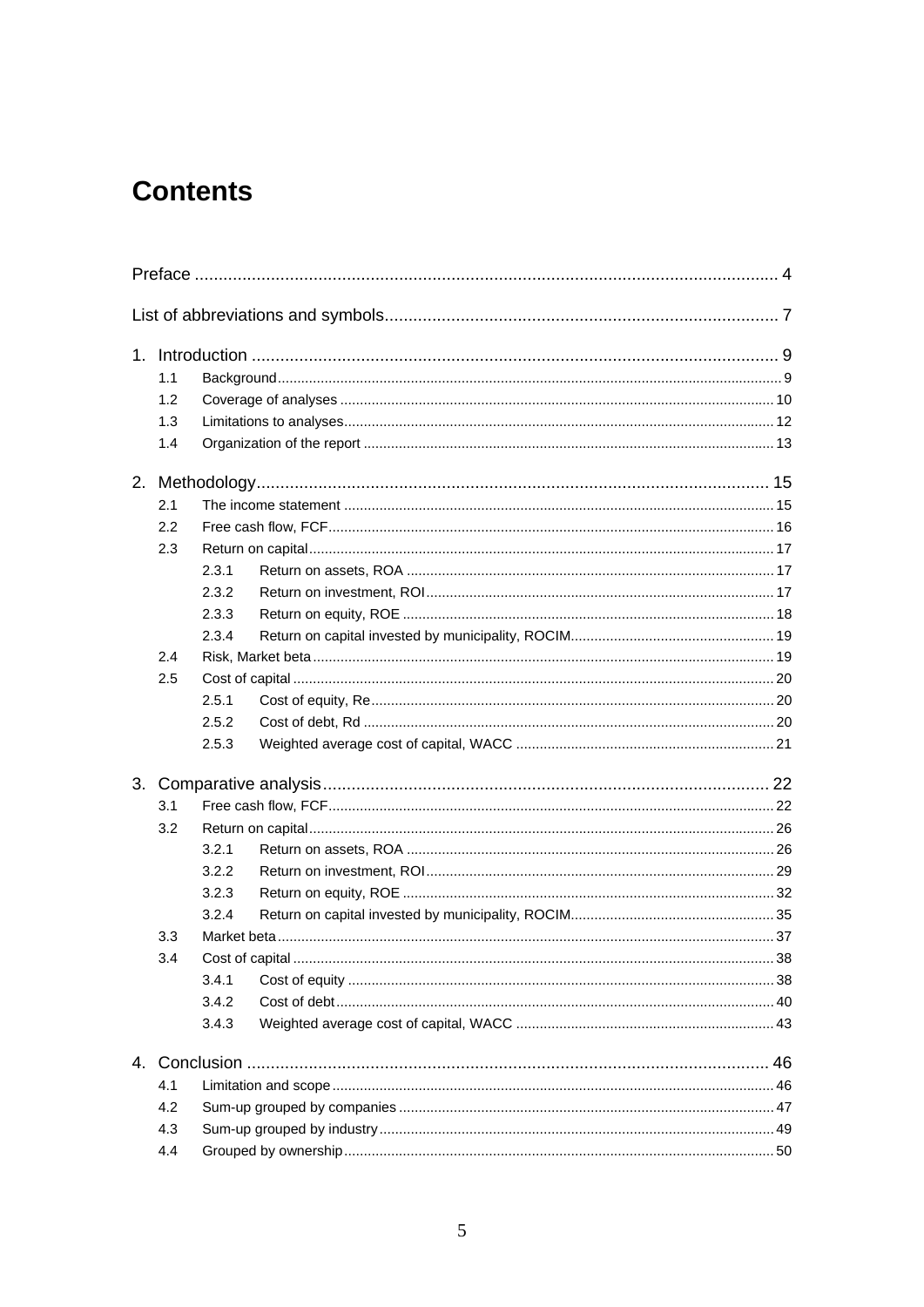## **Contents**

| 1.1<br>1.2<br>1.3<br>1.4        |                                                    |    |
|---------------------------------|----------------------------------------------------|----|
| 2.1<br>2.2<br>2.3<br>2.4<br>2.5 | 2.3.1<br>2.3.2<br>2.3.3<br>2.3.4<br>2.5.1<br>2.5.2 |    |
| 3.1<br>3.2<br>3.3 <sub>2</sub>  | 2.5.3<br>3.2.1<br>3.2.2<br>3.2.3<br>3.2.4          |    |
| 34<br>4.1<br>4.2<br>4.3         | 3.4.1<br>3.4.2<br>3.4.3                            | 38 |
| 4.4                             |                                                    |    |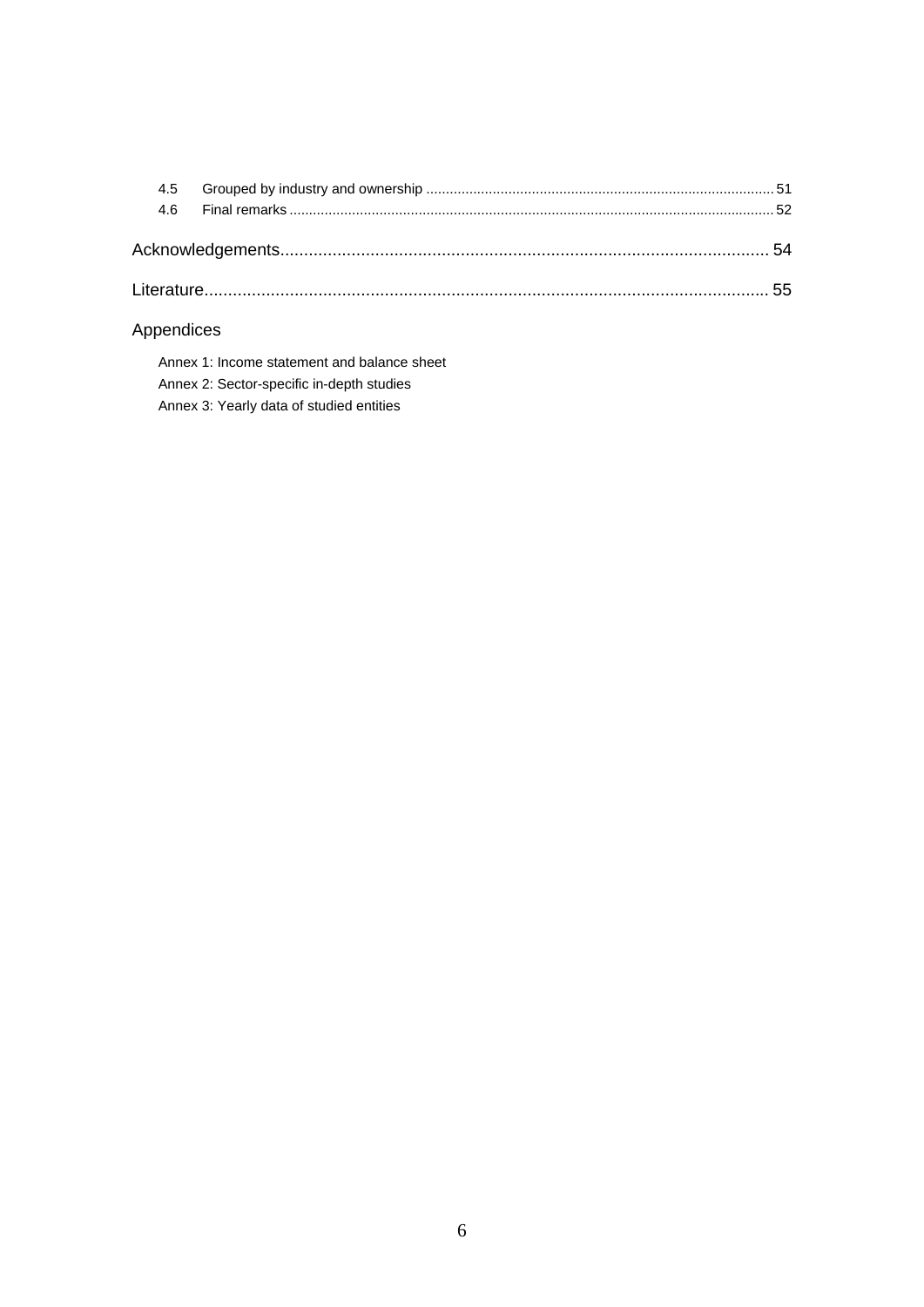## Appendices

Annex 1: Income statement and balance sheet Annex 2: Sector-specific in-depth studies Annex 3: Yearly data of studied entities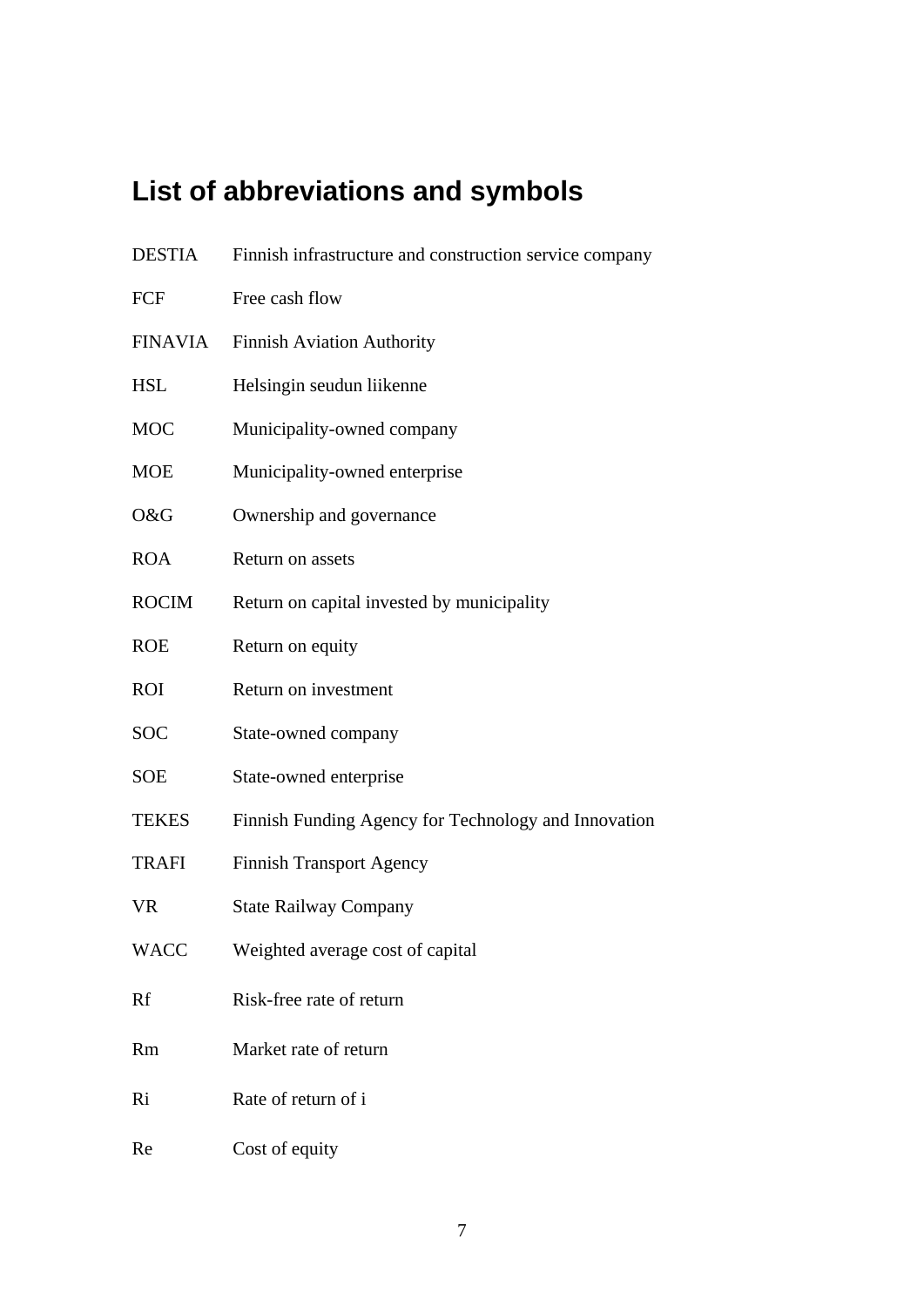## **List of abbreviations and symbols**

| <b>DESTIA</b>  | Finnish infrastructure and construction service company |
|----------------|---------------------------------------------------------|
| FCF            | Free cash flow                                          |
| <b>FINAVIA</b> | <b>Finnish Aviation Authority</b>                       |
| <b>HSL</b>     | Helsingin seudun liikenne                               |
| <b>MOC</b>     | Municipality-owned company                              |
| <b>MOE</b>     | Municipality-owned enterprise                           |
| O&G            | Ownership and governance                                |
| <b>ROA</b>     | Return on assets                                        |
| <b>ROCIM</b>   | Return on capital invested by municipality              |
| <b>ROE</b>     | Return on equity                                        |
| <b>ROI</b>     | Return on investment                                    |
| <b>SOC</b>     | State-owned company                                     |
| SOE            | State-owned enterprise                                  |
| <b>TEKES</b>   | Finnish Funding Agency for Technology and Innovation    |
| <b>TRAFI</b>   | <b>Finnish Transport Agency</b>                         |
| VR             | <b>State Railway Company</b>                            |
| <b>WACC</b>    | Weighted average cost of capital                        |
| Rf             | Risk-free rate of return                                |
| <b>Rm</b>      | Market rate of return                                   |
| Ri             | Rate of return of i                                     |
| Re             | Cost of equity                                          |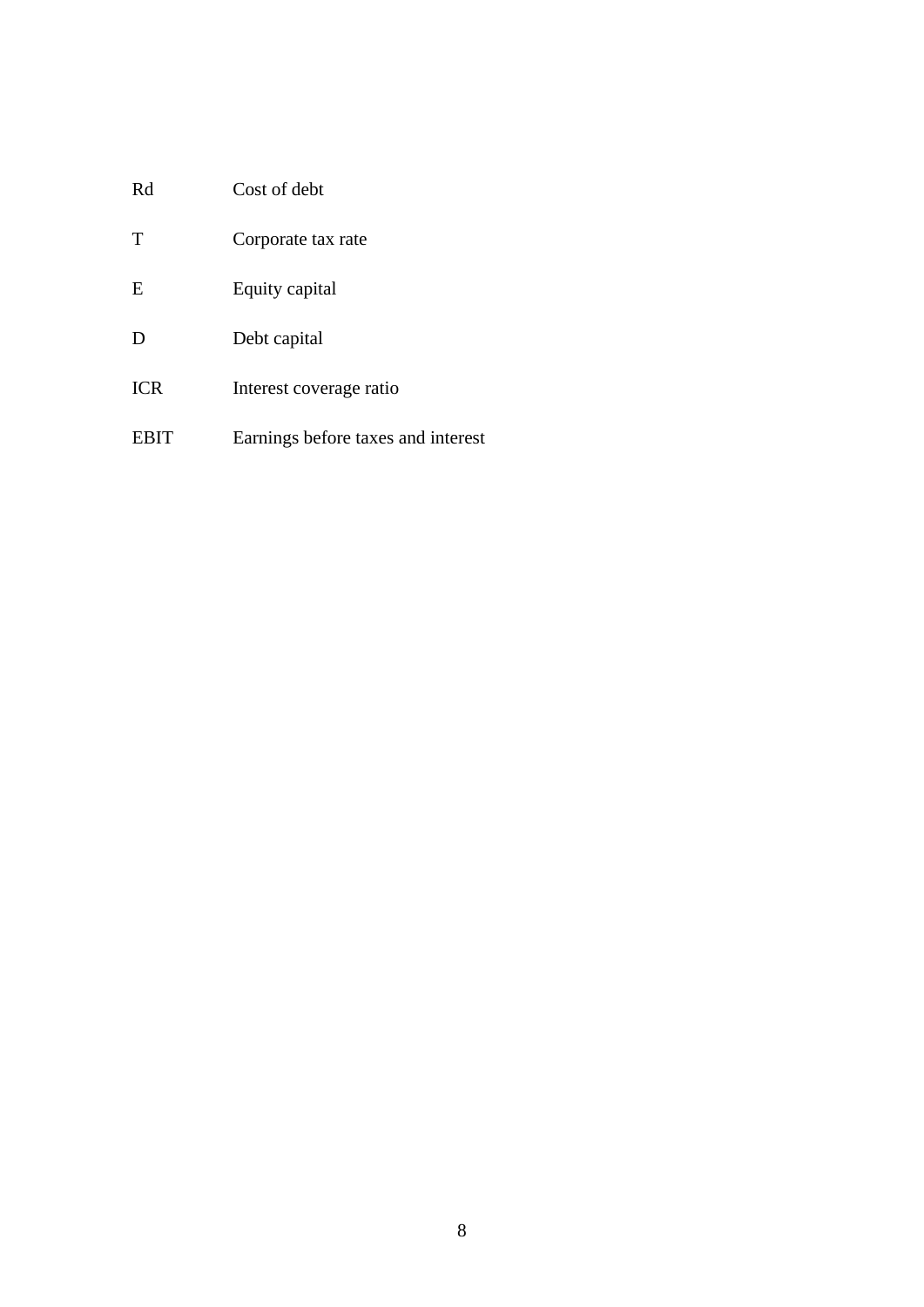| Rd         | Cost of debt                       |
|------------|------------------------------------|
| T          | Corporate tax rate                 |
| E          | Equity capital                     |
| D          | Debt capital                       |
| <b>ICR</b> | Interest coverage ratio            |
| EBIT       | Earnings before taxes and interest |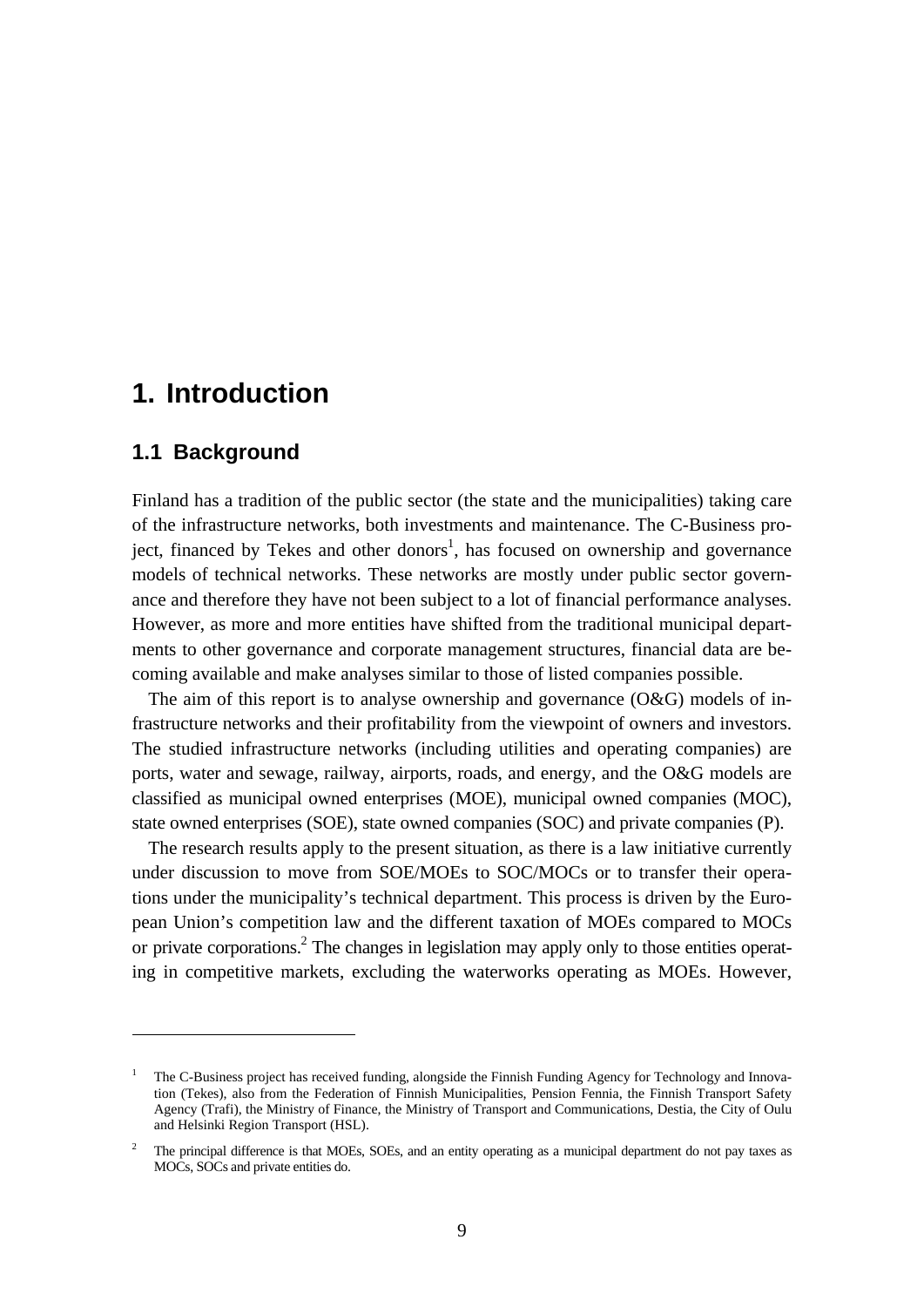## **1. Introduction**

### **1.1 Background**

1

Finland has a tradition of the public sector (the state and the municipalities) taking care of the infrastructure networks, both investments and maintenance. The C-Business project, financed by Tekes and other donors<sup>1</sup>, has focused on ownership and governance models of technical networks. These networks are mostly under public sector governance and therefore they have not been subject to a lot of financial performance analyses. However, as more and more entities have shifted from the traditional municipal departments to other governance and corporate management structures, financial data are becoming available and make analyses similar to those of listed companies possible.

The aim of this report is to analyse ownership and governance (O&G) models of infrastructure networks and their profitability from the viewpoint of owners and investors. The studied infrastructure networks (including utilities and operating companies) are ports, water and sewage, railway, airports, roads, and energy, and the O&G models are classified as municipal owned enterprises (MOE), municipal owned companies (MOC), state owned enterprises (SOE), state owned companies (SOC) and private companies (P).

The research results apply to the present situation, as there is a law initiative currently under discussion to move from SOE/MOEs to SOC/MOCs or to transfer their operations under the municipality's technical department. This process is driven by the European Union's competition law and the different taxation of MOEs compared to MOCs or private corporations.<sup>2</sup> The changes in legislation may apply only to those entities operating in competitive markets, excluding the waterworks operating as MOEs. However,

<sup>1</sup> The C-Business project has received funding, alongside the Finnish Funding Agency for Technology and Innovation (Tekes), also from the Federation of Finnish Municipalities, Pension Fennia, the Finnish Transport Safety Agency (Trafi), the Ministry of Finance, the Ministry of Transport and Communications, Destia, the City of Oulu and Helsinki Region Transport (HSL).

<sup>2</sup> The principal difference is that MOEs, SOEs, and an entity operating as a municipal department do not pay taxes as MOCs, SOCs and private entities do.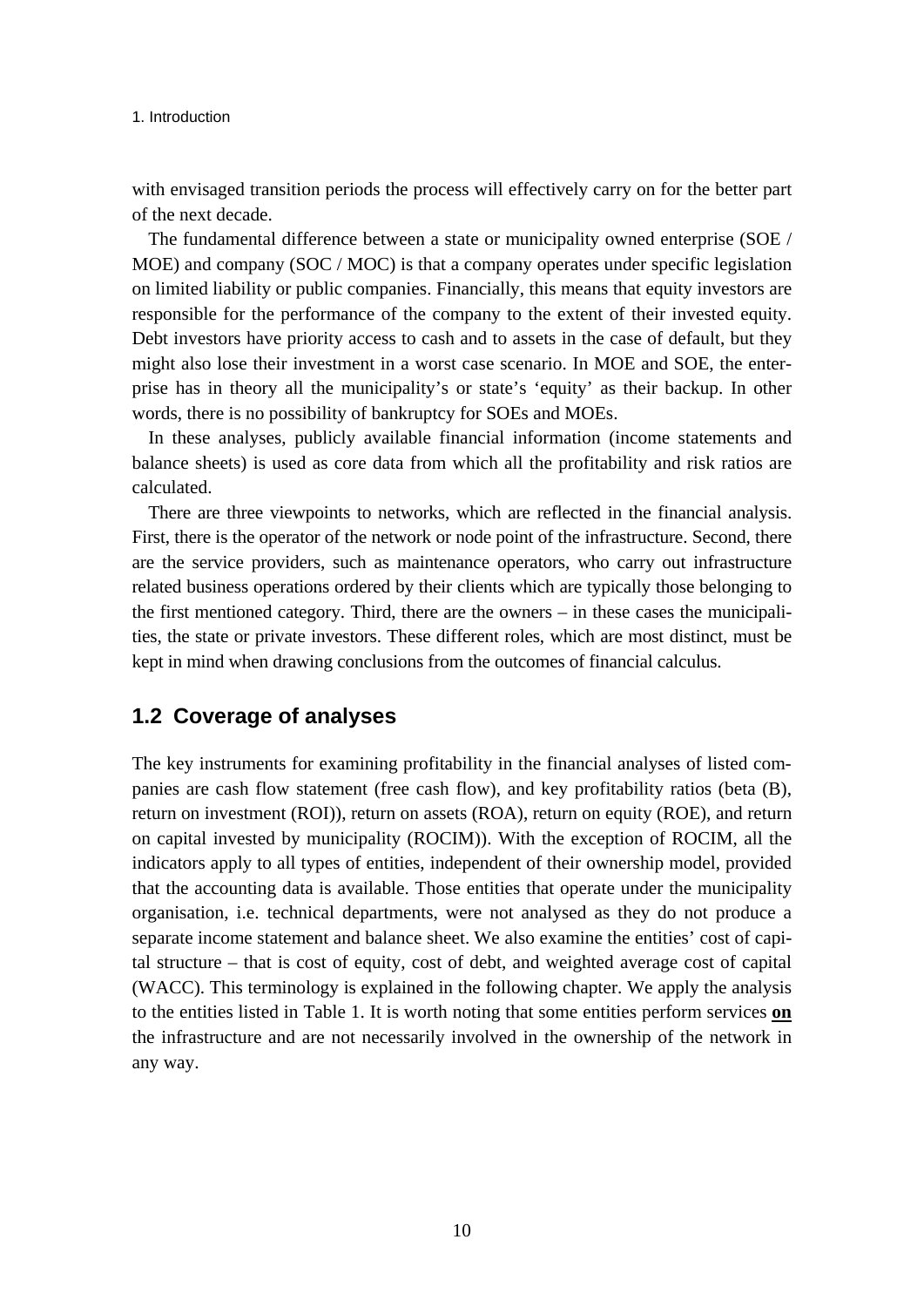#### 1. Introduction

with envisaged transition periods the process will effectively carry on for the better part of the next decade.

The fundamental difference between a state or municipality owned enterprise (SOE / MOE) and company (SOC / MOC) is that a company operates under specific legislation on limited liability or public companies. Financially, this means that equity investors are responsible for the performance of the company to the extent of their invested equity. Debt investors have priority access to cash and to assets in the case of default, but they might also lose their investment in a worst case scenario. In MOE and SOE, the enterprise has in theory all the municipality's or state's 'equity' as their backup. In other words, there is no possibility of bankruptcy for SOEs and MOEs.

In these analyses, publicly available financial information (income statements and balance sheets) is used as core data from which all the profitability and risk ratios are calculated.

There are three viewpoints to networks, which are reflected in the financial analysis. First, there is the operator of the network or node point of the infrastructure. Second, there are the service providers, such as maintenance operators, who carry out infrastructure related business operations ordered by their clients which are typically those belonging to the first mentioned category. Third, there are the owners – in these cases the municipalities, the state or private investors. These different roles, which are most distinct, must be kept in mind when drawing conclusions from the outcomes of financial calculus.

### **1.2 Coverage of analyses**

The key instruments for examining profitability in the financial analyses of listed companies are cash flow statement (free cash flow), and key profitability ratios (beta (B), return on investment (ROI)), return on assets (ROA), return on equity (ROE), and return on capital invested by municipality (ROCIM)). With the exception of ROCIM, all the indicators apply to all types of entities, independent of their ownership model, provided that the accounting data is available. Those entities that operate under the municipality organisation, i.e. technical departments, were not analysed as they do not produce a separate income statement and balance sheet. We also examine the entities' cost of capital structure – that is cost of equity, cost of debt, and weighted average cost of capital (WACC). This terminology is explained in the following chapter. We apply the analysis to the entities listed in Table 1. It is worth noting that some entities perform services **on** the infrastructure and are not necessarily involved in the ownership of the network in any way.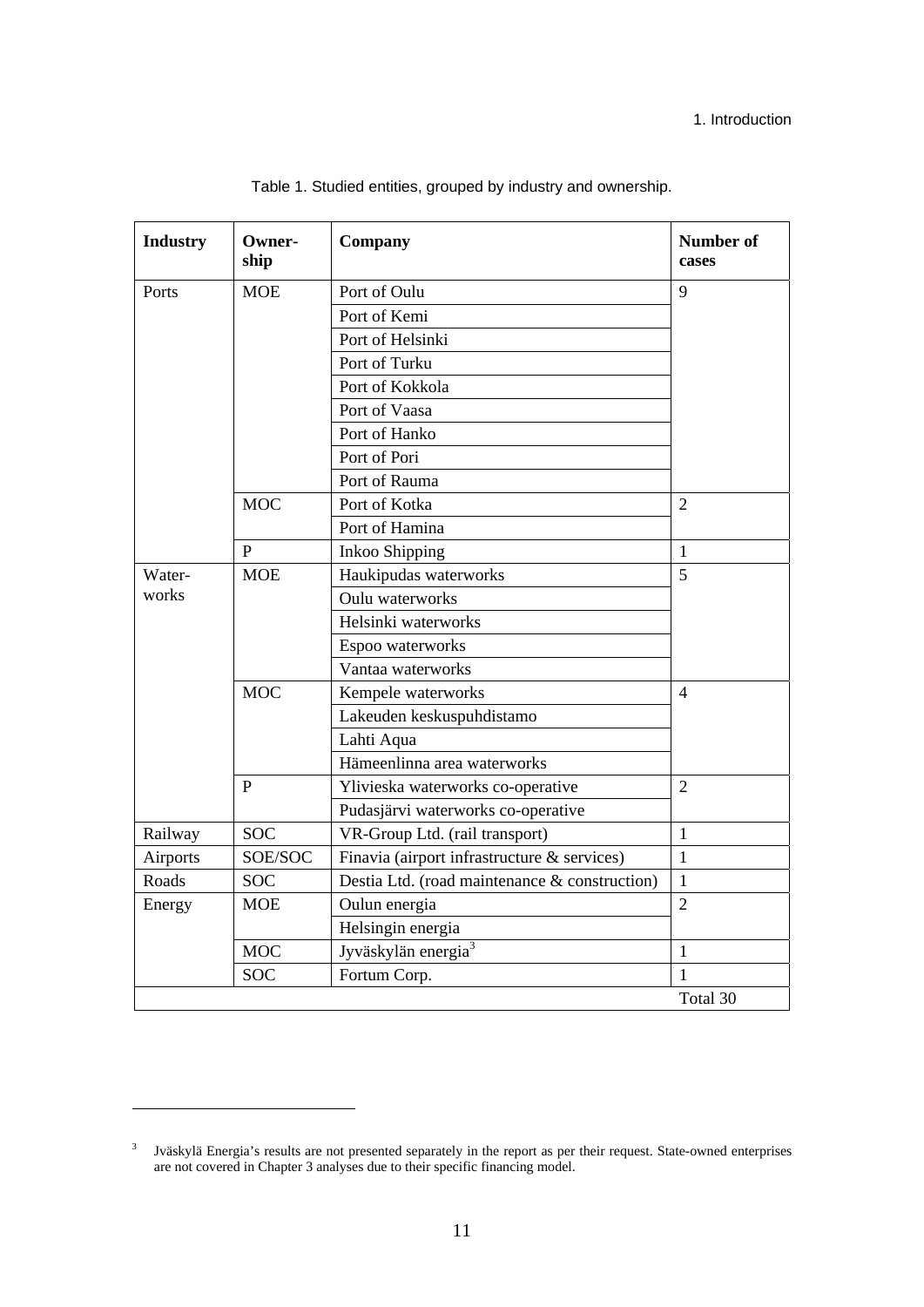| <b>Industry</b>     | Owner-<br>ship | Company                                       | Number of<br>cases |
|---------------------|----------------|-----------------------------------------------|--------------------|
| <b>MOE</b><br>Ports |                | Port of Oulu                                  | 9                  |
|                     |                | Port of Kemi                                  |                    |
|                     |                | Port of Helsinki                              |                    |
|                     |                | Port of Turku                                 |                    |
|                     |                | Port of Kokkola                               |                    |
|                     |                | Port of Vaasa                                 |                    |
|                     |                | Port of Hanko                                 |                    |
|                     |                | Port of Pori                                  |                    |
|                     |                | Port of Rauma                                 |                    |
|                     | <b>MOC</b>     | Port of Kotka                                 | $\overline{2}$     |
|                     |                | Port of Hamina                                |                    |
|                     | $\mathbf{P}$   | <b>Inkoo Shipping</b>                         | $\mathbf{1}$       |
| Water-              | <b>MOE</b>     | Haukipudas waterworks                         | 5                  |
| works               |                | Oulu waterworks                               |                    |
|                     |                | Helsinki waterworks                           |                    |
|                     |                | Espoo waterworks                              |                    |
|                     |                | Vantaa waterworks                             |                    |
|                     | <b>MOC</b>     | Kempele waterworks                            | $\overline{4}$     |
|                     |                | Lakeuden keskuspuhdistamo                     |                    |
|                     |                | Lahti Aqua                                    |                    |
|                     |                | Hämeenlinna area waterworks                   |                    |
|                     | $\mathbf{P}$   | Ylivieska waterworks co-operative             | $\overline{2}$     |
|                     |                | Pudasjärvi waterworks co-operative            |                    |
| Railway             | <b>SOC</b>     | VR-Group Ltd. (rail transport)                | $\mathbf{1}$       |
| Airports            | SOE/SOC        | Finavia (airport infrastructure & services)   | $\mathbf{1}$       |
| Roads               | SOC            | Destia Ltd. (road maintenance & construction) | $\mathbf{1}$       |
| Energy              | <b>MOE</b>     | Oulun energia                                 | $\overline{2}$     |
|                     |                | Helsingin energia                             |                    |
|                     | <b>MOC</b>     | Jyväskylän energia <sup>3</sup>               | $\mathbf{1}$       |
|                     | <b>SOC</b>     | Fortum Corp.                                  | 1                  |
|                     |                |                                               | Total 30           |

Table 1. Studied entities, grouped by industry and ownership.

1

<sup>3</sup> Jväskylä Energia's results are not presented separately in the report as per their request. State-owned enterprises are not covered in Chapter 3 analyses due to their specific financing model.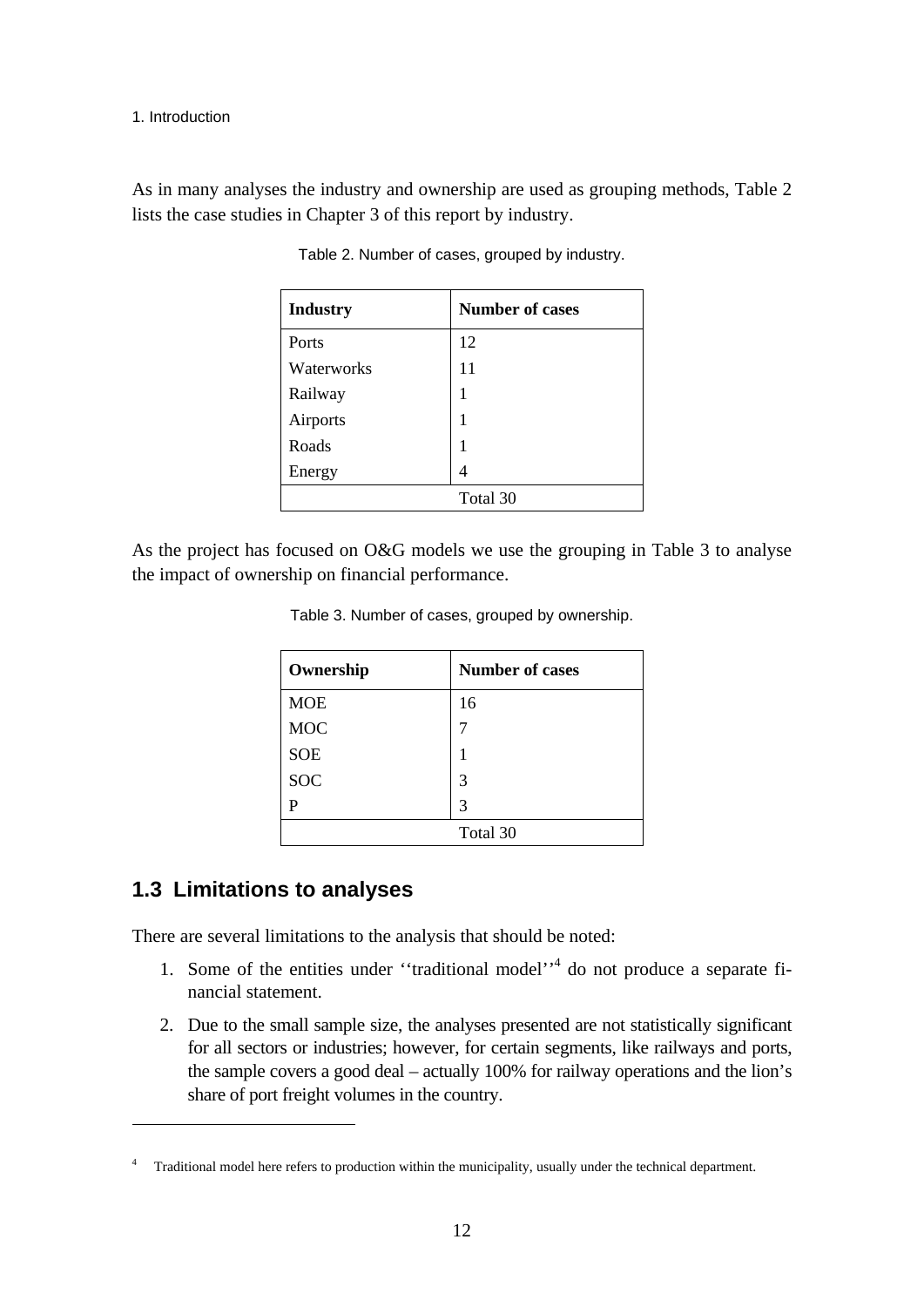1. Introduction

As in many analyses the industry and ownership are used as grouping methods, Table 2 lists the case studies in Chapter 3 of this report by industry.

| <b>Industry</b> | <b>Number of cases</b> |
|-----------------|------------------------|
| Ports           | 12                     |
| Waterworks      | 11                     |
| Railway         |                        |
| Airports        |                        |
| Roads           |                        |
| Energy          |                        |
|                 | Total 30               |

Table 2. Number of cases, grouped by industry.

As the project has focused on O&G models we use the grouping in Table 3 to analyse the impact of ownership on financial performance.

| Ownership  | <b>Number of cases</b> |
|------------|------------------------|
| <b>MOE</b> | 16                     |
| <b>MOC</b> |                        |
| <b>SOE</b> |                        |
| <b>SOC</b> | 3                      |
| P          | 3                      |
|            | Total 30               |

Table 3. Number of cases, grouped by ownership.

## **1.3 Limitations to analyses**

1

There are several limitations to the analysis that should be noted:

- 1. Some of the entities under "traditional model"<sup>4</sup> do not produce a separate financial statement.
- 2. Due to the small sample size, the analyses presented are not statistically significant for all sectors or industries; however, for certain segments, like railways and ports, the sample covers a good deal – actually 100% for railway operations and the lion's share of port freight volumes in the country.

<sup>4</sup> Traditional model here refers to production within the municipality, usually under the technical department.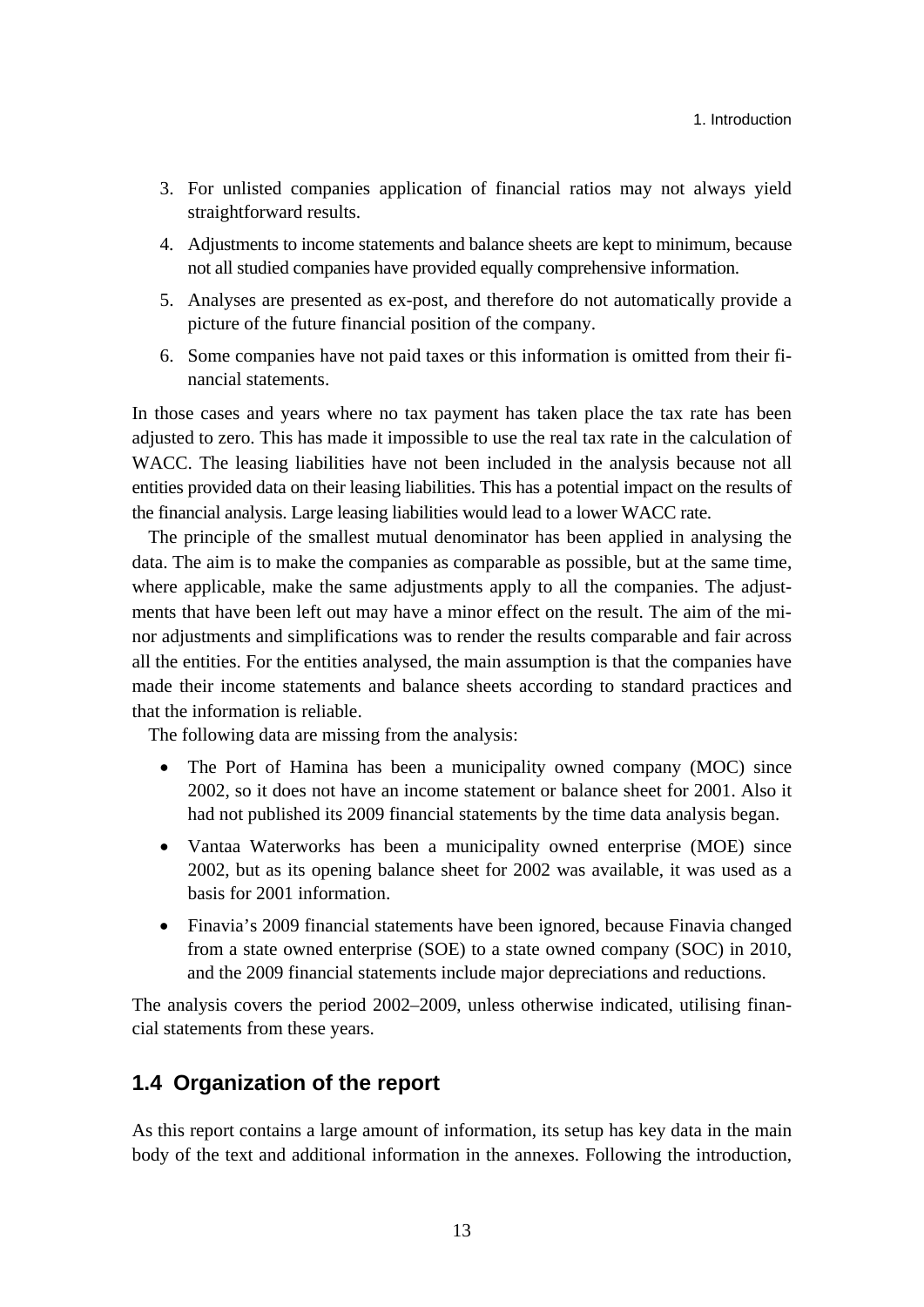- 3. For unlisted companies application of financial ratios may not always yield straightforward results.
- 4. Adjustments to income statements and balance sheets are kept to minimum, because not all studied companies have provided equally comprehensive information.
- 5. Analyses are presented as ex-post, and therefore do not automatically provide a picture of the future financial position of the company.
- 6. Some companies have not paid taxes or this information is omitted from their financial statements.

In those cases and years where no tax payment has taken place the tax rate has been adjusted to zero. This has made it impossible to use the real tax rate in the calculation of WACC. The leasing liabilities have not been included in the analysis because not all entities provided data on their leasing liabilities. This has a potential impact on the results of the financial analysis. Large leasing liabilities would lead to a lower WACC rate.

The principle of the smallest mutual denominator has been applied in analysing the data. The aim is to make the companies as comparable as possible, but at the same time, where applicable, make the same adjustments apply to all the companies. The adjustments that have been left out may have a minor effect on the result. The aim of the minor adjustments and simplifications was to render the results comparable and fair across all the entities. For the entities analysed, the main assumption is that the companies have made their income statements and balance sheets according to standard practices and that the information is reliable.

The following data are missing from the analysis:

- The Port of Hamina has been a municipality owned company (MOC) since 2002, so it does not have an income statement or balance sheet for 2001. Also it had not published its 2009 financial statements by the time data analysis began.
- Vantaa Waterworks has been a municipality owned enterprise (MOE) since 2002, but as its opening balance sheet for 2002 was available, it was used as a basis for 2001 information.
- Finavia's 2009 financial statements have been ignored, because Finavia changed from a state owned enterprise (SOE) to a state owned company (SOC) in 2010, and the 2009 financial statements include major depreciations and reductions.

The analysis covers the period 2002–2009, unless otherwise indicated, utilising financial statements from these years.

## **1.4 Organization of the report**

As this report contains a large amount of information, its setup has key data in the main body of the text and additional information in the annexes. Following the introduction,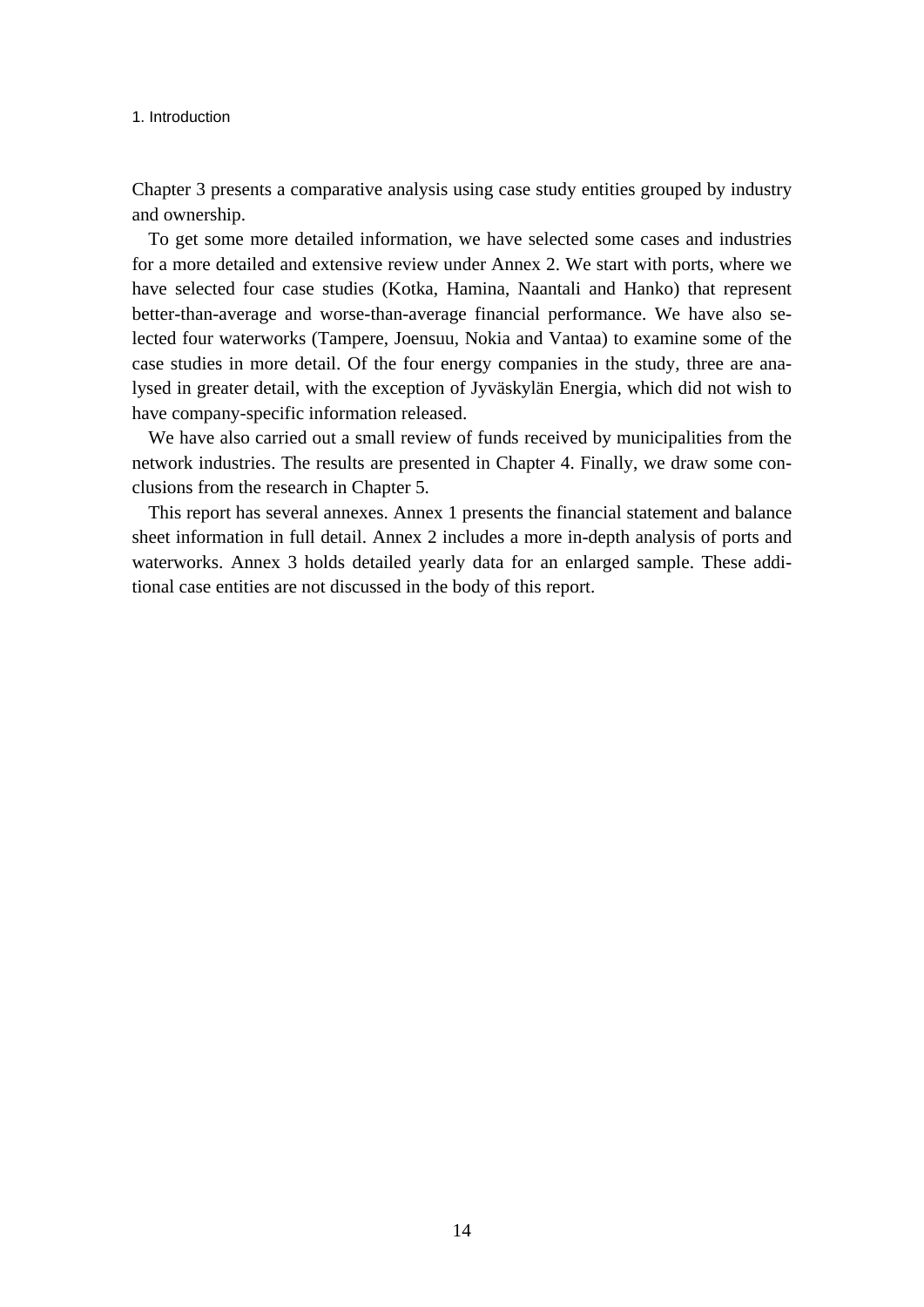#### 1. Introduction

Chapter 3 presents a comparative analysis using case study entities grouped by industry and ownership.

To get some more detailed information, we have selected some cases and industries for a more detailed and extensive review under Annex 2. We start with ports, where we have selected four case studies (Kotka, Hamina, Naantali and Hanko) that represent better-than-average and worse-than-average financial performance. We have also selected four waterworks (Tampere, Joensuu, Nokia and Vantaa) to examine some of the case studies in more detail. Of the four energy companies in the study, three are analysed in greater detail, with the exception of Jyväskylän Energia, which did not wish to have company-specific information released.

We have also carried out a small review of funds received by municipalities from the network industries. The results are presented in Chapter 4. Finally, we draw some conclusions from the research in Chapter 5.

This report has several annexes. Annex 1 presents the financial statement and balance sheet information in full detail. Annex 2 includes a more in-depth analysis of ports and waterworks. Annex 3 holds detailed yearly data for an enlarged sample. These additional case entities are not discussed in the body of this report.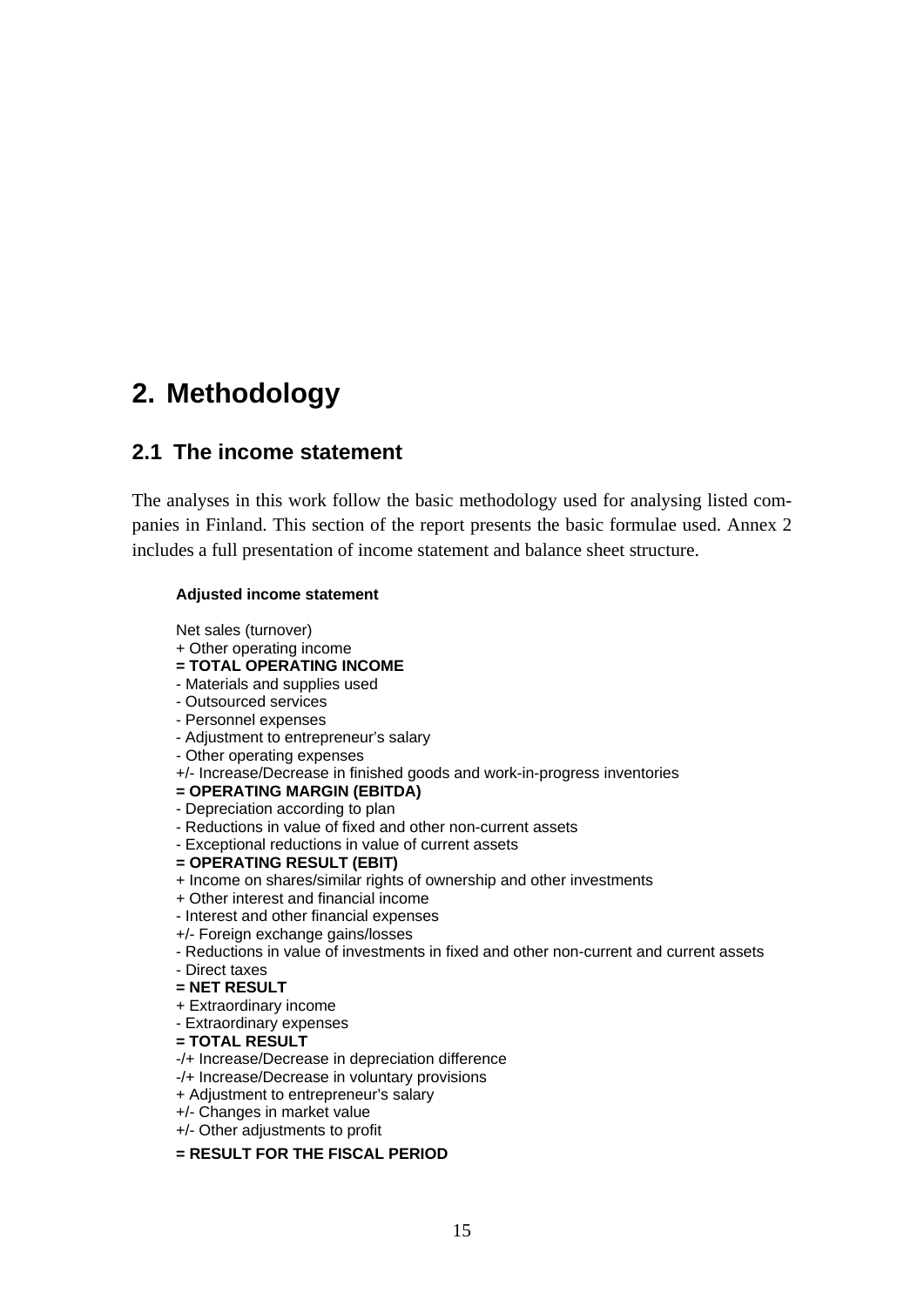## **2. Methodology**

## **2.1 The income statement**

The analyses in this work follow the basic methodology used for analysing listed companies in Finland. This section of the report presents the basic formulae used. Annex 2 includes a full presentation of income statement and balance sheet structure.

#### **Adjusted income statement**

Net sales (turnover)

- + Other operating income
- **= TOTAL OPERATING INCOME**
- Materials and supplies used
- Outsourced services
- Personnel expenses
- Adjustment to entrepreneur's salary
- Other operating expenses
- +/- Increase/Decrease in finished goods and work-in-progress inventories

#### **= OPERATING MARGIN (EBITDA)**

- Depreciation according to plan
- Reductions in value of fixed and other non-current assets
- Exceptional reductions in value of current assets
- **= OPERATING RESULT (EBIT)**
- + Income on shares/similar rights of ownership and other investments
- + Other interest and financial income
- Interest and other financial expenses
- +/- Foreign exchange gains/losses
- Reductions in value of investments in fixed and other non-current and current assets
- Direct taxes
- **= NET RESULT**
- + Extraordinary income
- Extraordinary expenses

#### **= TOTAL RESULT**

- -/+ Increase/Decrease in depreciation difference
- -/+ Increase/Decrease in voluntary provisions
- + Adjustment to entrepreneur's salary
- +/- Changes in market value
- +/- Other adjustments to profit

#### **= RESULT FOR THE FISCAL PERIOD**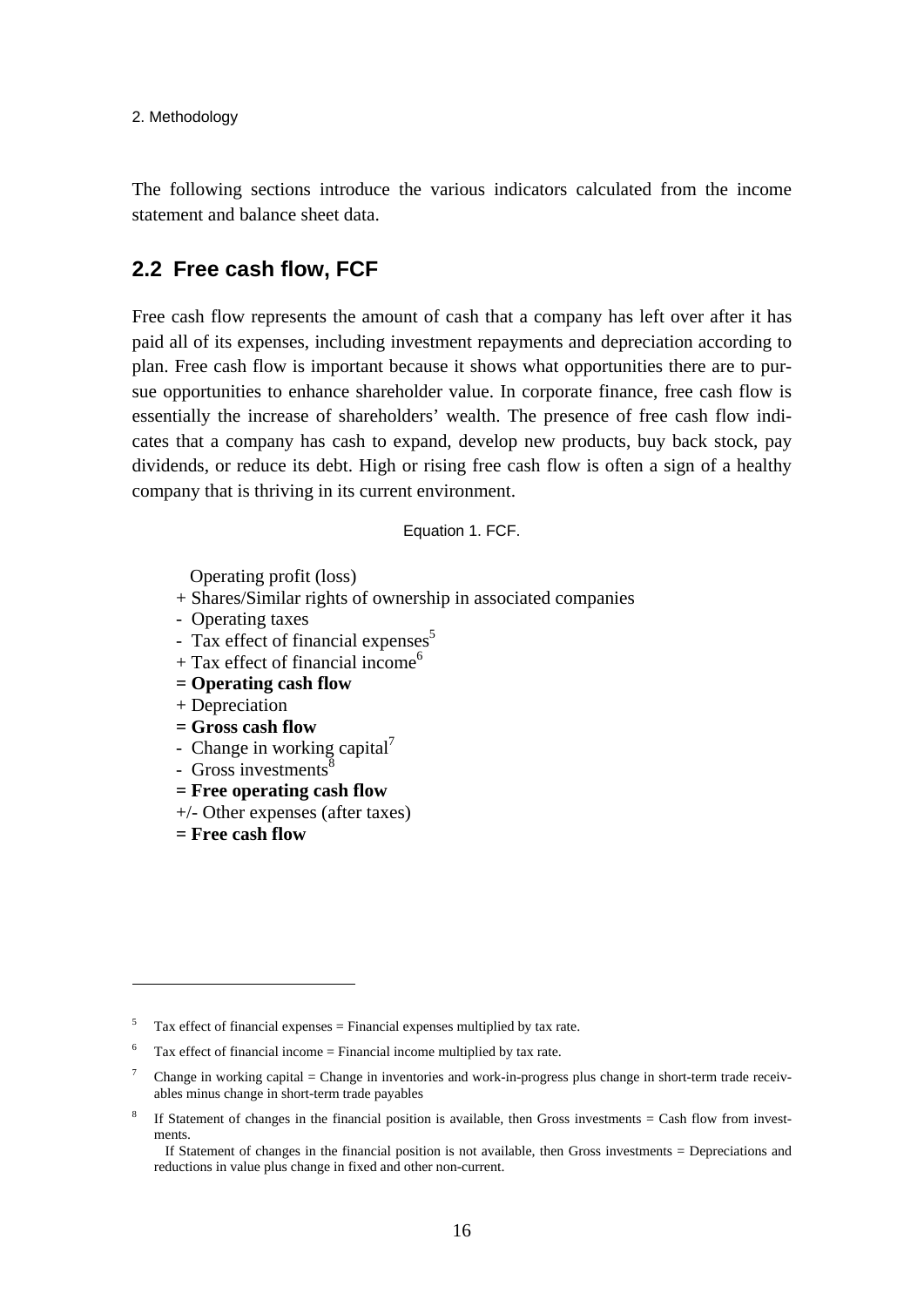The following sections introduce the various indicators calculated from the income statement and balance sheet data.

## **2.2 Free cash flow, FCF**

Free cash flow represents the amount of cash that a company has left over after it has paid all of its expenses, including investment repayments and depreciation according to plan. Free cash flow is important because it shows what opportunities there are to pursue opportunities to enhance shareholder value. In corporate finance, free cash flow is essentially the increase of shareholders' wealth. The presence of free cash flow indicates that a company has cash to expand, develop new products, buy back stock, pay dividends, or reduce its debt. High or rising free cash flow is often a sign of a healthy company that is thriving in its current environment.

Equation 1. FCF.

Operating profit (loss)

- + Shares/Similar rights of ownership in associated companies
- Operating taxes
- Tax effect of financial expenses<sup>5</sup>
- $+$  Tax effect of financial income<sup>6</sup>
- **= Operating cash flow**
- + Depreciation
- **= Gross cash flow**
- Change in working capital<sup> $\prime$ </sup>
- Gross investments $\delta$
- **= Free operating cash flow**
- +/- Other expenses (after taxes)
- **= Free cash flow**

1

<sup>5</sup> Tax effect of financial expenses = Financial expenses multiplied by tax rate.

<sup>6</sup> Tax effect of financial income = Financial income multiplied by tax rate.

<sup>7</sup> Change in working capital = Change in inventories and work-in-progress plus change in short-term trade receivables minus change in short-term trade payables

<sup>8</sup> If Statement of changes in the financial position is available, then Gross investments = Cash flow from investments.

If Statement of changes in the financial position is not available, then Gross investments = Depreciations and reductions in value plus change in fixed and other non-current.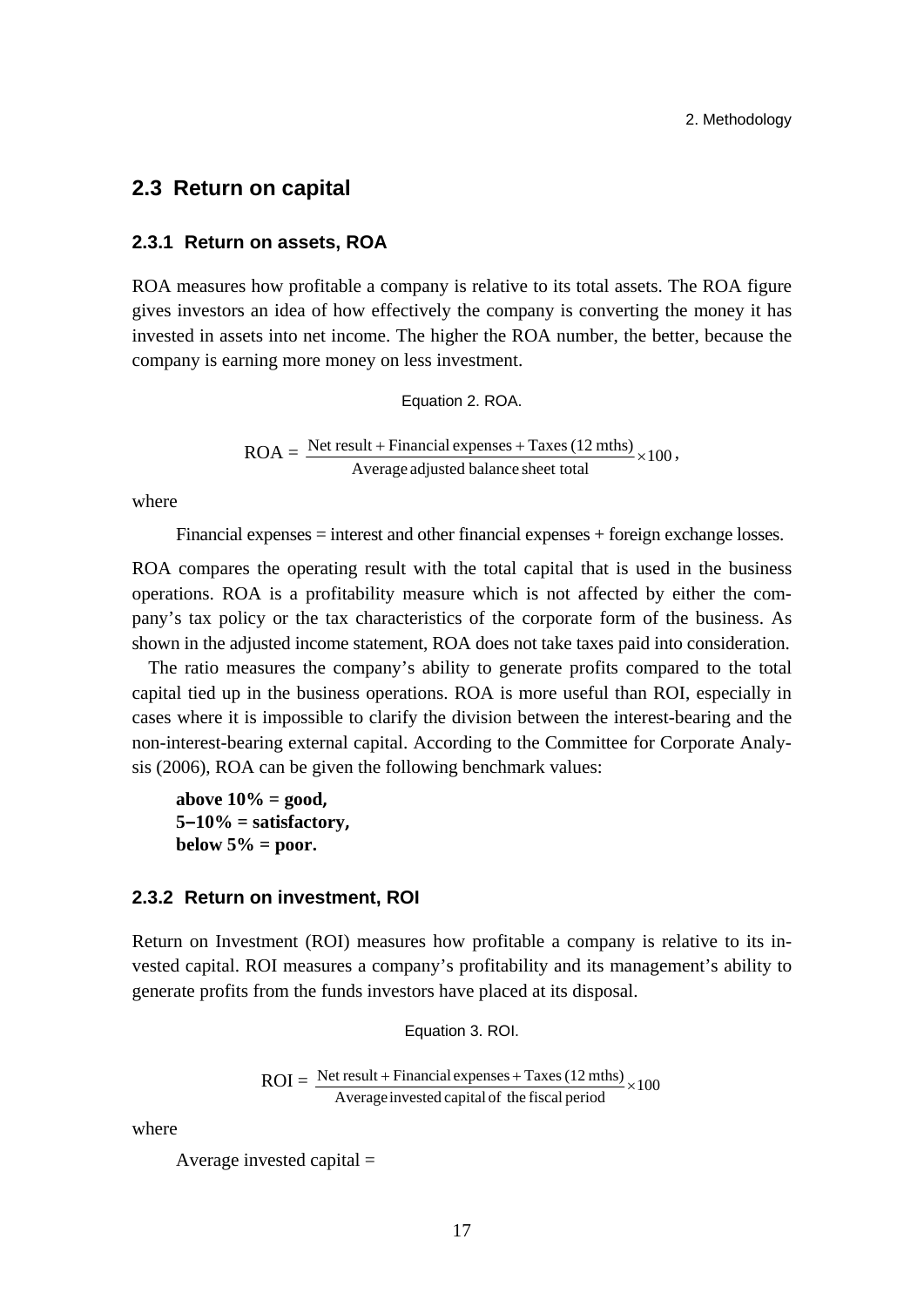#### **2.3 Return on capital**

#### **2.3.1 Return on assets, ROA**

ROA measures how profitable a company is relative to its total assets. The ROA figure gives investors an idea of how effectively the company is converting the money it has invested in assets into net income. The higher the ROA number, the better, because the company is earning more money on less investment.

Equation 2. ROA.

 $ROA = \frac{Net result + Financial expenses + I axes (12 mins)}{100} \times 100$ Average adjusted balance sheet total Net result + Financial expenses + Taxes  $(12 \text{ mths}) \times 100$ ,

where

Financial expenses = interest and other financial expenses + foreign exchange losses.

ROA compares the operating result with the total capital that is used in the business operations. ROA is a profitability measure which is not affected by either the company's tax policy or the tax characteristics of the corporate form of the business. As shown in the adjusted income statement, ROA does not take taxes paid into consideration.

The ratio measures the company's ability to generate profits compared to the total capital tied up in the business operations. ROA is more useful than ROI, especially in cases where it is impossible to clarify the division between the interest-bearing and the non-interest-bearing external capital. According to the Committee for Corporate Analysis (2006), ROA can be given the following benchmark values:

**above 10% = good, 5–10% = satisfactory, below**  $5\%$  = **poor**.

#### **2.3.2 Return on investment, ROI**

Return on Investment (ROI) measures how profitable a company is relative to its invested capital. ROI measures a company's profitability and its management's ability to generate profits from the funds investors have placed at its disposal.

Equation 3. ROI.

$$
ROI = \frac{Net result + Financial expenses + Taxes (12 mths)}{Average invested capital of the fiscal period} \times 100
$$

where

Average invested capital =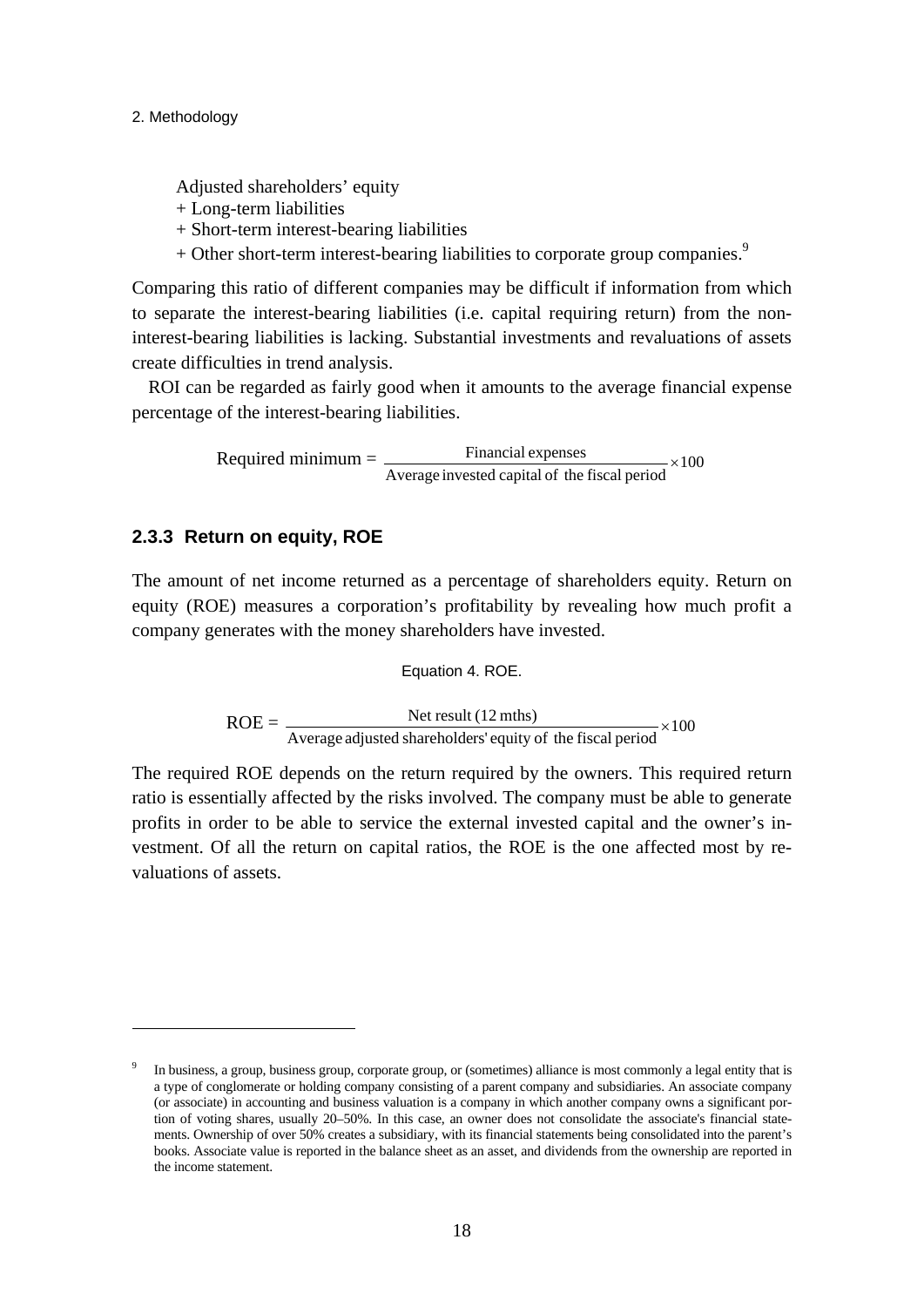Adjusted shareholders' equity

+ Long-term liabilities

+ Short-term interest-bearing liabilities

 $+$  Other short-term interest-bearing liabilities to corporate group companies.<sup>9</sup>

Comparing this ratio of different companies may be difficult if information from which to separate the interest-bearing liabilities (i.e. capital requiring return) from the noninterest-bearing liabilities is lacking. Substantial investments and revaluations of assets create difficulties in trend analysis.

ROI can be regarded as fairly good when it amounts to the average financial expense percentage of the interest-bearing liabilities.

> Required minimum  $=$   $\frac{\text{Financial expenses}}{\text{Standard States}} \times 100$ Average invested capital of the fiscal period  $\frac{1}{2}$  Financial expenses

### **2.3.3 Return on equity, ROE**

1

The amount of net income returned as a percentage of shareholders equity. Return on equity (ROE) measures a corporation's profitability by revealing how much profit a company generates with the money shareholders have invested.

Equation 4. ROE.

 $ROE =$  Net result (12 mms)<br> $\times 100$ Average adjusted shareholders' equity of the fiscal period Net result  $(12 \text{ mths})$ 

The required ROE depends on the return required by the owners. This required return ratio is essentially affected by the risks involved. The company must be able to generate profits in order to be able to service the external invested capital and the owner's investment. Of all the return on capital ratios, the ROE is the one affected most by revaluations of assets.

<sup>9</sup> In business, a group, business group, corporate group, or (sometimes) alliance is most commonly a legal entity that is a type of conglomerate or holding company consisting of a parent company and subsidiaries. An associate company (or associate) in accounting and business valuation is a company in which another company owns a significant portion of voting shares, usually 20–50%. In this case, an owner does not consolidate the associate's financial statements. Ownership of over 50% creates a subsidiary, with its financial statements being consolidated into the parent's books. Associate value is reported in the balance sheet as an asset, and dividends from the ownership are reported in the income statement.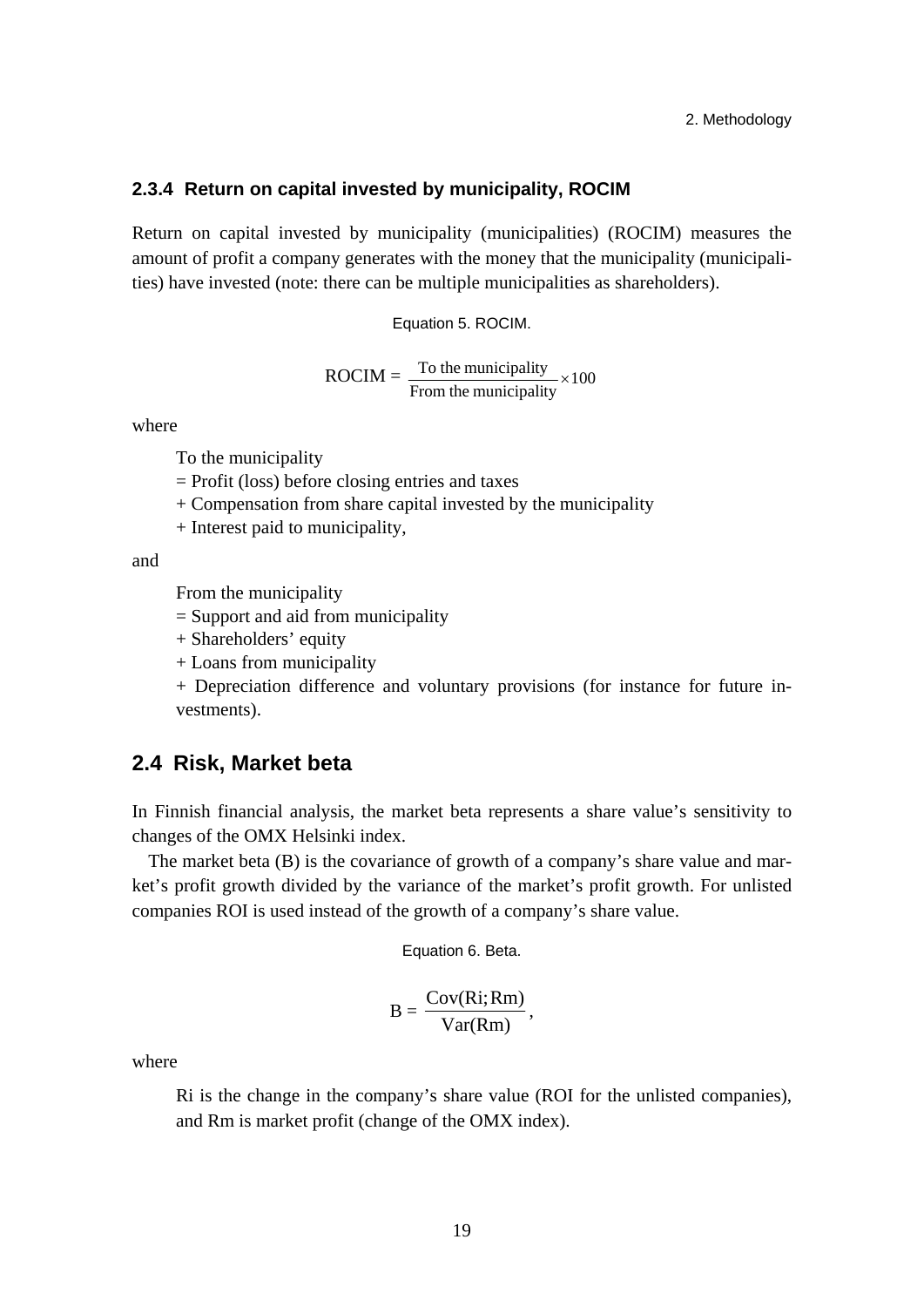2. Methodology

#### **2.3.4 Return on capital invested by municipality, ROCIM**

Return on capital invested by municipality (municipalities) (ROCIM) measures the amount of profit a company generates with the money that the municipality (municipalities) have invested (note: there can be multiple municipalities as shareholders).

Equation 5. ROCIM.

$$
ROCIM = \frac{\text{To the municipality}}{\text{From the municipality}} \times 100
$$

where

To the municipality

= Profit (loss) before closing entries and taxes

+ Compensation from share capital invested by the municipality

+ Interest paid to municipality,

and

From the municipality

= Support and aid from municipality

+ Shareholders' equity

+ Loans from municipality

+ Depreciation difference and voluntary provisions (for instance for future investments).

### **2.4 Risk, Market beta**

In Finnish financial analysis, the market beta represents a share value's sensitivity to changes of the OMX Helsinki index.

The market beta (B) is the covariance of growth of a company's share value and market's profit growth divided by the variance of the market's profit growth. For unlisted companies ROI is used instead of the growth of a company's share value.

Equation 6. Beta.

$$
B = \frac{Cov(Ri;Rm)}{Var(Rm)},
$$

where

Ri is the change in the company's share value (ROI for the unlisted companies), and Rm is market profit (change of the OMX index).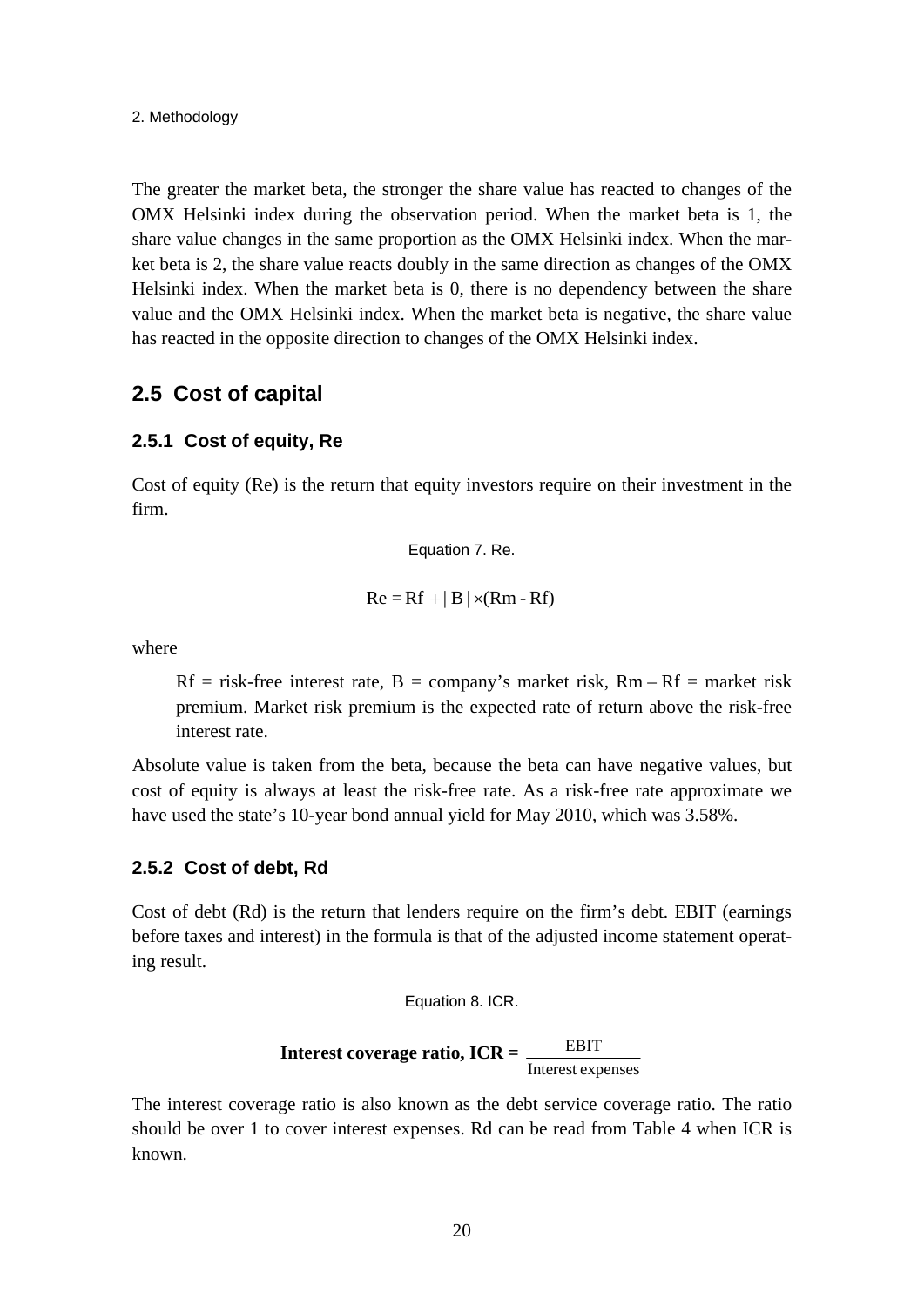2. Methodology

The greater the market beta, the stronger the share value has reacted to changes of the OMX Helsinki index during the observation period. When the market beta is 1, the share value changes in the same proportion as the OMX Helsinki index. When the market beta is 2, the share value reacts doubly in the same direction as changes of the OMX Helsinki index. When the market beta is 0, there is no dependency between the share value and the OMX Helsinki index. When the market beta is negative, the share value has reacted in the opposite direction to changes of the OMX Helsinki index.

## **2.5 Cost of capital**

## **2.5.1 Cost of equity, Re**

Cost of equity (Re) is the return that equity investors require on their investment in the firm.

Equation 7. Re.

$$
Re = Rf + |B| \times (Rm - Rf)
$$

where

 $Rf$  = risk-free interest rate, B = company's market risk, Rm – Rf = market risk premium. Market risk premium is the expected rate of return above the risk-free interest rate.

Absolute value is taken from the beta, because the beta can have negative values, but cost of equity is always at least the risk-free rate. As a risk-free rate approximate we have used the state's 10-year bond annual yield for May 2010, which was 3.58%.

## **2.5.2 Cost of debt, Rd**

Cost of debt (Rd) is the return that lenders require on the firm's debt. EBIT (earnings before taxes and interest) in the formula is that of the adjusted income statement operating result.

Equation 8. ICR.

**Interest coverage ratio, ICR =** Interest expenses EBIT

The interest coverage ratio is also known as the debt service coverage ratio. The ratio should be over 1 to cover interest expenses. Rd can be read from Table 4 when ICR is known.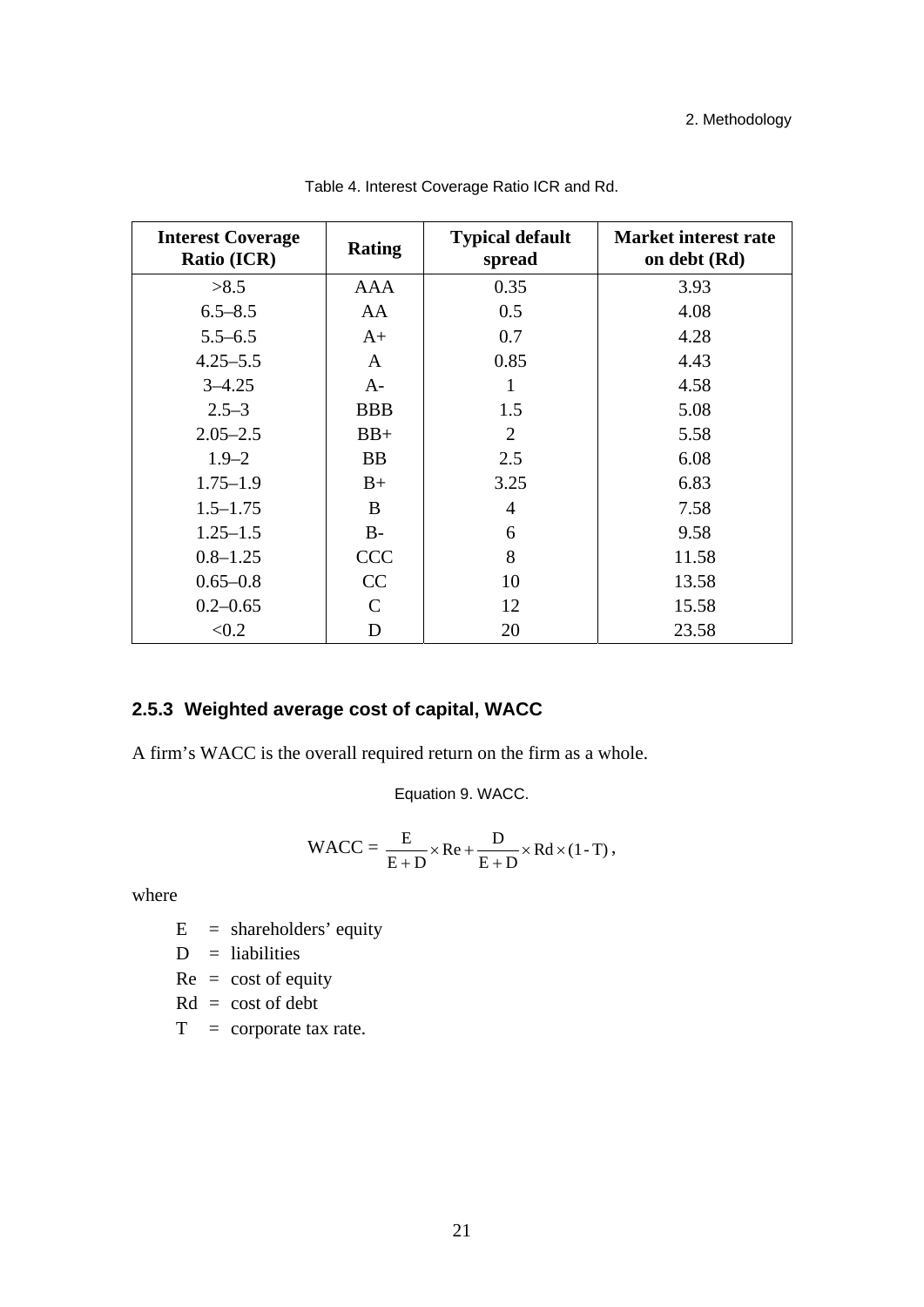| <b>Interest Coverage</b><br><b>Ratio (ICR)</b> | <b>Rating</b> | <b>Typical default</b><br>spread | <b>Market interest rate</b><br>on debt (Rd) |
|------------------------------------------------|---------------|----------------------------------|---------------------------------------------|
| >8.5                                           | <b>AAA</b>    | 0.35                             | 3.93                                        |
| $6.5 - 8.5$                                    | AA            | 0.5                              | 4.08                                        |
| $5.5 - 6.5$                                    | $A+$          | 0.7                              | 4.28                                        |
| $4.25 - 5.5$                                   | A             | 0.85                             | 4.43                                        |
| $3 - 4.25$                                     | $A-$          |                                  | 4.58                                        |
| $2.5 - 3$                                      | <b>BBB</b>    | 1.5                              | 5.08                                        |
| $2.05 - 2.5$                                   | $BB+$         | 2                                | 5.58                                        |
| $1.9 - 2$                                      | <b>BB</b>     | 2.5                              | 6.08                                        |
| $1.75 - 1.9$                                   | $B+$          | 3.25                             | 6.83                                        |
| $1.5 - 1.75$                                   | B             | $\overline{4}$                   | 7.58                                        |
| $1.25 - 1.5$                                   | $B -$         | 6                                | 9.58                                        |
| $0.8 - 1.25$                                   | <b>CCC</b>    | 8                                | 11.58                                       |
| $0.65 - 0.8$                                   | CC            | 10                               | 13.58                                       |
| $0.2 - 0.65$                                   | C             | 12                               | 15.58                                       |
| < 0.2                                          | D             | 20                               | 23.58                                       |

Table 4. Interest Coverage Ratio ICR and Rd.

## **2.5.3 Weighted average cost of capital, WACC**

A firm's WACC is the overall required return on the firm as a whole.

Equation 9. WACC.

$$
WACC = \frac{E}{E+D} \times Re + \frac{D}{E+D} \times Rd \times (1-T),
$$

where

- $E =$  shareholders' equity
- $D =$  liabilities
- $Re = \text{cost of equity}$

$$
Rd = \cos t \text{ of debt}
$$

 $T =$  corporate tax rate.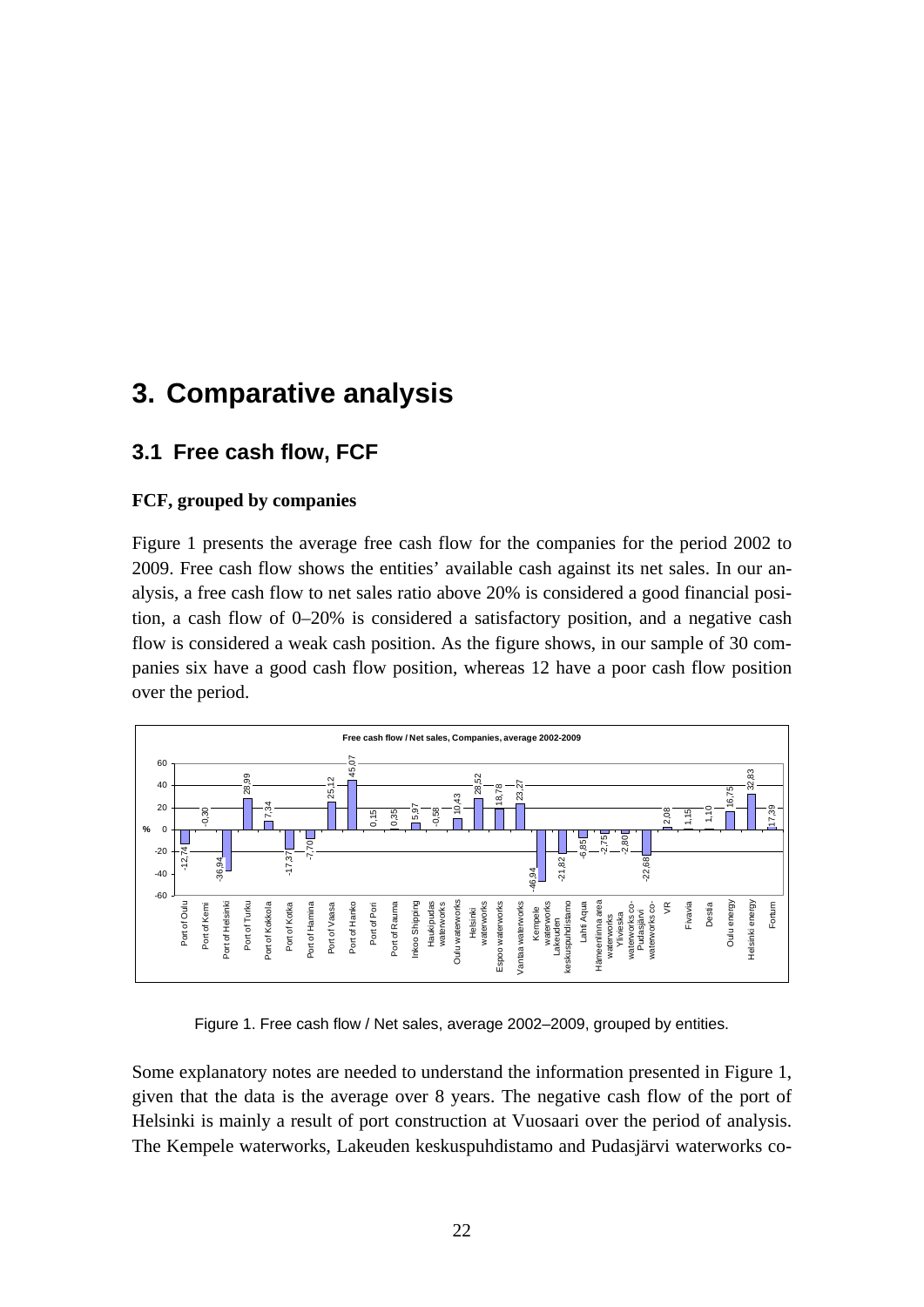## **3.1 Free cash flow, FCF**

#### **FCF, grouped by companies**

Figure 1 presents the average free cash flow for the companies for the period 2002 to 2009. Free cash flow shows the entities' available cash against its net sales. In our analysis, a free cash flow to net sales ratio above 20% is considered a good financial position, a cash flow of 0–20% is considered a satisfactory position, and a negative cash flow is considered a weak cash position. As the figure shows, in our sample of 30 companies six have a good cash flow position, whereas 12 have a poor cash flow position over the period.



Figure 1. Free cash flow / Net sales, average 2002–2009, grouped by entities.

Some explanatory notes are needed to understand the information presented in Figure 1, given that the data is the average over 8 years. The negative cash flow of the port of Helsinki is mainly a result of port construction at Vuosaari over the period of analysis. The Kempele waterworks, Lakeuden keskuspuhdistamo and Pudasjärvi waterworks co-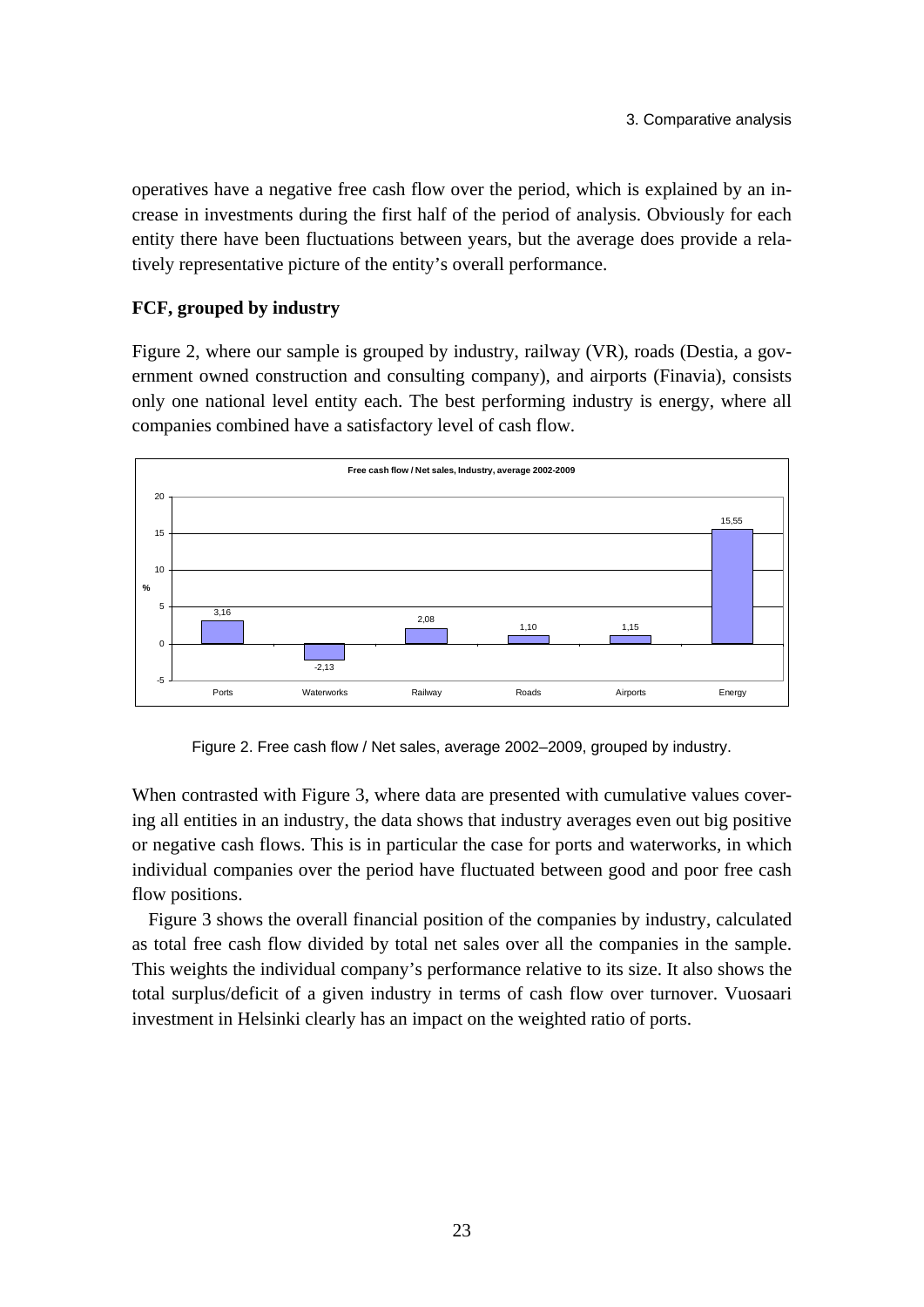operatives have a negative free cash flow over the period, which is explained by an increase in investments during the first half of the period of analysis. Obviously for each entity there have been fluctuations between years, but the average does provide a relatively representative picture of the entity's overall performance.

### **FCF, grouped by industry**

Figure 2, where our sample is grouped by industry, railway (VR), roads (Destia, a government owned construction and consulting company), and airports (Finavia), consists only one national level entity each. The best performing industry is energy, where all companies combined have a satisfactory level of cash flow.



Figure 2. Free cash flow / Net sales, average 2002–2009, grouped by industry.

When contrasted with Figure 3, where data are presented with cumulative values covering all entities in an industry, the data shows that industry averages even out big positive or negative cash flows. This is in particular the case for ports and waterworks, in which individual companies over the period have fluctuated between good and poor free cash flow positions.

Figure 3 shows the overall financial position of the companies by industry, calculated as total free cash flow divided by total net sales over all the companies in the sample. This weights the individual company's performance relative to its size. It also shows the total surplus/deficit of a given industry in terms of cash flow over turnover. Vuosaari investment in Helsinki clearly has an impact on the weighted ratio of ports.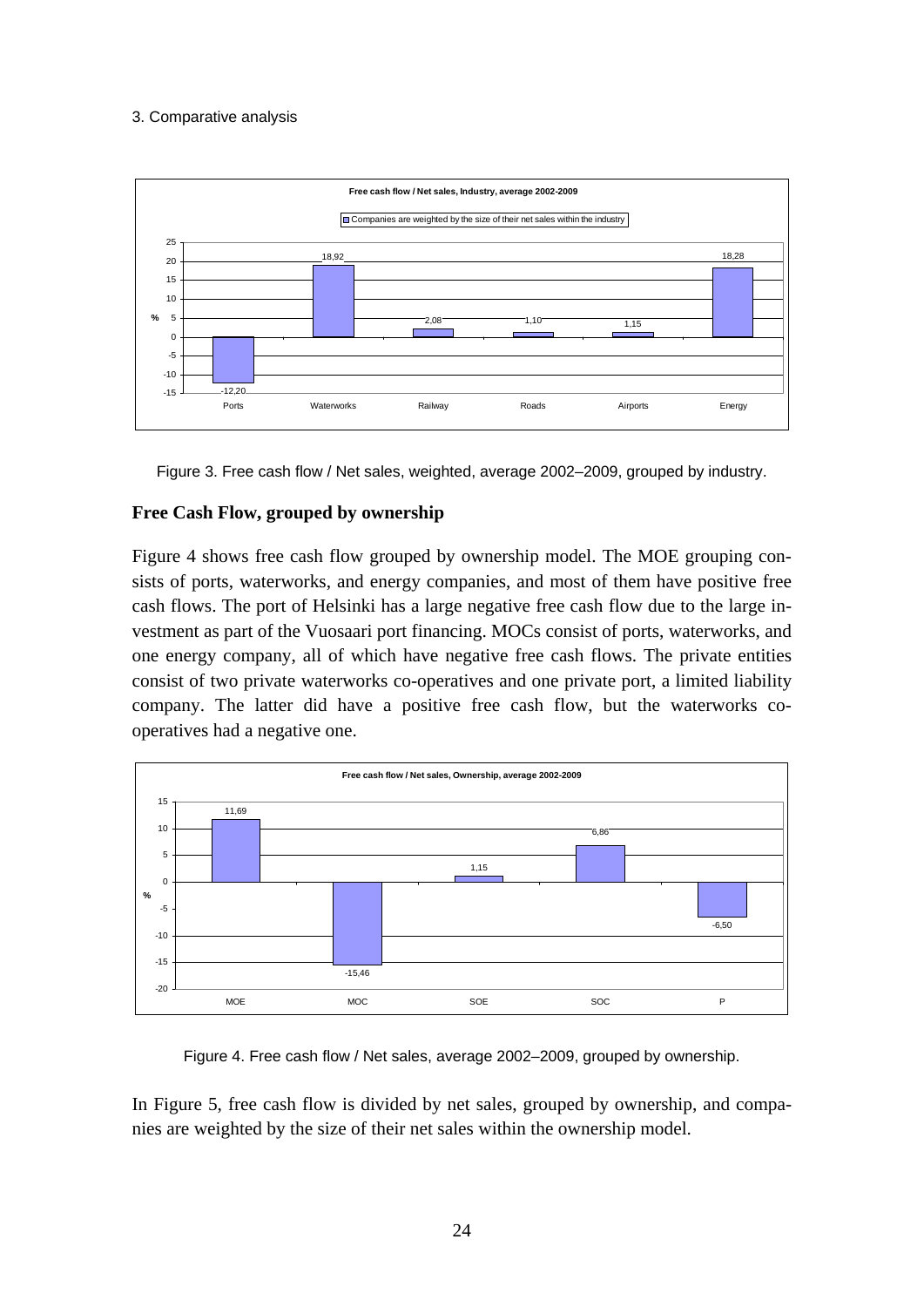

Figure 3. Free cash flow / Net sales, weighted, average 2002–2009, grouped by industry.

### **Free Cash Flow, grouped by ownership**

Figure 4 shows free cash flow grouped by ownership model. The MOE grouping consists of ports, waterworks, and energy companies, and most of them have positive free cash flows. The port of Helsinki has a large negative free cash flow due to the large investment as part of the Vuosaari port financing. MOCs consist of ports, waterworks, and one energy company, all of which have negative free cash flows. The private entities consist of two private waterworks co-operatives and one private port, a limited liability company. The latter did have a positive free cash flow, but the waterworks cooperatives had a negative one.



Figure 4. Free cash flow / Net sales, average 2002–2009, grouped by ownership.

In Figure 5, free cash flow is divided by net sales, grouped by ownership, and companies are weighted by the size of their net sales within the ownership model.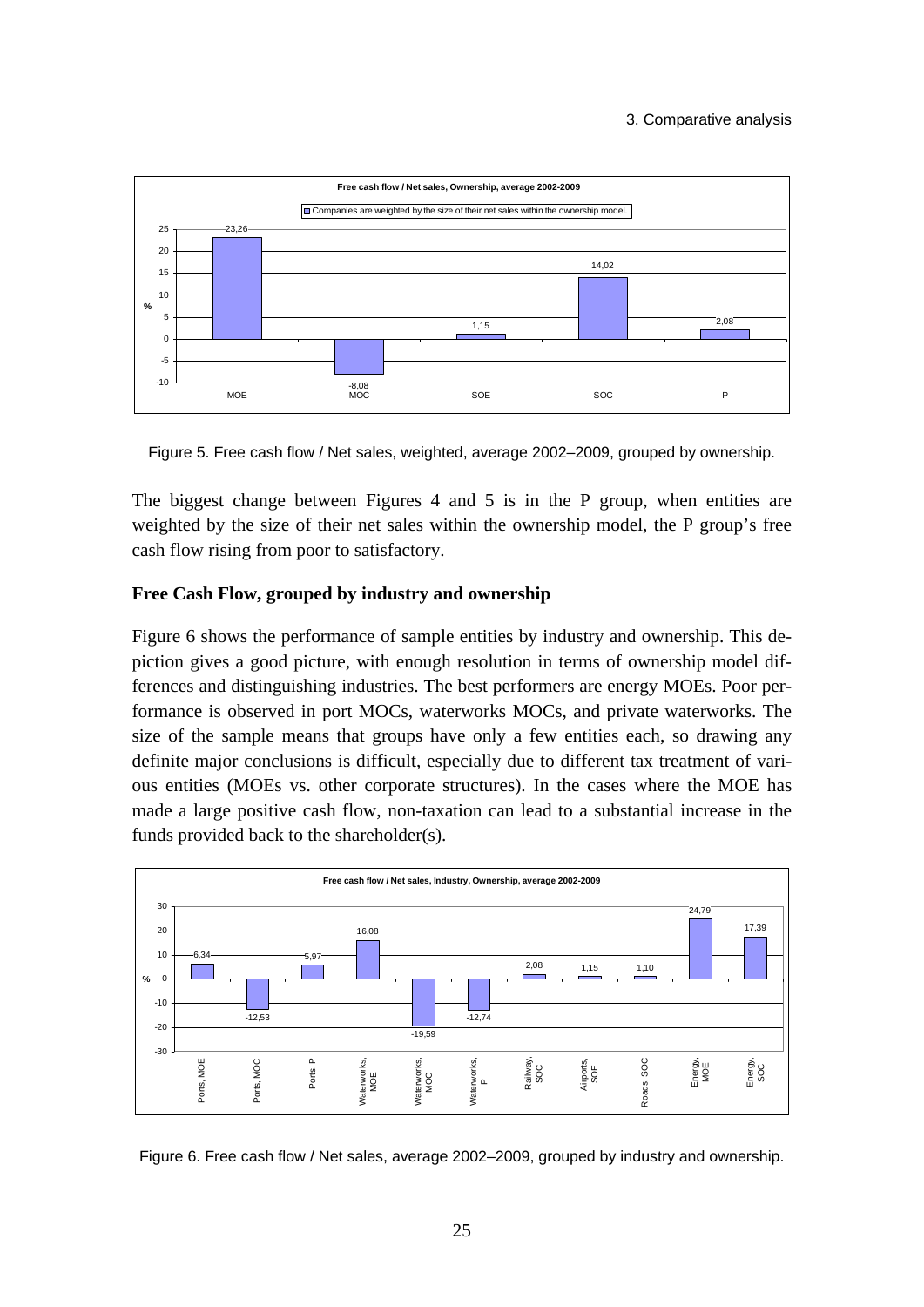

Figure 5. Free cash flow / Net sales, weighted, average 2002–2009, grouped by ownership.

The biggest change between Figures 4 and 5 is in the P group, when entities are weighted by the size of their net sales within the ownership model, the P group's free cash flow rising from poor to satisfactory.

### **Free Cash Flow, grouped by industry and ownership**

Figure 6 shows the performance of sample entities by industry and ownership. This depiction gives a good picture, with enough resolution in terms of ownership model differences and distinguishing industries. The best performers are energy MOEs. Poor performance is observed in port MOCs, waterworks MOCs, and private waterworks. The size of the sample means that groups have only a few entities each, so drawing any definite major conclusions is difficult, especially due to different tax treatment of various entities (MOEs vs. other corporate structures). In the cases where the MOE has made a large positive cash flow, non-taxation can lead to a substantial increase in the funds provided back to the shareholder(s).



Figure 6. Free cash flow / Net sales, average 2002–2009, grouped by industry and ownership.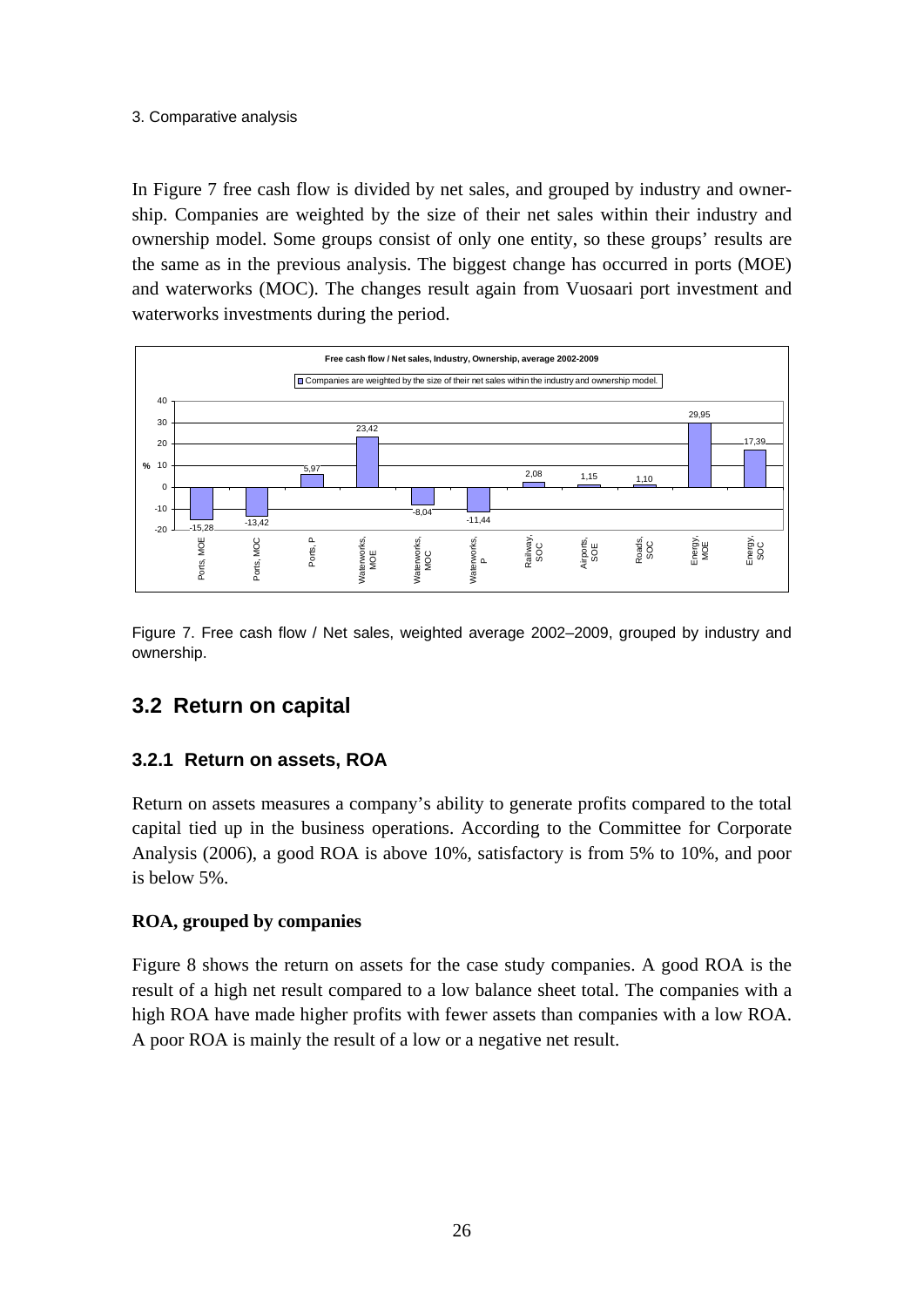In Figure 7 free cash flow is divided by net sales, and grouped by industry and ownership. Companies are weighted by the size of their net sales within their industry and ownership model. Some groups consist of only one entity, so these groups' results are the same as in the previous analysis. The biggest change has occurred in ports (MOE) and waterworks (MOC). The changes result again from Vuosaari port investment and waterworks investments during the period.



Figure 7. Free cash flow / Net sales, weighted average 2002–2009, grouped by industry and ownership.

## **3.2 Return on capital**

### **3.2.1 Return on assets, ROA**

Return on assets measures a company's ability to generate profits compared to the total capital tied up in the business operations. According to the Committee for Corporate Analysis (2006), a good ROA is above 10%, satisfactory is from 5% to 10%, and poor is below 5%.

### **ROA, grouped by companies**

Figure 8 shows the return on assets for the case study companies. A good ROA is the result of a high net result compared to a low balance sheet total. The companies with a high ROA have made higher profits with fewer assets than companies with a low ROA. A poor ROA is mainly the result of a low or a negative net result.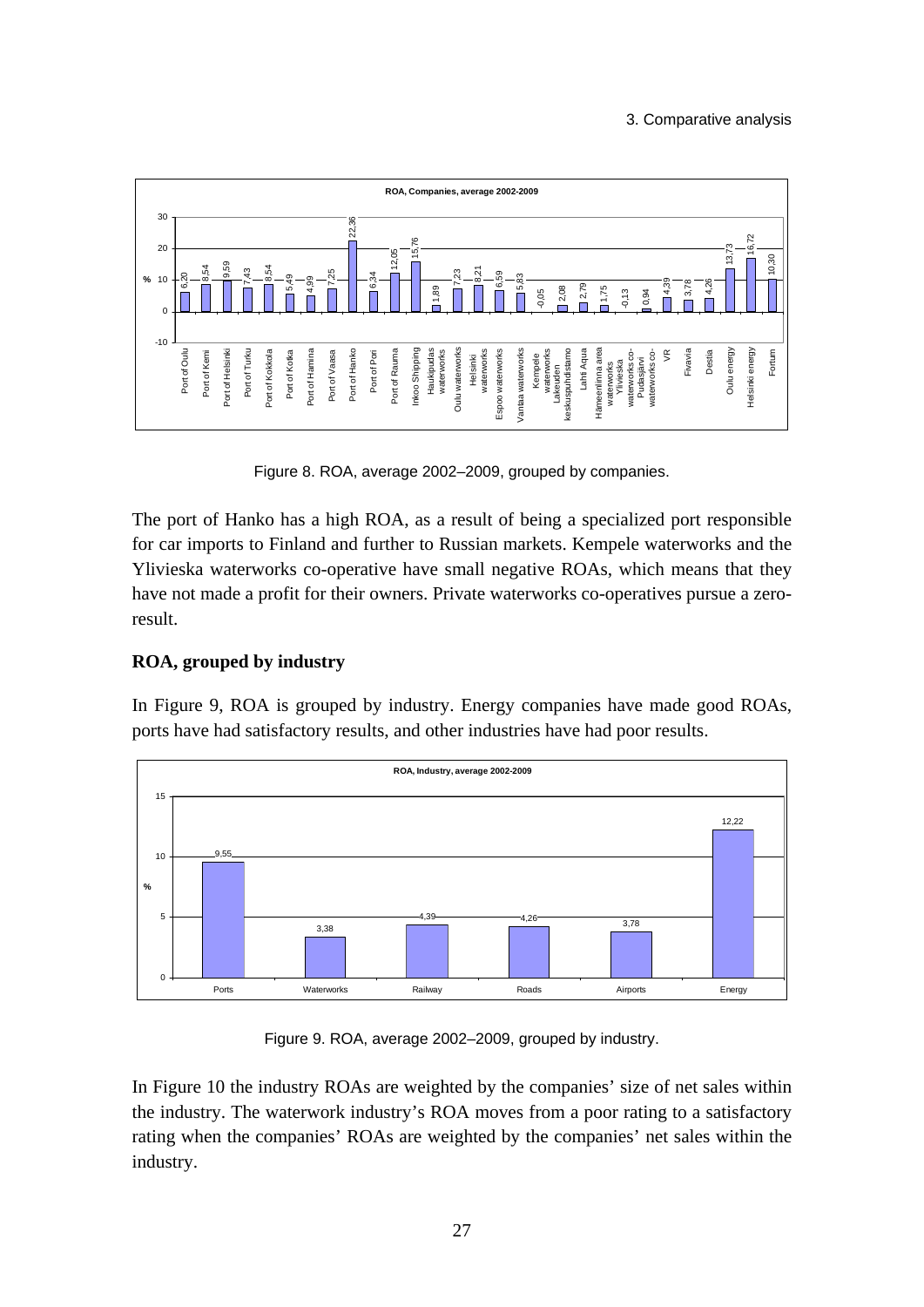

Figure 8. ROA, average 2002–2009, grouped by companies.

The port of Hanko has a high ROA, as a result of being a specialized port responsible for car imports to Finland and further to Russian markets. Kempele waterworks and the Ylivieska waterworks co-operative have small negative ROAs, which means that they have not made a profit for their owners. Private waterworks co-operatives pursue a zeroresult.

## **ROA, grouped by industry**

In Figure 9, ROA is grouped by industry. Energy companies have made good ROAs, ports have had satisfactory results, and other industries have had poor results.



Figure 9. ROA, average 2002–2009, grouped by industry.

In Figure 10 the industry ROAs are weighted by the companies' size of net sales within the industry. The waterwork industry's ROA moves from a poor rating to a satisfactory rating when the companies' ROAs are weighted by the companies' net sales within the industry.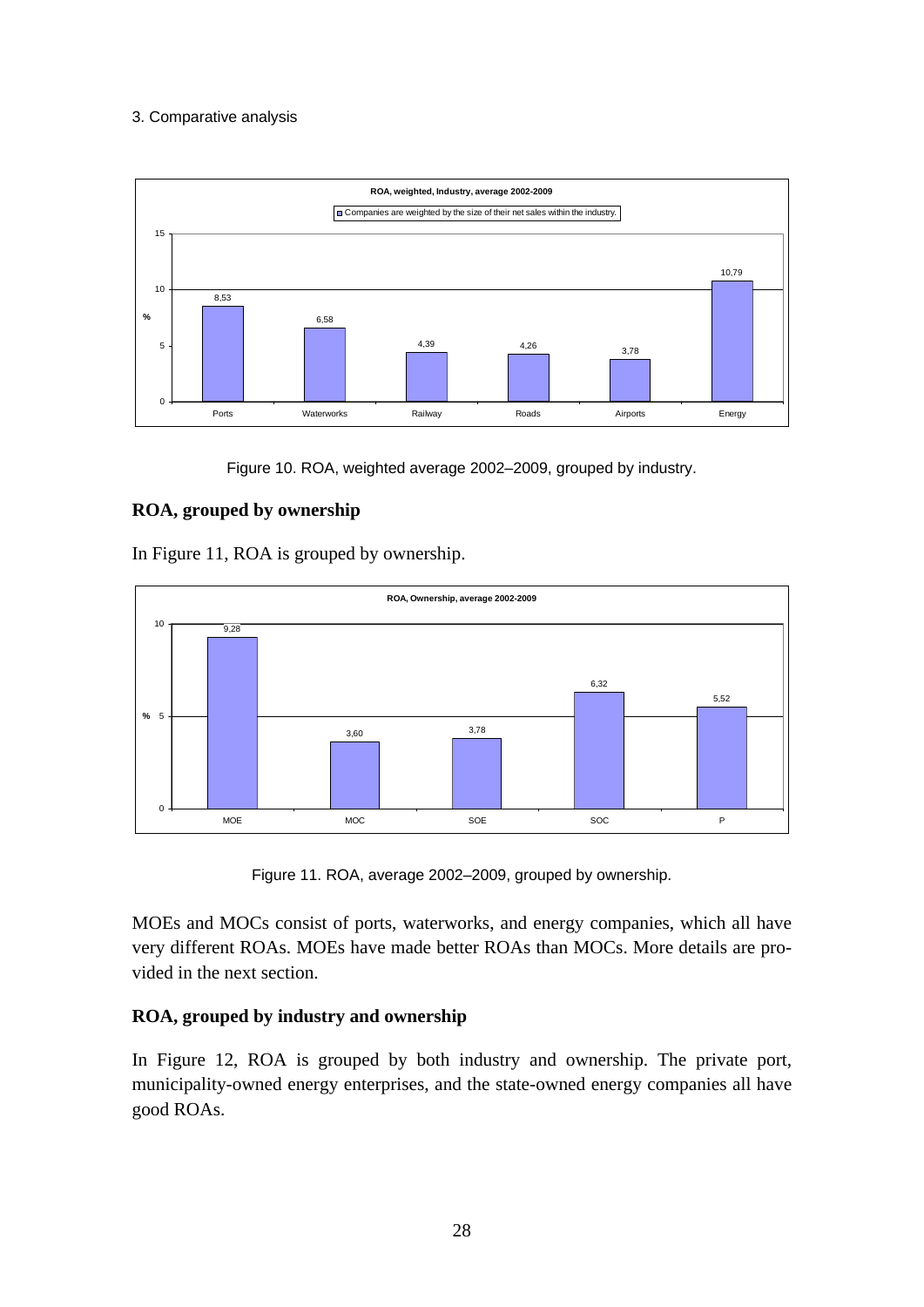

Figure 10. ROA, weighted average 2002–2009, grouped by industry.

### **ROA, grouped by ownership**

In Figure 11, ROA is grouped by ownership.



Figure 11. ROA, average 2002–2009, grouped by ownership.

MOEs and MOCs consist of ports, waterworks, and energy companies, which all have very different ROAs. MOEs have made better ROAs than MOCs. More details are provided in the next section.

### **ROA, grouped by industry and ownership**

In Figure 12, ROA is grouped by both industry and ownership. The private port, municipality-owned energy enterprises, and the state-owned energy companies all have good ROAs.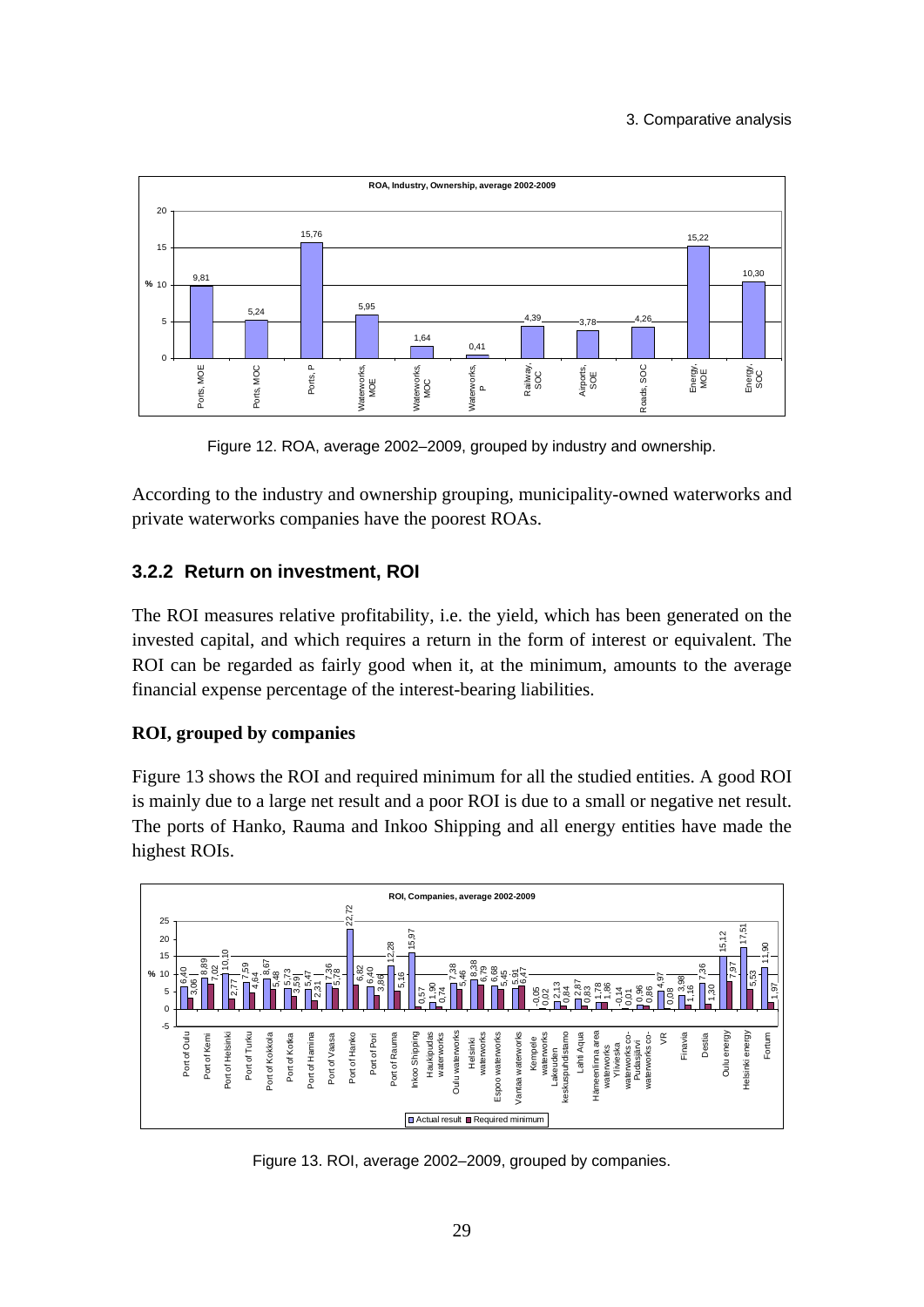

Figure 12. ROA, average 2002–2009, grouped by industry and ownership.

According to the industry and ownership grouping, municipality-owned waterworks and private waterworks companies have the poorest ROAs.

## **3.2.2 Return on investment, ROI**

The ROI measures relative profitability, i.e. the yield, which has been generated on the invested capital, and which requires a return in the form of interest or equivalent. The ROI can be regarded as fairly good when it, at the minimum, amounts to the average financial expense percentage of the interest-bearing liabilities.

### **ROI, grouped by companies**

Figure 13 shows the ROI and required minimum for all the studied entities. A good ROI is mainly due to a large net result and a poor ROI is due to a small or negative net result. The ports of Hanko, Rauma and Inkoo Shipping and all energy entities have made the highest ROIs.



Figure 13. ROI, average 2002–2009, grouped by companies.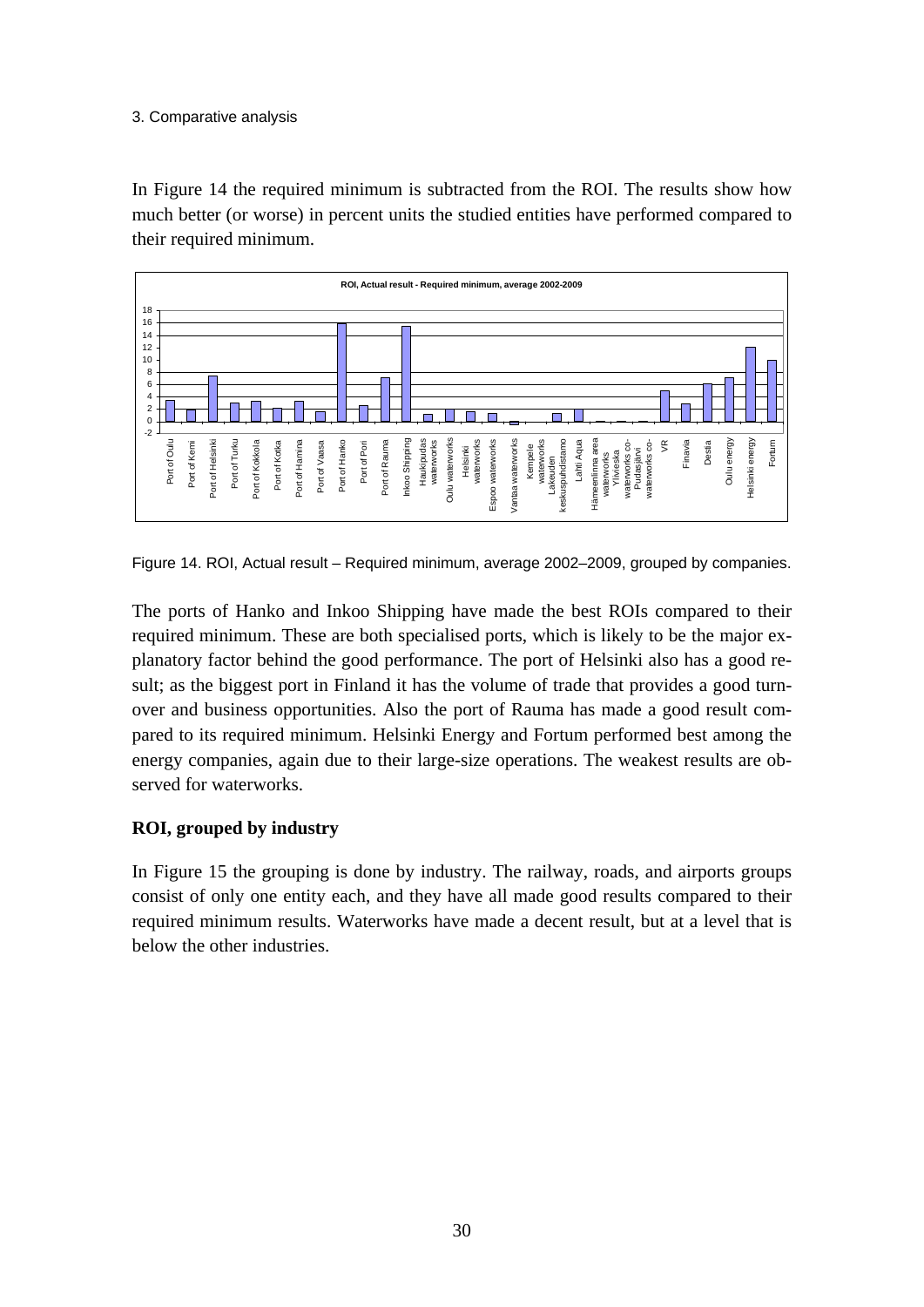In Figure 14 the required minimum is subtracted from the ROI. The results show how much better (or worse) in percent units the studied entities have performed compared to their required minimum.



Figure 14. ROI, Actual result – Required minimum, average 2002–2009, grouped by companies.

The ports of Hanko and Inkoo Shipping have made the best ROIs compared to their required minimum. These are both specialised ports, which is likely to be the major explanatory factor behind the good performance. The port of Helsinki also has a good result; as the biggest port in Finland it has the volume of trade that provides a good turnover and business opportunities. Also the port of Rauma has made a good result compared to its required minimum. Helsinki Energy and Fortum performed best among the energy companies, again due to their large-size operations. The weakest results are observed for waterworks.

### **ROI, grouped by industry**

In Figure 15 the grouping is done by industry. The railway, roads, and airports groups consist of only one entity each, and they have all made good results compared to their required minimum results. Waterworks have made a decent result, but at a level that is below the other industries.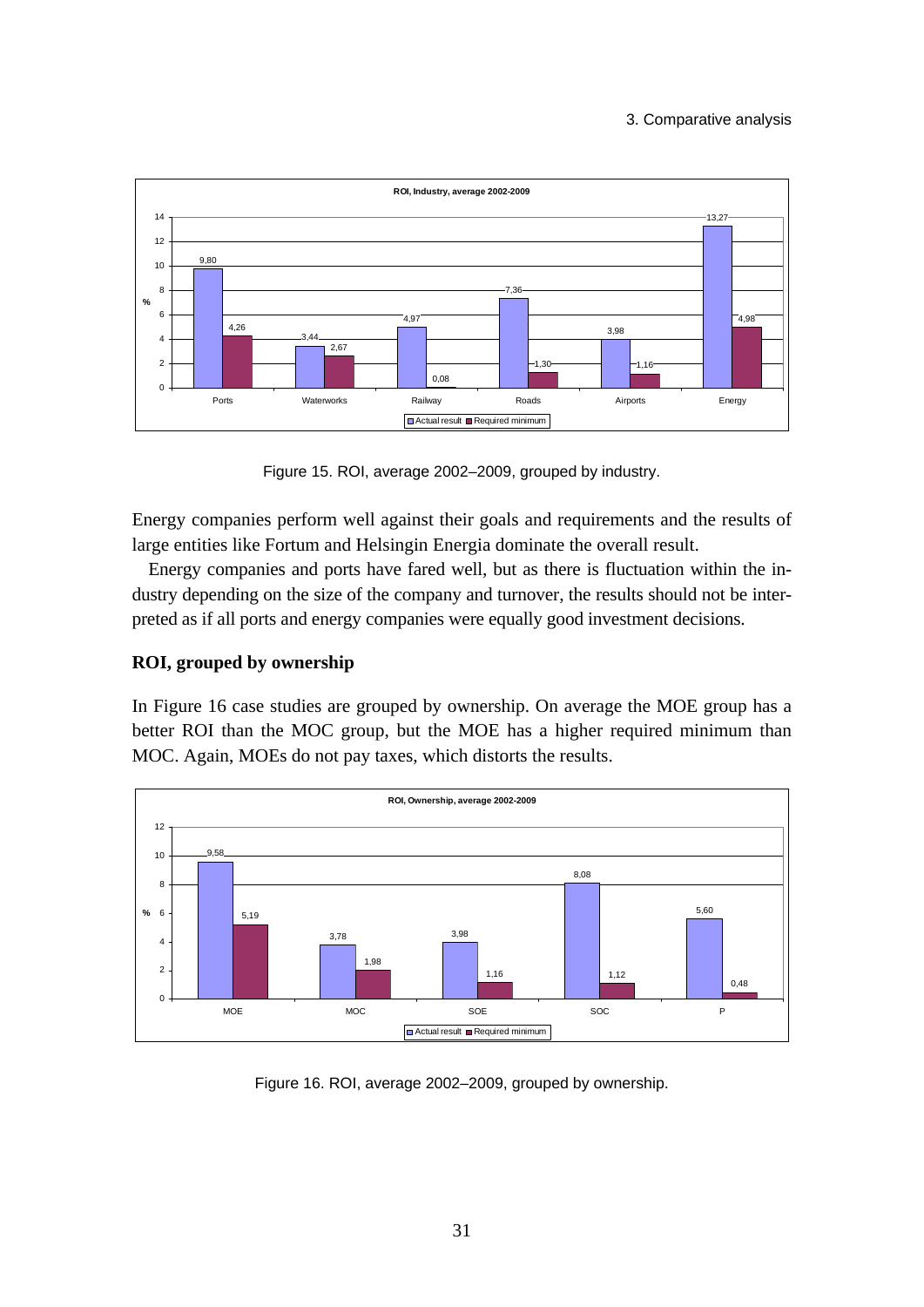

Figure 15. ROI, average 2002–2009, grouped by industry.

Energy companies perform well against their goals and requirements and the results of large entities like Fortum and Helsingin Energia dominate the overall result.

Energy companies and ports have fared well, but as there is fluctuation within the industry depending on the size of the company and turnover, the results should not be interpreted as if all ports and energy companies were equally good investment decisions.

### **ROI, grouped by ownership**

In Figure 16 case studies are grouped by ownership. On average the MOE group has a better ROI than the MOC group, but the MOE has a higher required minimum than MOC. Again, MOEs do not pay taxes, which distorts the results.



Figure 16. ROI, average 2002–2009, grouped by ownership.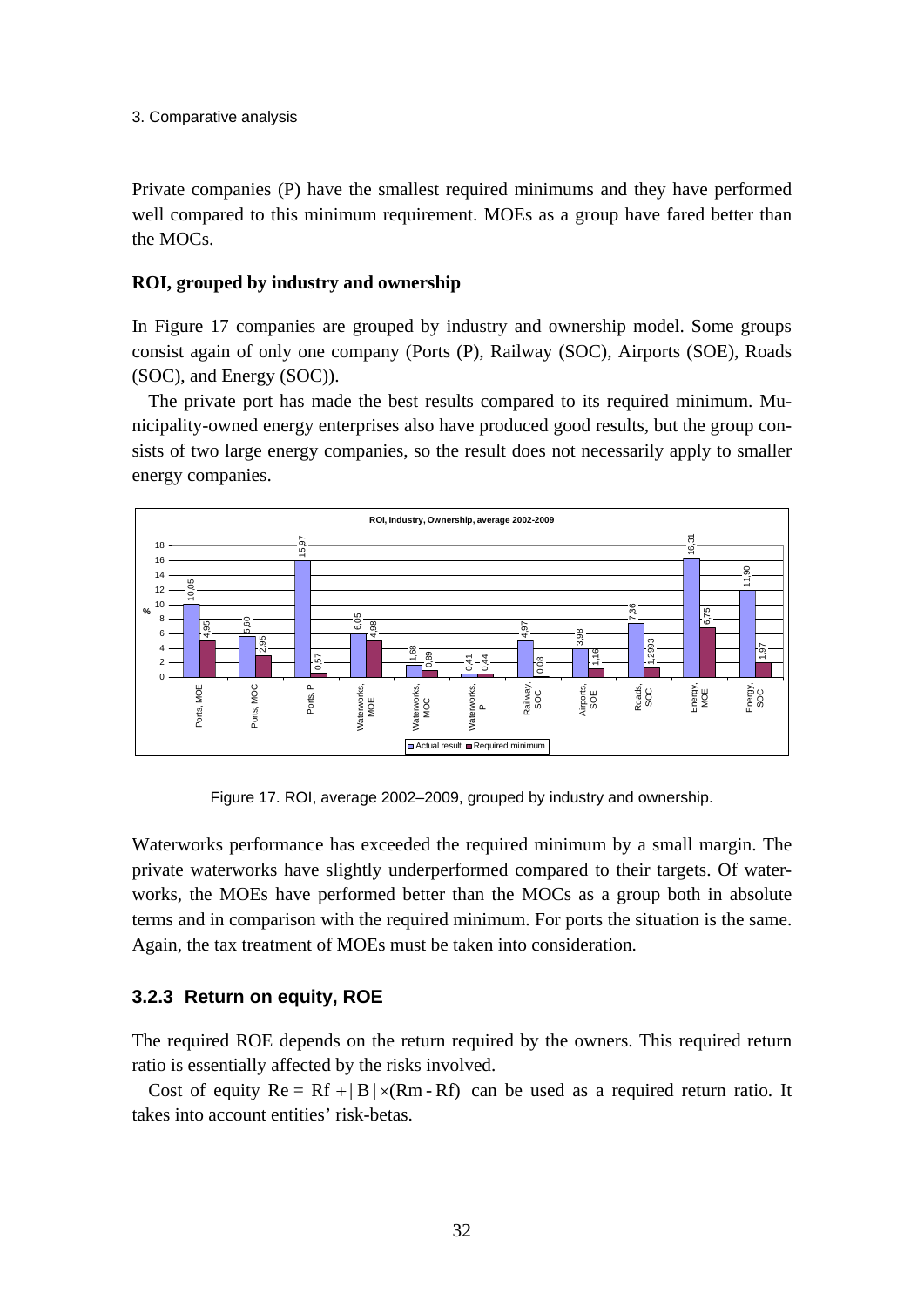Private companies (P) have the smallest required minimums and they have performed well compared to this minimum requirement. MOEs as a group have fared better than the MOCs.

#### **ROI, grouped by industry and ownership**

In Figure 17 companies are grouped by industry and ownership model. Some groups consist again of only one company (Ports (P), Railway (SOC), Airports (SOE), Roads (SOC), and Energy (SOC)).

The private port has made the best results compared to its required minimum. Municipality-owned energy enterprises also have produced good results, but the group consists of two large energy companies, so the result does not necessarily apply to smaller energy companies.



Figure 17. ROI, average 2002–2009, grouped by industry and ownership.

Waterworks performance has exceeded the required minimum by a small margin. The private waterworks have slightly underperformed compared to their targets. Of waterworks, the MOEs have performed better than the MOCs as a group both in absolute terms and in comparison with the required minimum. For ports the situation is the same. Again, the tax treatment of MOEs must be taken into consideration.

#### **3.2.3 Return on equity, ROE**

The required ROE depends on the return required by the owners. This required return ratio is essentially affected by the risks involved.

Cost of equity  $Re = Rf + |B| \times (Rm - Rf)$  can be used as a required return ratio. It takes into account entities' risk-betas.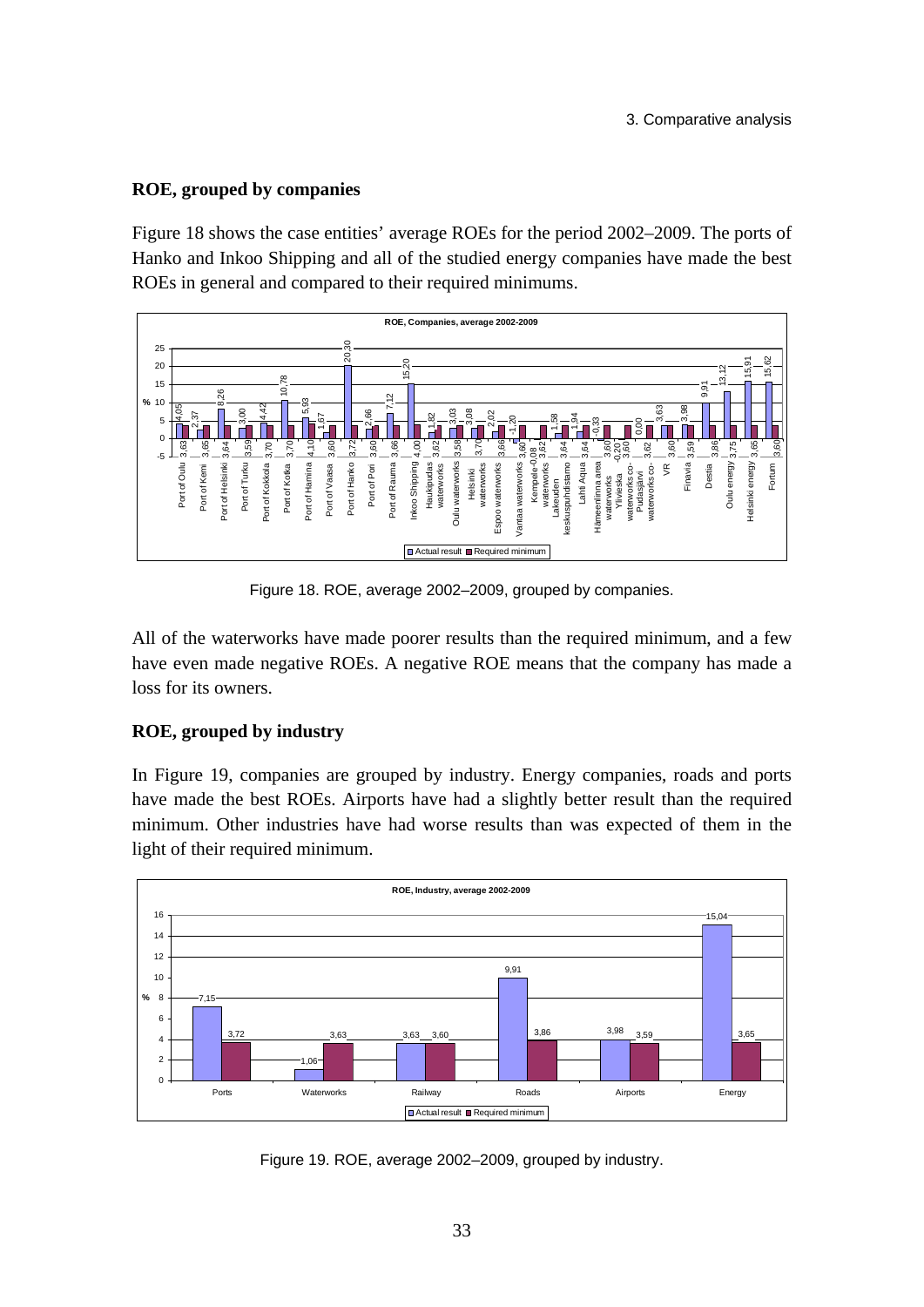#### **ROE, grouped by companies**

Figure 18 shows the case entities' average ROEs for the period 2002–2009. The ports of Hanko and Inkoo Shipping and all of the studied energy companies have made the best ROEs in general and compared to their required minimums.



Figure 18. ROE, average 2002–2009, grouped by companies.

All of the waterworks have made poorer results than the required minimum, and a few have even made negative ROEs. A negative ROE means that the company has made a loss for its owners.

### **ROE, grouped by industry**

In Figure 19, companies are grouped by industry. Energy companies, roads and ports have made the best ROEs. Airports have had a slightly better result than the required minimum. Other industries have had worse results than was expected of them in the light of their required minimum.



Figure 19. ROE, average 2002–2009, grouped by industry.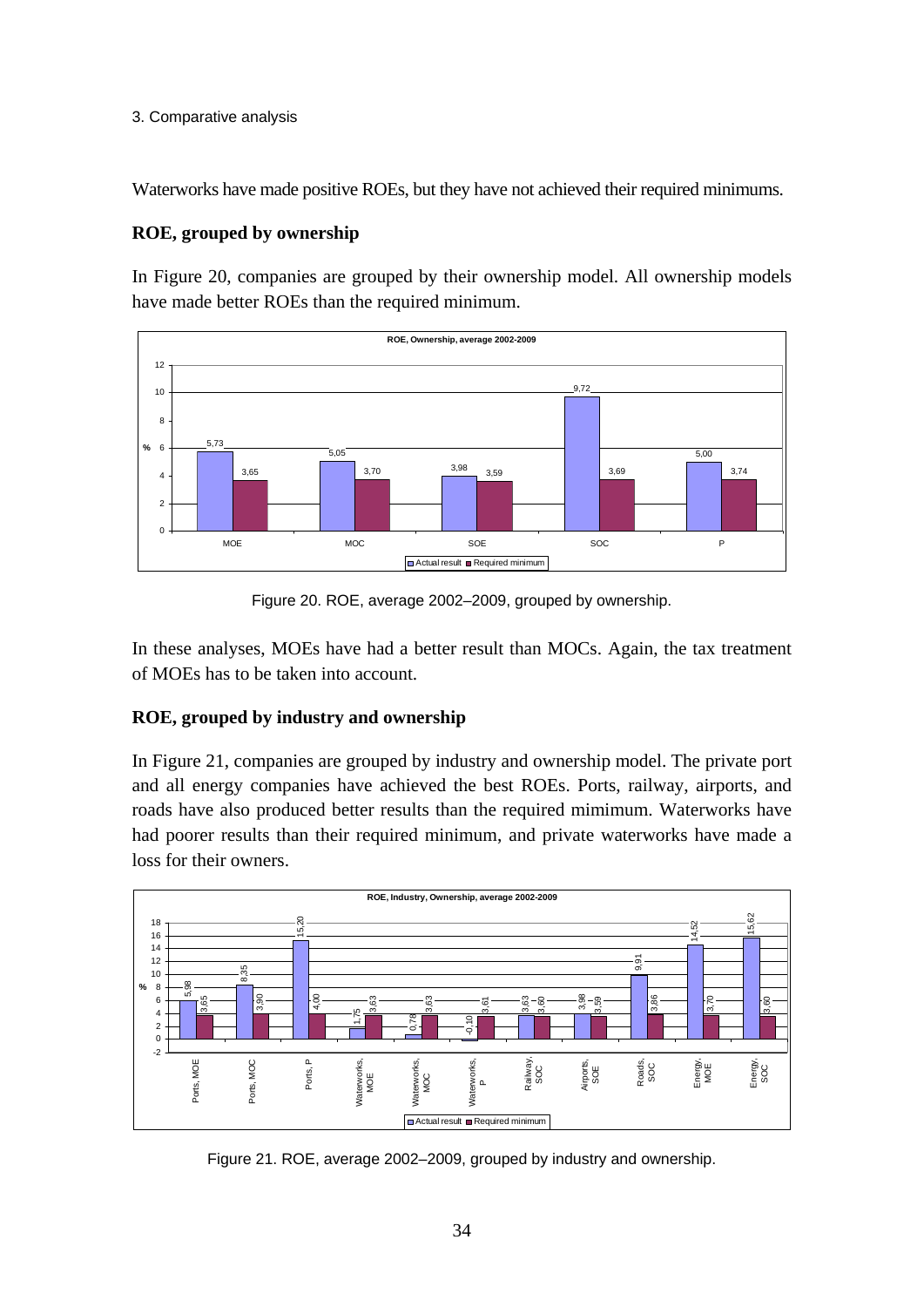Waterworks have made positive ROEs, but they have not achieved their required minimums.

#### **ROE, grouped by ownership**

In Figure 20, companies are grouped by their ownership model. All ownership models have made better ROEs than the required minimum.



Figure 20. ROE, average 2002–2009, grouped by ownership.

In these analyses, MOEs have had a better result than MOCs. Again, the tax treatment of MOEs has to be taken into account.

### **ROE, grouped by industry and ownership**

In Figure 21, companies are grouped by industry and ownership model. The private port and all energy companies have achieved the best ROEs. Ports, railway, airports, and roads have also produced better results than the required mimimum. Waterworks have had poorer results than their required minimum, and private waterworks have made a loss for their owners.



Figure 21. ROE, average 2002–2009, grouped by industry and ownership.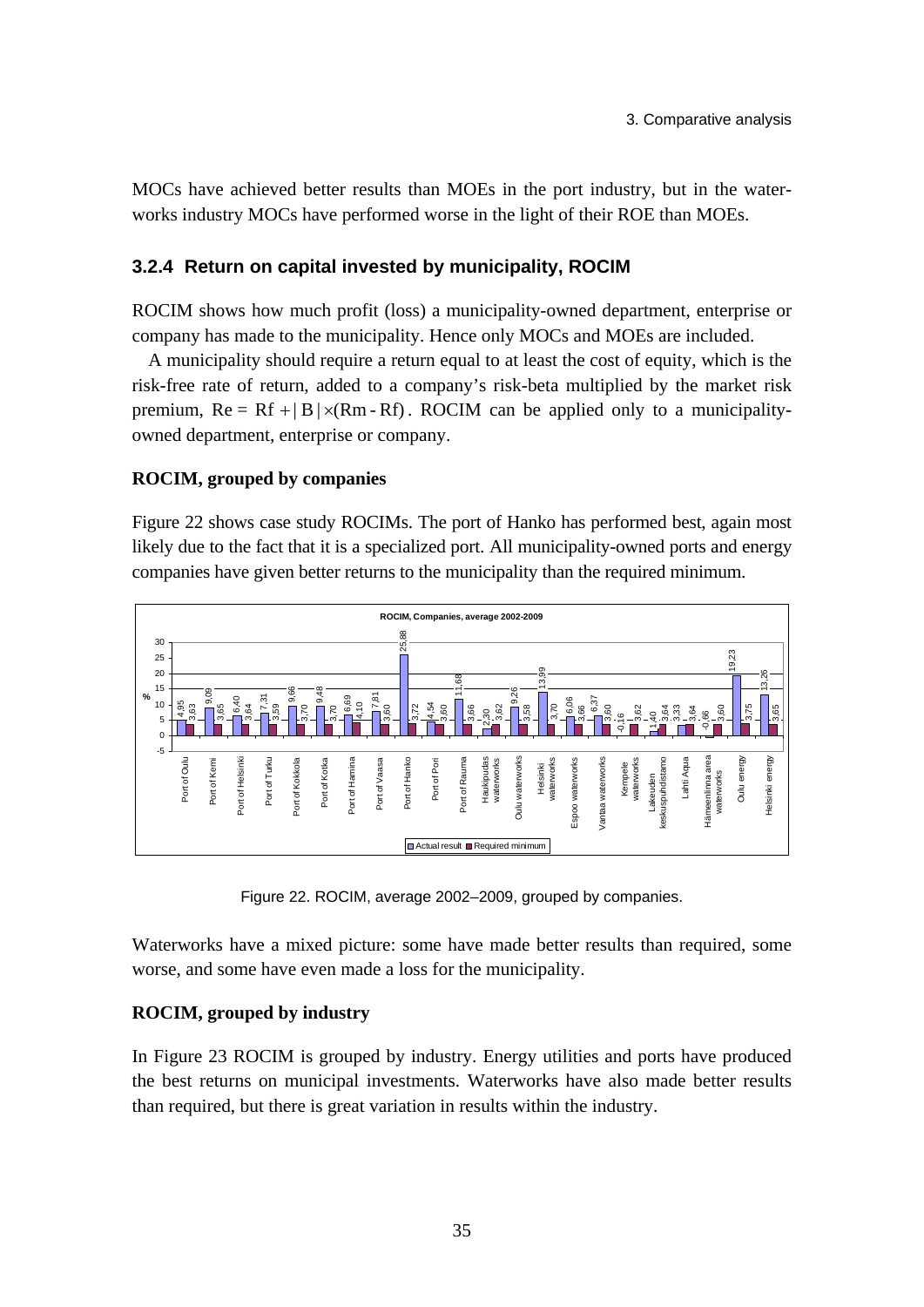MOCs have achieved better results than MOEs in the port industry, but in the waterworks industry MOCs have performed worse in the light of their ROE than MOEs.

## **3.2.4 Return on capital invested by municipality, ROCIM**

ROCIM shows how much profit (loss) a municipality-owned department, enterprise or company has made to the municipality. Hence only MOCs and MOEs are included.

A municipality should require a return equal to at least the cost of equity, which is the risk-free rate of return, added to a company's risk-beta multiplied by the market risk premium,  $Re = Rf + |B| \times (Rm - Rf)$ . ROCIM can be applied only to a municipalityowned department, enterprise or company.

### **ROCIM, grouped by companies**

Figure 22 shows case study ROCIMs. The port of Hanko has performed best, again most likely due to the fact that it is a specialized port. All municipality-owned ports and energy companies have given better returns to the municipality than the required minimum.



Figure 22. ROCIM, average 2002–2009, grouped by companies.

Waterworks have a mixed picture: some have made better results than required, some worse, and some have even made a loss for the municipality.

### **ROCIM, grouped by industry**

In Figure 23 ROCIM is grouped by industry. Energy utilities and ports have produced the best returns on municipal investments. Waterworks have also made better results than required, but there is great variation in results within the industry.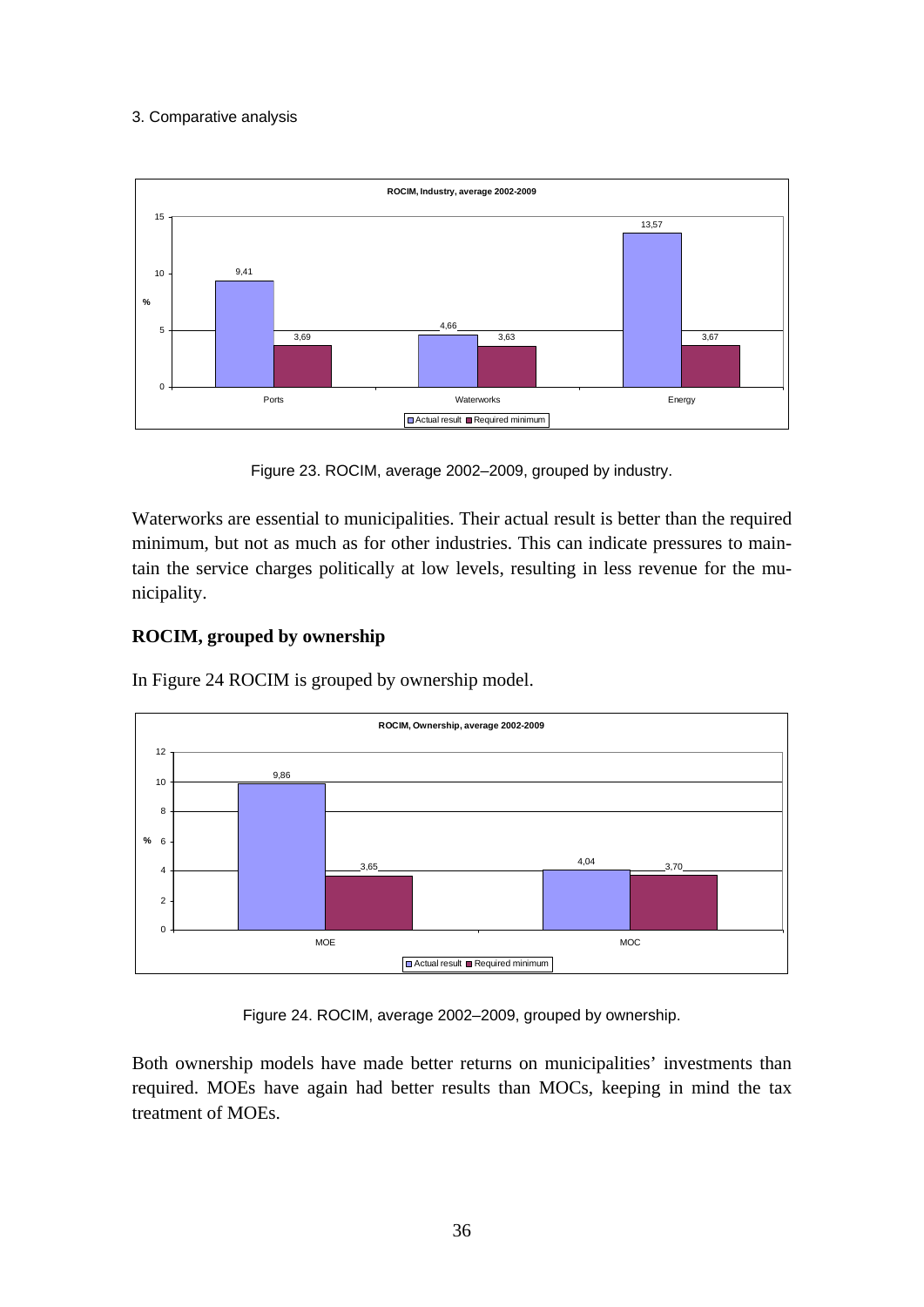

Figure 23. ROCIM, average 2002–2009, grouped by industry.

Waterworks are essential to municipalities. Their actual result is better than the required minimum, but not as much as for other industries. This can indicate pressures to maintain the service charges politically at low levels, resulting in less revenue for the municipality.

## **ROCIM, grouped by ownership**

In Figure 24 ROCIM is grouped by ownership model.



Figure 24. ROCIM, average 2002–2009, grouped by ownership.

Both ownership models have made better returns on municipalities' investments than required. MOEs have again had better results than MOCs, keeping in mind the tax treatment of MOEs.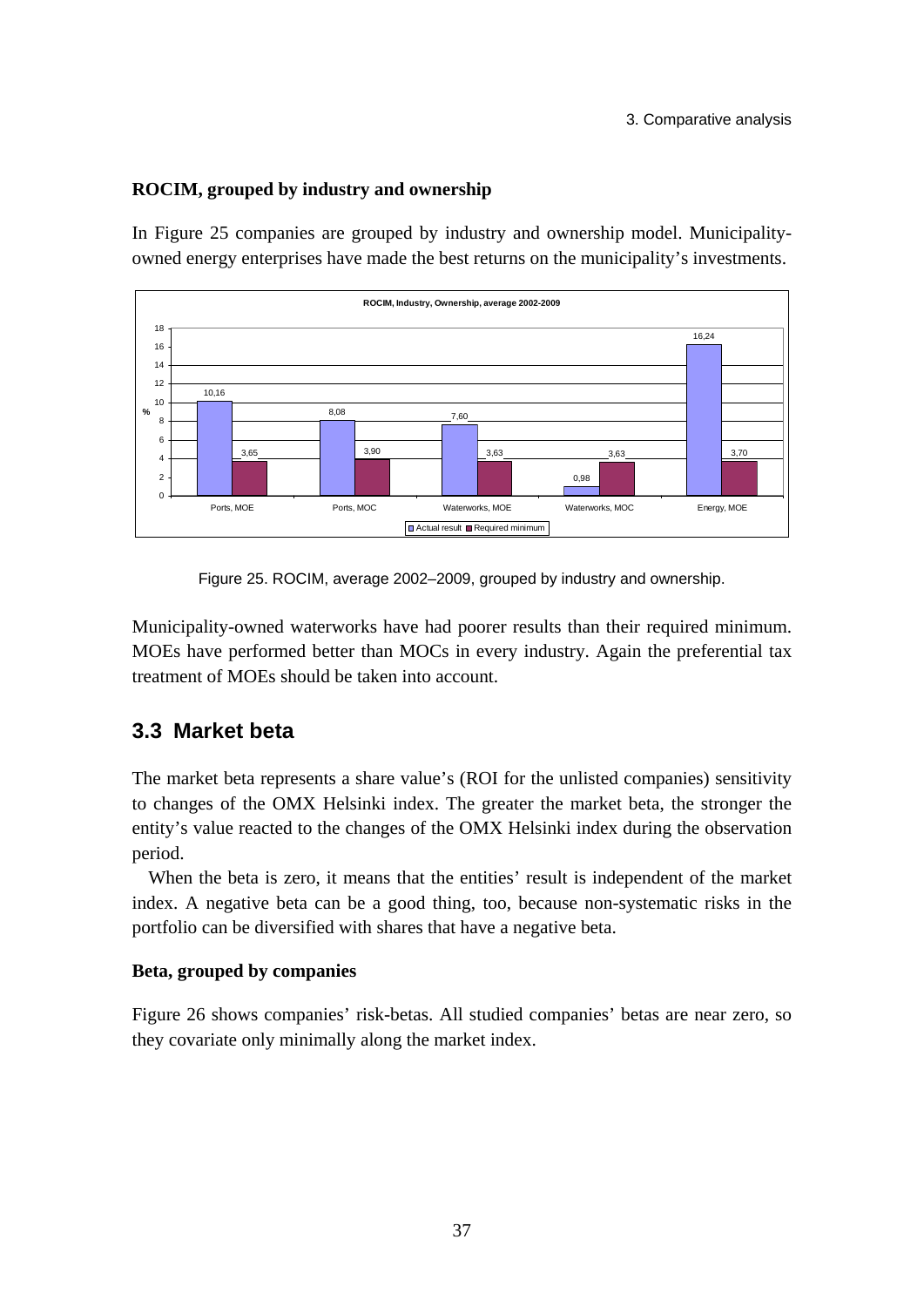### 3. Comparative analysis

## **ROCIM, grouped by industry and ownership**

In Figure 25 companies are grouped by industry and ownership model. Municipalityowned energy enterprises have made the best returns on the municipality's investments.



Figure 25. ROCIM, average 2002–2009, grouped by industry and ownership.

Municipality-owned waterworks have had poorer results than their required minimum. MOEs have performed better than MOCs in every industry. Again the preferential tax treatment of MOEs should be taken into account.

## **3.3 Market beta**

The market beta represents a share value's (ROI for the unlisted companies) sensitivity to changes of the OMX Helsinki index. The greater the market beta, the stronger the entity's value reacted to the changes of the OMX Helsinki index during the observation period.

When the beta is zero, it means that the entities' result is independent of the market index. A negative beta can be a good thing, too, because non-systematic risks in the portfolio can be diversified with shares that have a negative beta.

### **Beta, grouped by companies**

Figure 26 shows companies' risk-betas. All studied companies' betas are near zero, so they covariate only minimally along the market index.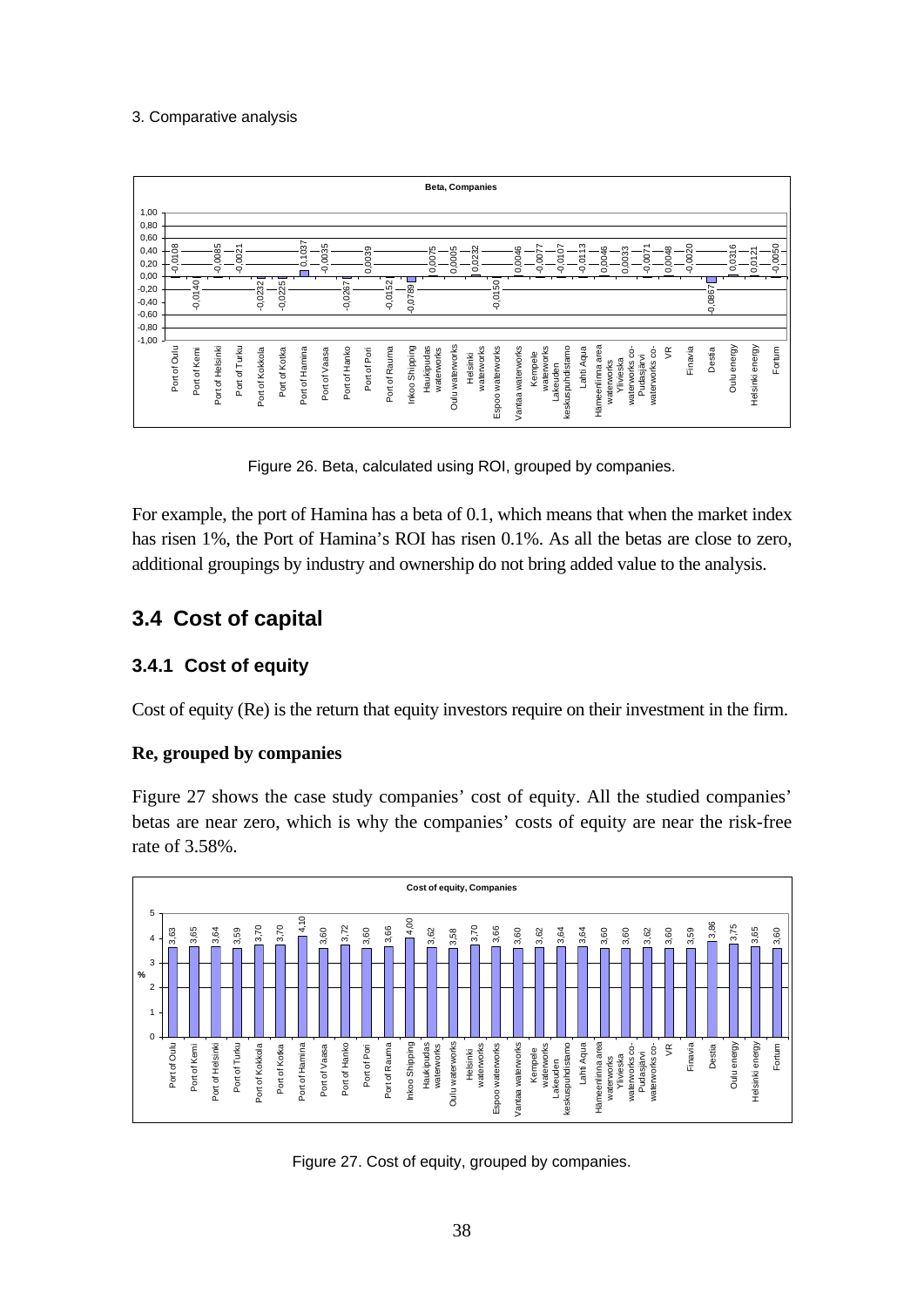### 3. Comparative analysis



Figure 26. Beta, calculated using ROI, grouped by companies.

For example, the port of Hamina has a beta of 0.1, which means that when the market index has risen 1%, the Port of Hamina's ROI has risen 0.1%. As all the betas are close to zero, additional groupings by industry and ownership do not bring added value to the analysis.

# **3.4 Cost of capital**

## **3.4.1 Cost of equity**

Cost of equity (Re) is the return that equity investors require on their investment in the firm.

## **Re, grouped by companies**

Figure 27 shows the case study companies' cost of equity. All the studied companies' betas are near zero, which is why the companies' costs of equity are near the risk-free rate of 3.58%.



Figure 27. Cost of equity, grouped by companies.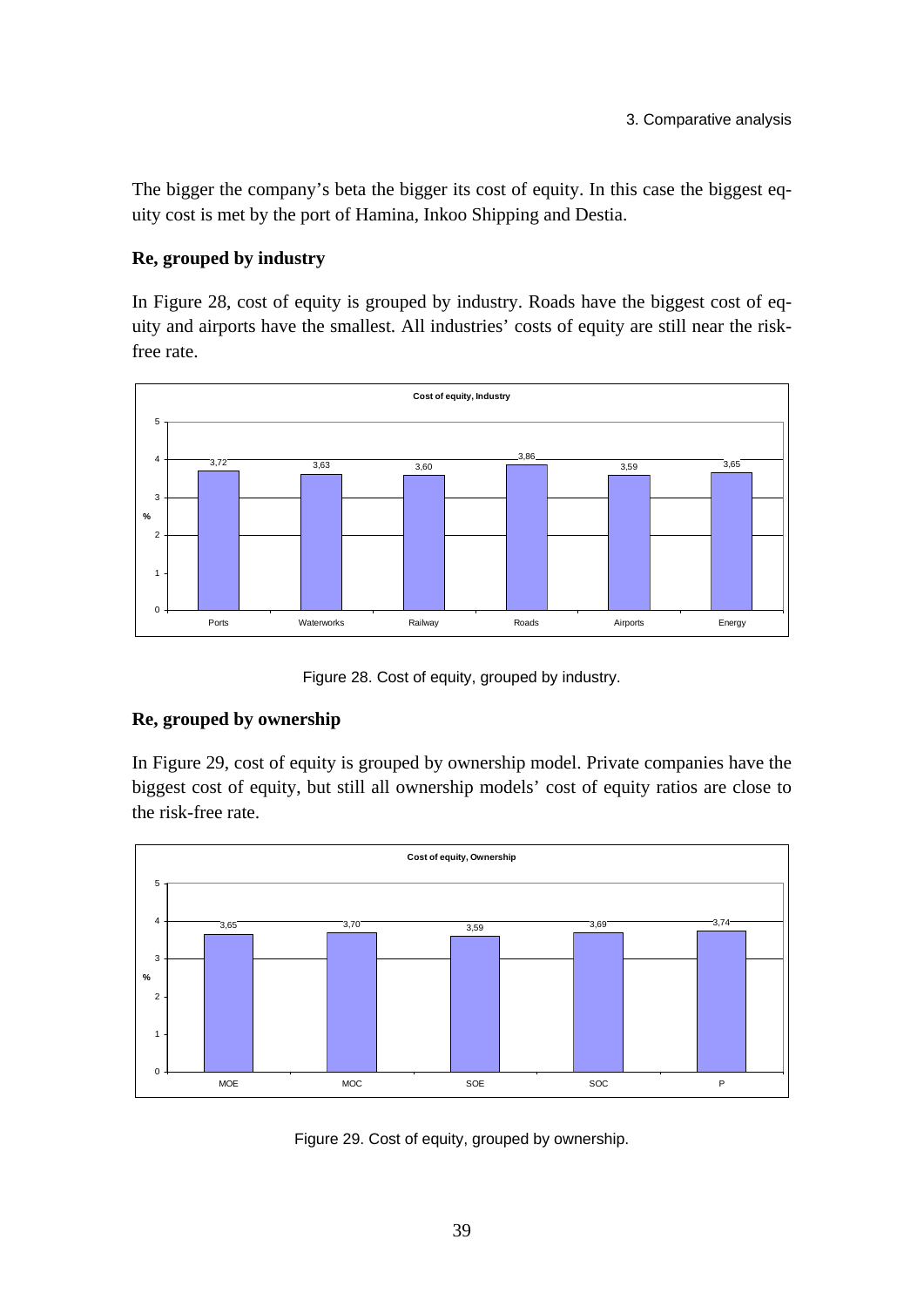The bigger the company's beta the bigger its cost of equity. In this case the biggest equity cost is met by the port of Hamina, Inkoo Shipping and Destia.

## **Re, grouped by industry**

In Figure 28, cost of equity is grouped by industry. Roads have the biggest cost of equity and airports have the smallest. All industries' costs of equity are still near the riskfree rate.



Figure 28. Cost of equity, grouped by industry.

## **Re, grouped by ownership**

In Figure 29, cost of equity is grouped by ownership model. Private companies have the biggest cost of equity, but still all ownership models' cost of equity ratios are close to the risk-free rate.



Figure 29. Cost of equity, grouped by ownership.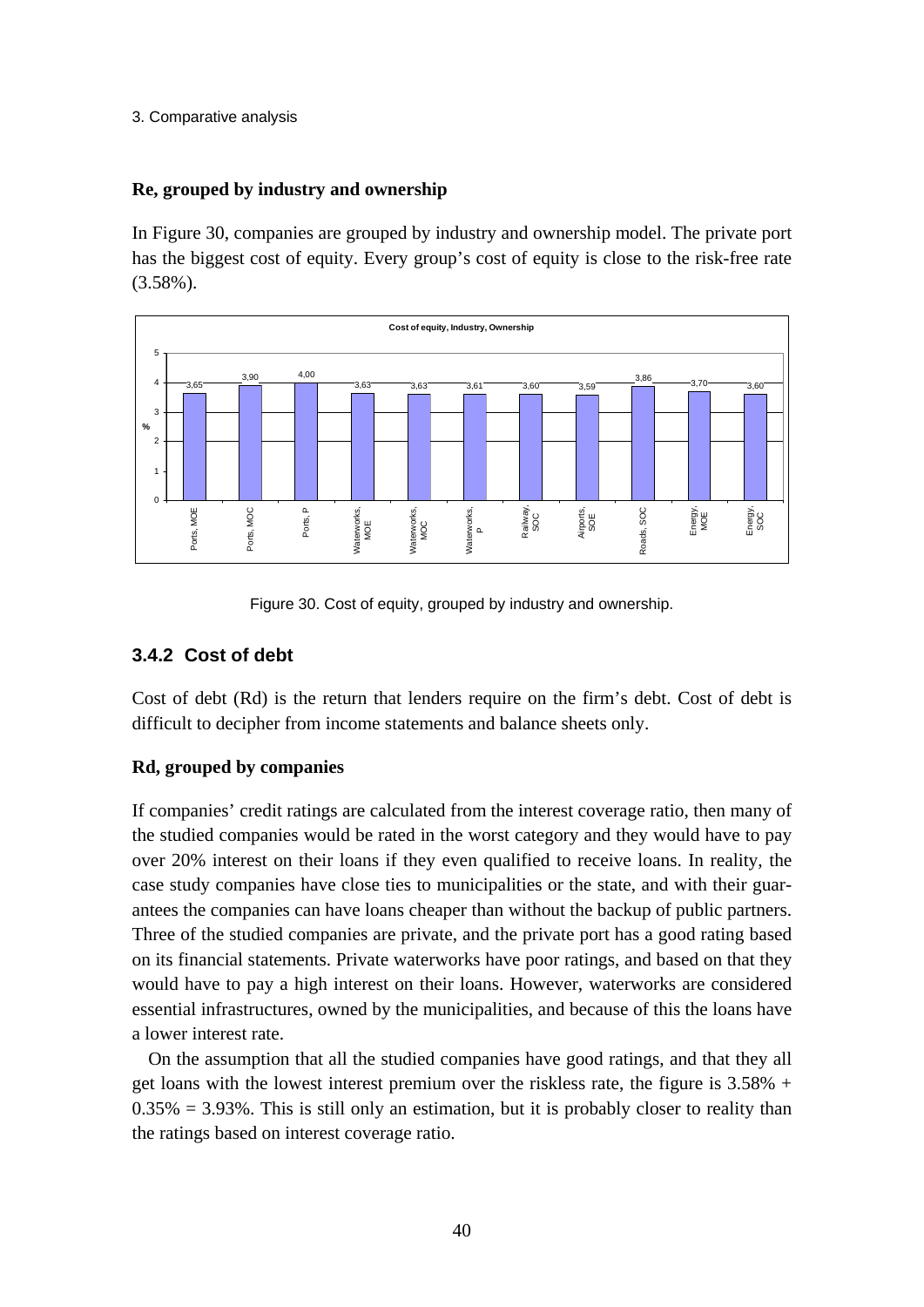### 3. Comparative analysis

### **Re, grouped by industry and ownership**

In Figure 30, companies are grouped by industry and ownership model. The private port has the biggest cost of equity. Every group's cost of equity is close to the risk-free rate (3.58%).



Figure 30. Cost of equity, grouped by industry and ownership.

## **3.4.2 Cost of debt**

Cost of debt (Rd) is the return that lenders require on the firm's debt. Cost of debt is difficult to decipher from income statements and balance sheets only.

## **Rd, grouped by companies**

If companies' credit ratings are calculated from the interest coverage ratio, then many of the studied companies would be rated in the worst category and they would have to pay over 20% interest on their loans if they even qualified to receive loans. In reality, the case study companies have close ties to municipalities or the state, and with their guarantees the companies can have loans cheaper than without the backup of public partners. Three of the studied companies are private, and the private port has a good rating based on its financial statements. Private waterworks have poor ratings, and based on that they would have to pay a high interest on their loans. However, waterworks are considered essential infrastructures, owned by the municipalities, and because of this the loans have a lower interest rate.

On the assumption that all the studied companies have good ratings, and that they all get loans with the lowest interest premium over the riskless rate, the figure is 3.58% +  $0.35\% = 3.93\%$ . This is still only an estimation, but it is probably closer to reality than the ratings based on interest coverage ratio.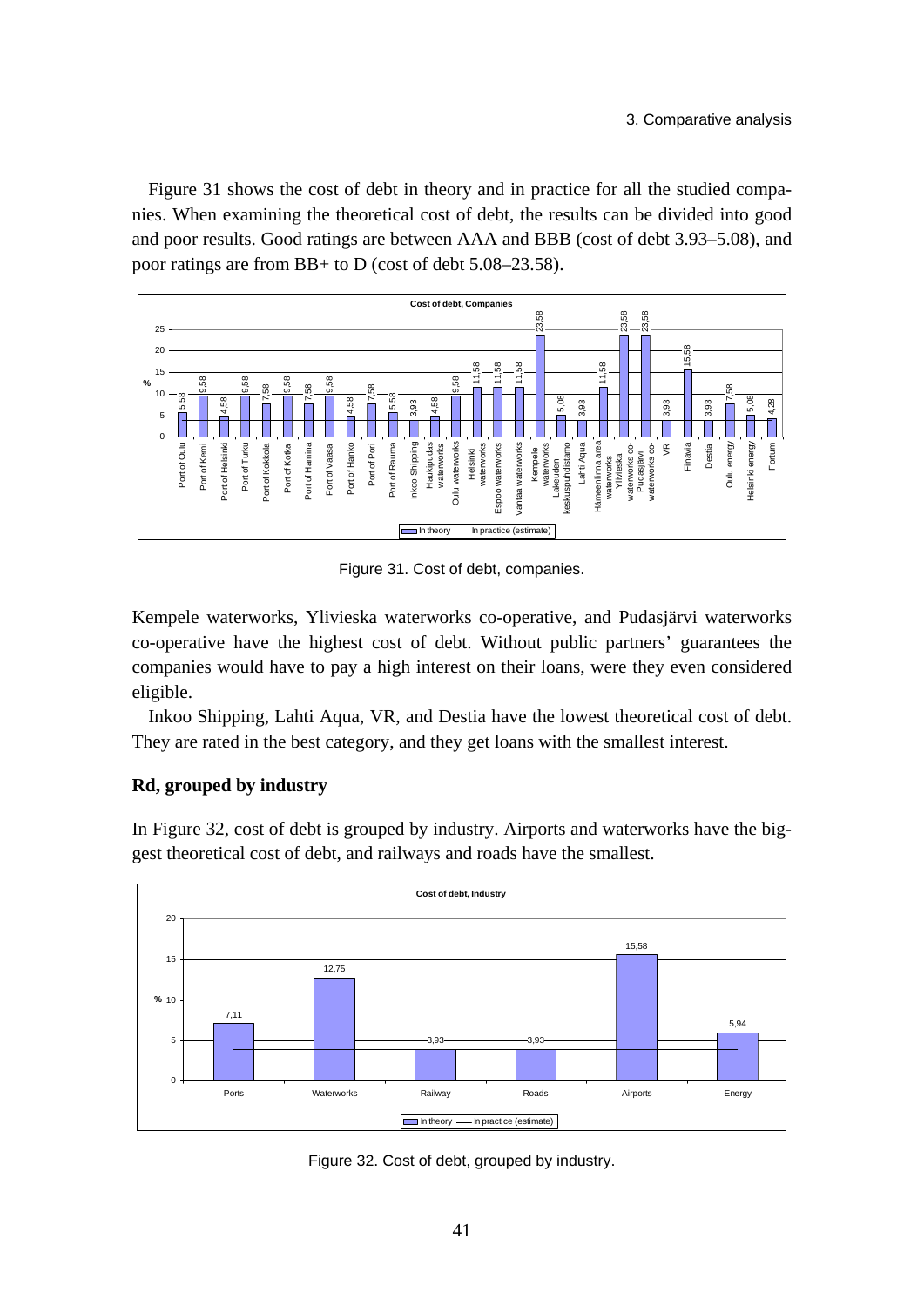Figure 31 shows the cost of debt in theory and in practice for all the studied companies. When examining the theoretical cost of debt, the results can be divided into good and poor results. Good ratings are between AAA and BBB (cost of debt 3.93–5.08), and poor ratings are from BB+ to D (cost of debt 5.08–23.58).



Figure 31. Cost of debt, companies.

Kempele waterworks, Ylivieska waterworks co-operative, and Pudasjärvi waterworks co-operative have the highest cost of debt. Without public partners' guarantees the companies would have to pay a high interest on their loans, were they even considered eligible.

Inkoo Shipping, Lahti Aqua, VR, and Destia have the lowest theoretical cost of debt. They are rated in the best category, and they get loans with the smallest interest.

## **Rd, grouped by industry**

In Figure 32, cost of debt is grouped by industry. Airports and waterworks have the biggest theoretical cost of debt, and railways and roads have the smallest.



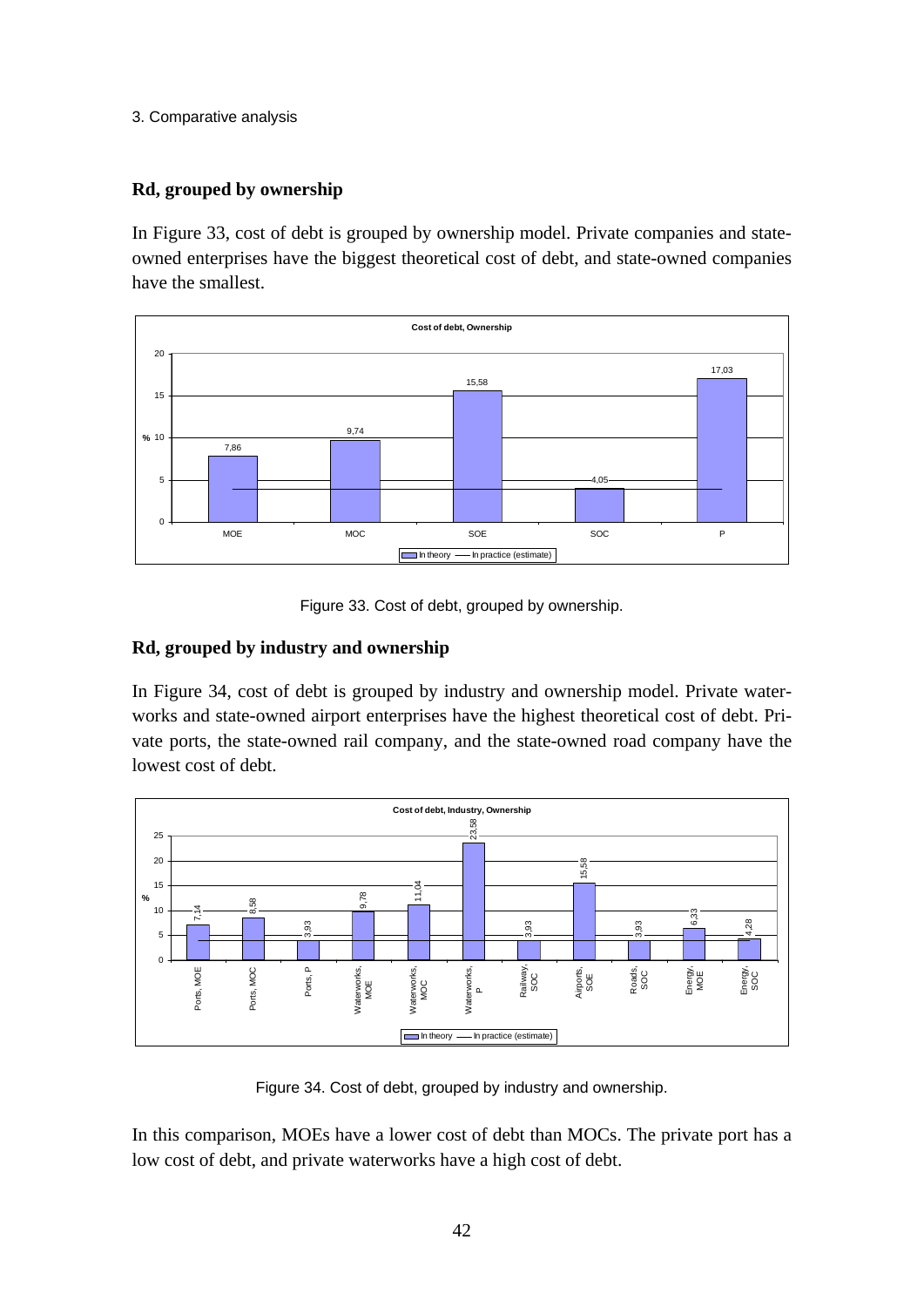### 3. Comparative analysis

## **Rd, grouped by ownership**

In Figure 33, cost of debt is grouped by ownership model. Private companies and stateowned enterprises have the biggest theoretical cost of debt, and state-owned companies have the smallest.



Figure 33. Cost of debt, grouped by ownership.

## **Rd, grouped by industry and ownership**

In Figure 34, cost of debt is grouped by industry and ownership model. Private waterworks and state-owned airport enterprises have the highest theoretical cost of debt. Private ports, the state-owned rail company, and the state-owned road company have the lowest cost of debt.



Figure 34. Cost of debt, grouped by industry and ownership.

In this comparison, MOEs have a lower cost of debt than MOCs. The private port has a low cost of debt, and private waterworks have a high cost of debt.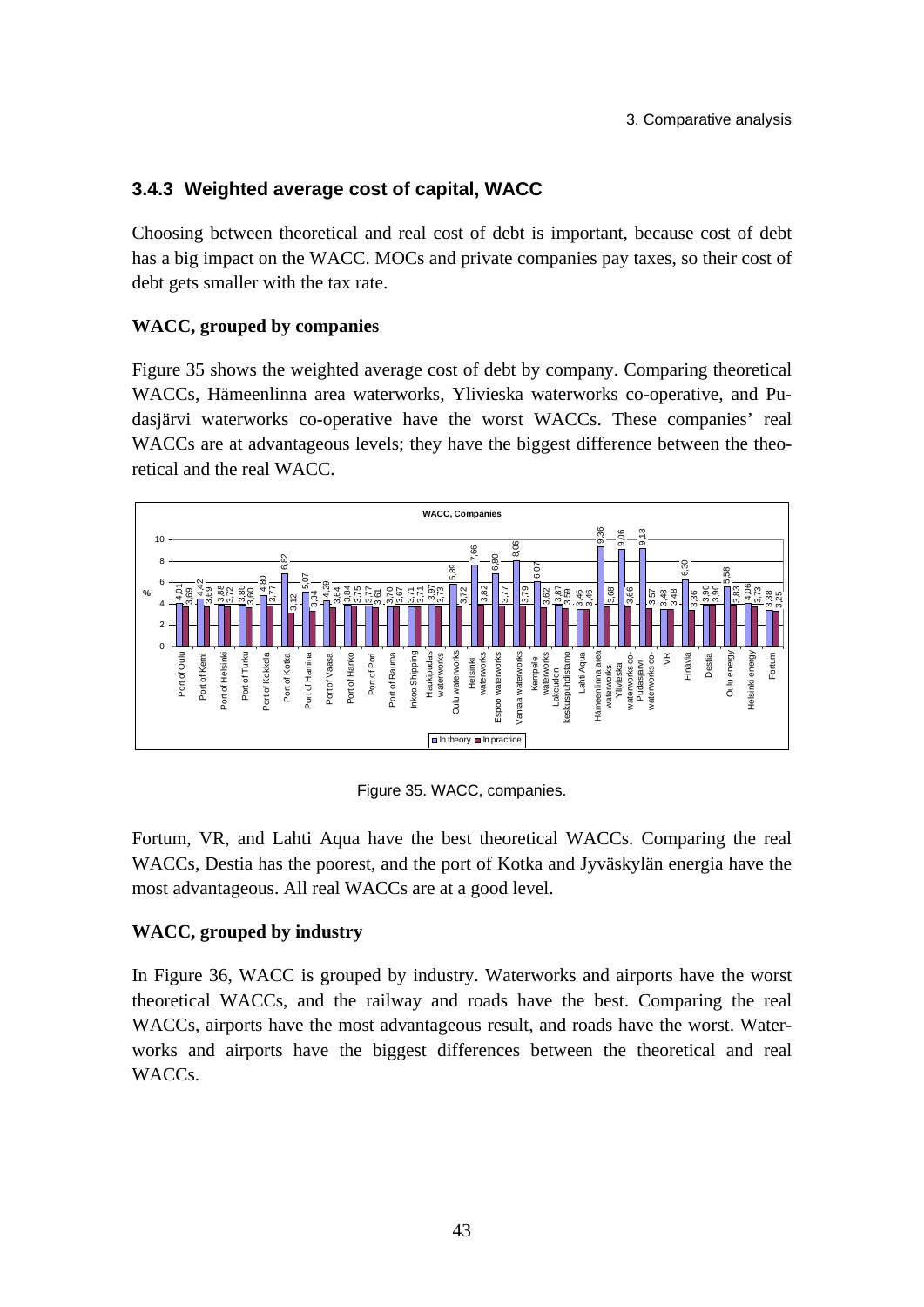## **3.4.3 Weighted average cost of capital, WACC**

Choosing between theoretical and real cost of debt is important, because cost of debt has a big impact on the WACC. MOCs and private companies pay taxes, so their cost of debt gets smaller with the tax rate.

## **WACC, grouped by companies**

Figure 35 shows the weighted average cost of debt by company. Comparing theoretical WACCs, Hämeenlinna area waterworks, Ylivieska waterworks co-operative, and Pudasjärvi waterworks co-operative have the worst WACCs. These companies' real WACCs are at advantageous levels; they have the biggest difference between the theoretical and the real WACC.



Figure 35. WACC, companies.

Fortum, VR, and Lahti Aqua have the best theoretical WACCs. Comparing the real WACCs, Destia has the poorest, and the port of Kotka and Jyväskylän energia have the most advantageous. All real WACCs are at a good level.

## **WACC, grouped by industry**

In Figure 36, WACC is grouped by industry. Waterworks and airports have the worst theoretical WACCs, and the railway and roads have the best. Comparing the real WACCs, airports have the most advantageous result, and roads have the worst. Waterworks and airports have the biggest differences between the theoretical and real WACCs.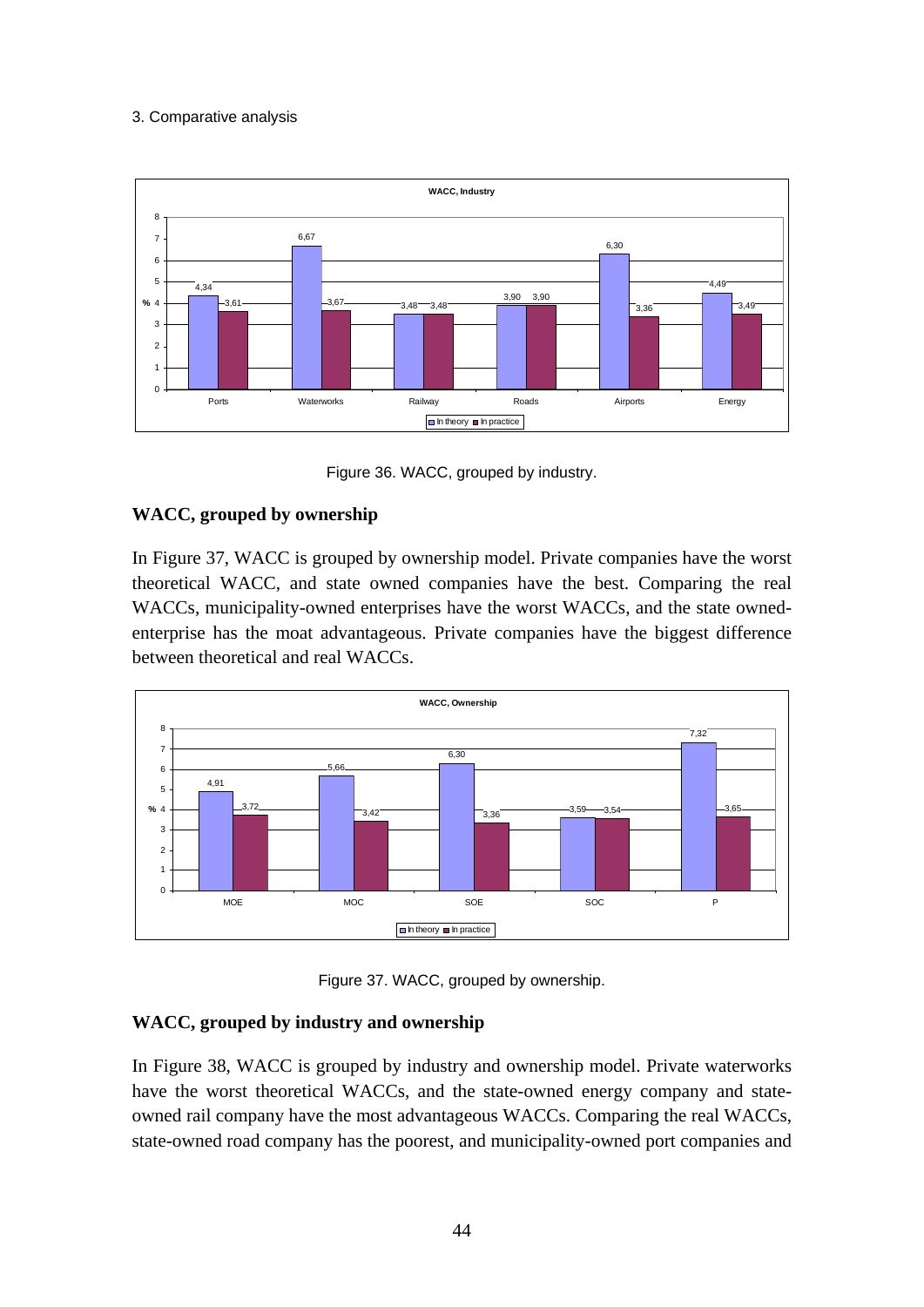### 3. Comparative analysis



Figure 36. WACC, grouped by industry.

## **WACC, grouped by ownership**

In Figure 37, WACC is grouped by ownership model. Private companies have the worst theoretical WACC, and state owned companies have the best. Comparing the real WACCs, municipality-owned enterprises have the worst WACCs, and the state ownedenterprise has the moat advantageous. Private companies have the biggest difference between theoretical and real WACCs.



Figure 37. WACC, grouped by ownership.

## **WACC, grouped by industry and ownership**

In Figure 38, WACC is grouped by industry and ownership model. Private waterworks have the worst theoretical WACCs, and the state-owned energy company and stateowned rail company have the most advantageous WACCs. Comparing the real WACCs, state-owned road company has the poorest, and municipality-owned port companies and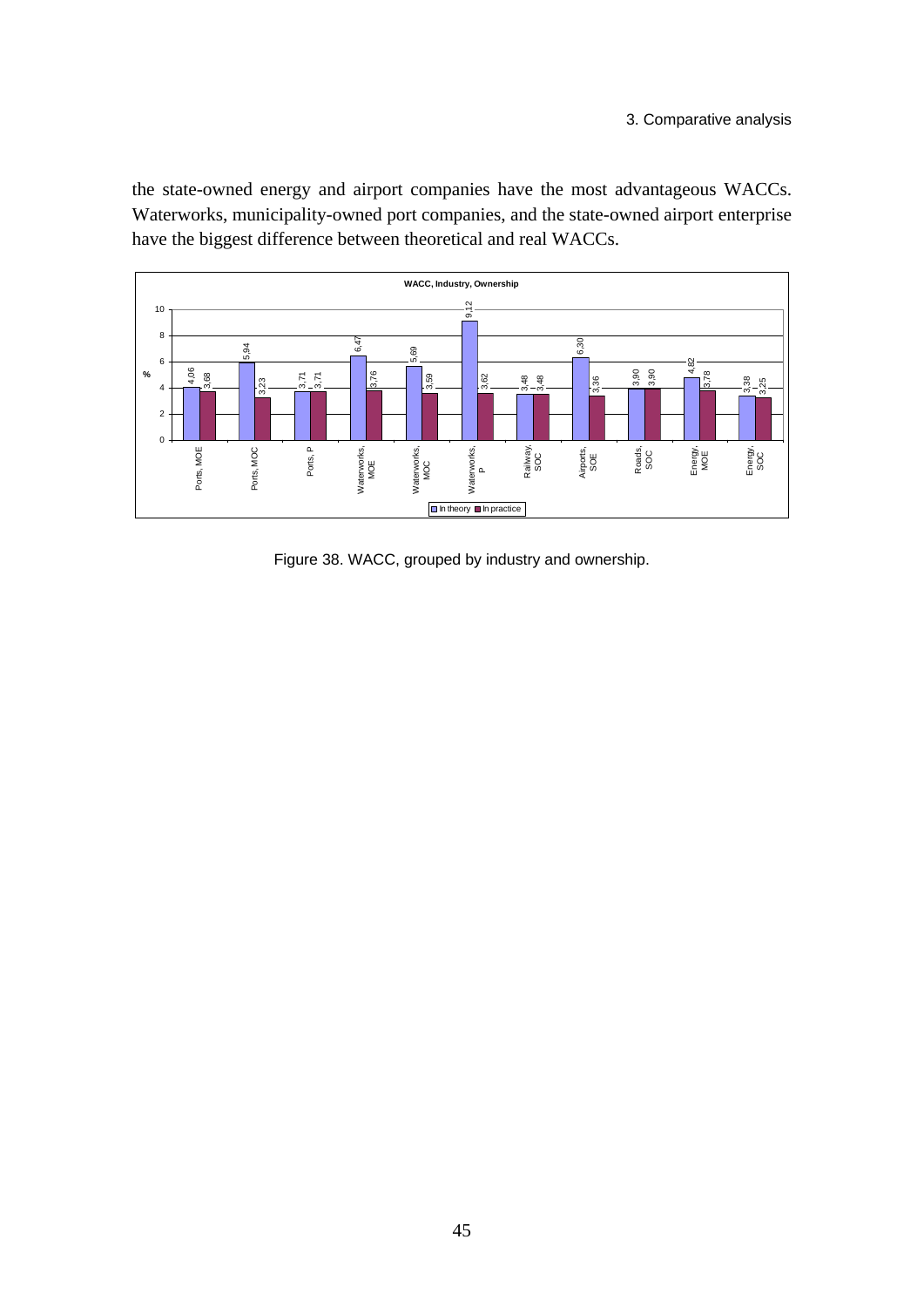the state-owned energy and airport companies have the most advantageous WACCs. Waterworks, municipality-owned port companies, and the state-owned airport enterprise have the biggest difference between theoretical and real WACCs.



Figure 38. WACC, grouped by industry and ownership.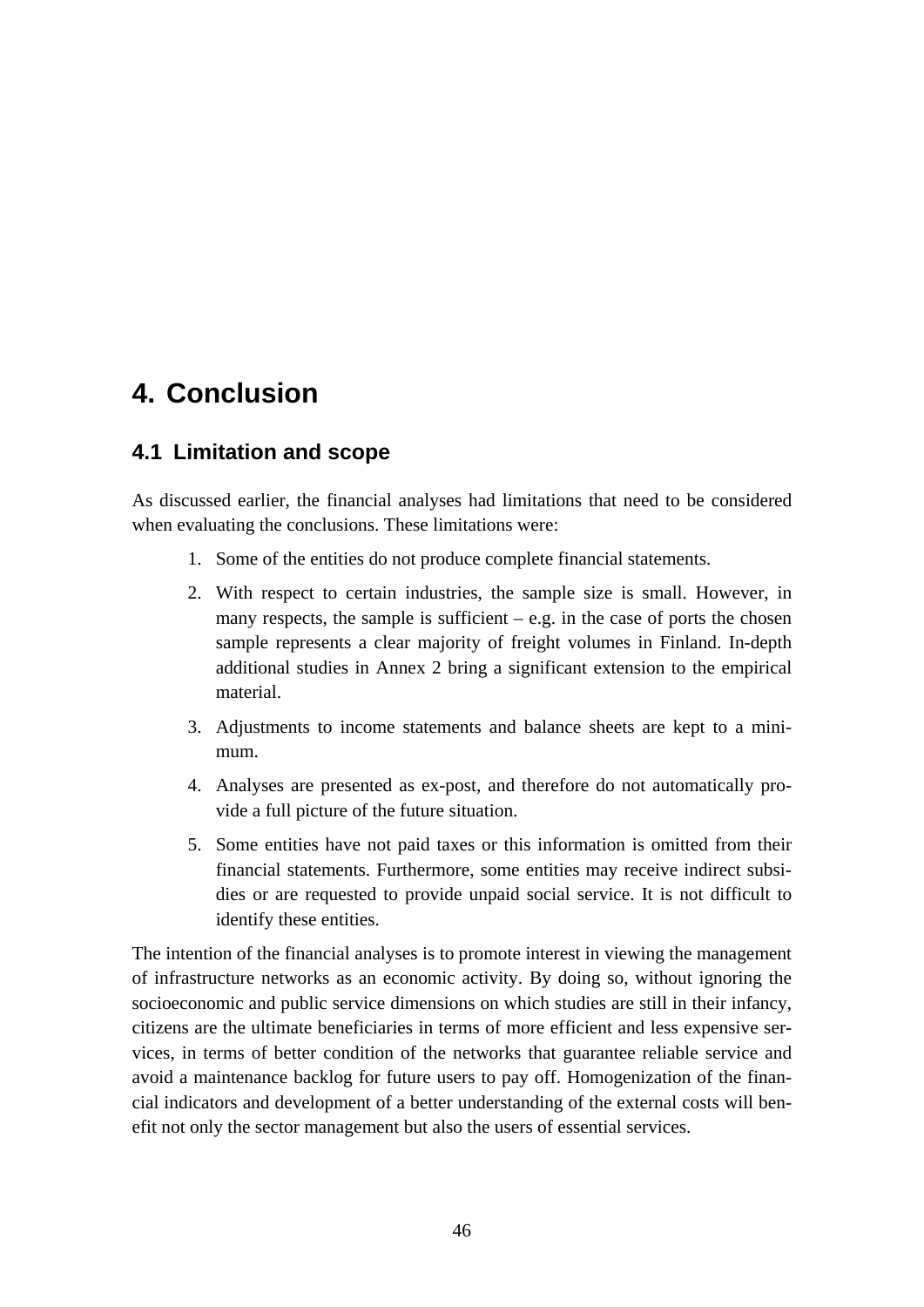# **4. Conclusion**

## **4.1 Limitation and scope**

As discussed earlier, the financial analyses had limitations that need to be considered when evaluating the conclusions. These limitations were:

- 1. Some of the entities do not produce complete financial statements.
- 2. With respect to certain industries, the sample size is small. However, in many respects, the sample is sufficient  $-$  e.g. in the case of ports the chosen sample represents a clear majority of freight volumes in Finland. In-depth additional studies in Annex 2 bring a significant extension to the empirical material.
- 3. Adjustments to income statements and balance sheets are kept to a minimum.
- 4. Analyses are presented as ex-post, and therefore do not automatically provide a full picture of the future situation.
- 5. Some entities have not paid taxes or this information is omitted from their financial statements. Furthermore, some entities may receive indirect subsidies or are requested to provide unpaid social service. It is not difficult to identify these entities.

The intention of the financial analyses is to promote interest in viewing the management of infrastructure networks as an economic activity. By doing so, without ignoring the socioeconomic and public service dimensions on which studies are still in their infancy, citizens are the ultimate beneficiaries in terms of more efficient and less expensive services, in terms of better condition of the networks that guarantee reliable service and avoid a maintenance backlog for future users to pay off. Homogenization of the financial indicators and development of a better understanding of the external costs will benefit not only the sector management but also the users of essential services.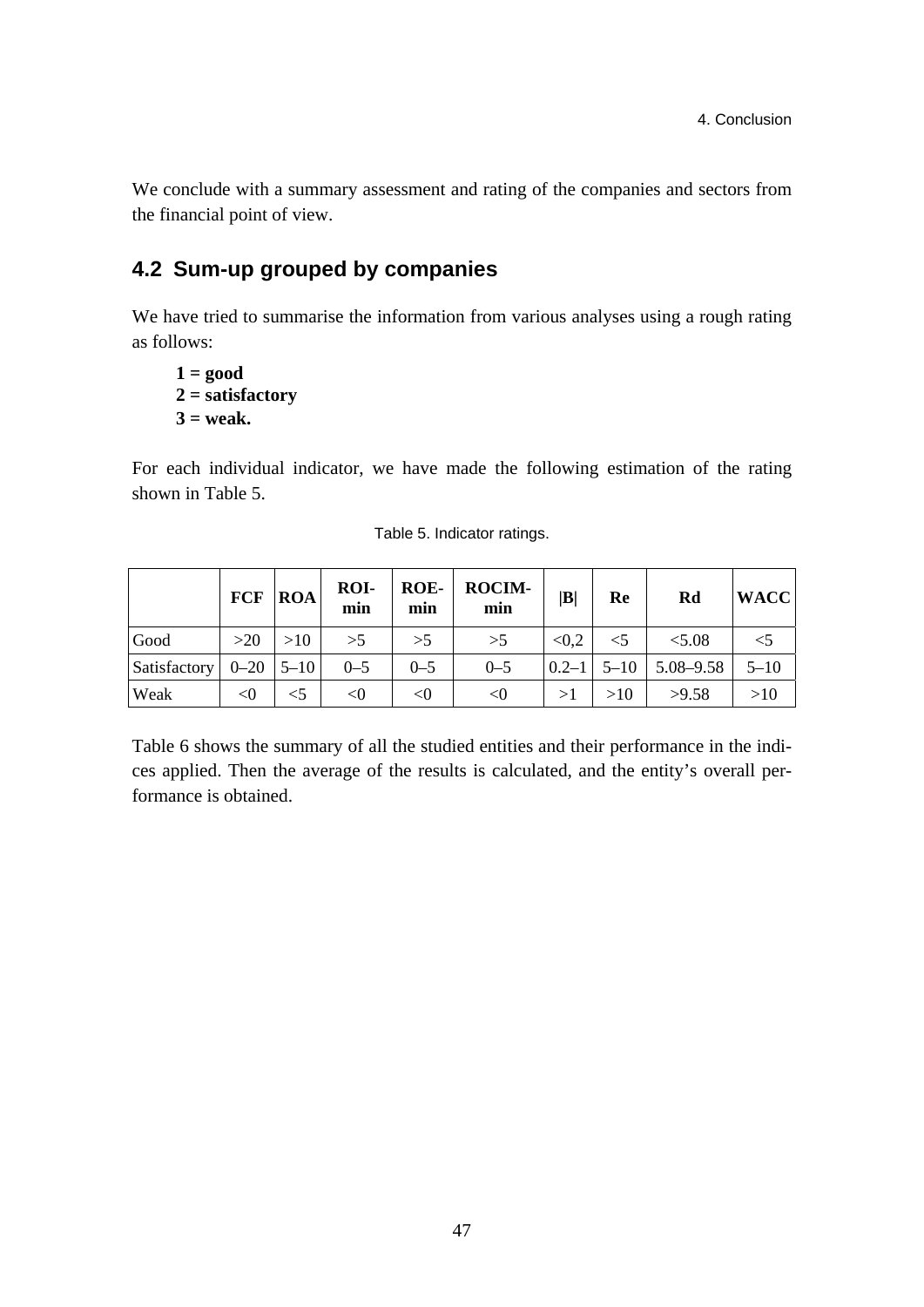We conclude with a summary assessment and rating of the companies and sectors from the financial point of view.

# **4.2 Sum-up grouped by companies**

We have tried to summarise the information from various analyses using a rough rating as follows:

```
1 = good 
2 = satisfactory 
3 =weak.
```
For each individual indicator, we have made the following estimation of the rating shown in Table 5.

|                                                        | <b>FCF</b> | ROA | ROI-<br>min | <b>ROE-</b><br>min | <b>ROCIM-</b><br>min | $ {\bf B} $ | Re    | Rd                                                   | <b>WACC</b> |
|--------------------------------------------------------|------------|-----|-------------|--------------------|----------------------|-------------|-------|------------------------------------------------------|-------------|
| Good                                                   | >20        | >10 | >5          | >5                 | >5                   | < 0.2       | $<$ 5 | < 5.08                                               |             |
| $\vert$ Satisfactory $\vert$ 0–20 $\vert$ 5–10 $\vert$ |            |     | $0 - 5$     | $0 - 5$            | $0 - 5$              |             |       | $\vert 0.2 - 1 \vert 5 - 10 \vert 5.08 - 9.58 \vert$ | $5 - 10$    |
| Weak                                                   |            |     | $< \!\! 0$  | $< \!\! 0$         | < 0                  |             | >10   | >9.58                                                | >10         |

Table 5. Indicator ratings.

Table 6 shows the summary of all the studied entities and their performance in the indices applied. Then the average of the results is calculated, and the entity's overall performance is obtained.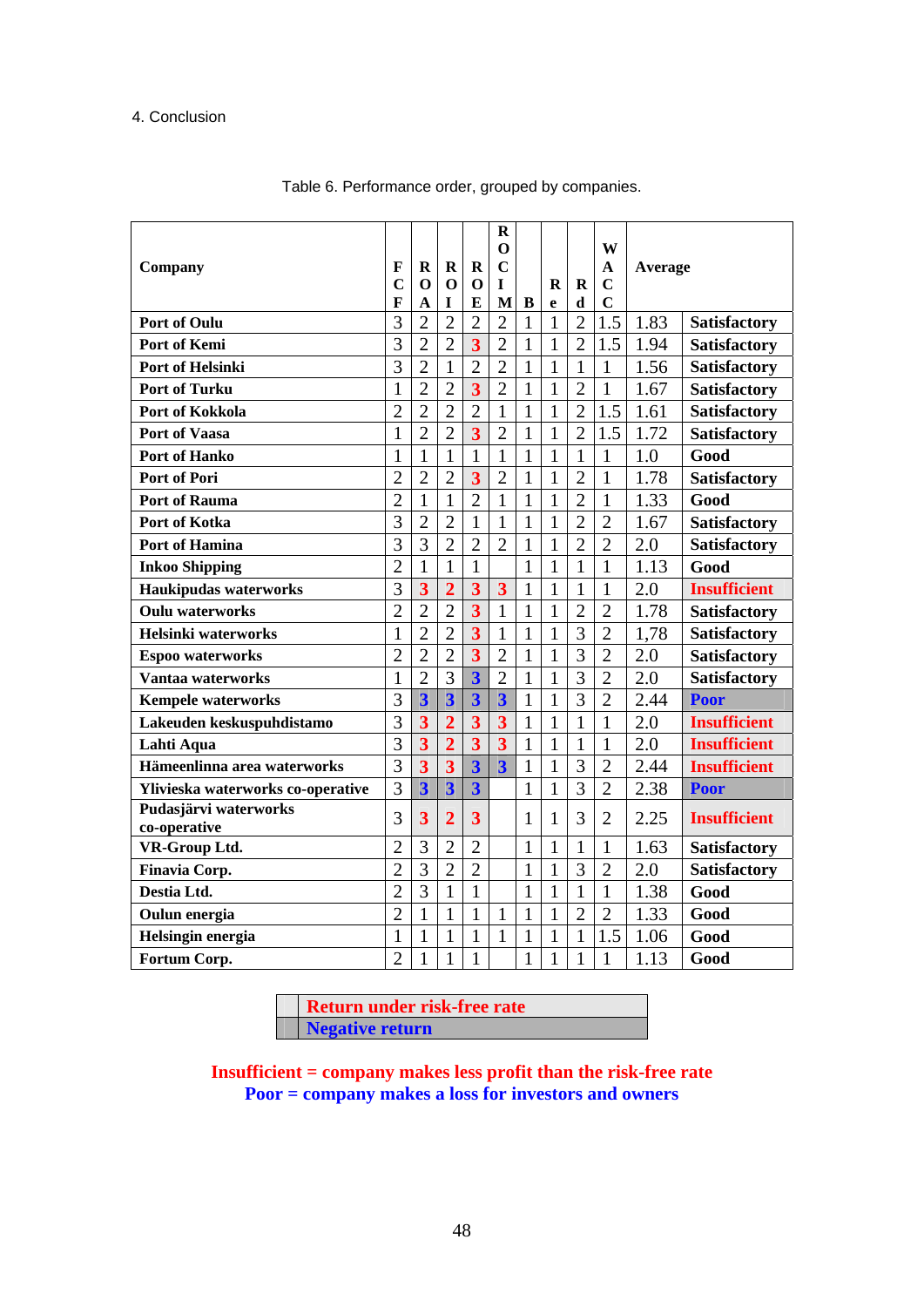### 4. Conclusion

| Company                               |                | R<br>$\Omega$<br>A      | R<br>$\mathbf 0$<br>I   | $\mathbf R$<br>O<br>E   | R<br>$\Omega$<br>$\mathbf C$<br>I<br>M | B            | R<br>e       | R<br>d         | W<br>A<br>$\mathbf C$<br>$\mathbf C$ | Average |                     |
|---------------------------------------|----------------|-------------------------|-------------------------|-------------------------|----------------------------------------|--------------|--------------|----------------|--------------------------------------|---------|---------------------|
| <b>Port of Oulu</b>                   | 3              | $\overline{2}$          | $\overline{2}$          | $\overline{2}$          | $\overline{2}$                         | $\mathbf{1}$ | 1            | $\overline{2}$ | 1.5                                  | 1.83    | <b>Satisfactory</b> |
| Port of Kemi                          | 3              | $\overline{2}$          | $\overline{2}$          | $\overline{\mathbf{3}}$ | $\overline{2}$                         | $\mathbf{1}$ | 1            | $\overline{2}$ | 1.5                                  | 1.94    | Satisfactory        |
| Port of Helsinki                      | 3              | $\overline{2}$          | $\mathbf{1}$            | $\overline{2}$          | $\overline{2}$                         | $\mathbf{1}$ | $\mathbf{1}$ | $\mathbf{1}$   | $\mathbf{1}$                         | 1.56    | <b>Satisfactory</b> |
| <b>Port of Turku</b>                  | $\mathbf{1}$   | $\overline{2}$          | $\overline{2}$          | $\overline{\mathbf{3}}$ | $\overline{2}$                         | $\mathbf{1}$ | $\mathbf{1}$ | $\overline{2}$ | $\mathbf{1}$                         | 1.67    | <b>Satisfactory</b> |
| Port of Kokkola                       | $\overline{2}$ | $\overline{2}$          | $\overline{2}$          | $\overline{2}$          | $\mathbf{1}$                           | $\mathbf{1}$ | $\mathbf 1$  | $\overline{2}$ | 1.5                                  | 1.61    | <b>Satisfactory</b> |
| <b>Port of Vaasa</b>                  | 1              | $\overline{2}$          | $\overline{2}$          | $\overline{\mathbf{3}}$ | $\overline{2}$                         | 1            | 1            | $\overline{2}$ | 1.5                                  | 1.72    | <b>Satisfactory</b> |
| <b>Port of Hanko</b>                  | 1              | 1                       | $\mathbf{1}$            | 1                       | $\mathbf{1}$                           | 1            | $\mathbf{1}$ | 1              | $\mathbf{1}$                         | 1.0     | Good                |
| <b>Port of Pori</b>                   | $\overline{2}$ | $\overline{2}$          | $\overline{2}$          | $\overline{3}$          | $\overline{2}$                         | $\mathbf{1}$ | $\mathbf{1}$ | $\overline{2}$ | $\mathbf{1}$                         | 1.78    | <b>Satisfactory</b> |
| <b>Port of Rauma</b>                  | $\overline{2}$ | $\mathbf{1}$            | $\mathbf{1}$            | $\overline{2}$          | $\mathbf{1}$                           | $\mathbf{1}$ | $\mathbf{1}$ | $\overline{2}$ | $\mathbf{1}$                         | 1.33    | Good                |
| Port of Kotka                         | $\overline{3}$ | $\overline{2}$          | $\overline{2}$          | $\mathbf{1}$            | $\mathbf{1}$                           | $\mathbf{1}$ | $\mathbf 1$  | $\overline{2}$ | $\overline{2}$                       | 1.67    | <b>Satisfactory</b> |
| Port of Hamina                        | 3              | $\overline{3}$          | $\overline{2}$          | $\overline{2}$          | $\overline{2}$                         | $\mathbf{1}$ | $\mathbf 1$  | $\overline{2}$ | $\overline{2}$                       | 2.0     | <b>Satisfactory</b> |
| <b>Inkoo Shipping</b>                 | $\overline{2}$ | $\mathbf 1$             | $\mathbf{1}$            | $\mathbf{1}$            |                                        | $\mathbf{1}$ | 1            | $\mathbf{1}$   | 1                                    | 1.13    | Good                |
| <b>Haukipudas waterworks</b>          | 3              | $\overline{\mathbf{3}}$ | $\overline{2}$          | $\overline{\mathbf{3}}$ | $\overline{\mathbf{3}}$                | $\mathbf{1}$ | $\mathbf{1}$ | $\mathbf{1}$   | $\mathbf{1}$                         | 2.0     | <b>Insufficient</b> |
| <b>Oulu waterworks</b>                | $\overline{2}$ | $\overline{2}$          | $\overline{2}$          | $\overline{3}$          | $\mathbf{1}$                           | $\mathbf{1}$ | $\mathbf{1}$ | $\overline{2}$ | $\overline{2}$                       | 1.78    | <b>Satisfactory</b> |
| Helsinki waterworks                   | $\mathbf{1}$   | $\overline{2}$          | $\overline{2}$          | $\overline{\mathbf{3}}$ | $\mathbf{1}$                           | $\mathbf{1}$ | $\mathbf 1$  | $\overline{3}$ | $\overline{2}$                       | 1,78    | <b>Satisfactory</b> |
| Espoo waterworks                      | $\overline{2}$ | $\overline{2}$          | $\overline{2}$          | $\overline{3}$          | $\overline{2}$                         | 1            | 1            | 3              | $\overline{2}$                       | 2.0     | <b>Satisfactory</b> |
| Vantaa waterworks                     | 1              | $\overline{2}$          | 3                       | $\overline{\mathbf{3}}$ | $\overline{2}$                         | 1            | $\mathbf{1}$ | $\overline{3}$ | $\overline{2}$                       | 2.0     | <b>Satisfactory</b> |
| <b>Kempele waterworks</b>             | 3              | $\overline{\mathbf{3}}$ | $\overline{\mathbf{3}}$ | $\overline{\mathbf{3}}$ | $\overline{\mathbf{3}}$                | $\mathbf{1}$ | $\mathbf{1}$ | $\overline{3}$ | $\overline{2}$                       | 2.44    | Poor                |
| Lakeuden keskuspuhdistamo             | $\overline{3}$ | $\overline{3}$          | $\overline{2}$          | $\overline{3}$          | $\overline{\mathbf{3}}$                | $\mathbf{1}$ | $\mathbf{1}$ | $\mathbf{1}$   | $\mathbf{1}$                         | 2.0     | <b>Insufficient</b> |
| Lahti Aqua                            | $\overline{3}$ | $\overline{3}$          | $\overline{2}$          | $\overline{3}$          | $\overline{3}$                         | $\mathbf{1}$ | $\mathbf{1}$ | $\mathbf{1}$   | $\mathbf{1}$                         | 2.0     | <b>Insufficient</b> |
| Hämeenlinna area waterworks           | 3              | $\overline{3}$          | $\overline{\mathbf{3}}$ | $\overline{3}$          | $\overline{\mathbf{3}}$                | $\mathbf{1}$ | $\mathbf 1$  | $\overline{3}$ | $\overline{2}$                       | 2.44    | <b>Insufficient</b> |
| Ylivieska waterworks co-operative     | 3              | $\overline{\mathbf{3}}$ | $\overline{\mathbf{3}}$ | $\overline{\mathbf{3}}$ |                                        | $\mathbf{1}$ | 1            | $\overline{3}$ | $\overline{2}$                       | 2.38    | Poor                |
| Pudasjärvi waterworks<br>co-operative | 3              | 3                       | $\overline{2}$          | 3                       |                                        | $\mathbf{1}$ | 1            | 3              | $\overline{2}$                       | 2.25    | <b>Insufficient</b> |
| VR-Group Ltd.                         | $\overline{2}$ | 3                       | $\overline{2}$          | $\overline{2}$          |                                        | 1            | 1            | 1              | 1                                    | 1.63    | Satisfactory        |
| Finavia Corp.                         | $\overline{2}$ | 3                       | $\overline{2}$          | $\overline{2}$          |                                        | $\mathbf{1}$ | 1            | 3              | $\overline{2}$                       | 2.0     | Satisfactory        |
| Destia Ltd.                           | $\overline{2}$ | $\overline{3}$          | $\mathbf{1}$            | $\mathbf{1}$            |                                        | $\mathbf{1}$ | $\mathbf{1}$ | $\mathbf{1}$   | $\mathbf{1}$                         | 1.38    | Good                |
| Oulun energia                         | $\overline{2}$ | $\mathbf{1}$            | $\mathbf{1}$            | $\mathbf{1}$            | $\mathbf{1}$                           | $\mathbf{1}$ | $\mathbf{1}$ | $\overline{2}$ | $\overline{2}$                       | 1.33    | Good                |
| <b>Helsingin energia</b>              | $\mathbf{1}$   | 1                       | $\mathbf{1}$            | $\mathbf{1}$            | $\mathbf{1}$                           | 1            | 1            | $\mathbf{1}$   | 1.5                                  | 1.06    | Good                |
| Fortum Corp.                          | $\overline{2}$ | 1                       | $\mathbf{1}$            | $\mathbf{1}$            |                                        | 1            | 1            | 1              | 1                                    | 1.13    | Good                |

Table 6. Performance order, grouped by companies.

**Return under risk-free rate Negative return** 

**Insufficient = company makes less profit than the risk-free rate Poor = company makes a loss for investors and owners**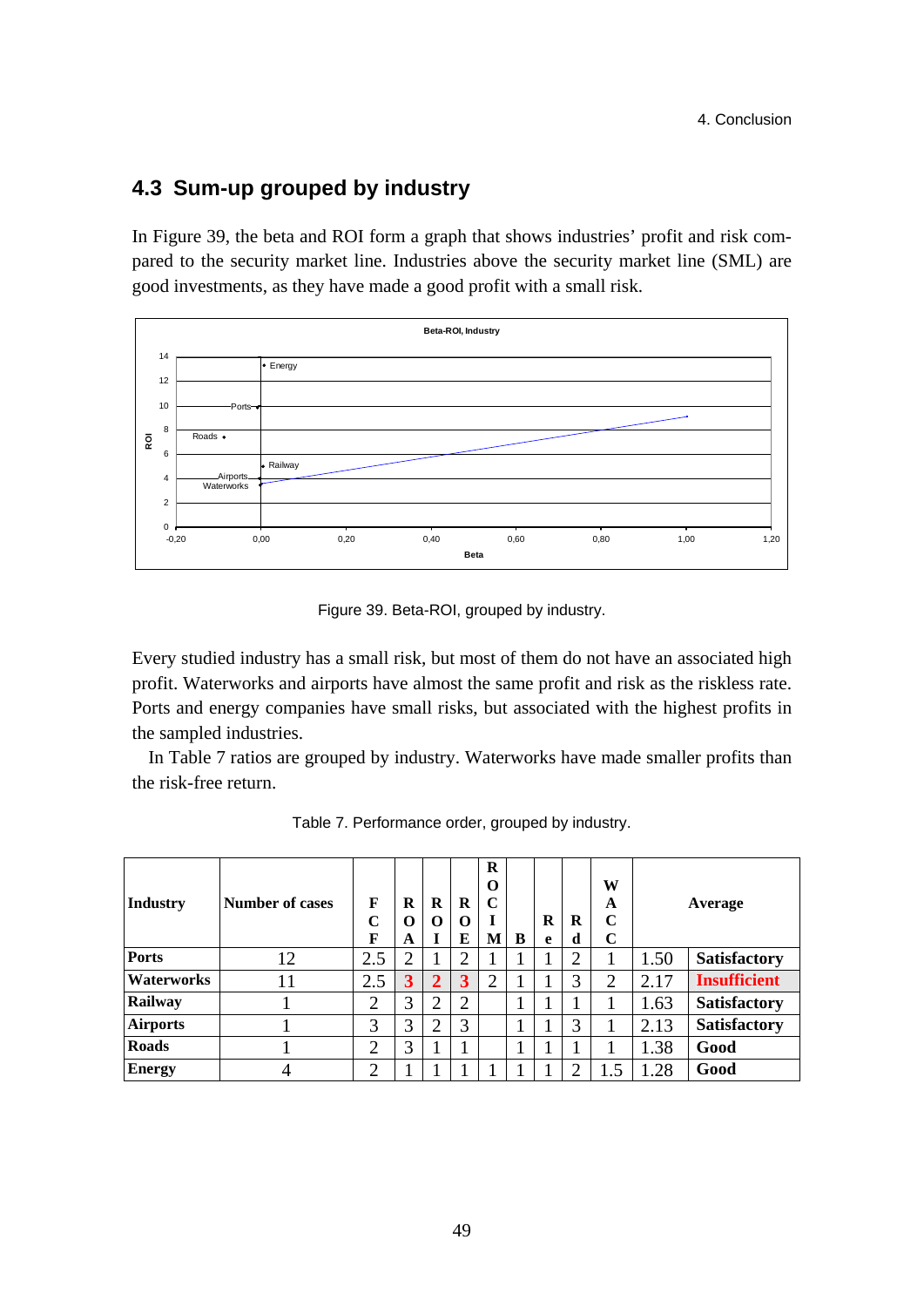## **4.3 Sum-up grouped by industry**

In Figure 39, the beta and ROI form a graph that shows industries' profit and risk compared to the security market line. Industries above the security market line (SML) are good investments, as they have made a good profit with a small risk.



Figure 39. Beta-ROI, grouped by industry.

Every studied industry has a small risk, but most of them do not have an associated high profit. Waterworks and airports have almost the same profit and risk as the riskless rate. Ports and energy companies have small risks, but associated with the highest profits in the sampled industries.

In Table 7 ratios are grouped by industry. Waterworks have made smaller profits than the risk-free return.

| <b>Industry</b>   | <b>Number of cases</b> | F<br>C<br>F | R<br>O<br>A | R<br>$\mathbf{\Omega}$ | R<br>$\mathbf{\Omega}$<br>E | R<br>$\mathbf{\Omega}$<br>$\mathbf C$<br>M | B | R<br>e | R<br>d         | W<br>A<br>C<br>C | Average |                     |
|-------------------|------------------------|-------------|-------------|------------------------|-----------------------------|--------------------------------------------|---|--------|----------------|------------------|---------|---------------------|
| <b>Ports</b>      | 12                     | 2.5         | っ           |                        | ◠                           |                                            |   |        | $\overline{2}$ |                  | 1.50    | <b>Satisfactory</b> |
| <b>Waterworks</b> | 11                     | 2.5         | 3           | 2                      | 3                           | ◠                                          |   |        | 3              | റ<br>∠           | 2.17    | <b>Insufficient</b> |
| Railway           |                        | っ           | 3           | ◠                      | っ<br>∠                      |                                            |   |        | м              |                  | 1.63    | <b>Satisfactory</b> |
| <b>Airports</b>   |                        | 3           | 3           | ◠                      | 3                           |                                            |   |        | 3              |                  | 2.13    | <b>Satisfactory</b> |
| <b>Roads</b>      |                        | ⌒           | 3           |                        |                             |                                            |   |        |                |                  | 1.38    | Good                |
| <b>Energy</b>     | 4                      | ↑           |             |                        |                             |                                            |   |        | ↑              | 1.5              | 1.28    | Good                |

Table 7. Performance order, grouped by industry.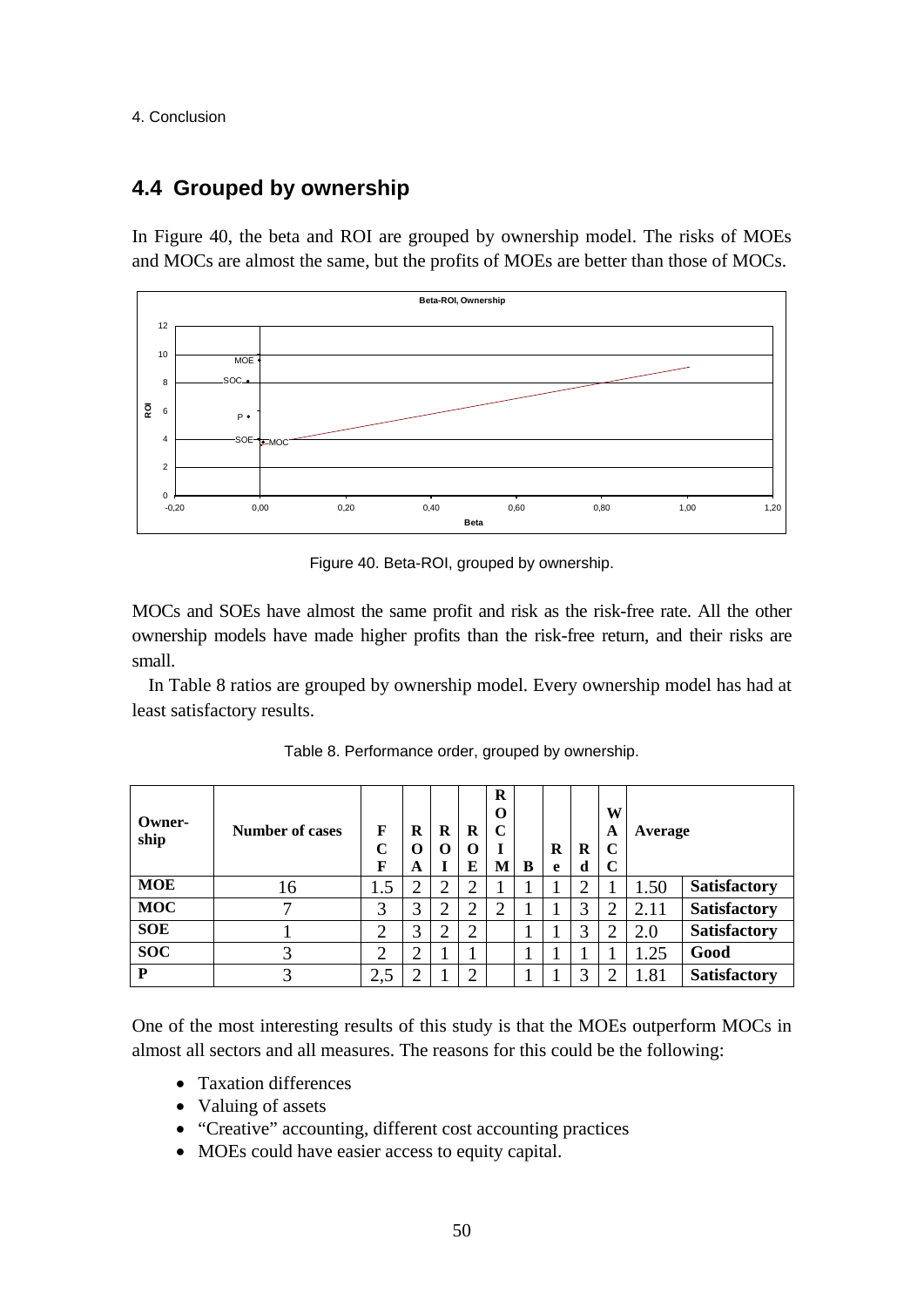4. Conclusion

## **4.4 Grouped by ownership**

In Figure 40, the beta and ROI are grouped by ownership model. The risks of MOEs and MOCs are almost the same, but the profits of MOEs are better than those of MOCs.



Figure 40. Beta-ROI, grouped by ownership.

MOCs and SOEs have almost the same profit and risk as the risk-free rate. All the other ownership models have made higher profits than the risk-free return, and their risks are small.

In Table 8 ratios are grouped by ownership model. Every ownership model has had at least satisfactory results.

| Owner-<br>ship | Number of cases | F<br>$\mathbf C$<br>F | R<br>O<br>A | R<br>$\left($ | $\bf{R}$<br>O<br>Е | R<br>$\Omega$<br>C<br>M | B | R<br>e | R<br>d | W<br>A<br>$\mathbf C$<br>$\mathbf C$ | Average |                     |
|----------------|-----------------|-----------------------|-------------|---------------|--------------------|-------------------------|---|--------|--------|--------------------------------------|---------|---------------------|
| <b>MOE</b>     | 16              |                       | ◠           | ി             | っ                  |                         |   |        | ⌒      |                                      | 1.50    | <b>Satisfactory</b> |
| <b>MOC</b>     |                 | 3                     | 3           | ◠             | っ                  | ◠                       |   |        | 3      | າ                                    | 2.11    | <b>Satisfactory</b> |
| <b>SOE</b>     |                 | ◠<br>∠                | 3           | ി             | $\gamma$           |                         |   |        | っ      | າ                                    | 2.0     | <b>Satisfactory</b> |
| <b>SOC</b>     |                 | ി<br>↩                | ◠           |               |                    |                         |   |        |        |                                      | .25     | Good                |
| P              | 2               | 2,5                   | ◠           |               | $\bigcirc$         |                         |   |        | ⌒      | っ                                    | 1.81    | <b>Satisfactory</b> |

Table 8. Performance order, grouped by ownership.

One of the most interesting results of this study is that the MOEs outperform MOCs in almost all sectors and all measures. The reasons for this could be the following:

- Taxation differences
- Valuing of assets
- "Creative" accounting, different cost accounting practices
- MOEs could have easier access to equity capital.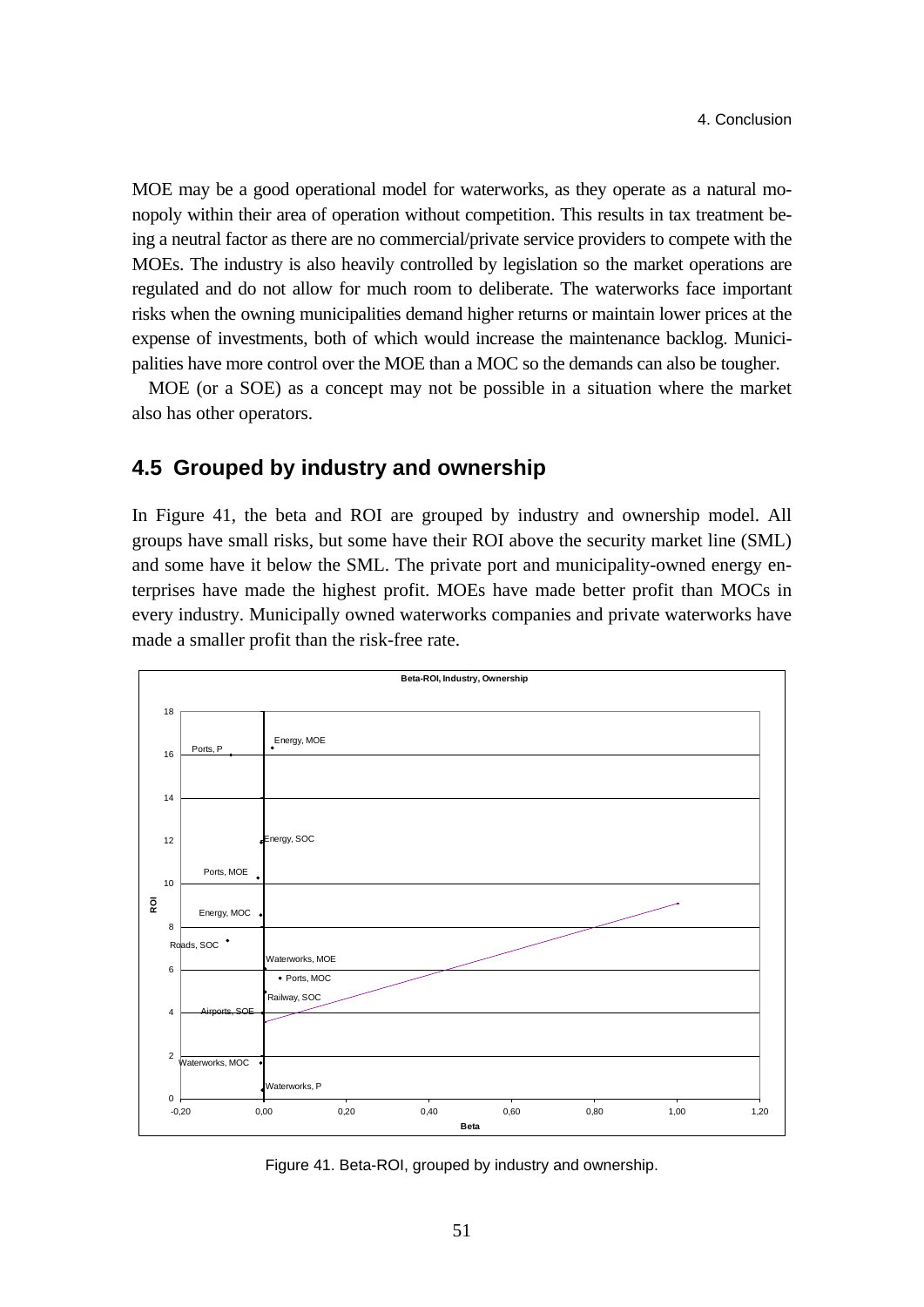MOE may be a good operational model for waterworks, as they operate as a natural monopoly within their area of operation without competition. This results in tax treatment being a neutral factor as there are no commercial/private service providers to compete with the MOEs. The industry is also heavily controlled by legislation so the market operations are regulated and do not allow for much room to deliberate. The waterworks face important risks when the owning municipalities demand higher returns or maintain lower prices at the expense of investments, both of which would increase the maintenance backlog. Municipalities have more control over the MOE than a MOC so the demands can also be tougher.

MOE (or a SOE) as a concept may not be possible in a situation where the market also has other operators.

## **4.5 Grouped by industry and ownership**

In Figure 41, the beta and ROI are grouped by industry and ownership model. All groups have small risks, but some have their ROI above the security market line (SML) and some have it below the SML. The private port and municipality-owned energy enterprises have made the highest profit. MOEs have made better profit than MOCs in every industry. Municipally owned waterworks companies and private waterworks have made a smaller profit than the risk-free rate.



Figure 41. Beta-ROI, grouped by industry and ownership.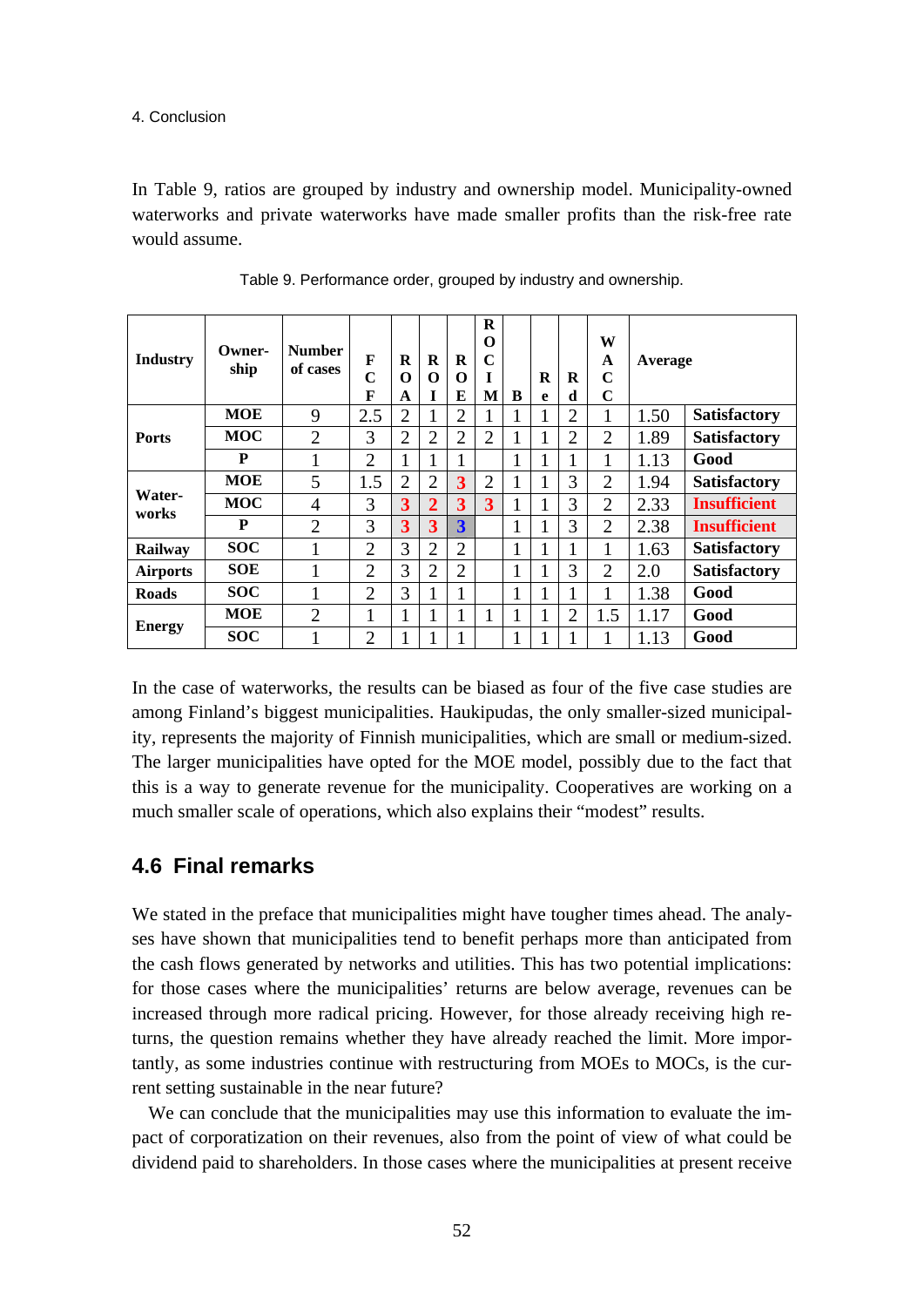#### 4. Conclusion

In Table 9, ratios are grouped by industry and ownership model. Municipality-owned waterworks and private waterworks have made smaller profits than the risk-free rate would assume.

| <b>Industry</b> | Owner-<br>ship | <b>Number</b><br>of cases | $\mathbf{F}$<br>C<br>F | $\bf{R}$<br>O<br>A | R<br>O<br>I    | R<br>O<br>E    | R<br>O<br>$\mathbf C$<br>I<br>М | B | $\bf{R}$<br>e | R<br>d         | W<br>A<br>C<br>C | Average                     |                     |
|-----------------|----------------|---------------------------|------------------------|--------------------|----------------|----------------|---------------------------------|---|---------------|----------------|------------------|-----------------------------|---------------------|
|                 | <b>MOE</b>     | 9                         | 2.5                    | $\overline{2}$     | 1              | $\overline{2}$ |                                 |   | 1             | $\overline{2}$ | 1                | 1.50<br><b>Satisfactory</b> |                     |
| <b>Ports</b>    | <b>MOC</b>     | $\overline{2}$            | 3                      | $\overline{2}$     | $\overline{2}$ | $\overline{2}$ | $\overline{2}$                  |   |               | $\overline{2}$ | $\overline{2}$   | 1.89                        | <b>Satisfactory</b> |
|                 | P              | 1                         | $\overline{2}$         | $\mathbf{1}$       | 1<br>л.        |                |                                 |   | 1             |                | 1                | 1.13                        | Good                |
|                 | <b>MOE</b>     | 5                         | 1.5                    | $\overline{2}$     | $\overline{2}$ | 3              | $\overline{2}$                  |   | 1             | 3              | $\overline{2}$   | 1.94                        | <b>Satisfactory</b> |
| Water-<br>works | <b>MOC</b>     | 4                         | 3                      | 3                  | $\overline{2}$ | 3              | 3                               |   | 1             | 3              | $\overline{2}$   | 2.33                        | <b>Insufficient</b> |
|                 | P              | $\overline{2}$            | 3                      | 3                  | 3              | 3              |                                 |   | 1             | 3              | $\overline{2}$   | 2.38                        | <b>Insufficient</b> |
| <b>Railway</b>  | <b>SOC</b>     | 1                         | $\overline{2}$         | 3                  | $\overline{2}$ | $\overline{2}$ |                                 |   | 1             |                | 1                | 1.63                        | <b>Satisfactory</b> |
| <b>Airports</b> | <b>SOE</b>     |                           | $\overline{2}$         | 3                  | $\overline{2}$ | $\overline{2}$ |                                 |   | 1             | 3              | $\overline{2}$   | 2.0                         | <b>Satisfactory</b> |
| <b>Roads</b>    | <b>SOC</b>     | 1                         | $\overline{2}$         | 3                  | 1<br>л.        |                |                                 |   | 1             |                | 1                | 1.38                        | Good                |
| <b>Energy</b>   | <b>MOE</b>     | $\overline{2}$            |                        | 1                  |                |                |                                 |   | 1             | $\overline{2}$ | 1.5              | 1.17                        | Good                |
|                 | <b>SOC</b>     | 1                         | $\overline{2}$         |                    |                |                |                                 |   |               |                |                  | 1.13                        | Good                |

Table 9. Performance order, grouped by industry and ownership.

In the case of waterworks, the results can be biased as four of the five case studies are among Finland's biggest municipalities. Haukipudas, the only smaller-sized municipality, represents the majority of Finnish municipalities, which are small or medium-sized. The larger municipalities have opted for the MOE model, possibly due to the fact that this is a way to generate revenue for the municipality. Cooperatives are working on a much smaller scale of operations, which also explains their "modest" results.

## **4.6 Final remarks**

We stated in the preface that municipalities might have tougher times ahead. The analyses have shown that municipalities tend to benefit perhaps more than anticipated from the cash flows generated by networks and utilities. This has two potential implications: for those cases where the municipalities' returns are below average, revenues can be increased through more radical pricing. However, for those already receiving high returns, the question remains whether they have already reached the limit. More importantly, as some industries continue with restructuring from MOEs to MOCs, is the current setting sustainable in the near future?

We can conclude that the municipalities may use this information to evaluate the impact of corporatization on their revenues, also from the point of view of what could be dividend paid to shareholders. In those cases where the municipalities at present receive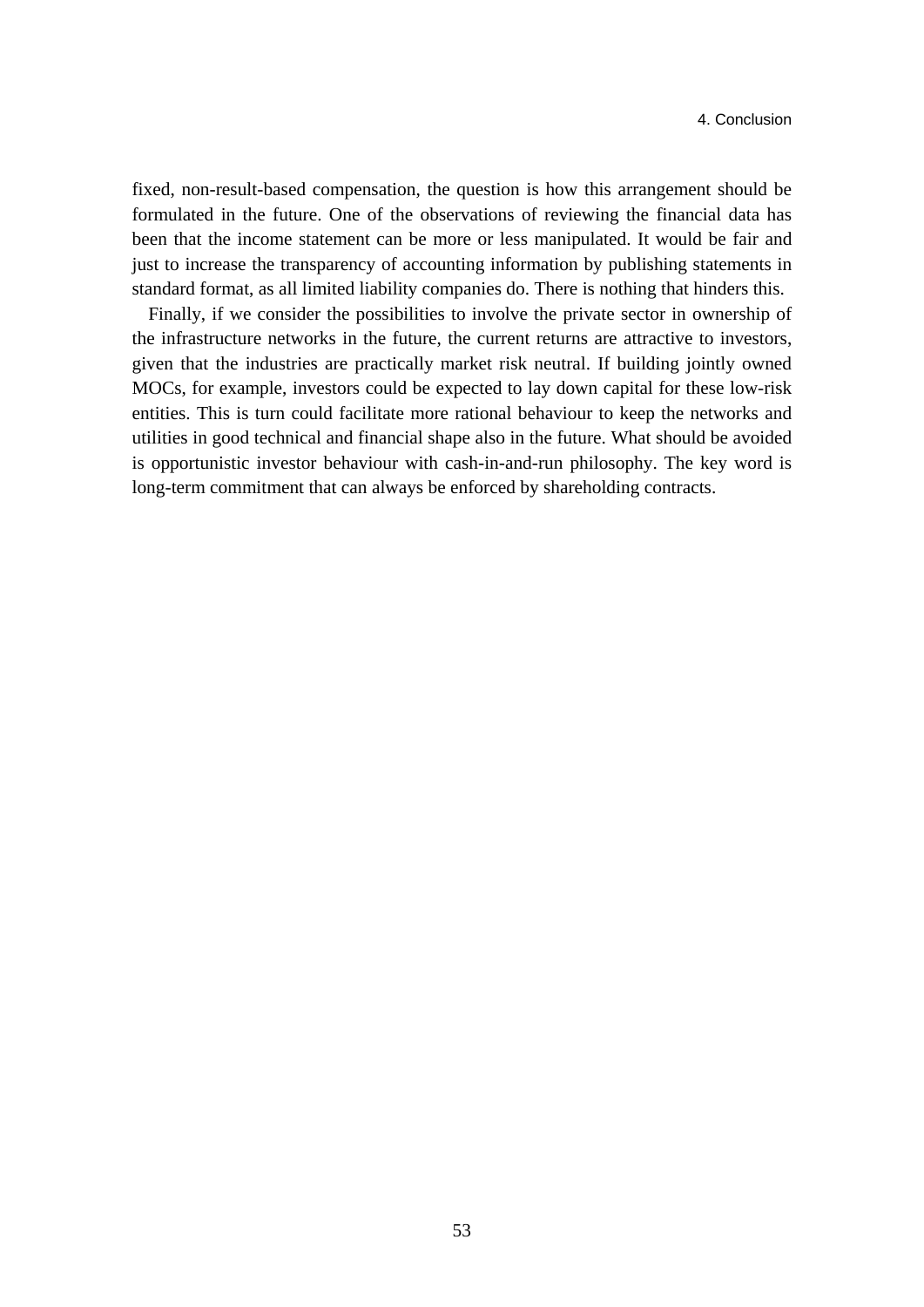fixed, non-result-based compensation, the question is how this arrangement should be formulated in the future. One of the observations of reviewing the financial data has been that the income statement can be more or less manipulated. It would be fair and just to increase the transparency of accounting information by publishing statements in standard format, as all limited liability companies do. There is nothing that hinders this.

Finally, if we consider the possibilities to involve the private sector in ownership of the infrastructure networks in the future, the current returns are attractive to investors, given that the industries are practically market risk neutral. If building jointly owned MOCs, for example, investors could be expected to lay down capital for these low-risk entities. This is turn could facilitate more rational behaviour to keep the networks and utilities in good technical and financial shape also in the future. What should be avoided is opportunistic investor behaviour with cash-in-and-run philosophy. The key word is long-term commitment that can always be enforced by shareholding contracts.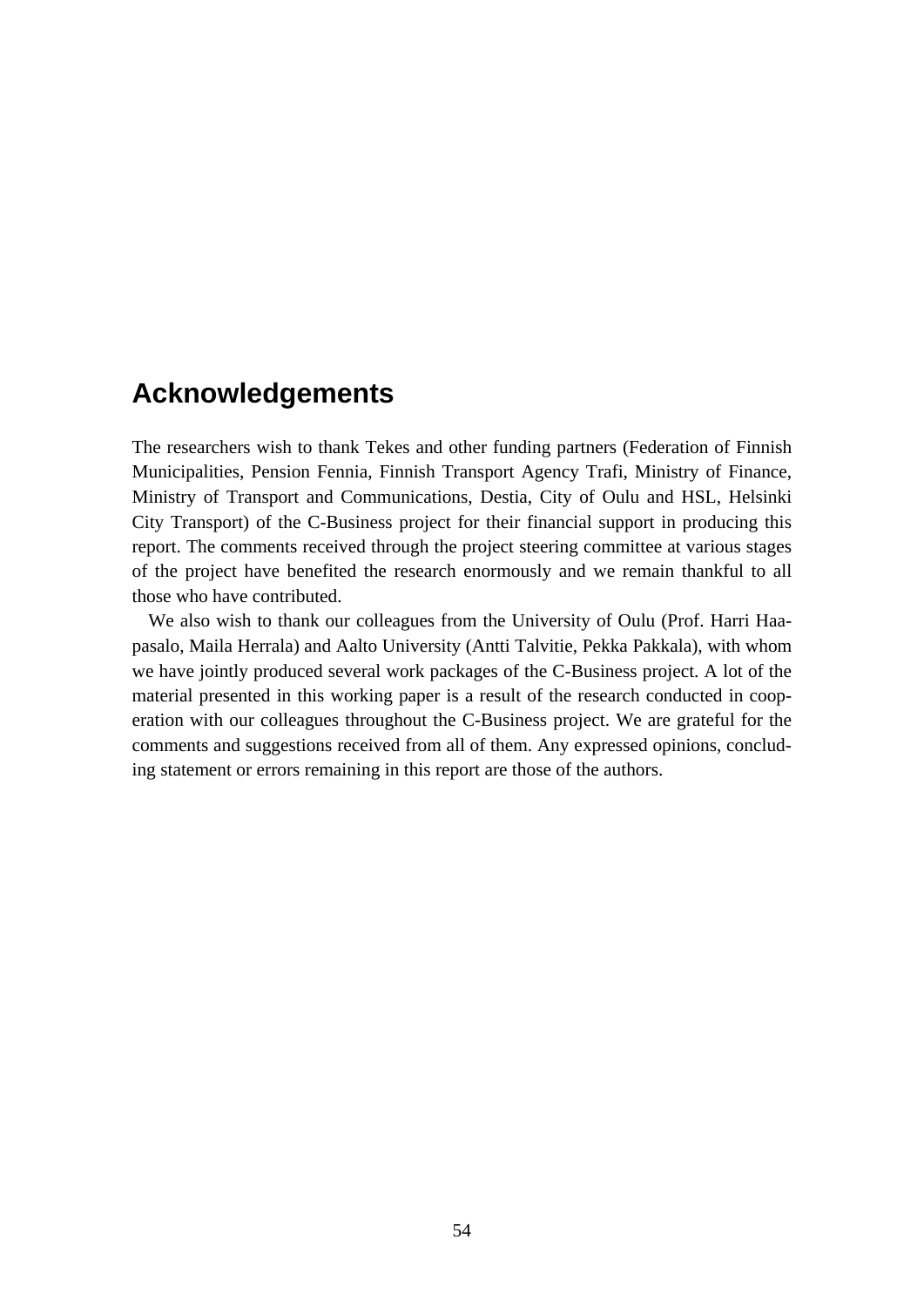# **Acknowledgements**

The researchers wish to thank Tekes and other funding partners (Federation of Finnish Municipalities, Pension Fennia, Finnish Transport Agency Trafi, Ministry of Finance, Ministry of Transport and Communications, Destia, City of Oulu and HSL, Helsinki City Transport) of the C-Business project for their financial support in producing this report. The comments received through the project steering committee at various stages of the project have benefited the research enormously and we remain thankful to all those who have contributed.

We also wish to thank our colleagues from the University of Oulu (Prof. Harri Haapasalo, Maila Herrala) and Aalto University (Antti Talvitie, Pekka Pakkala), with whom we have jointly produced several work packages of the C-Business project. A lot of the material presented in this working paper is a result of the research conducted in cooperation with our colleagues throughout the C-Business project. We are grateful for the comments and suggestions received from all of them. Any expressed opinions, concluding statement or errors remaining in this report are those of the authors.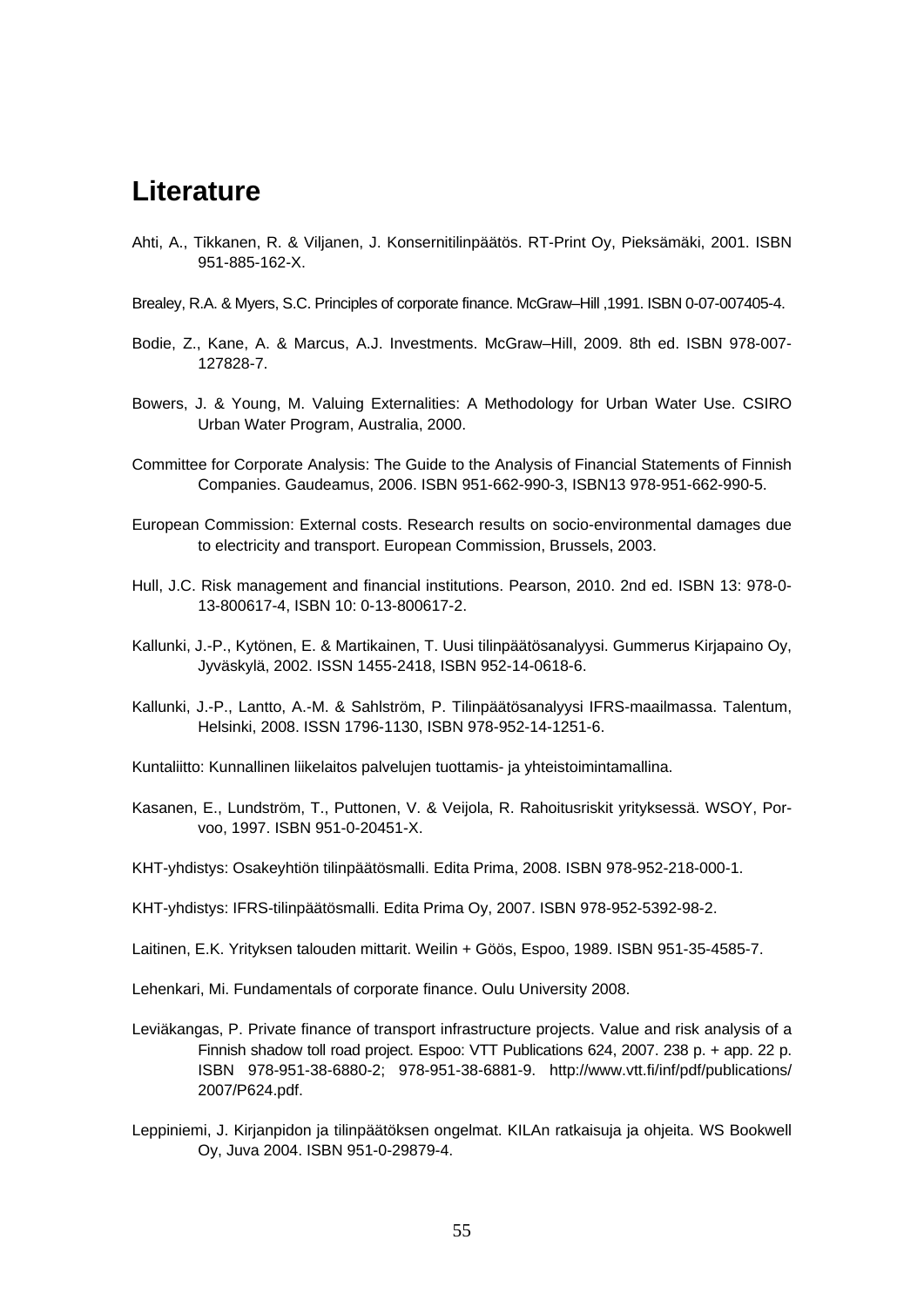# **Literature**

- Ahti, A., Tikkanen, R. & Viljanen, J. Konsernitilinpäätös. RT-Print Oy, Pieksämäki, 2001. ISBN 951-885-162-X.
- Brealey, R.A. & Myers, S.C. Principles of corporate finance. McGraw–Hill ,1991. ISBN 0-07-007405-4.
- Bodie, Z., Kane, A. & Marcus, A.J. Investments. McGraw–Hill, 2009. 8th ed. ISBN 978-007- 127828-7.
- Bowers, J. & Young, M. Valuing Externalities: A Methodology for Urban Water Use. CSIRO Urban Water Program, Australia, 2000.
- Committee for Corporate Analysis: The Guide to the Analysis of Financial Statements of Finnish Companies. Gaudeamus, 2006. ISBN 951-662-990-3, ISBN13 978-951-662-990-5.
- European Commission: External costs. Research results on socio-environmental damages due to electricity and transport. European Commission, Brussels, 2003.
- Hull, J.C. Risk management and financial institutions. Pearson, 2010. 2nd ed. ISBN 13: 978-0- 13-800617-4, ISBN 10: 0-13-800617-2.
- Kallunki, J.-P., Kytönen, E. & Martikainen, T. Uusi tilinpäätösanalyysi. Gummerus Kirjapaino Oy, Jyväskylä, 2002. ISSN 1455-2418, ISBN 952-14-0618-6.
- Kallunki, J.-P., Lantto, A.-M. & Sahlström, P. Tilinpäätösanalyysi IFRS-maailmassa. Talentum, Helsinki, 2008. ISSN 1796-1130, ISBN 978-952-14-1251-6.
- Kuntaliitto: Kunnallinen liikelaitos palvelujen tuottamis- ja yhteistoimintamallina.
- Kasanen, E., Lundström, T., Puttonen, V. & Veijola, R. Rahoitusriskit yrityksessä. WSOY, Porvoo, 1997. ISBN 951-0-20451-X.
- KHT-yhdistys: Osakeyhtiön tilinpäätösmalli. Edita Prima, 2008. ISBN 978-952-218-000-1.
- KHT-yhdistys: IFRS-tilinpäätösmalli. Edita Prima Oy, 2007. ISBN 978-952-5392-98-2.
- Laitinen, E.K. Yrityksen talouden mittarit. Weilin + Göös, Espoo, 1989. ISBN 951-35-4585-7.
- Lehenkari, Mi. Fundamentals of corporate finance. Oulu University 2008.
- Leviäkangas, P. Private finance of transport infrastructure projects. Value and risk analysis of a Finnish shadow toll road project. Espoo: VTT Publications 624, 2007. 238 p. + app. 22 p. ISBN 978-951-38-6880-2; 978-951-38-6881-9. <http://www.vtt.fi/inf/pdf/publications/> 2007/P624.pdf.
- Leppiniemi, J. Kirjanpidon ja tilinpäätöksen ongelmat. KILAn ratkaisuja ja ohjeita. WS Bookwell Oy, Juva 2004. ISBN 951-0-29879-4.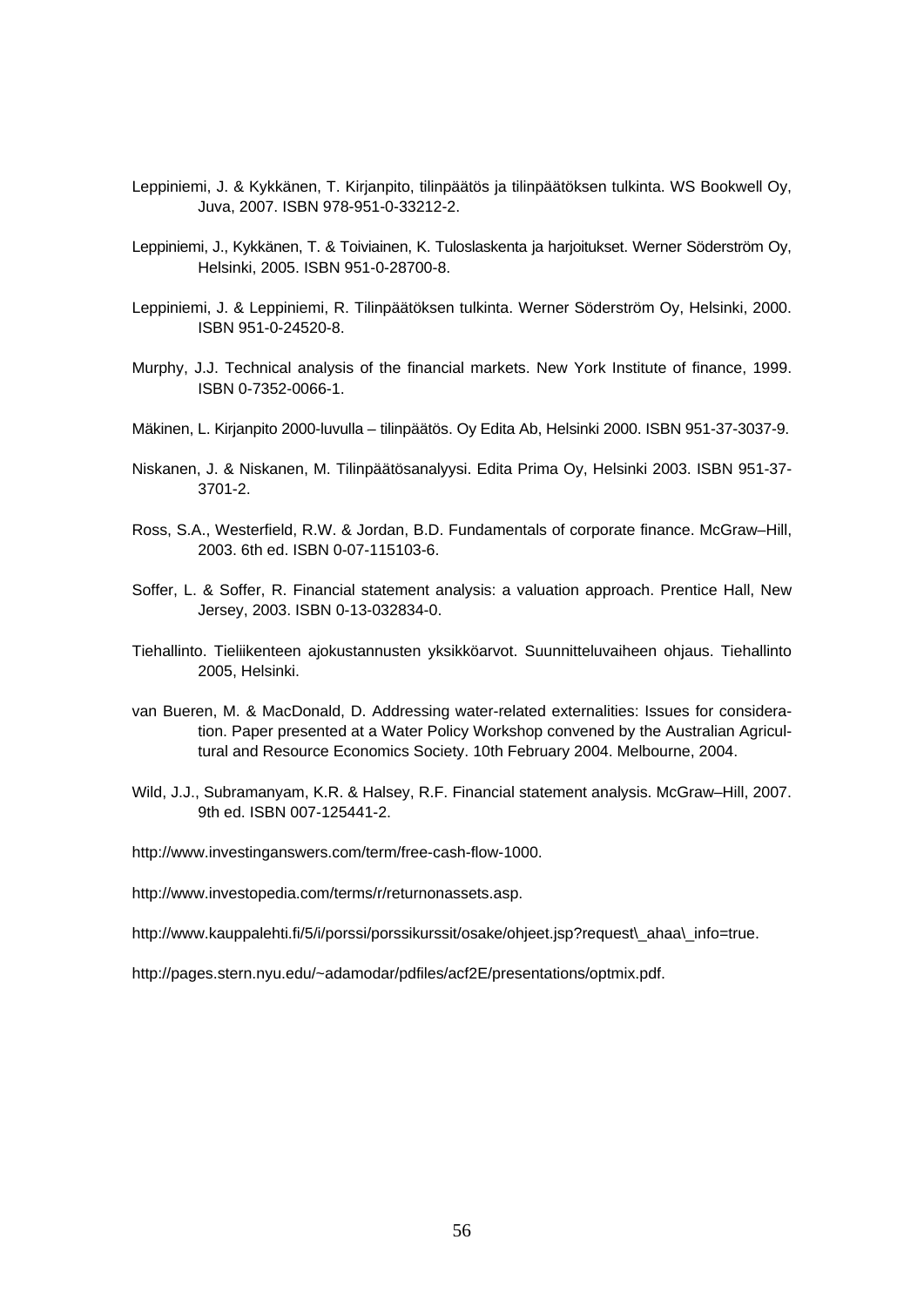- Leppiniemi, J. & Kykkänen, T. Kirjanpito, tilinpäätös ja tilinpäätöksen tulkinta. WS Bookwell Oy, Juva, 2007. ISBN 978-951-0-33212-2.
- Leppiniemi, J., Kykkänen, T. & Toiviainen, K. Tuloslaskenta ja harjoitukset. Werner Söderström Oy, Helsinki, 2005. ISBN 951-0-28700-8.
- Leppiniemi, J. & Leppiniemi, R. Tilinpäätöksen tulkinta. Werner Söderström Oy, Helsinki, 2000. ISBN 951-0-24520-8.
- Murphy, J.J. Technical analysis of the financial markets. New York Institute of finance, 1999. ISBN 0-7352-0066-1.
- Mäkinen, L. Kirjanpito 2000-luvulla tilinpäätös. Oy Edita Ab, Helsinki 2000. ISBN 951-37-3037-9.
- Niskanen, J. & Niskanen, M. Tilinpäätösanalyysi. Edita Prima Oy, Helsinki 2003. ISBN 951-37- 3701-2.
- Ross, S.A., Westerfield, R.W. & Jordan, B.D. Fundamentals of corporate finance. McGraw–Hill, 2003. 6th ed. ISBN 0-07-115103-6.
- Soffer, L. & Soffer, R. Financial statement analysis: a valuation approach. Prentice Hall, New Jersey, 2003. ISBN 0-13-032834-0.
- Tiehallinto. Tieliikenteen ajokustannusten yksikköarvot. Suunnitteluvaiheen ohjaus. Tiehallinto 2005, Helsinki.
- van Bueren, M. & MacDonald, D. Addressing water-related externalities: Issues for consideration. Paper presented at a Water Policy Workshop convened by the Australian Agricultural and Resource Economics Society. 10th February 2004. Melbourne, 2004.
- Wild, J.J., Subramanyam, K.R. & Halsey, R.F. Financial statement analysis. McGraw–Hill, 2007. 9th ed. ISBN 007-125441-2.
- [http://www.investinganswers.com/term/free-cash-flow-1000.](http://www.investinganswers.com/term/free-cash-flow-1000)

[http://www.investopedia.com/terms/r/returnonassets.asp.](http://www.investopedia.com/terms/r/returnonassets.asp) 

[http://www.kauppalehti.fi/5/i/porssi/porssikurssit/osake/ohjeet.jsp?request\\\_ahaa\\\_info=true.](http://www.kauppalehti.fi/5/i/porssi/porssikurssit/osake/ohjeet.jsp?request\_ahaa\_info=true) 

[http://pages.stern.nyu.edu/~adamodar/pdfiles/acf2E/presentations/optmix.pdf.](http://pages.stern.nyu.edu/~adamodar/pdfiles/acf2E/presentations/optmix.pdf)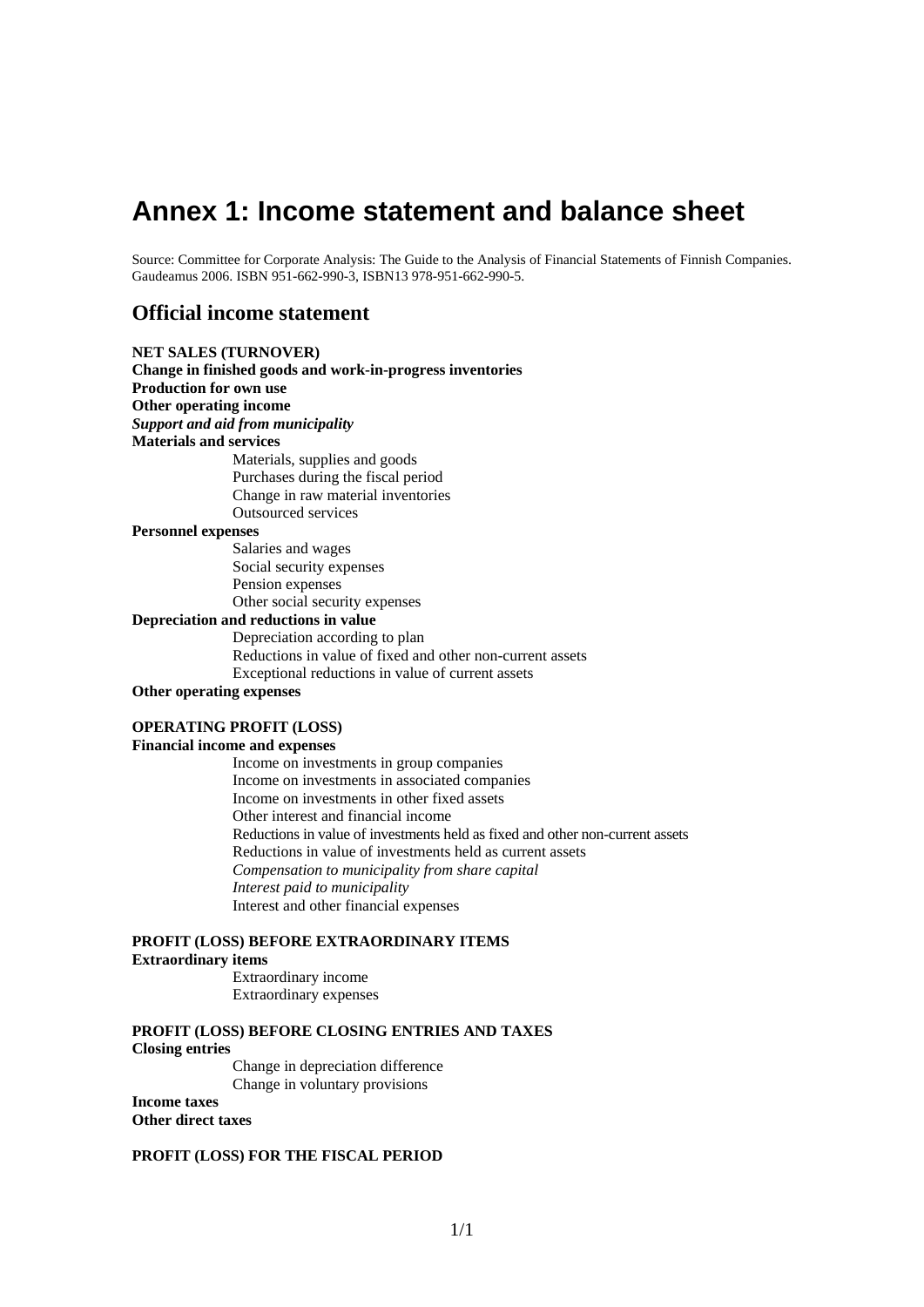# **Annex 1: Income statement and balance sheet**

Source: Committee for Corporate Analysis: The Guide to the Analysis of Financial Statements of Finnish Companies. Gaudeamus 2006. ISBN 951-662-990-3, ISBN13 978-951-662-990-5.

## **Official income statement**

**NET SALES (TURNOVER) Change in finished goods and work-in-progress inventories Production for own use Other operating income**  *Support and aid from municipality*  **Materials and services**  Materials, supplies and goods Purchases during the fiscal period Change in raw material inventories Outsourced services **Personnel expenses**  Salaries and wages Social security expenses Pension expenses Other social security expenses **Depreciation and reductions in value**  Depreciation according to plan Reductions in value of fixed and other non-current assets Exceptional reductions in value of current assets **Other operating expenses OPERATING PROFIT (LOSS) Financial income and expenses**  Income on investments in group companies Income on investments in associated companies Income on investments in other fixed assets Other interest and financial income Reductions in value of investments held as fixed and other non-current assets Reductions in value of investments held as current assets *Compensation to municipality from share capital Interest paid to municipality* 

Interest and other financial expenses

#### **PROFIT (LOSS) BEFORE EXTRAORDINARY ITEMS**

#### **Extraordinary items**

 Extraordinary income Extraordinary expenses

#### **PROFIT (LOSS) BEFORE CLOSING ENTRIES AND TAXES Closing entries**

 Change in depreciation difference Change in voluntary provisions

**Income taxes Other direct taxes** 

#### **PROFIT (LOSS) FOR THE FISCAL PERIOD**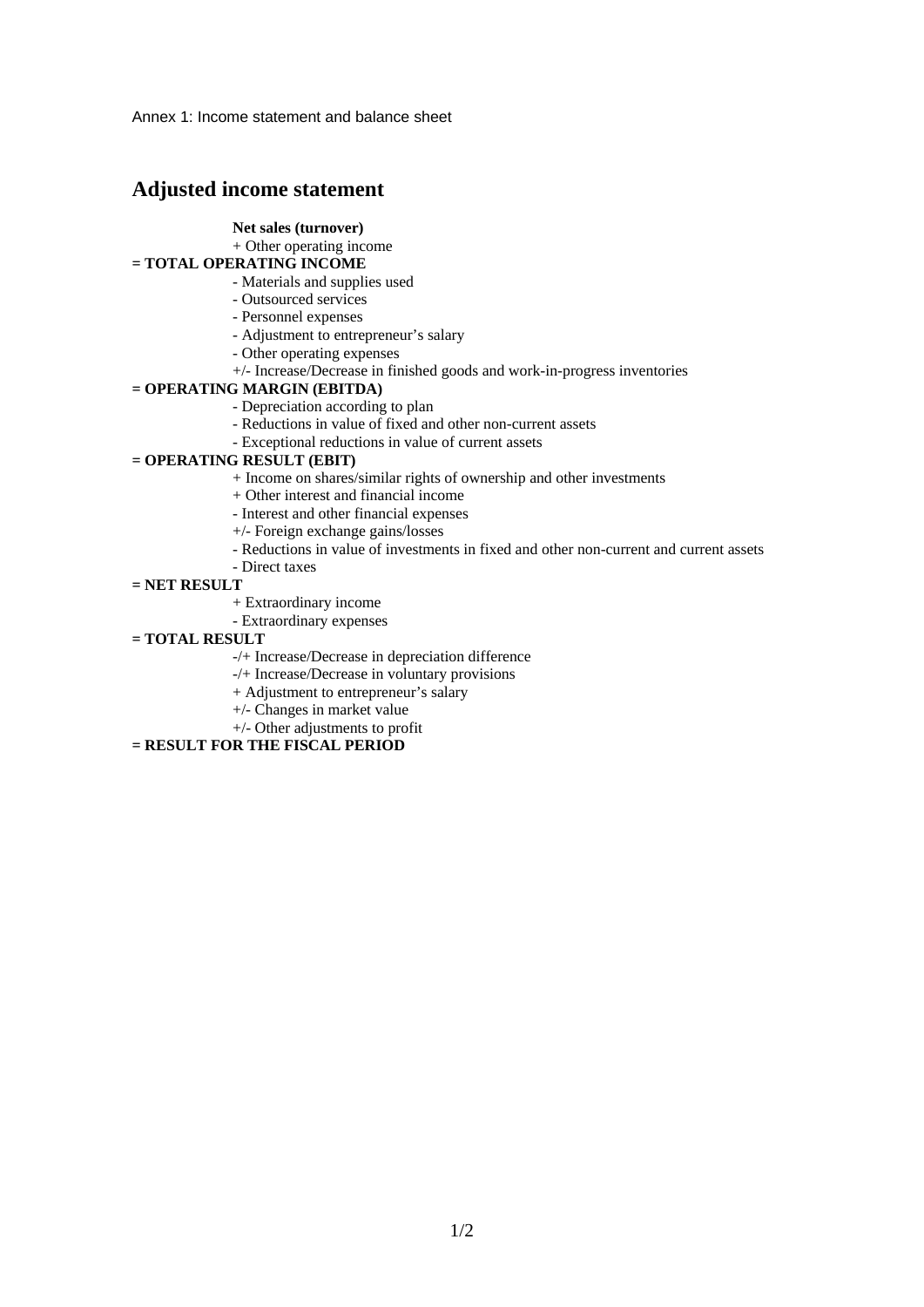Annex 1: Income statement and balance sheet

### **Adjusted income statement**

 **Net sales (turnover)** 

### + Other operating income

## **= TOTAL OPERATING INCOME**

- Materials and supplies used
- Outsourced services
- Personnel expenses
- Adjustment to entrepreneur's salary
- Other operating expenses
- +/- Increase/Decrease in finished goods and work-in-progress inventories

### **= OPERATING MARGIN (EBITDA)**

- Depreciation according to plan
- Reductions in value of fixed and other non-current assets
- Exceptional reductions in value of current assets

### **= OPERATING RESULT (EBIT)**

- + Income on shares/similar rights of ownership and other investments
- + Other interest and financial income
- Interest and other financial expenses
- +/- Foreign exchange gains/losses
- Reductions in value of investments in fixed and other non-current and current assets
- Direct taxes

#### **= NET RESULT**

- + Extraordinary income
- Extraordinary expenses

### **= TOTAL RESULT**

- -/+ Increase/Decrease in depreciation difference
- -/+ Increase/Decrease in voluntary provisions
- + Adjustment to entrepreneur's salary
- +/- Changes in market value
- +/- Other adjustments to profit

#### **= RESULT FOR THE FISCAL PERIOD**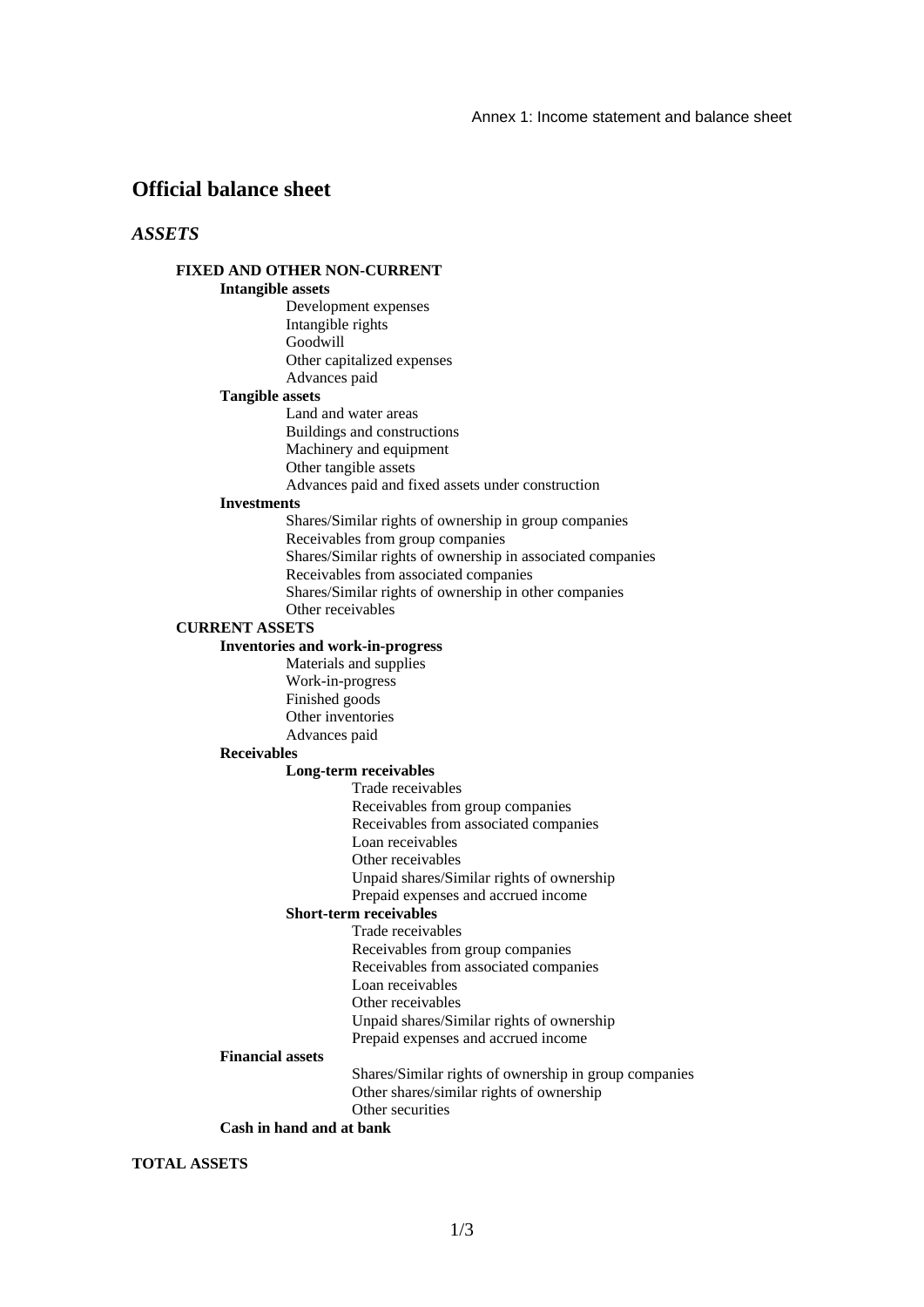## **Official balance sheet**

### *ASSETS*

#### **FIXED AND OTHER NON-CURRENT**

#### **Intangible assets**

 Development expenses Intangible rights Goodwill Other capitalized expenses Advances paid

#### **Tangible assets**

 Land and water areas Buildings and constructions Machinery and equipment Other tangible assets Advances paid and fixed assets under construction

#### **Investments**

 Shares/Similar rights of ownership in group companies Receivables from group companies Shares/Similar rights of ownership in associated companies Receivables from associated companies Shares/Similar rights of ownership in other companies

Other receivables

#### **CURRENT ASSETS**

#### **Inventories and work-in-progress**

- Materials and supplies Work-in-progress Finished goods
- Other inventories
- Advances paid

#### **Receivables**

#### **Long-term receivables**

- Trade receivables
- Receivables from group companies
- Receivables from associated companies
- Loan receivables
- Other receivables
- Unpaid shares/Similar rights of ownership
- Prepaid expenses and accrued income

### **Short-term receivables**

- Trade receivables
- Receivables from group companies
- Receivables from associated companies
- Loan receivables
- Other receivables
- Unpaid shares/Similar rights of ownership

#### Prepaid expenses and accrued income

#### **Financial assets**

 Shares/Similar rights of ownership in group companies Other shares/similar rights of ownership Other securities

 **Cash in hand and at bank** 

#### **TOTAL ASSETS**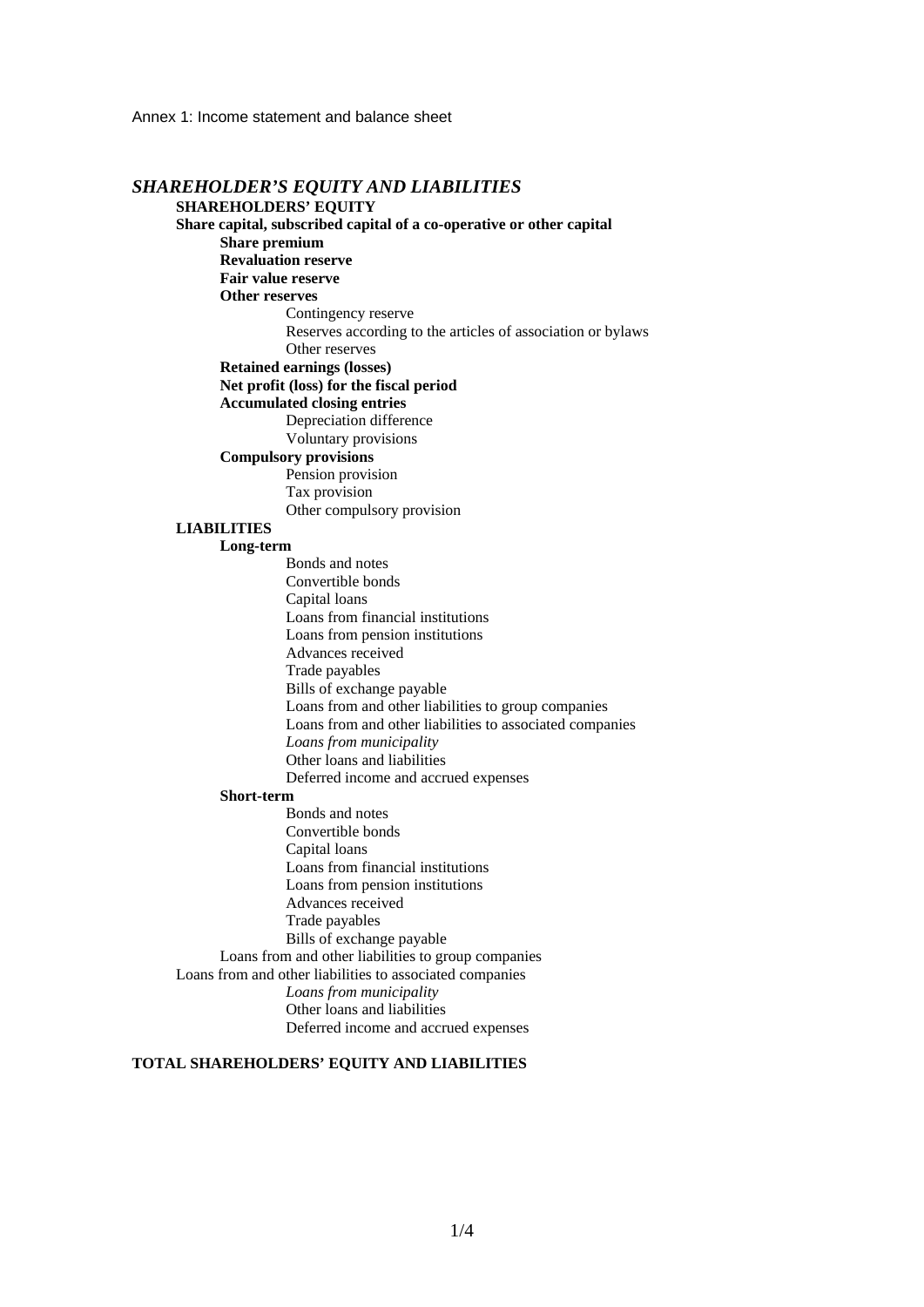Annex 1: Income statement and balance sheet

#### *SHAREHOLDER'S EQUITY AND LIABILITIES*  **SHAREHOLDERS' EQUITY Share capital, subscribed capital of a co-operative or other capital Share premium Revaluation reserve Fair value reserve Other reserves**  Contingency reserve Reserves according to the articles of association or bylaws Other reserves  **Retained earnings (losses) Net profit (loss) for the fiscal period Accumulated closing entries**  Depreciation difference Voluntary provisions **Compulsory provisions**  Pension provision Tax provision Other compulsory provision  **LIABILITIES Long-term**  Bonds and notes Convertible bonds Capital loans Loans from financial institutions Loans from pension institutions Advances received Trade payables Bills of exchange payable Loans from and other liabilities to group companies Loans from and other liabilities to associated companies *Loans from municipality* Other loans and liabilities Deferred income and accrued expenses  **Short-term**  Bonds and notes Convertible bonds Capital loans Loans from financial institutions Loans from pension institutions Advances received Trade payables Bills of exchange payable Loans from and other liabilities to group companies Loans from and other liabilities to associated companies *Loans from municipality*  Other loans and liabilities Deferred income and accrued expenses

### **TOTAL SHAREHOLDERS' EQUITY AND LIABILITIES**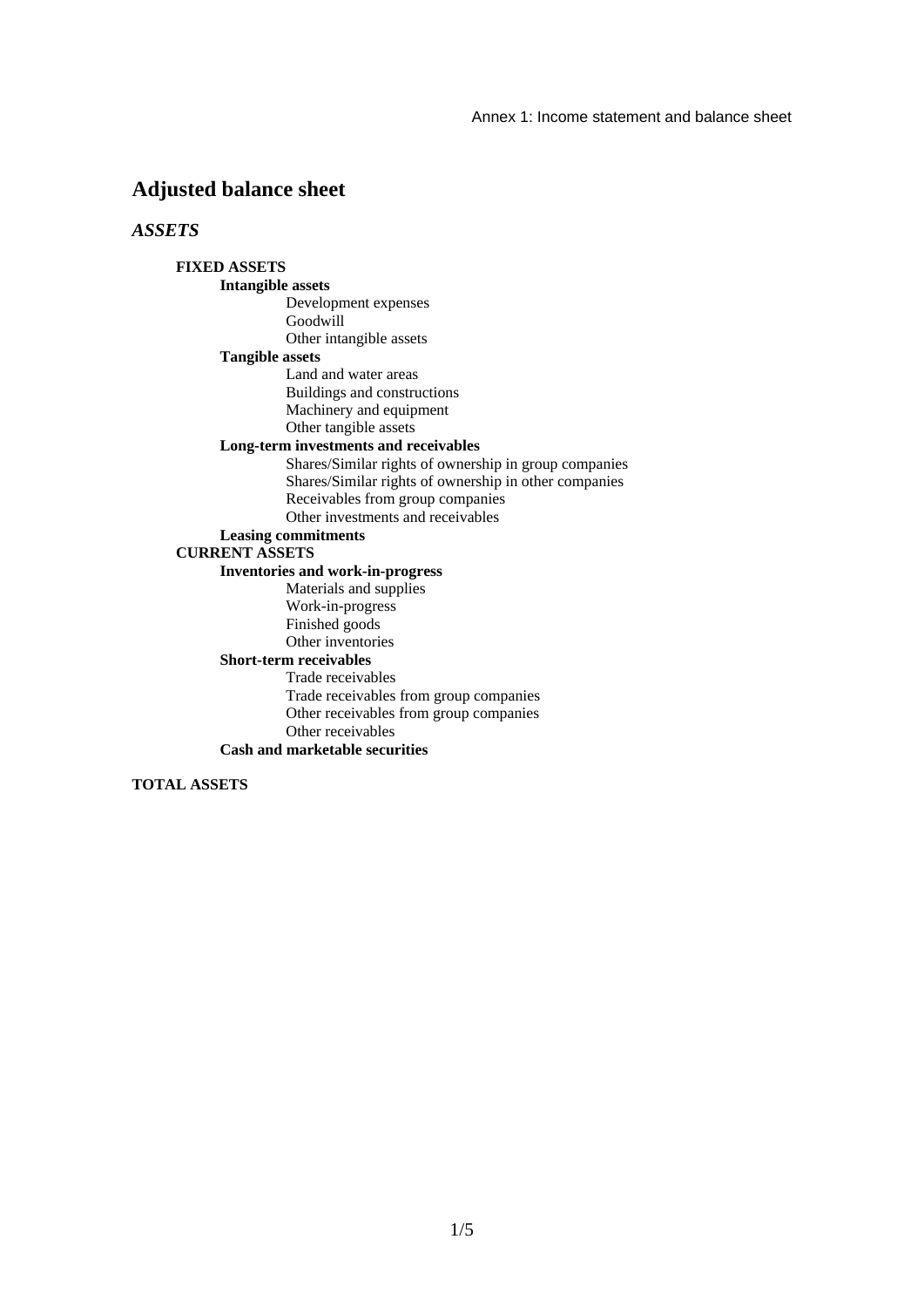## **Adjusted balance sheet**

### *ASSETS*

#### **FIXED ASSETS Intangible assets**  Development expenses Goodwill Other intangible assets  **Tangible assets**  Land and water areas Buildings and constructions Machinery and equipment Other tangible assets  **Long-term investments and receivables**  Shares/Similar rights of ownership in group companies Shares/Similar rights of ownership in other companies Receivables from group companies Other investments and receivables  **Leasing commitments CURRENT ASSETS Inventories and work-in-progress**  Materials and supplies Work-in-progress Finished goods Other inventories  **Short-term receivables**  Trade receivables Trade receivables from group companies Other receivables from group companies Other receivables  **Cash and marketable securities**

#### **TOTAL ASSETS**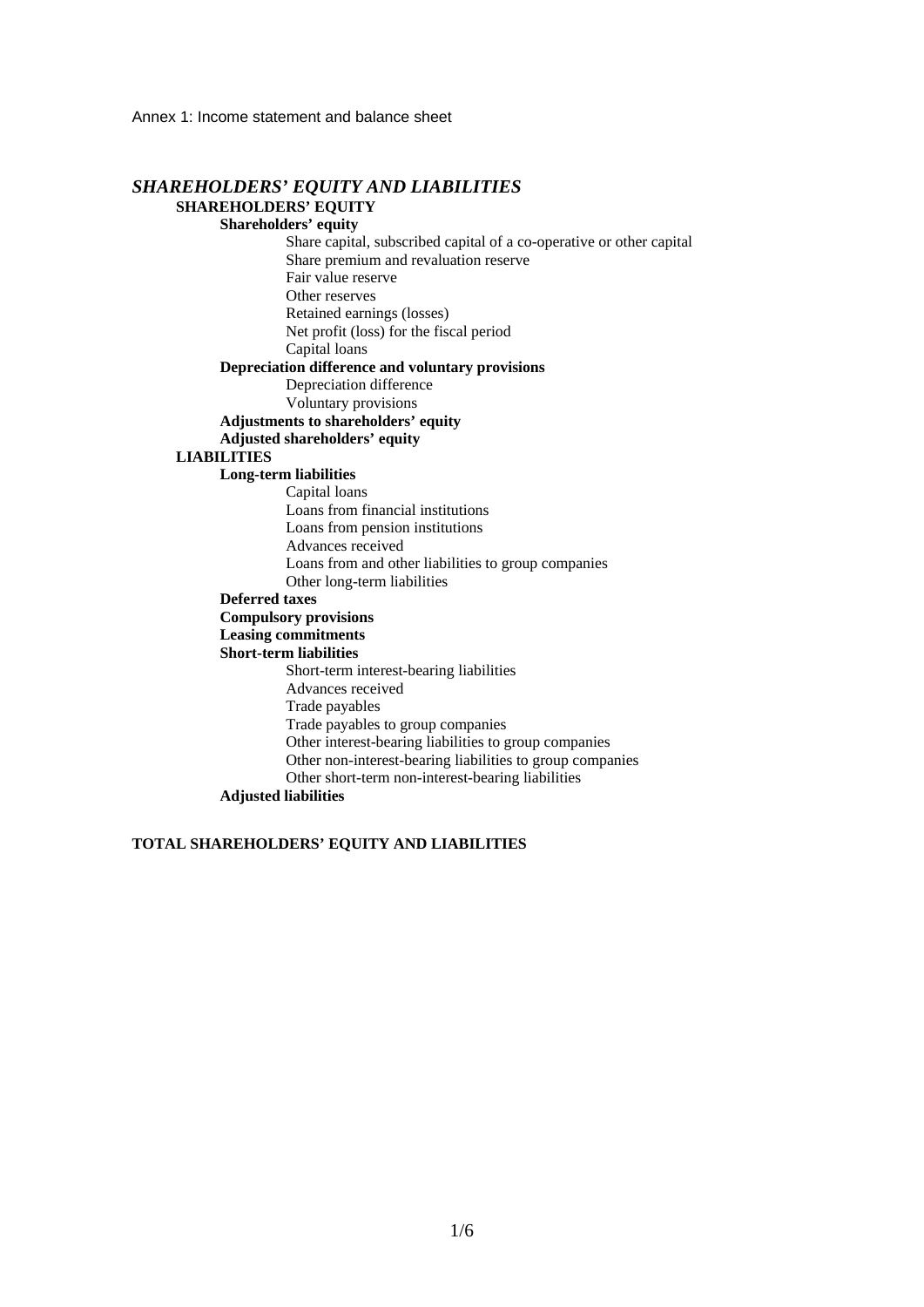Annex 1: Income statement and balance sheet

#### *SHAREHOLDERS' EQUITY AND LIABILITIES*  **SHAREHOLDERS' EQUITY Shareholders' equity**

 Share capital, subscribed capital of a co-operative or other capital Share premium and revaluation reserve Fair value reserve Other reserves Retained earnings (losses) Net profit (loss) for the fiscal period Capital loans  **Depreciation difference and voluntary provisions**  Depreciation difference Voluntary provisions  **Adjustments to shareholders' equity Adjusted shareholders' equity LIABILITIES Long-term liabilities**  Capital loans Loans from financial institutions Loans from pension institutions Advances received Loans from and other liabilities to group companies Other long-term liabilities  **Deferred taxes Compulsory provisions Leasing commitments Short-term liabilities**  Short-term interest-bearing liabilities Advances received Trade payables Trade payables to group companies Other interest-bearing liabilities to group companies Other non-interest-bearing liabilities to group companies Other short-term non-interest-bearing liabilities  **Adjusted liabilities** 

### **TOTAL SHAREHOLDERS' EQUITY AND LIABILITIES**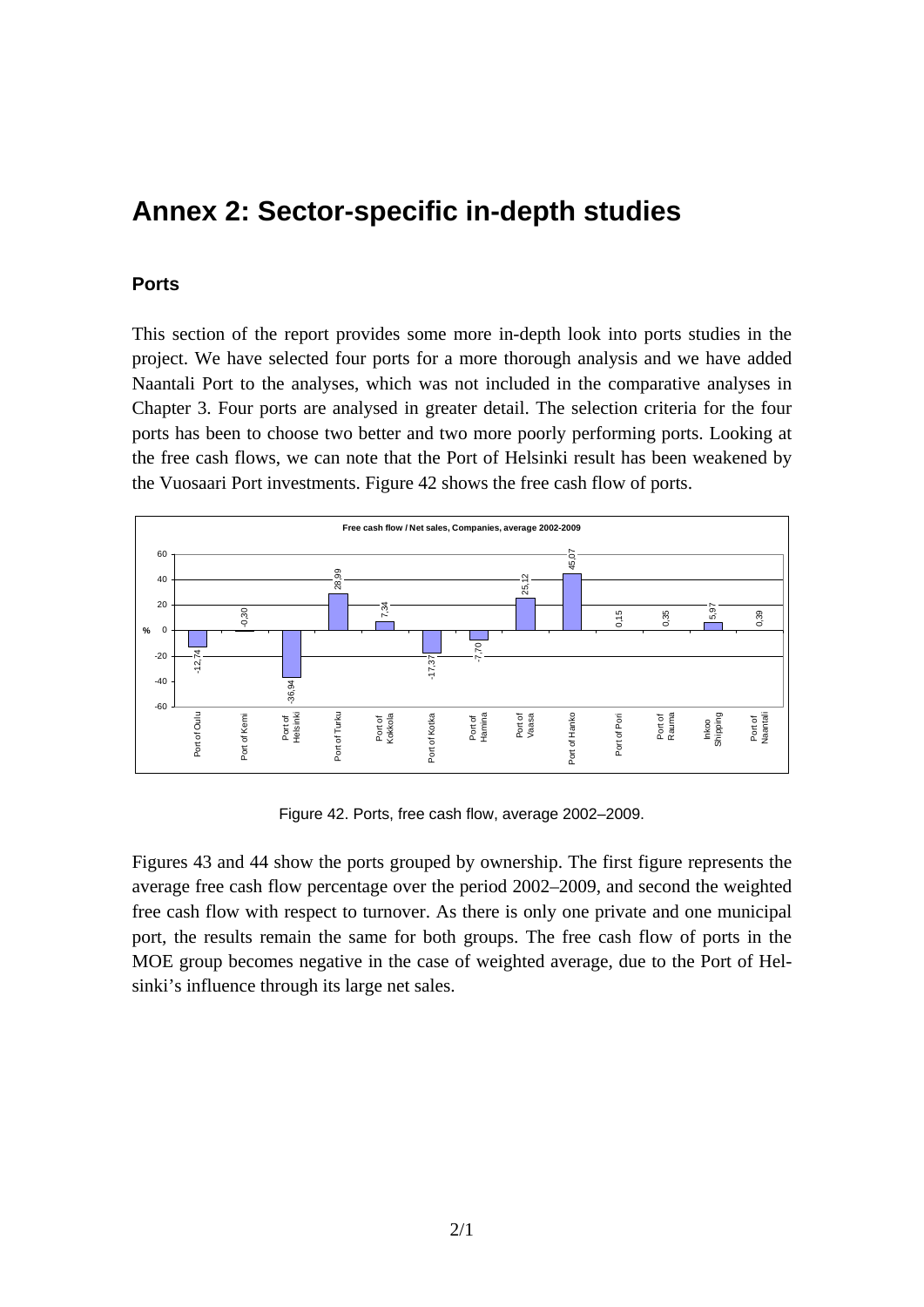# **Annex 2: Sector-specific in-depth studies**

## **Ports**

This section of the report provides some more in-depth look into ports studies in the project. We have selected four ports for a more thorough analysis and we have added Naantali Port to the analyses, which was not included in the comparative analyses in Chapter 3. Four ports are analysed in greater detail. The selection criteria for the four ports has been to choose two better and two more poorly performing ports. Looking at the free cash flows, we can note that the Port of Helsinki result has been weakened by the Vuosaari Port investments. Figure 42 shows the free cash flow of ports.



Figure 42. Ports, free cash flow, average 2002–2009.

Figures 43 and 44 show the ports grouped by ownership. The first figure represents the average free cash flow percentage over the period 2002–2009, and second the weighted free cash flow with respect to turnover. As there is only one private and one municipal port, the results remain the same for both groups. The free cash flow of ports in the MOE group becomes negative in the case of weighted average, due to the Port of Helsinki's influence through its large net sales.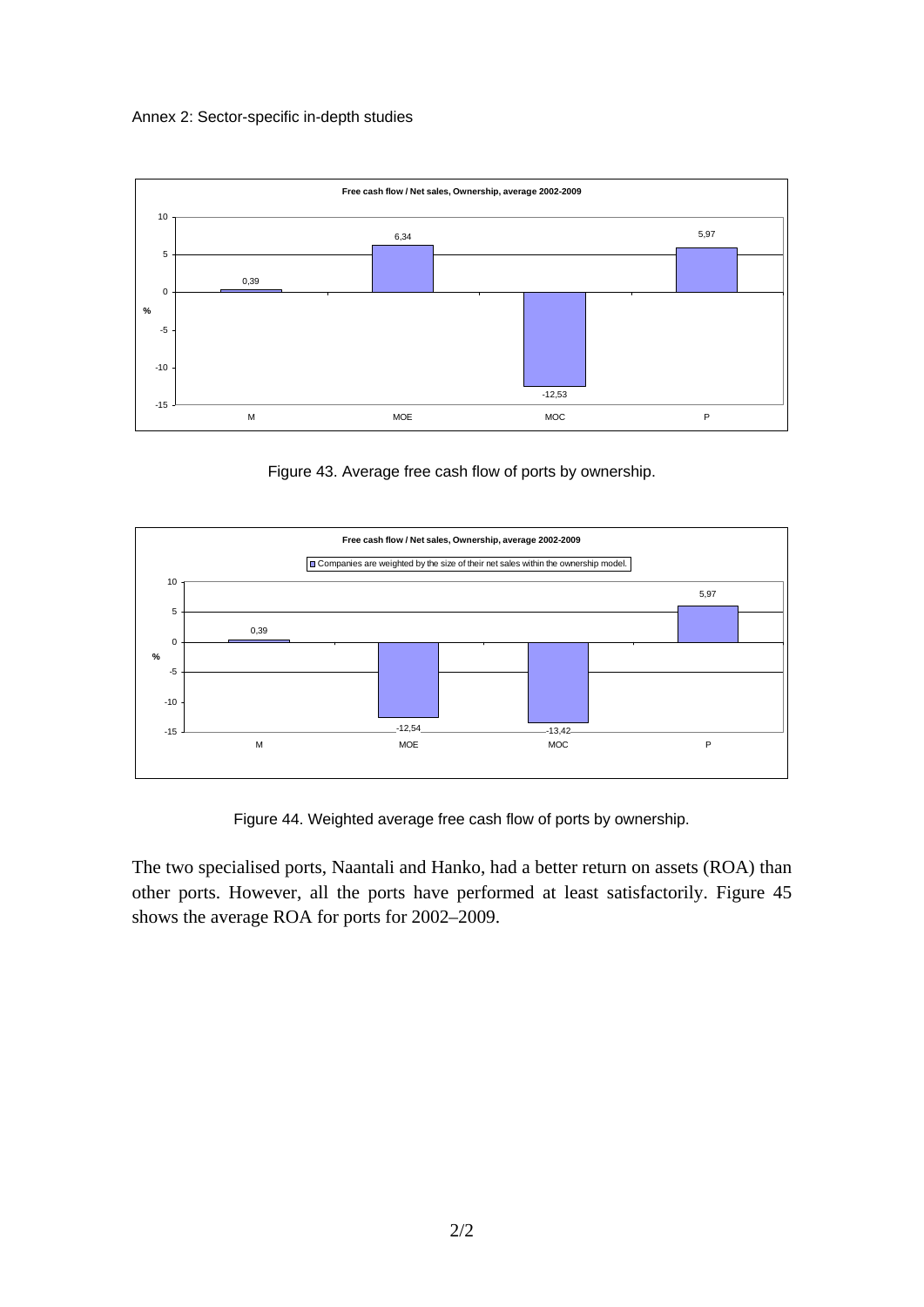



Figure 43. Average free cash flow of ports by ownership.



Figure 44. Weighted average free cash flow of ports by ownership.

The two specialised ports, Naantali and Hanko, had a better return on assets (ROA) than other ports. However, all the ports have performed at least satisfactorily. Figure 45 shows the average ROA for ports for 2002–2009.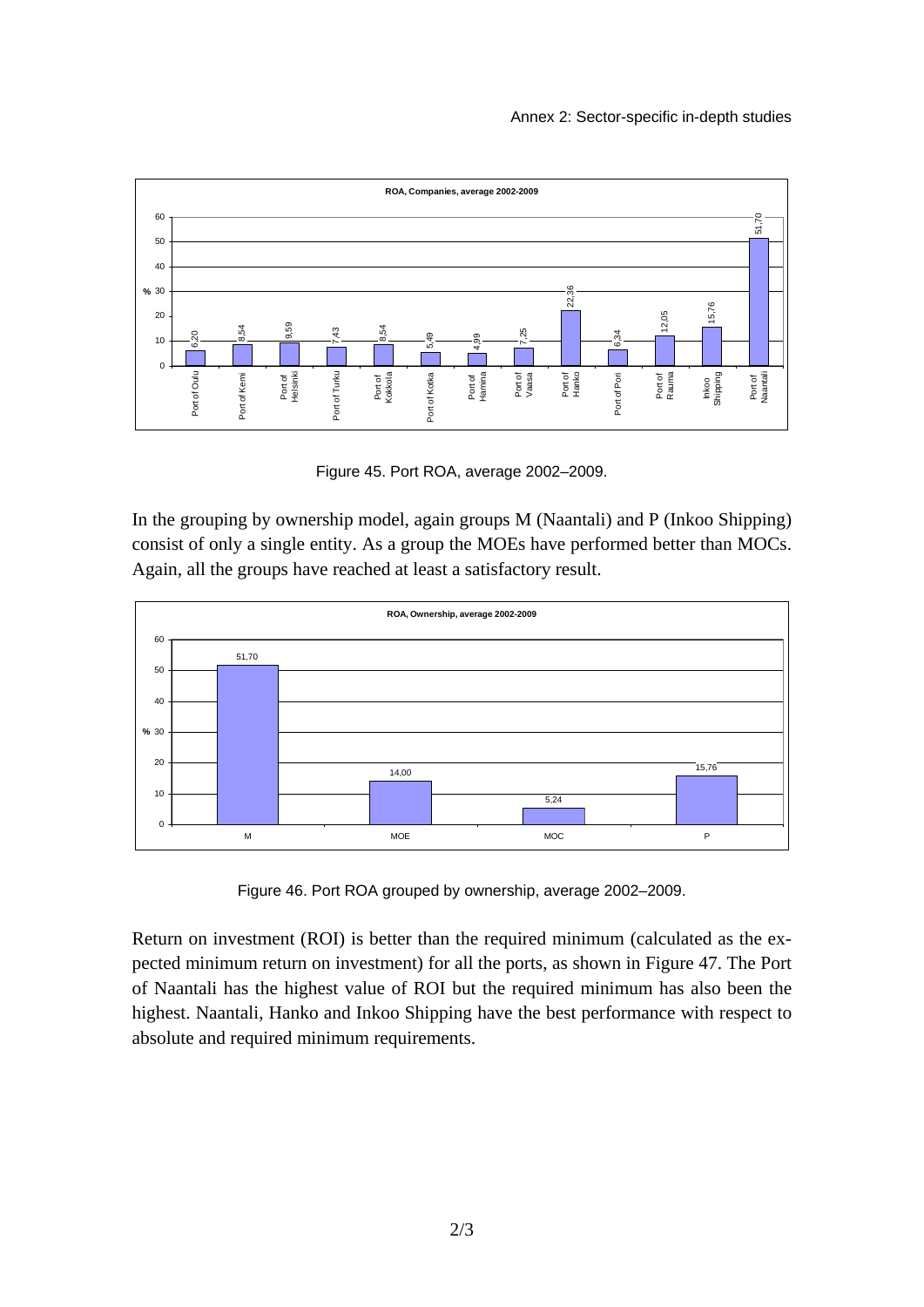

Figure 45. Port ROA, average 2002–2009.

In the grouping by ownership model, again groups M (Naantali) and P (Inkoo Shipping) consist of only a single entity. As a group the MOEs have performed better than MOCs. Again, all the groups have reached at least a satisfactory result.



Figure 46. Port ROA grouped by ownership, average 2002–2009.

Return on investment (ROI) is better than the required minimum (calculated as the expected minimum return on investment) for all the ports, as shown in Figure 47. The Port of Naantali has the highest value of ROI but the required minimum has also been the highest. Naantali, Hanko and Inkoo Shipping have the best performance with respect to absolute and required minimum requirements.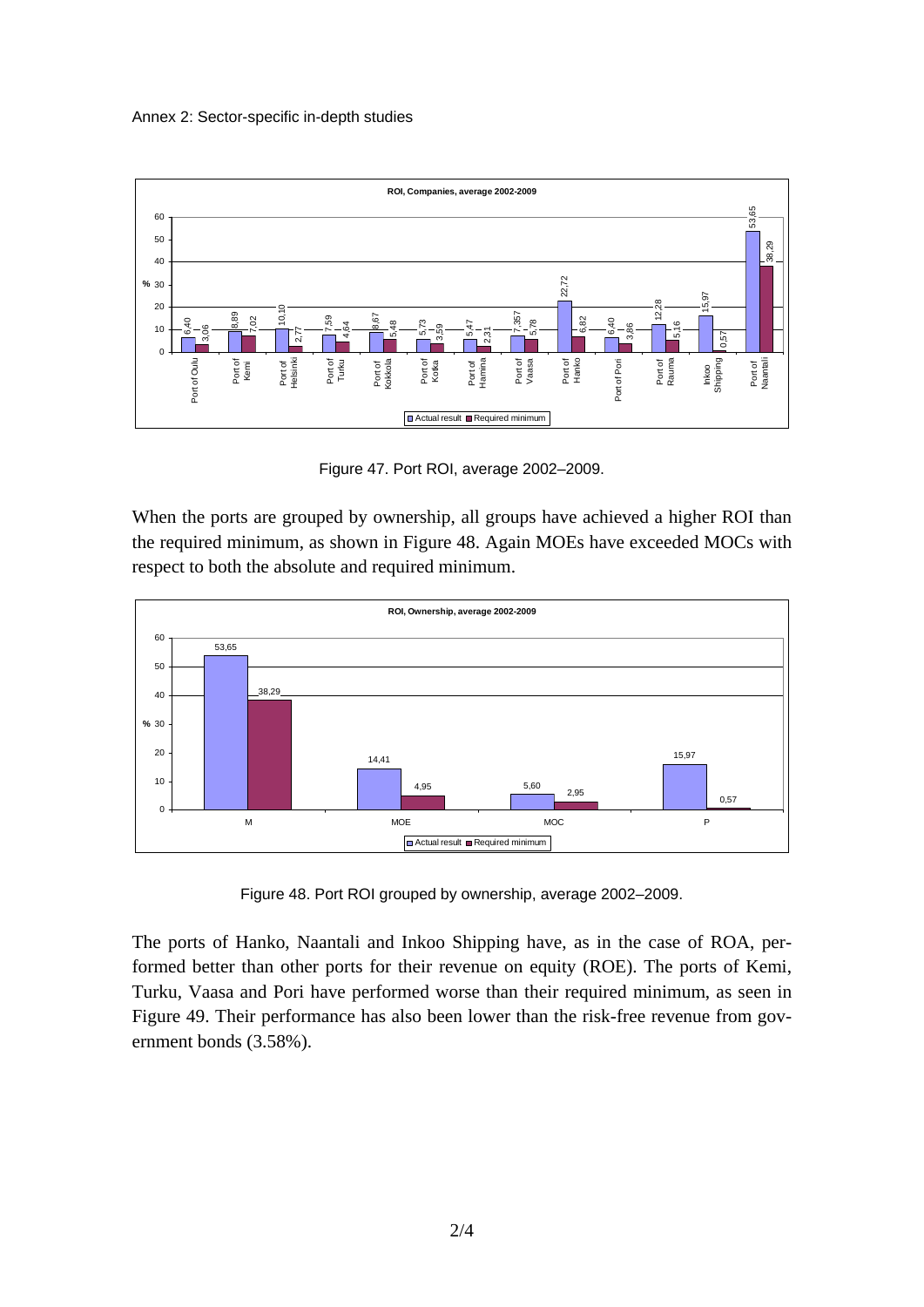Annex 2: Sector-specific in-depth studies



Figure 47. Port ROI, average 2002–2009.

When the ports are grouped by ownership, all groups have achieved a higher ROI than the required minimum, as shown in Figure 48. Again MOEs have exceeded MOCs with respect to both the absolute and required minimum.



Figure 48. Port ROI grouped by ownership, average 2002–2009.

The ports of Hanko, Naantali and Inkoo Shipping have, as in the case of ROA, performed better than other ports for their revenue on equity (ROE). The ports of Kemi, Turku, Vaasa and Pori have performed worse than their required minimum, as seen in Figure 49. Their performance has also been lower than the risk-free revenue from government bonds (3.58%).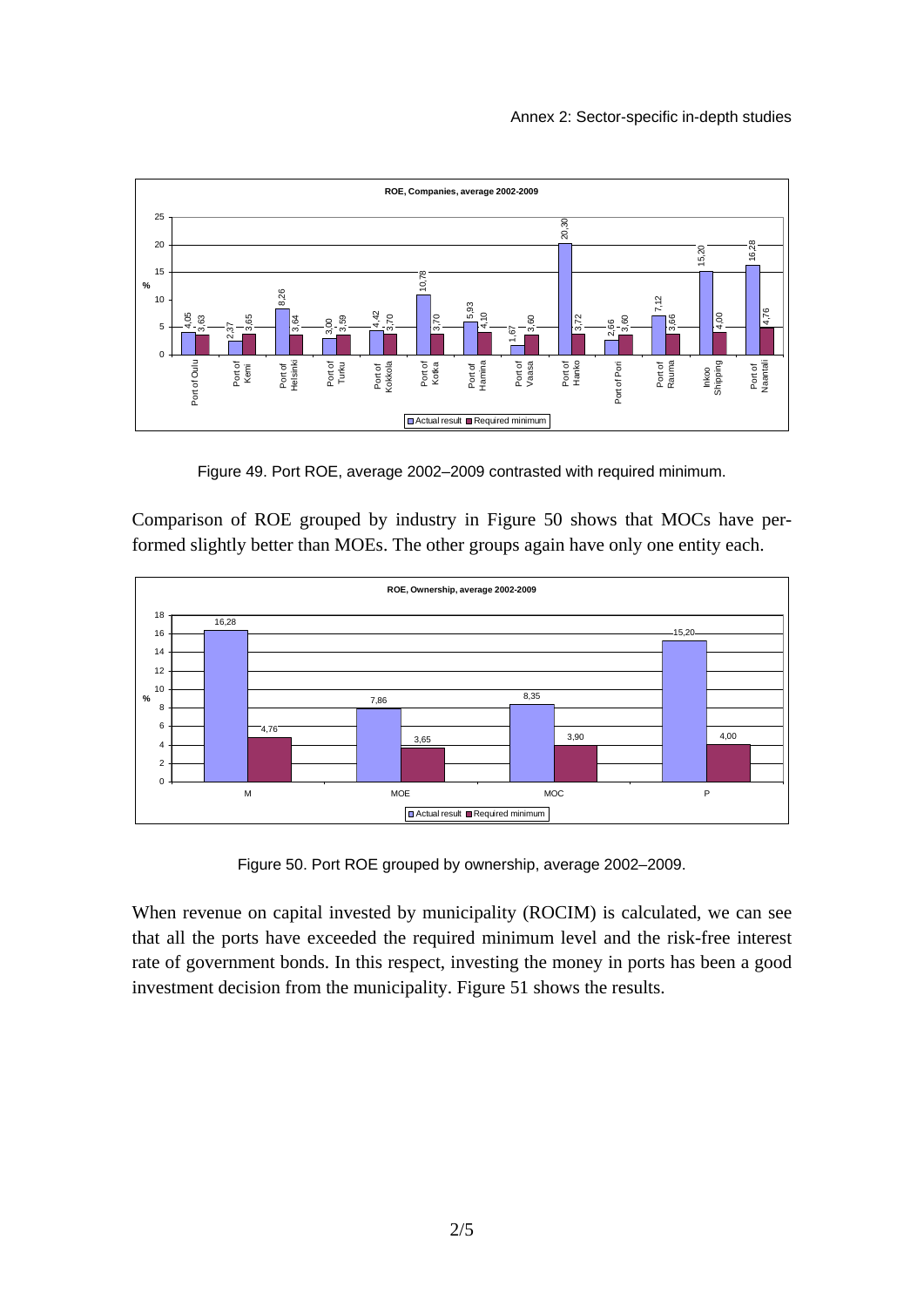

Figure 49. Port ROE, average 2002–2009 contrasted with required minimum.

Comparison of ROE grouped by industry in Figure 50 shows that MOCs have performed slightly better than MOEs. The other groups again have only one entity each.



Figure 50. Port ROE grouped by ownership, average 2002–2009.

When revenue on capital invested by municipality (ROCIM) is calculated, we can see that all the ports have exceeded the required minimum level and the risk-free interest rate of government bonds. In this respect, investing the money in ports has been a good investment decision from the municipality. Figure 51 shows the results.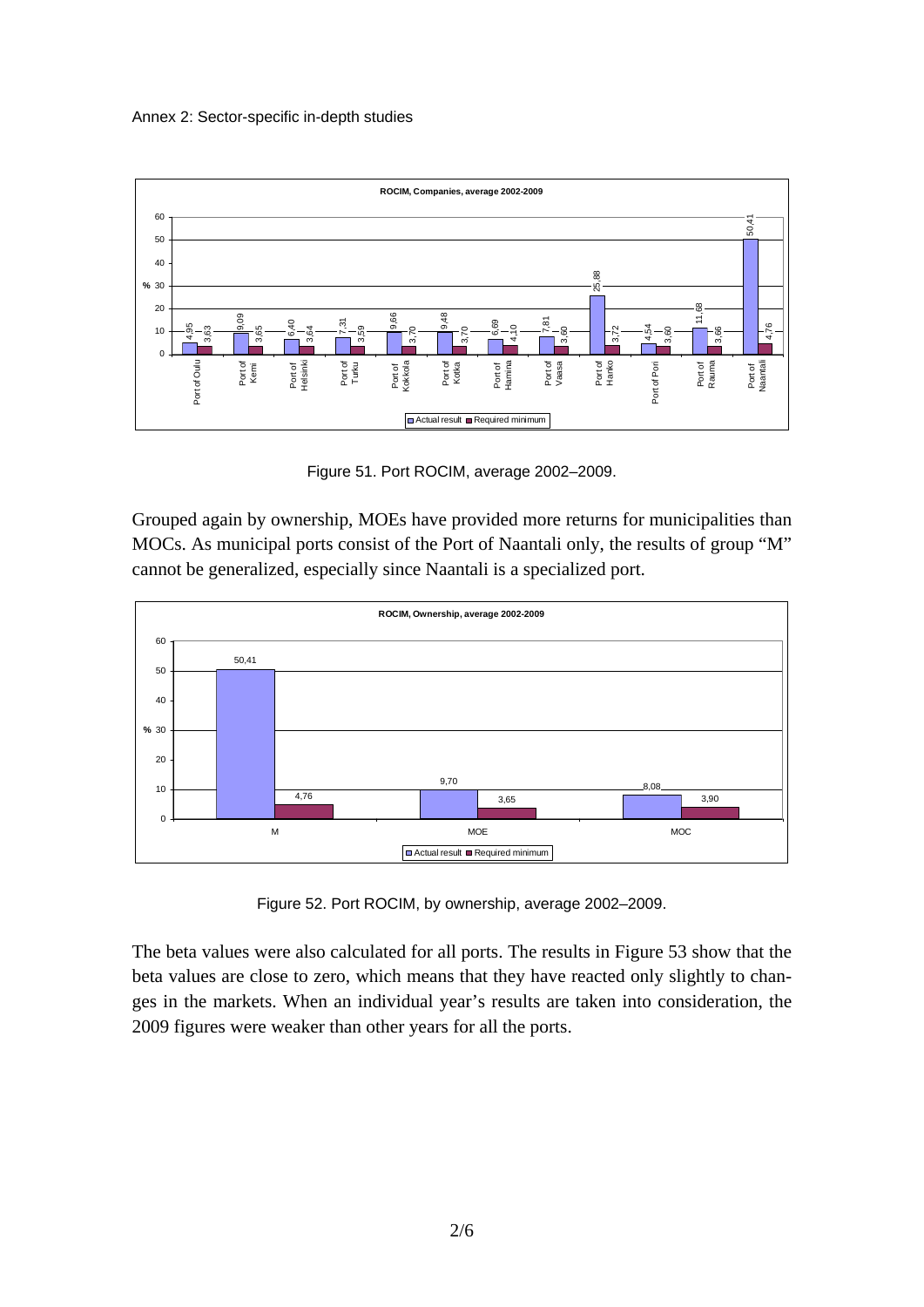Annex 2: Sector-specific in-depth studies



Figure 51. Port ROCIM, average 2002–2009.

Grouped again by ownership, MOEs have provided more returns for municipalities than MOCs. As municipal ports consist of the Port of Naantali only, the results of group "M" cannot be generalized, especially since Naantali is a specialized port.



Figure 52. Port ROCIM, by ownership, average 2002–2009.

The beta values were also calculated for all ports. The results in Figure 53 show that the beta values are close to zero, which means that they have reacted only slightly to changes in the markets. When an individual year's results are taken into consideration, the 2009 figures were weaker than other years for all the ports.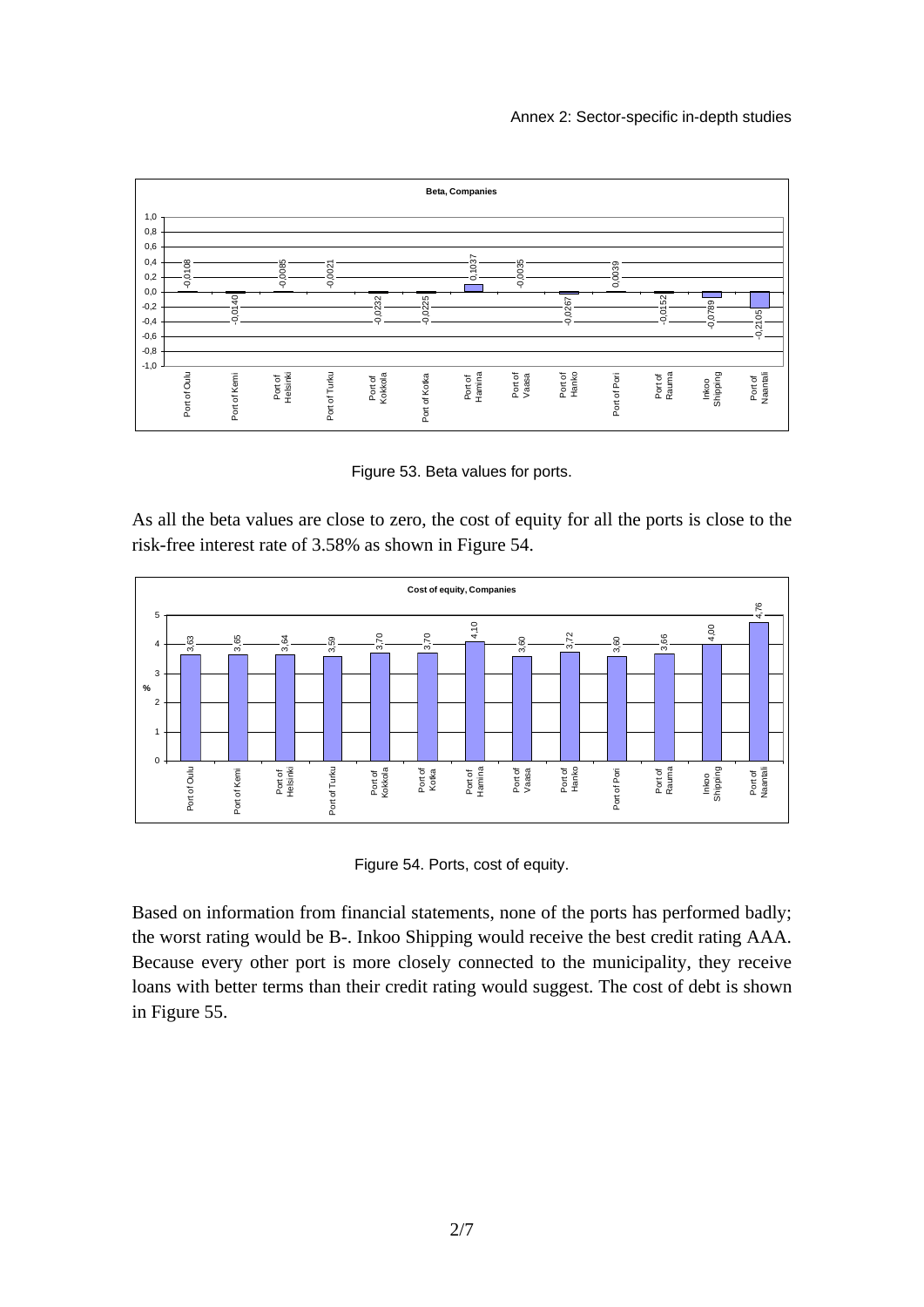

Figure 53. Beta values for ports.

As all the beta values are close to zero, the cost of equity for all the ports is close to the risk-free interest rate of 3.58% as shown in Figure 54.



Figure 54. Ports, cost of equity.

Based on information from financial statements, none of the ports has performed badly; the worst rating would be B-. Inkoo Shipping would receive the best credit rating AAA. Because every other port is more closely connected to the municipality, they receive loans with better terms than their credit rating would suggest. The cost of debt is shown in Figure 55.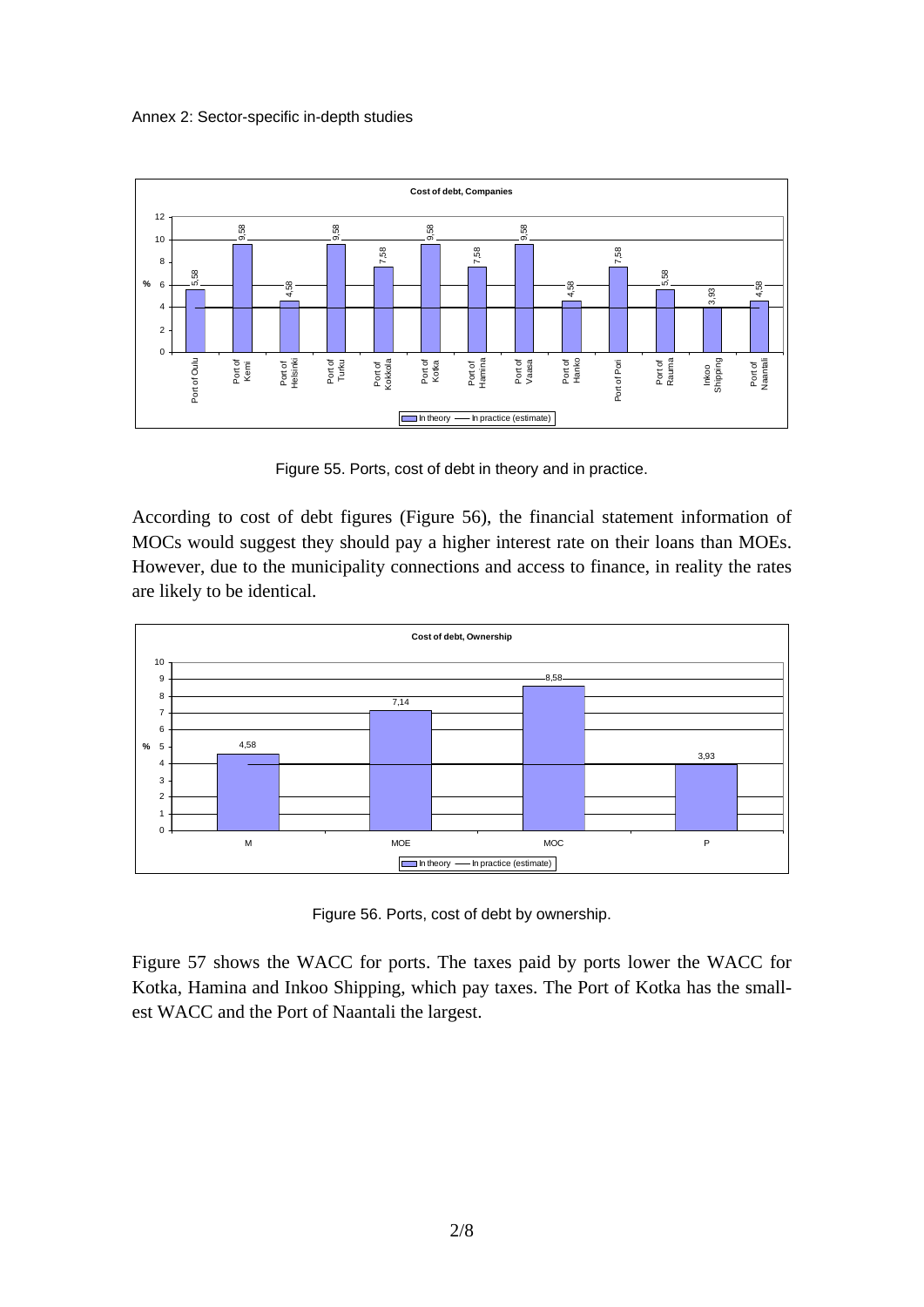Annex 2: Sector-specific in-depth studies



Figure 55. Ports, cost of debt in theory and in practice.

According to cost of debt figures (Figure 56), the financial statement information of MOCs would suggest they should pay a higher interest rate on their loans than MOEs. However, due to the municipality connections and access to finance, in reality the rates are likely to be identical.



Figure 56. Ports, cost of debt by ownership.

Figure 57 shows the WACC for ports. The taxes paid by ports lower the WACC for Kotka, Hamina and Inkoo Shipping, which pay taxes. The Port of Kotka has the smallest WACC and the Port of Naantali the largest.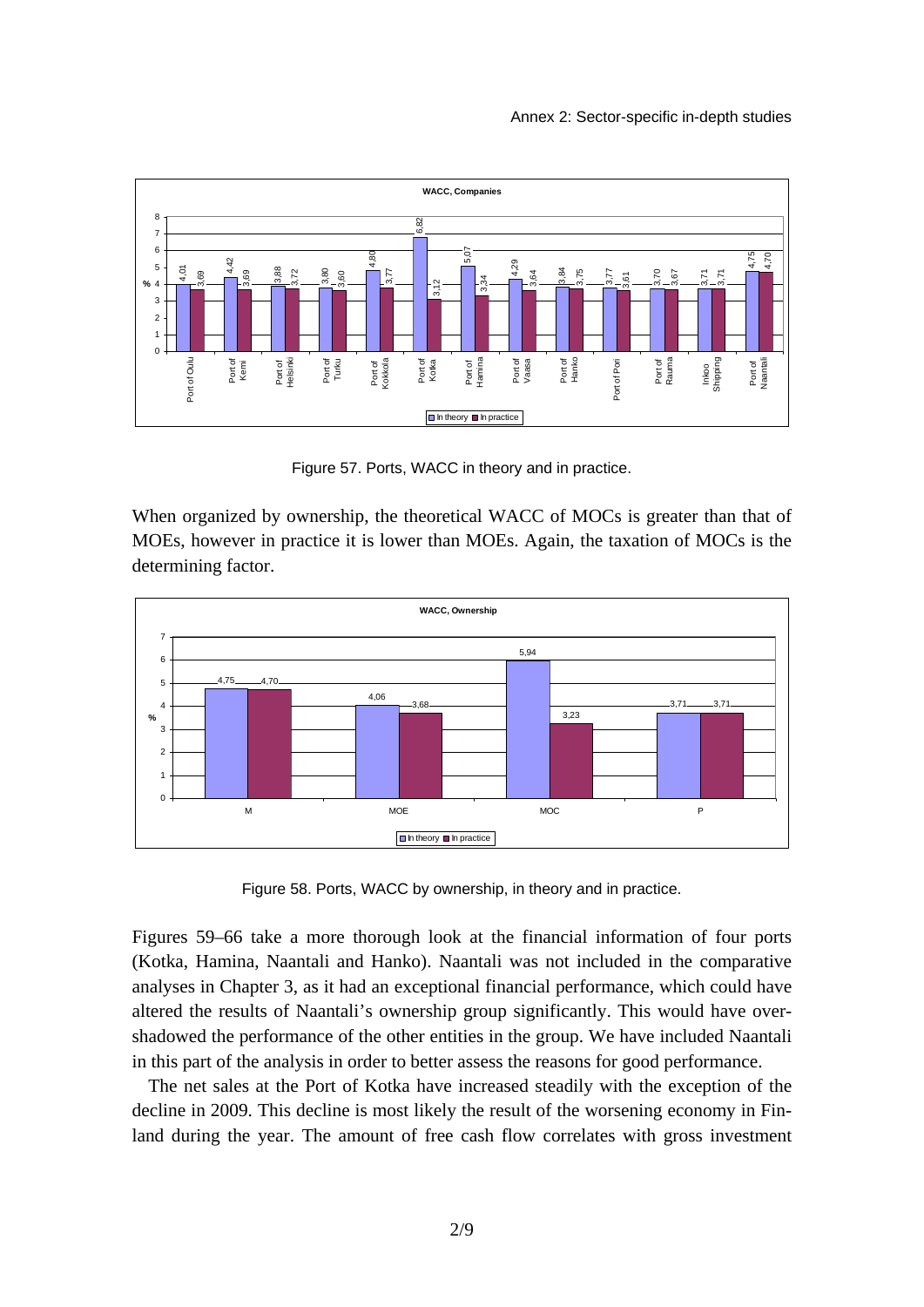

Figure 57. Ports, WACC in theory and in practice.

When organized by ownership, the theoretical WACC of MOCs is greater than that of MOEs, however in practice it is lower than MOEs. Again, the taxation of MOCs is the determining factor.



Figure 58. Ports, WACC by ownership, in theory and in practice.

Figures 59–66 take a more thorough look at the financial information of four ports (Kotka, Hamina, Naantali and Hanko). Naantali was not included in the comparative analyses in Chapter 3, as it had an exceptional financial performance, which could have altered the results of Naantali's ownership group significantly. This would have overshadowed the performance of the other entities in the group. We have included Naantali in this part of the analysis in order to better assess the reasons for good performance.

The net sales at the Port of Kotka have increased steadily with the exception of the decline in 2009. This decline is most likely the result of the worsening economy in Finland during the year. The amount of free cash flow correlates with gross investment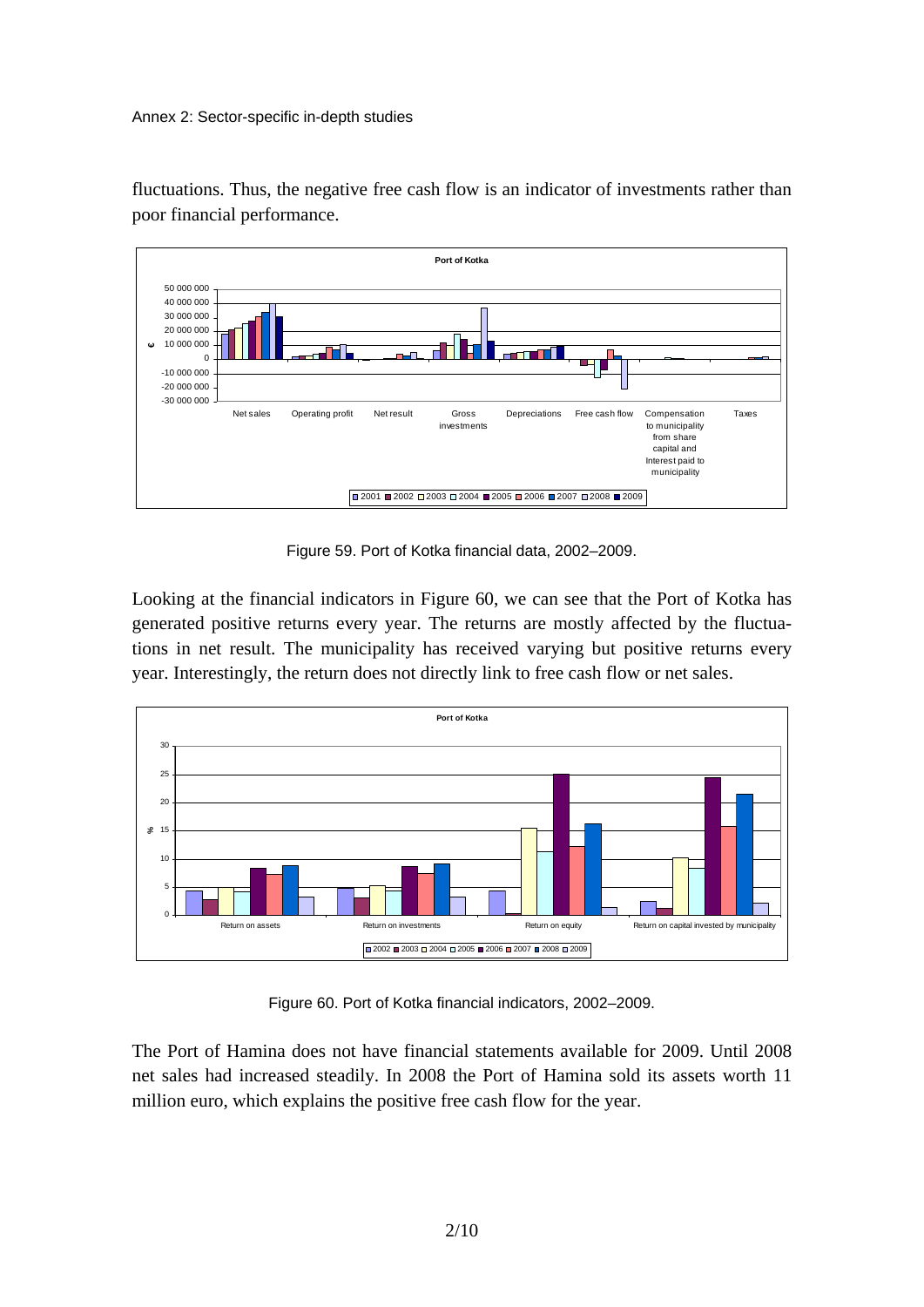fluctuations. Thus, the negative free cash flow is an indicator of investments rather than poor financial performance.



Figure 59. Port of Kotka financial data, 2002–2009.

Looking at the financial indicators in Figure 60, we can see that the Port of Kotka has generated positive returns every year. The returns are mostly affected by the fluctuations in net result. The municipality has received varying but positive returns every year. Interestingly, the return does not directly link to free cash flow or net sales.



Figure 60. Port of Kotka financial indicators, 2002–2009.

The Port of Hamina does not have financial statements available for 2009. Until 2008 net sales had increased steadily. In 2008 the Port of Hamina sold its assets worth 11 million euro, which explains the positive free cash flow for the year.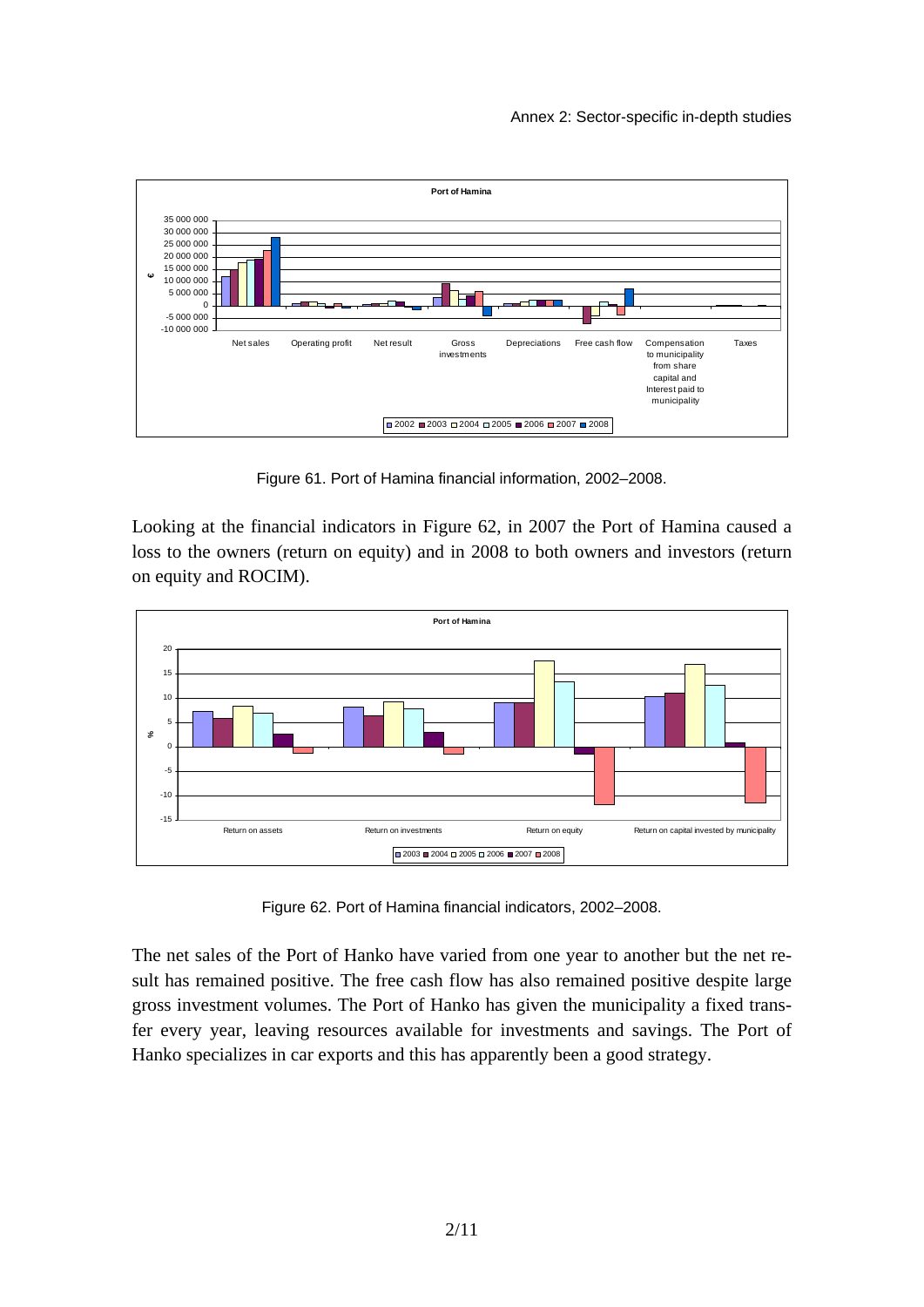

Figure 61. Port of Hamina financial information, 2002–2008.

Looking at the financial indicators in Figure 62, in 2007 the Port of Hamina caused a loss to the owners (return on equity) and in 2008 to both owners and investors (return on equity and ROCIM).



Figure 62. Port of Hamina financial indicators, 2002–2008.

The net sales of the Port of Hanko have varied from one year to another but the net result has remained positive. The free cash flow has also remained positive despite large gross investment volumes. The Port of Hanko has given the municipality a fixed transfer every year, leaving resources available for investments and savings. The Port of Hanko specializes in car exports and this has apparently been a good strategy.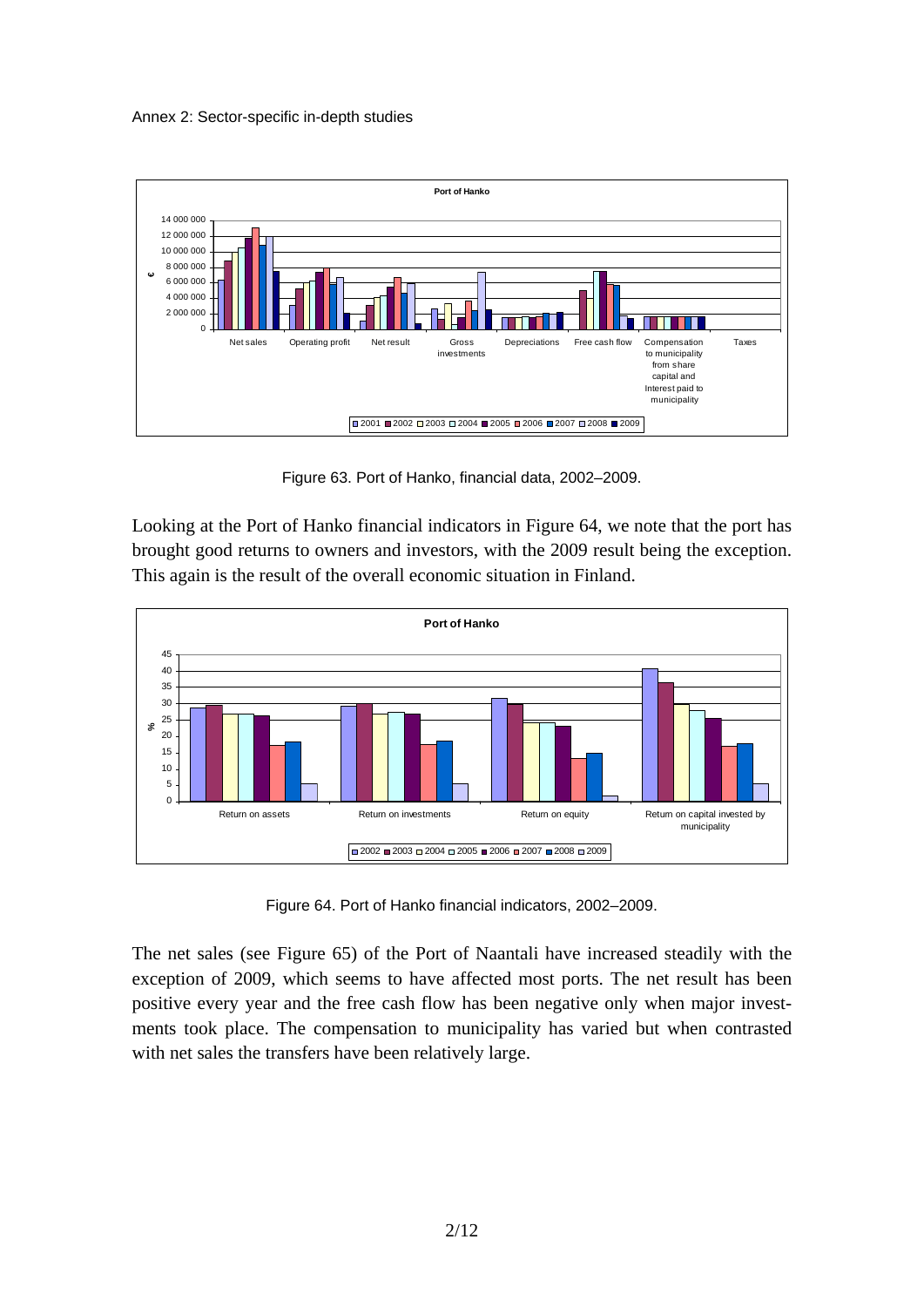Annex 2: Sector-specific in-depth studies



Figure 63. Port of Hanko, financial data, 2002–2009.

Looking at the Port of Hanko financial indicators in Figure 64, we note that the port has brought good returns to owners and investors, with the 2009 result being the exception. This again is the result of the overall economic situation in Finland.



Figure 64. Port of Hanko financial indicators, 2002–2009.

The net sales (see Figure 65) of the Port of Naantali have increased steadily with the exception of 2009, which seems to have affected most ports. The net result has been positive every year and the free cash flow has been negative only when major investments took place. The compensation to municipality has varied but when contrasted with net sales the transfers have been relatively large.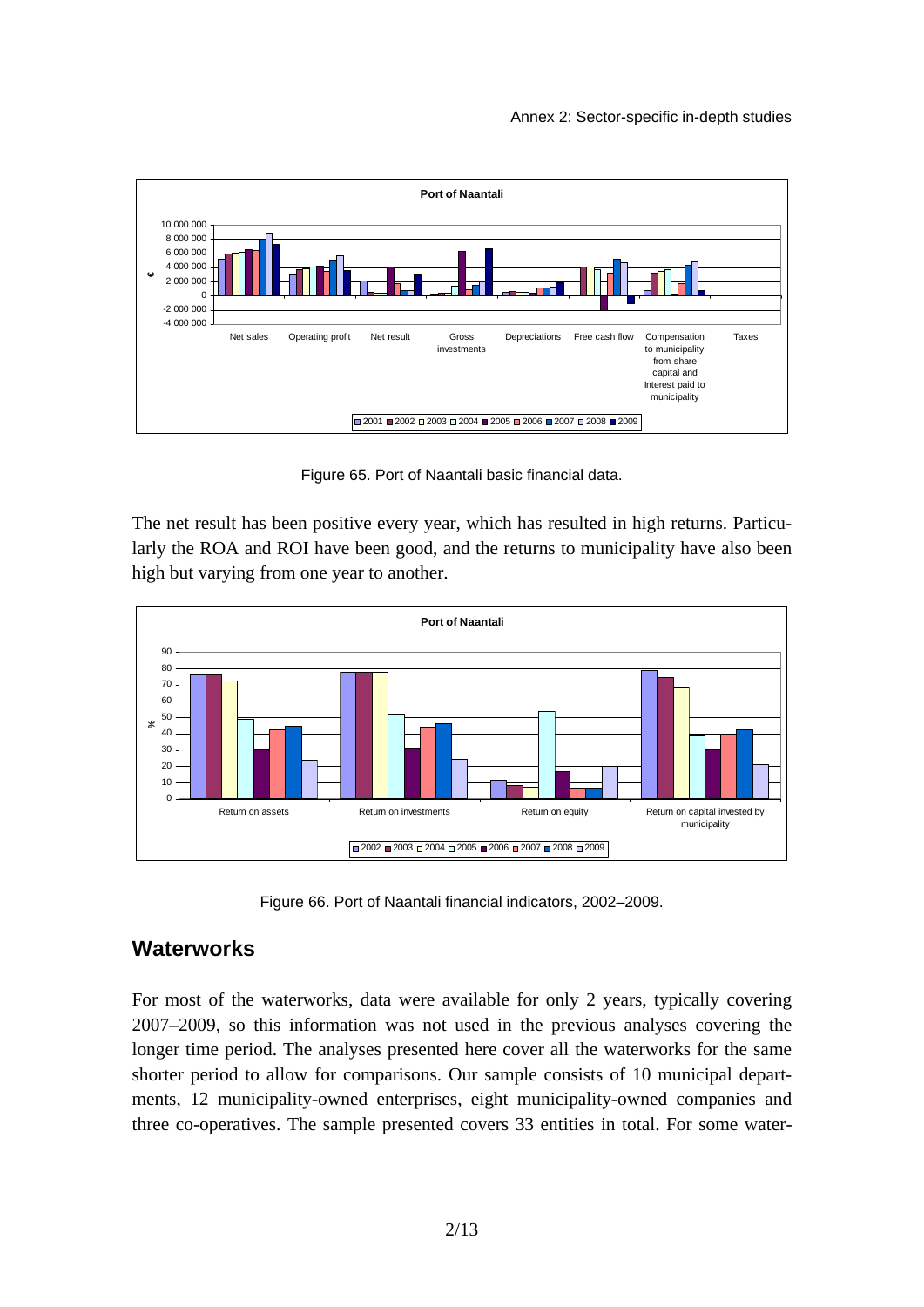

Figure 65. Port of Naantali basic financial data.

The net result has been positive every year, which has resulted in high returns. Particularly the ROA and ROI have been good, and the returns to municipality have also been high but varying from one year to another.



Figure 66. Port of Naantali financial indicators, 2002–2009.

#### **Waterworks**

For most of the waterworks, data were available for only 2 years, typically covering 2007–2009, so this information was not used in the previous analyses covering the longer time period. The analyses presented here cover all the waterworks for the same shorter period to allow for comparisons. Our sample consists of 10 municipal departments, 12 municipality-owned enterprises, eight municipality-owned companies and three co-operatives. The sample presented covers 33 entities in total. For some water-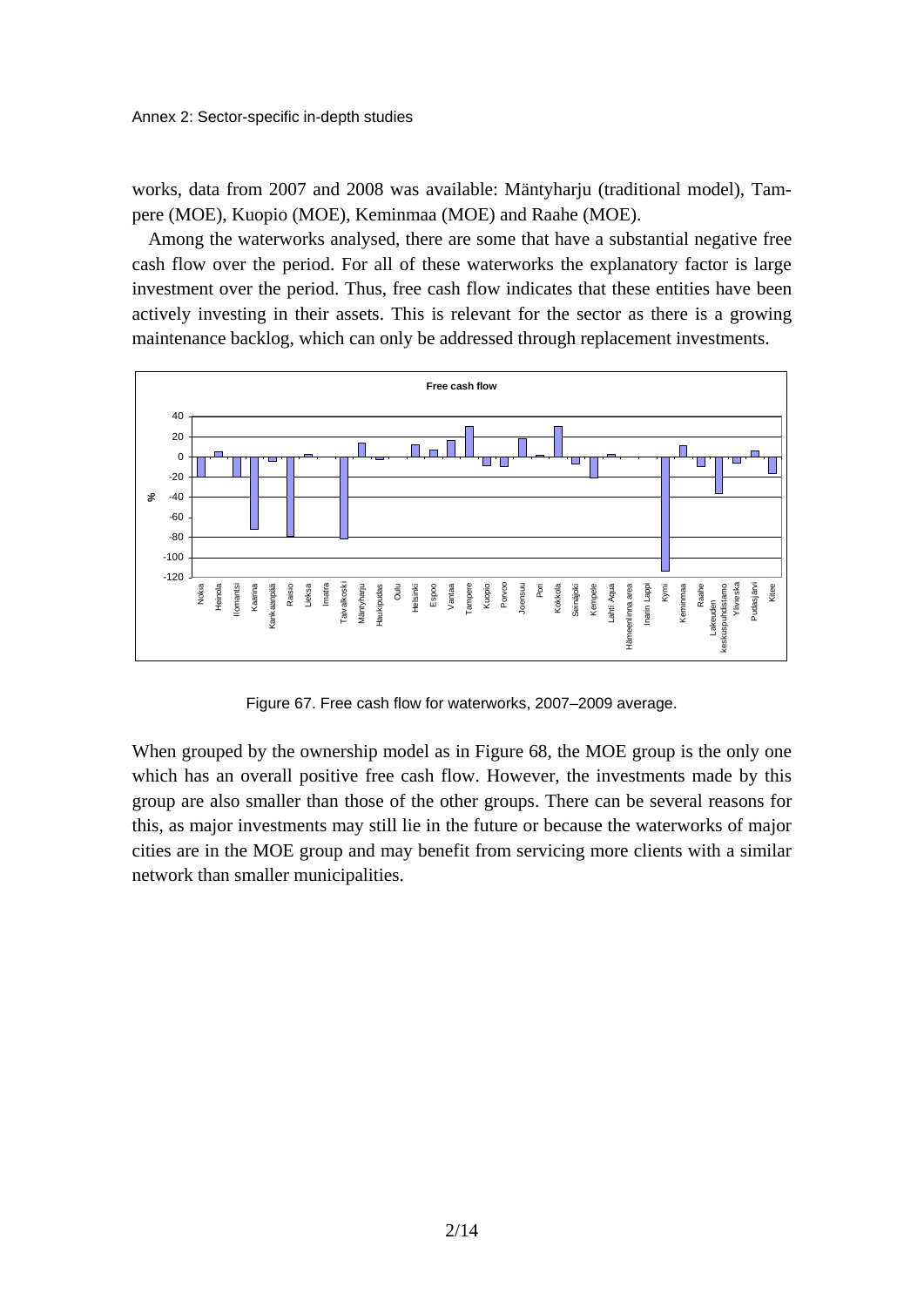works, data from 2007 and 2008 was available: Mäntyharju (traditional model), Tampere (MOE), Kuopio (MOE), Keminmaa (MOE) and Raahe (MOE).

Among the waterworks analysed, there are some that have a substantial negative free cash flow over the period. For all of these waterworks the explanatory factor is large investment over the period. Thus, free cash flow indicates that these entities have been actively investing in their assets. This is relevant for the sector as there is a growing maintenance backlog, which can only be addressed through replacement investments.



Figure 67. Free cash flow for waterworks, 2007–2009 average.

When grouped by the ownership model as in Figure 68, the MOE group is the only one which has an overall positive free cash flow. However, the investments made by this group are also smaller than those of the other groups. There can be several reasons for this, as major investments may still lie in the future or because the waterworks of major cities are in the MOE group and may benefit from servicing more clients with a similar network than smaller municipalities.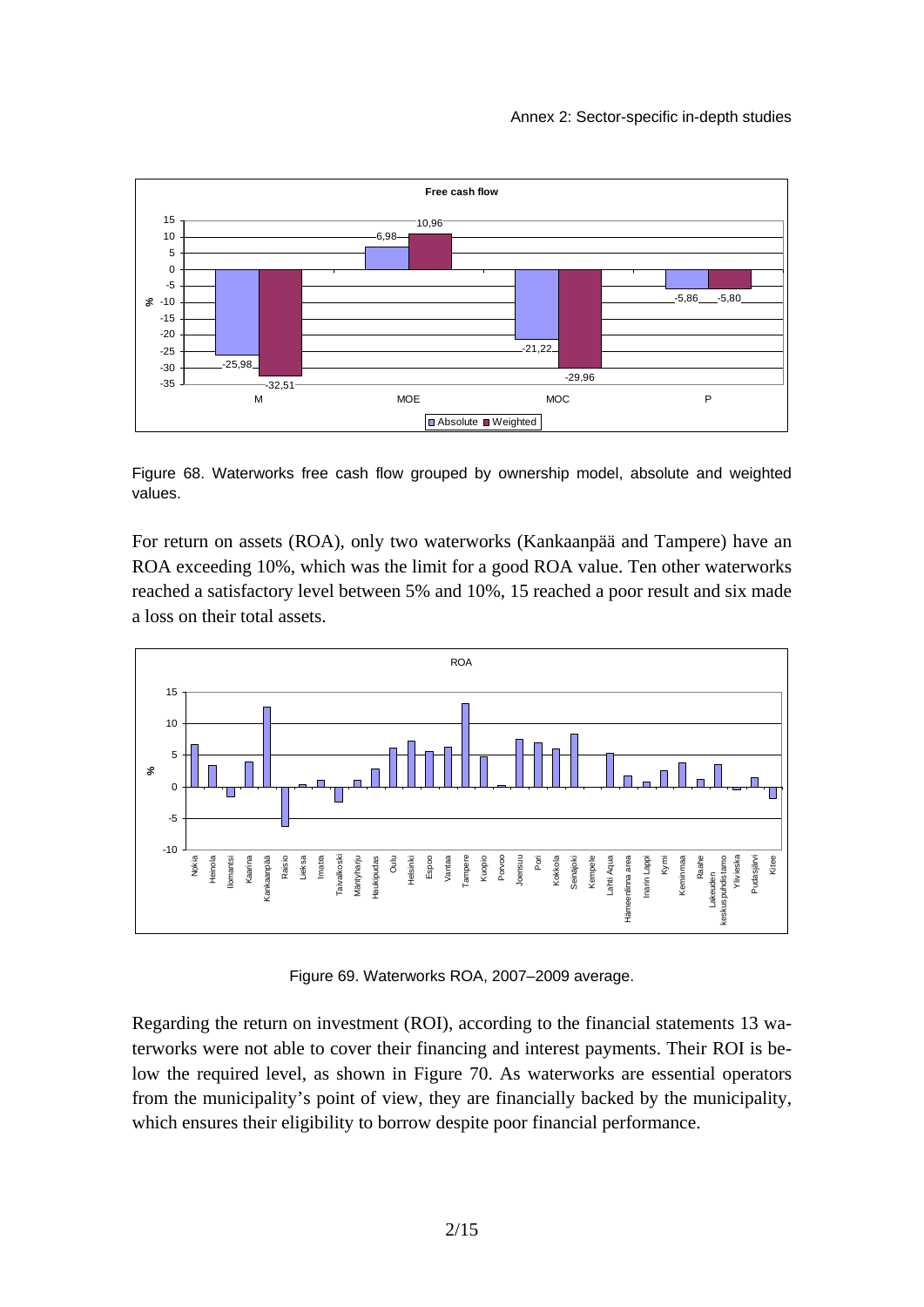

Figure 68. Waterworks free cash flow grouped by ownership model, absolute and weighted values.

For return on assets (ROA), only two waterworks (Kankaanpää and Tampere) have an ROA exceeding 10%, which was the limit for a good ROA value. Ten other waterworks reached a satisfactory level between 5% and 10%, 15 reached a poor result and six made a loss on their total assets.



Figure 69. Waterworks ROA, 2007–2009 average.

Regarding the return on investment (ROI), according to the financial statements 13 waterworks were not able to cover their financing and interest payments. Their ROI is below the required level, as shown in Figure 70. As waterworks are essential operators from the municipality's point of view, they are financially backed by the municipality, which ensures their eligibility to borrow despite poor financial performance.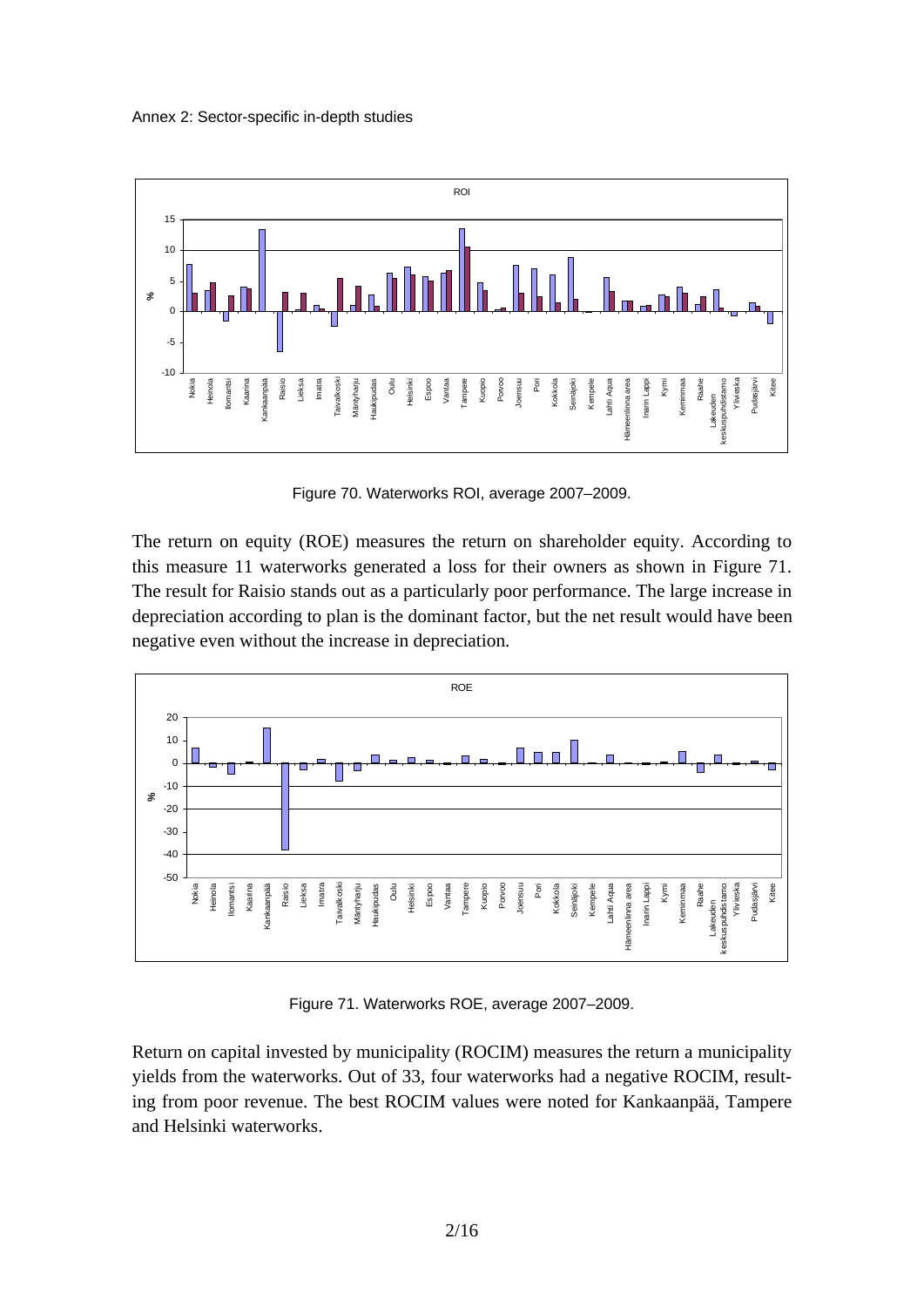Annex 2: Sector-specific in-depth studies



Figure 70. Waterworks ROI, average 2007–2009.

The return on equity (ROE) measures the return on shareholder equity. According to this measure 11 waterworks generated a loss for their owners as shown in Figure 71. The result for Raisio stands out as a particularly poor performance. The large increase in depreciation according to plan is the dominant factor, but the net result would have been negative even without the increase in depreciation.



Figure 71. Waterworks ROE, average 2007–2009.

Return on capital invested by municipality (ROCIM) measures the return a municipality yields from the waterworks. Out of 33, four waterworks had a negative ROCIM, resulting from poor revenue. The best ROCIM values were noted for Kankaanpää, Tampere and Helsinki waterworks.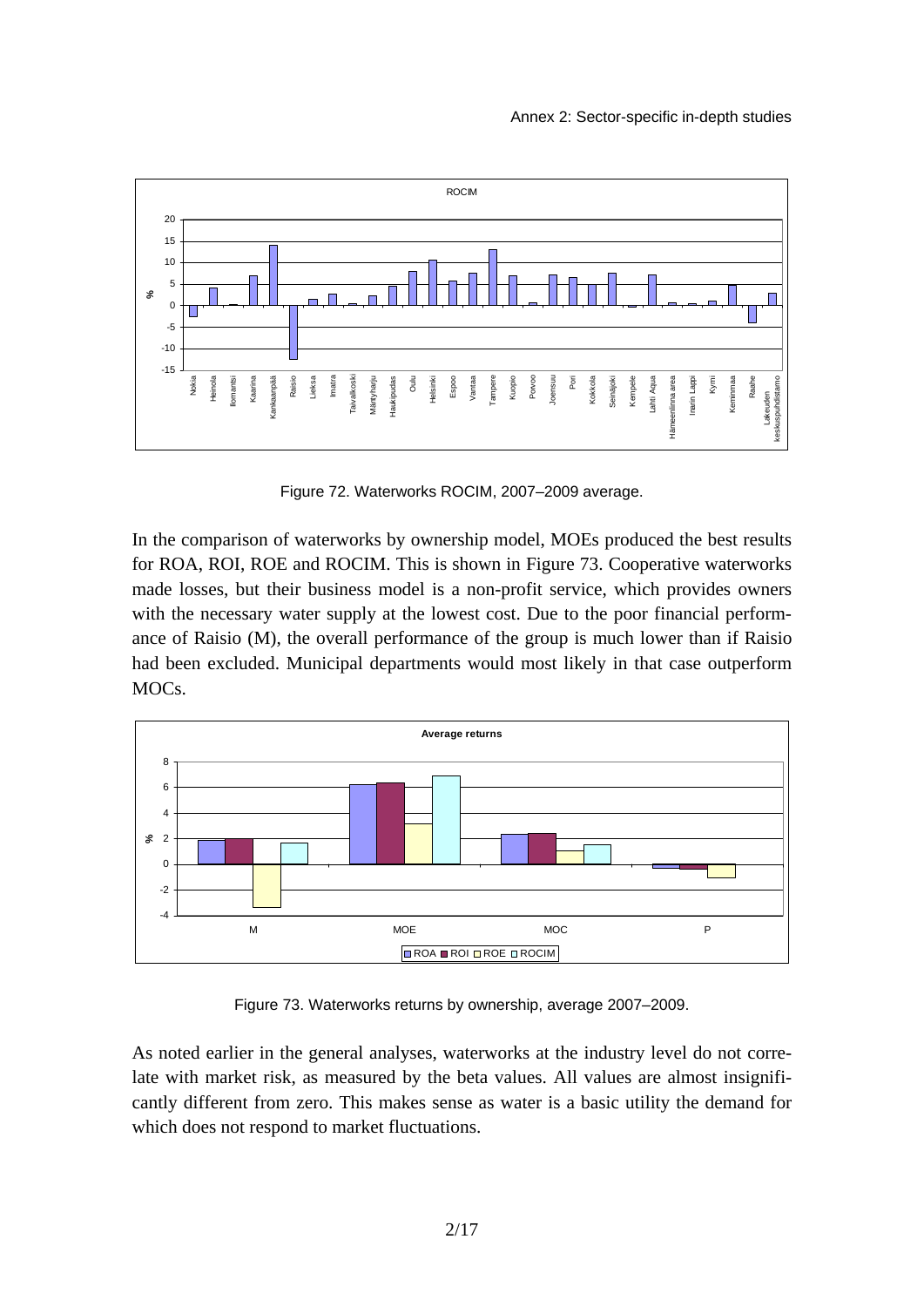

Figure 72. Waterworks ROCIM, 2007–2009 average.

In the comparison of waterworks by ownership model, MOEs produced the best results for ROA, ROI, ROE and ROCIM. This is shown in Figure 73. Cooperative waterworks made losses, but their business model is a non-profit service, which provides owners with the necessary water supply at the lowest cost. Due to the poor financial performance of Raisio (M), the overall performance of the group is much lower than if Raisio had been excluded. Municipal departments would most likely in that case outperform MOCs.



Figure 73. Waterworks returns by ownership, average 2007–2009.

As noted earlier in the general analyses, waterworks at the industry level do not correlate with market risk, as measured by the beta values. All values are almost insignificantly different from zero. This makes sense as water is a basic utility the demand for which does not respond to market fluctuations.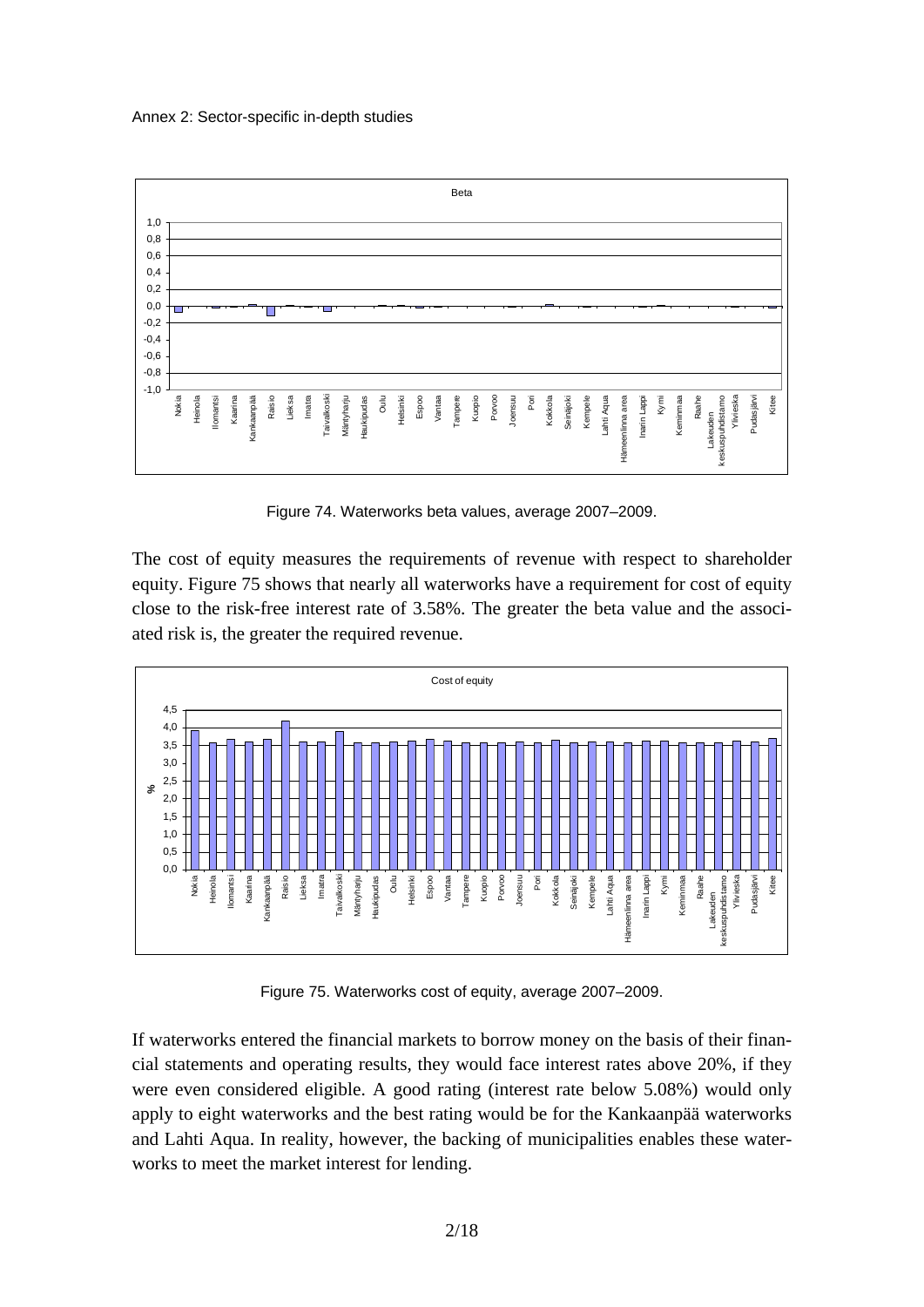

Figure 74. Waterworks beta values, average 2007–2009.

The cost of equity measures the requirements of revenue with respect to shareholder equity. Figure 75 shows that nearly all waterworks have a requirement for cost of equity close to the risk-free interest rate of 3.58%. The greater the beta value and the associated risk is, the greater the required revenue.



Figure 75. Waterworks cost of equity, average 2007–2009.

If waterworks entered the financial markets to borrow money on the basis of their financial statements and operating results, they would face interest rates above 20%, if they were even considered eligible. A good rating (interest rate below 5.08%) would only apply to eight waterworks and the best rating would be for the Kankaanpää waterworks and Lahti Aqua. In reality, however, the backing of municipalities enables these waterworks to meet the market interest for lending.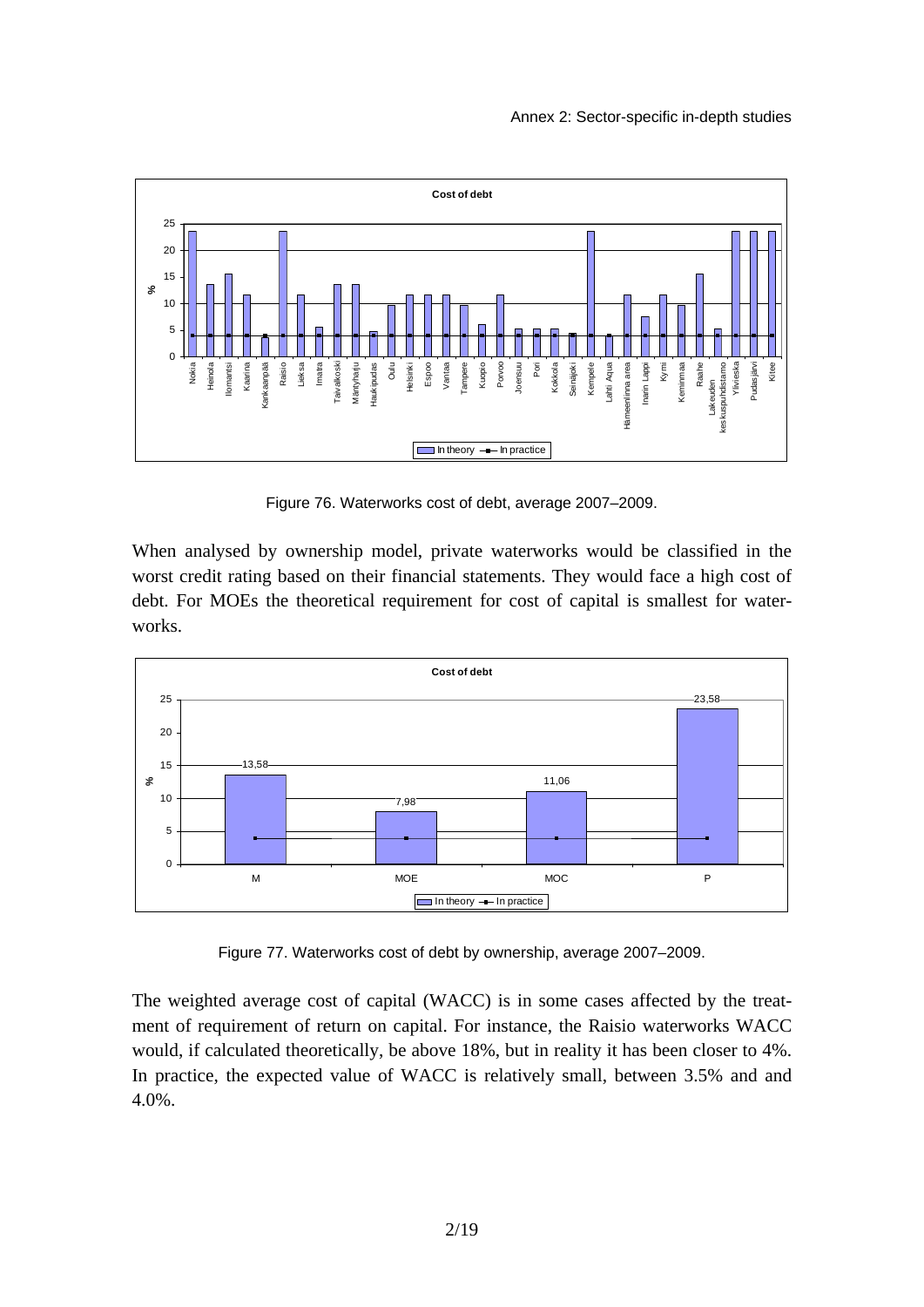

Figure 76. Waterworks cost of debt, average 2007–2009.

When analysed by ownership model, private waterworks would be classified in the worst credit rating based on their financial statements. They would face a high cost of debt. For MOEs the theoretical requirement for cost of capital is smallest for waterworks.



Figure 77. Waterworks cost of debt by ownership, average 2007–2009.

The weighted average cost of capital (WACC) is in some cases affected by the treatment of requirement of return on capital. For instance, the Raisio waterworks WACC would, if calculated theoretically, be above 18%, but in reality it has been closer to 4%. In practice, the expected value of WACC is relatively small, between 3.5% and and 4.0%.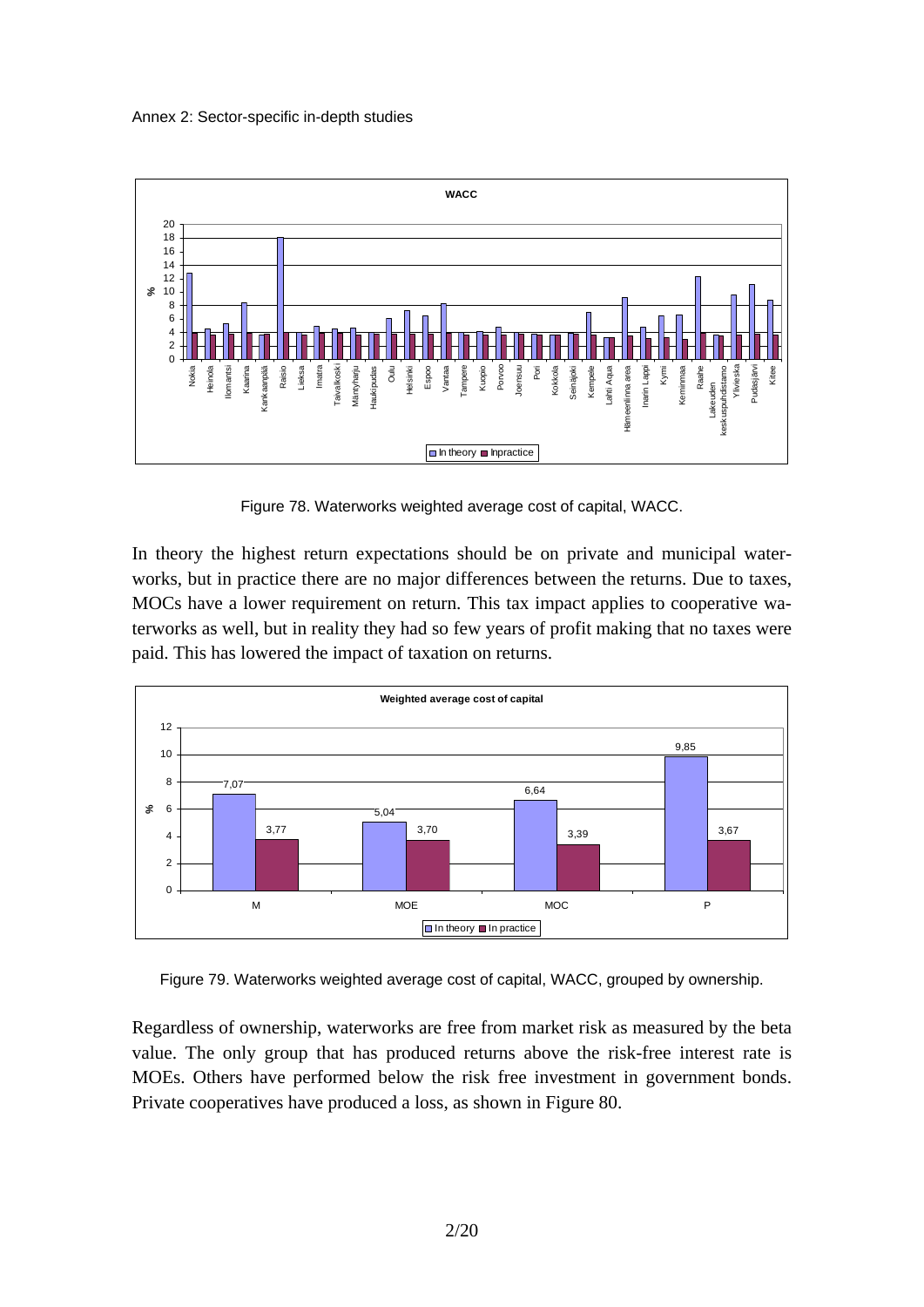Annex 2: Sector-specific in-depth studies



Figure 78. Waterworks weighted average cost of capital, WACC.

In theory the highest return expectations should be on private and municipal waterworks, but in practice there are no major differences between the returns. Due to taxes, MOCs have a lower requirement on return. This tax impact applies to cooperative waterworks as well, but in reality they had so few years of profit making that no taxes were paid. This has lowered the impact of taxation on returns.



Figure 79. Waterworks weighted average cost of capital, WACC, grouped by ownership.

Regardless of ownership, waterworks are free from market risk as measured by the beta value. The only group that has produced returns above the risk-free interest rate is MOEs. Others have performed below the risk free investment in government bonds. Private cooperatives have produced a loss, as shown in Figure 80.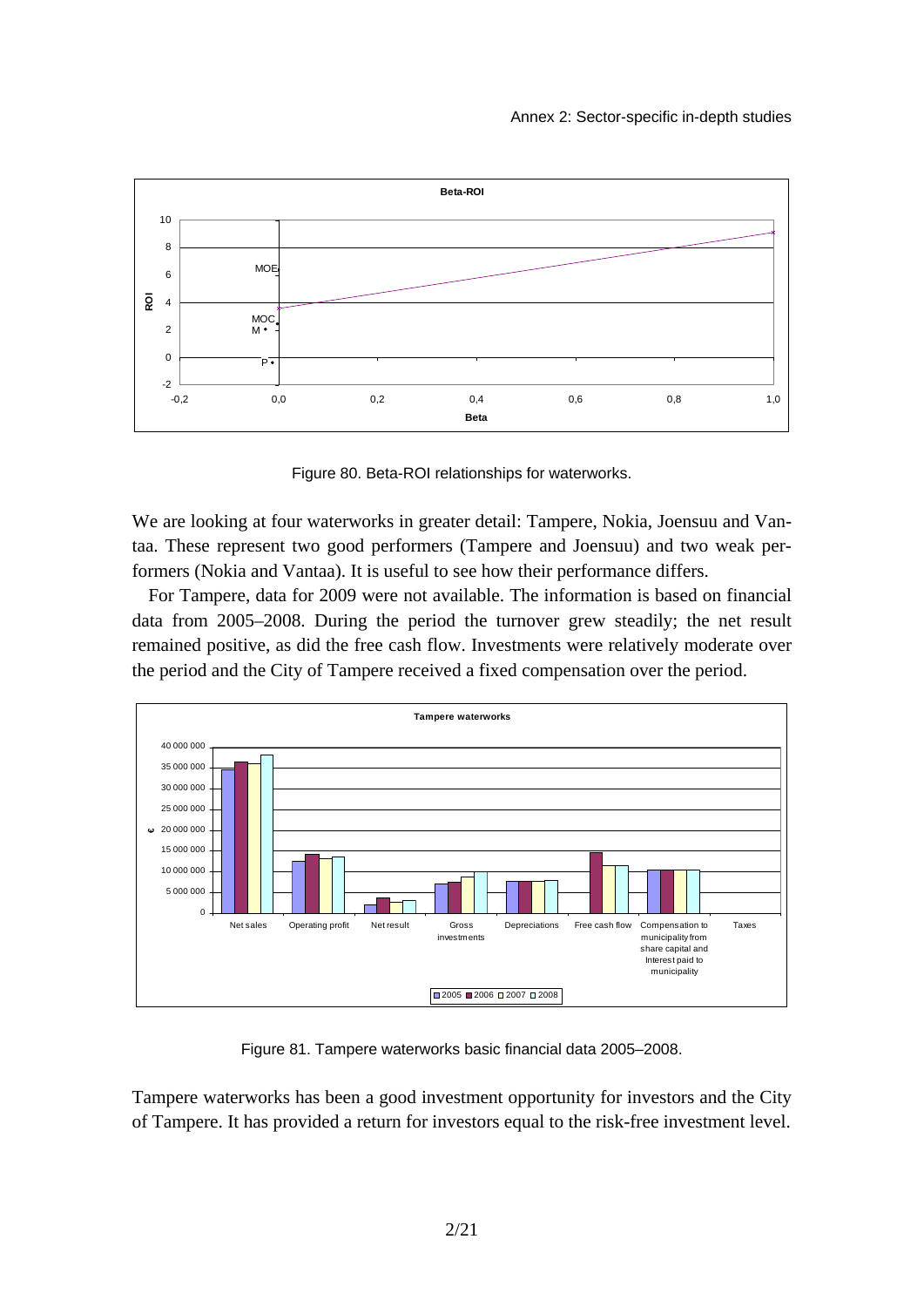

Figure 80. Beta-ROI relationships for waterworks.

We are looking at four waterworks in greater detail: Tampere, Nokia, Joensuu and Vantaa. These represent two good performers (Tampere and Joensuu) and two weak performers (Nokia and Vantaa). It is useful to see how their performance differs.

For Tampere, data for 2009 were not available. The information is based on financial data from 2005–2008. During the period the turnover grew steadily; the net result remained positive, as did the free cash flow. Investments were relatively moderate over the period and the City of Tampere received a fixed compensation over the period.



Figure 81. Tampere waterworks basic financial data 2005–2008.

Tampere waterworks has been a good investment opportunity for investors and the City of Tampere. It has provided a return for investors equal to the risk-free investment level.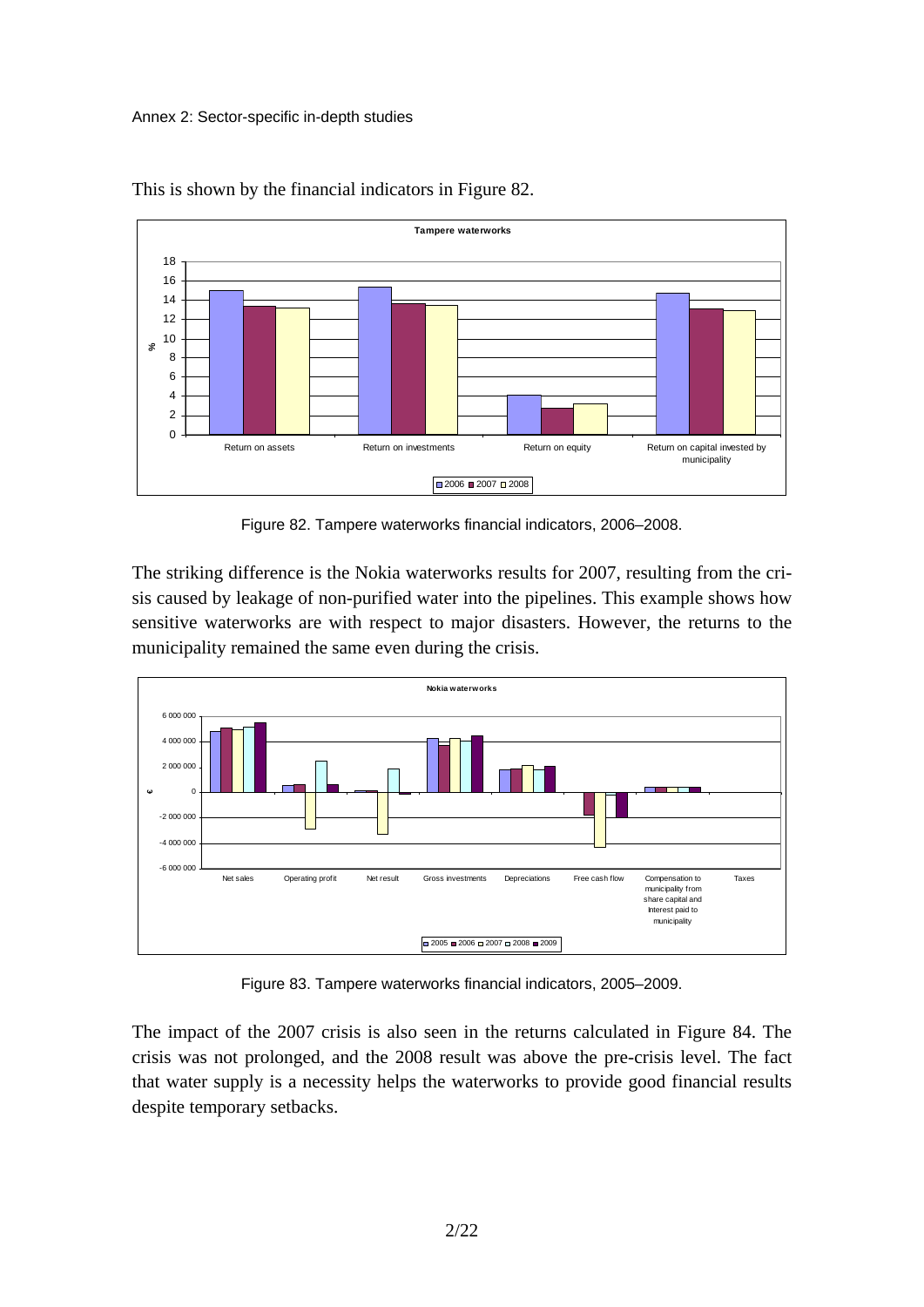

This is shown by the financial indicators in Figure 82.

Figure 82. Tampere waterworks financial indicators, 2006–2008.

The striking difference is the Nokia waterworks results for 2007, resulting from the crisis caused by leakage of non-purified water into the pipelines. This example shows how sensitive waterworks are with respect to major disasters. However, the returns to the municipality remained the same even during the crisis.



Figure 83. Tampere waterworks financial indicators, 2005–2009.

The impact of the 2007 crisis is also seen in the returns calculated in Figure 84. The crisis was not prolonged, and the 2008 result was above the pre-crisis level. The fact that water supply is a necessity helps the waterworks to provide good financial results despite temporary setbacks.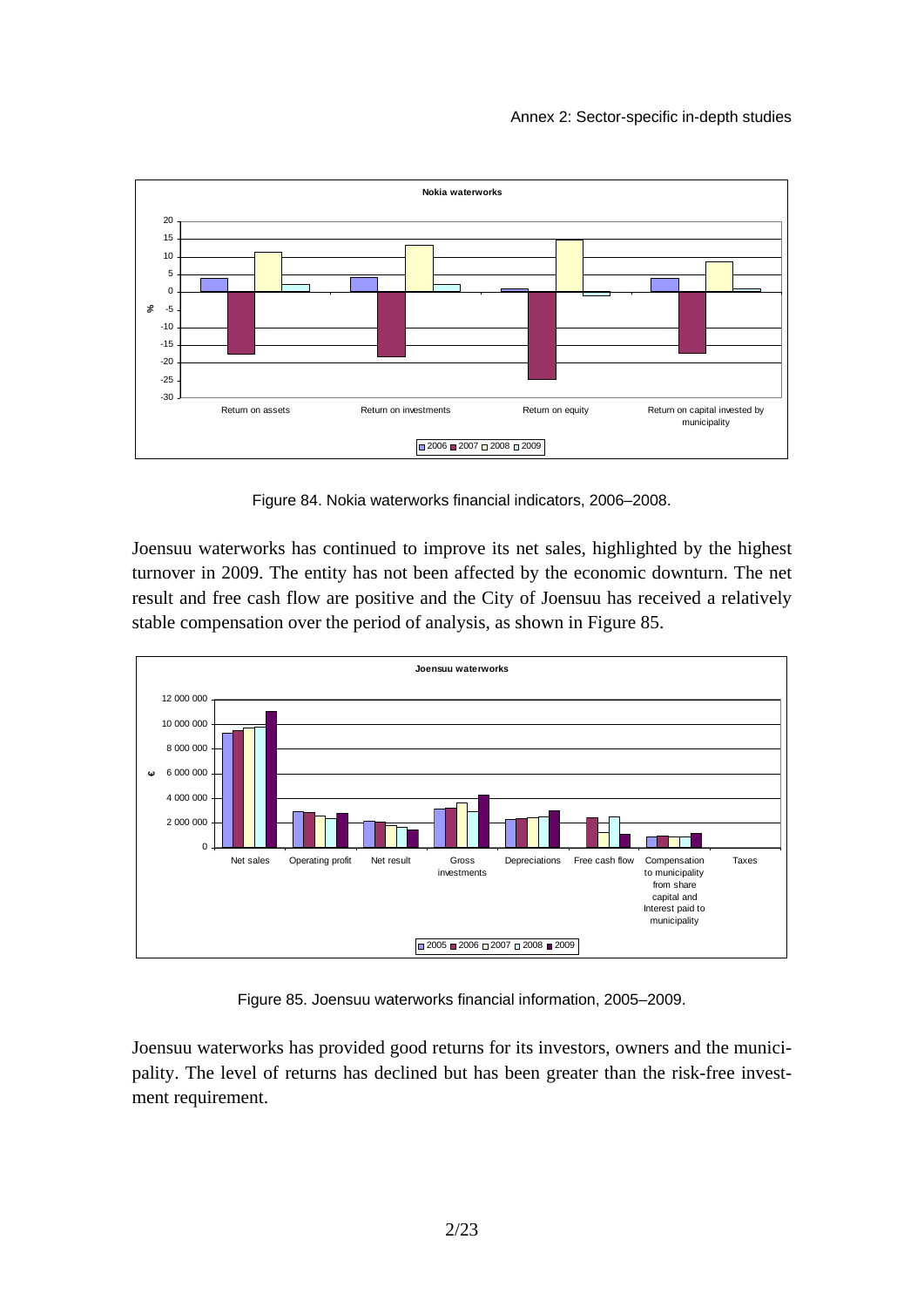

Figure 84. Nokia waterworks financial indicators, 2006–2008.

Joensuu waterworks has continued to improve its net sales, highlighted by the highest turnover in 2009. The entity has not been affected by the economic downturn. The net result and free cash flow are positive and the City of Joensuu has received a relatively stable compensation over the period of analysis, as shown in Figure 85.



Figure 85. Joensuu waterworks financial information, 2005–2009.

Joensuu waterworks has provided good returns for its investors, owners and the municipality. The level of returns has declined but has been greater than the risk-free investment requirement.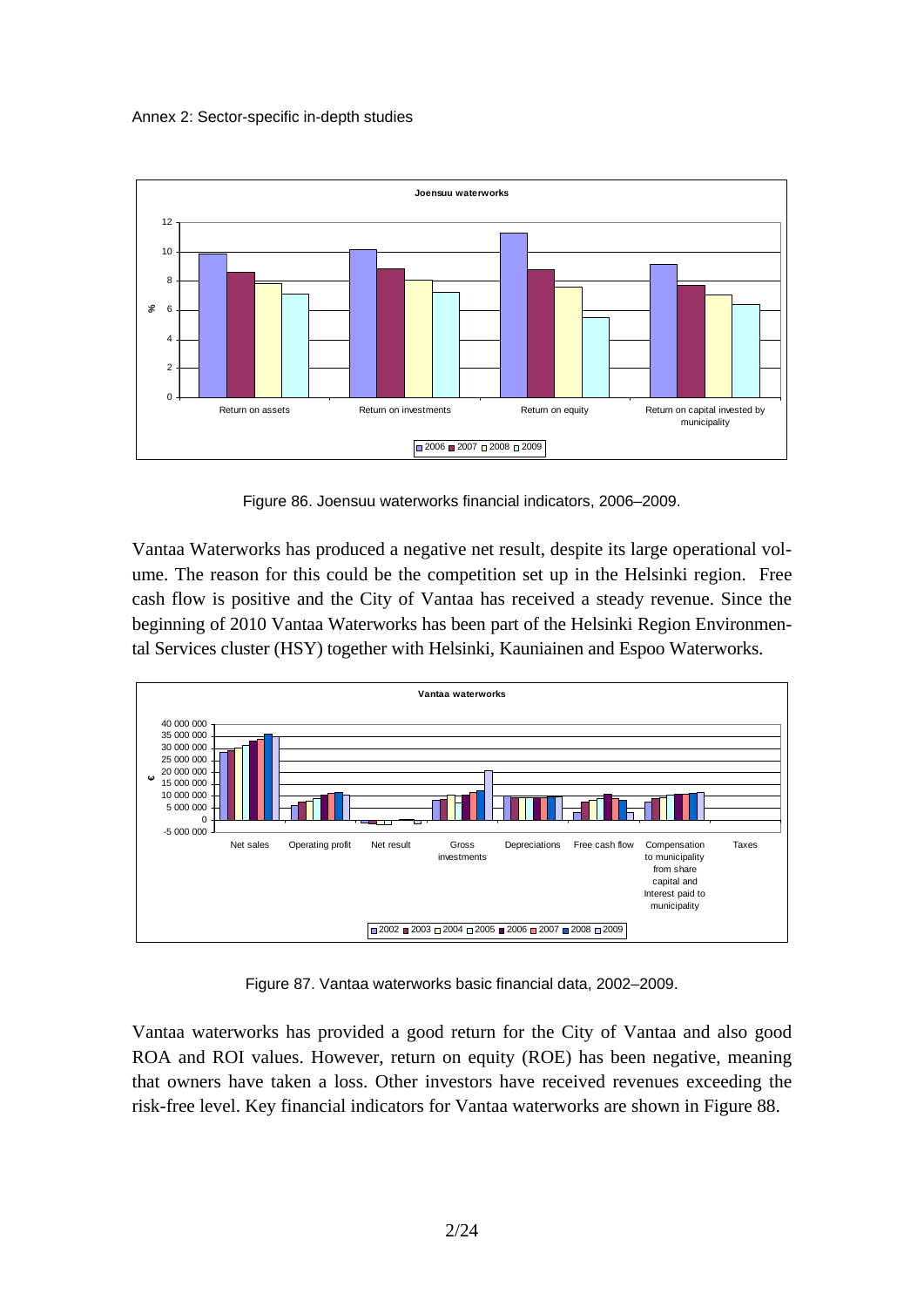Annex 2: Sector-specific in-depth studies



Figure 86. Joensuu waterworks financial indicators, 2006–2009.

Vantaa Waterworks has produced a negative net result, despite its large operational volume. The reason for this could be the competition set up in the Helsinki region. Free cash flow is positive and the City of Vantaa has received a steady revenue. Since the beginning of 2010 Vantaa Waterworks has been part of the Helsinki Region Environmental Services cluster (HSY) together with Helsinki, Kauniainen and Espoo Waterworks.



Figure 87. Vantaa waterworks basic financial data, 2002–2009.

Vantaa waterworks has provided a good return for the City of Vantaa and also good ROA and ROI values. However, return on equity (ROE) has been negative, meaning that owners have taken a loss. Other investors have received revenues exceeding the risk-free level. Key financial indicators for Vantaa waterworks are shown in Figure 88.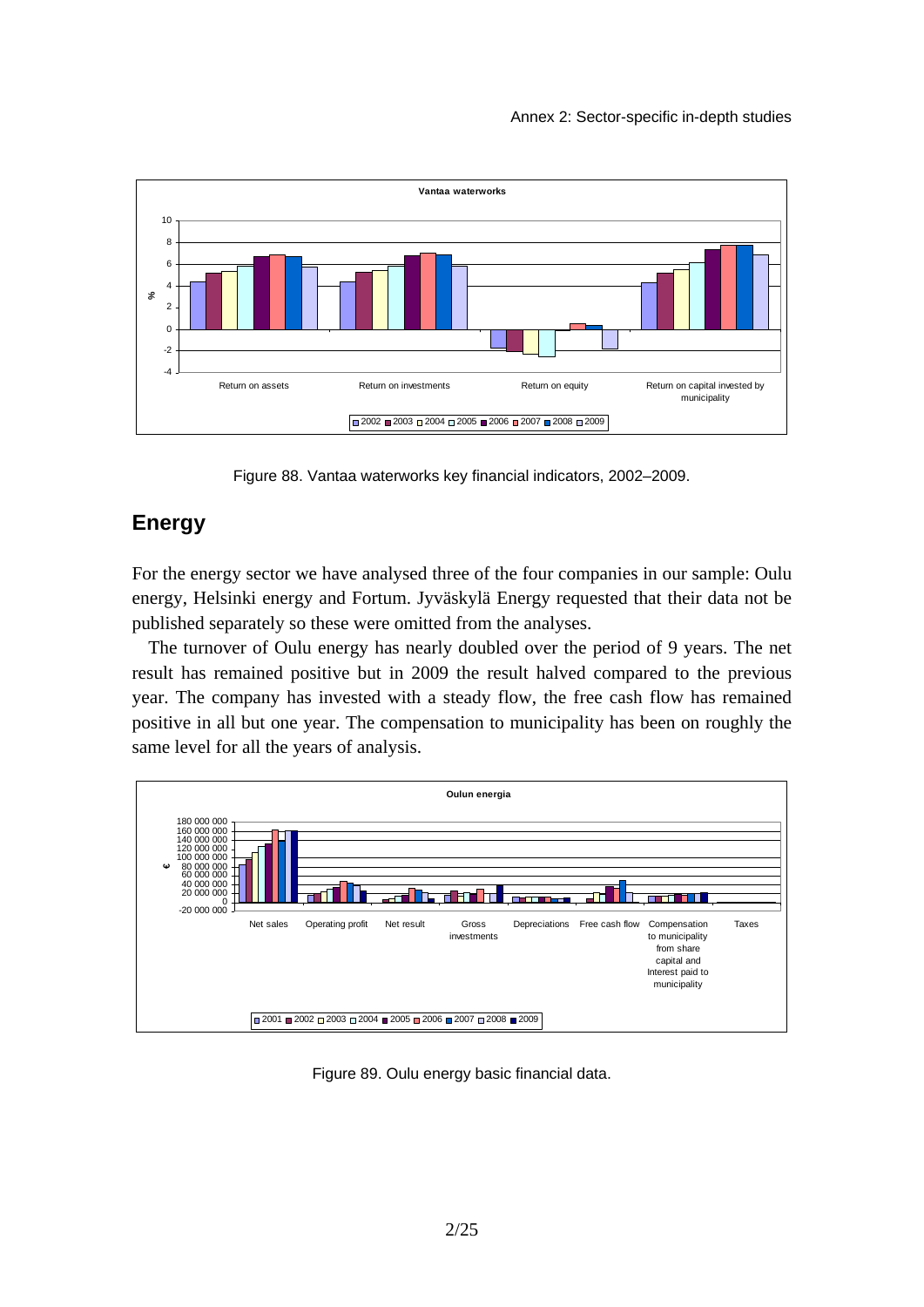

Figure 88. Vantaa waterworks key financial indicators, 2002–2009.

#### **Energy**

For the energy sector we have analysed three of the four companies in our sample: Oulu energy, Helsinki energy and Fortum. Jyväskylä Energy requested that their data not be published separately so these were omitted from the analyses.

The turnover of Oulu energy has nearly doubled over the period of 9 years. The net result has remained positive but in 2009 the result halved compared to the previous year. The company has invested with a steady flow, the free cash flow has remained positive in all but one year. The compensation to municipality has been on roughly the same level for all the years of analysis.



Figure 89. Oulu energy basic financial data.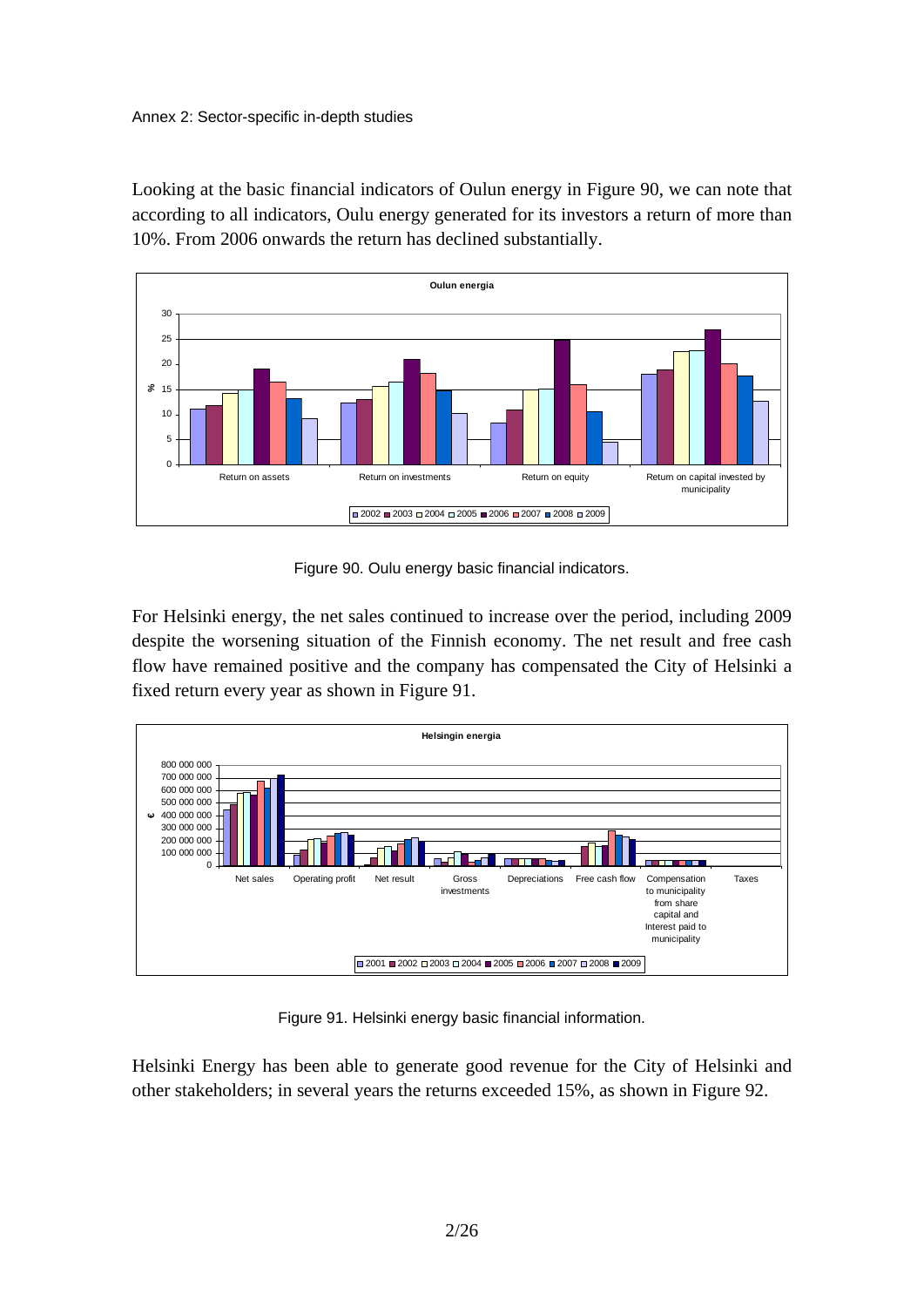Looking at the basic financial indicators of Oulun energy in Figure 90, we can note that according to all indicators, Oulu energy generated for its investors a return of more than 10%. From 2006 onwards the return has declined substantially.



Figure 90. Oulu energy basic financial indicators.

For Helsinki energy, the net sales continued to increase over the period, including 2009 despite the worsening situation of the Finnish economy. The net result and free cash flow have remained positive and the company has compensated the City of Helsinki a fixed return every year as shown in Figure 91.



Figure 91. Helsinki energy basic financial information.

Helsinki Energy has been able to generate good revenue for the City of Helsinki and other stakeholders; in several years the returns exceeded 15%, as shown in Figure 92.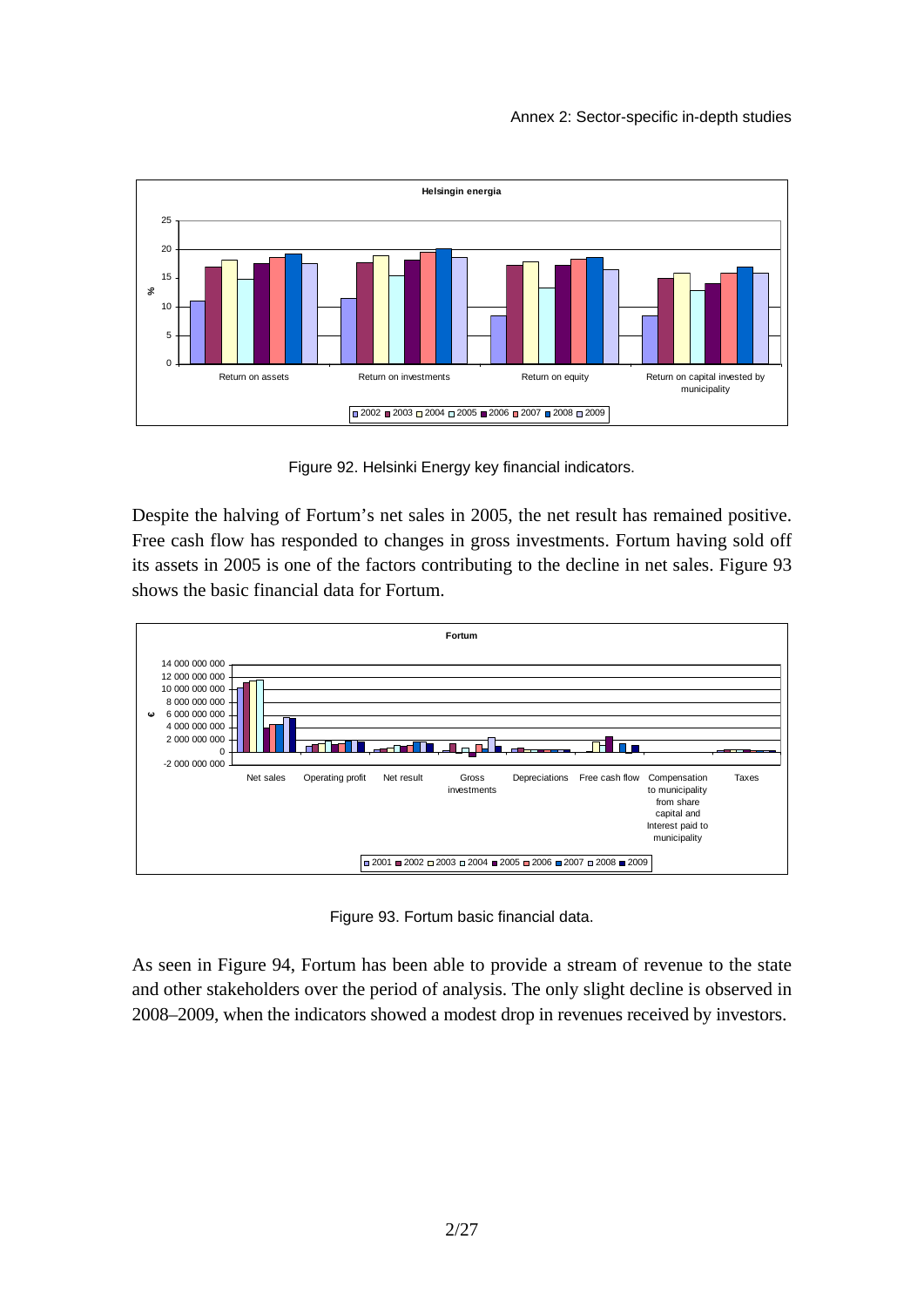

Figure 92. Helsinki Energy key financial indicators.

Despite the halving of Fortum's net sales in 2005, the net result has remained positive. Free cash flow has responded to changes in gross investments. Fortum having sold off its assets in 2005 is one of the factors contributing to the decline in net sales. Figure 93 shows the basic financial data for Fortum.



Figure 93. Fortum basic financial data.

As seen in Figure 94, Fortum has been able to provide a stream of revenue to the state and other stakeholders over the period of analysis. The only slight decline is observed in 2008–2009, when the indicators showed a modest drop in revenues received by investors.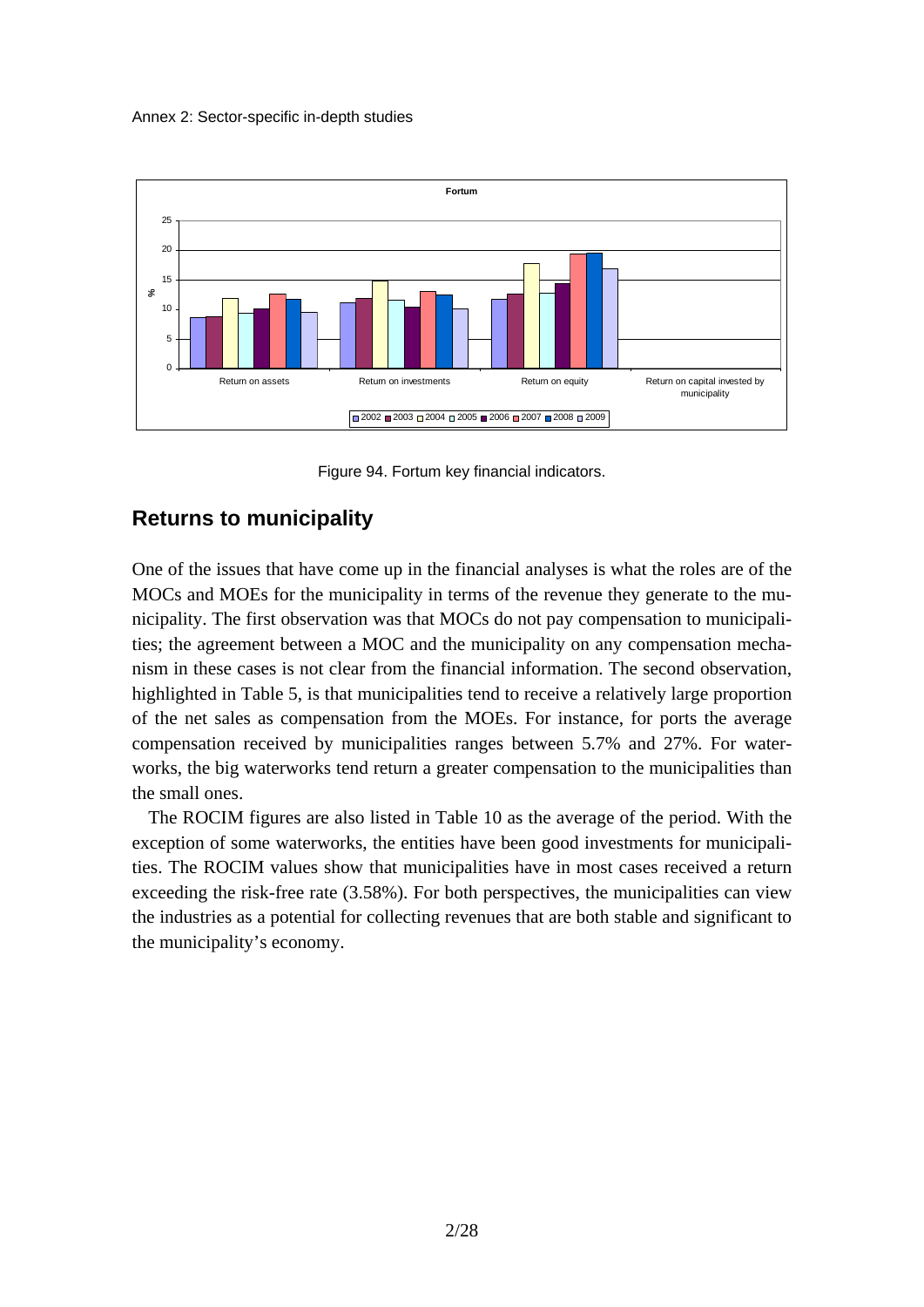Annex 2: Sector-specific in-depth studies



Figure 94. Fortum key financial indicators.

#### **Returns to municipality**

One of the issues that have come up in the financial analyses is what the roles are of the MOCs and MOEs for the municipality in terms of the revenue they generate to the municipality. The first observation was that MOCs do not pay compensation to municipalities; the agreement between a MOC and the municipality on any compensation mechanism in these cases is not clear from the financial information. The second observation, highlighted in Table 5, is that municipalities tend to receive a relatively large proportion of the net sales as compensation from the MOEs. For instance, for ports the average compensation received by municipalities ranges between 5.7% and 27%. For waterworks, the big waterworks tend return a greater compensation to the municipalities than the small ones.

The ROCIM figures are also listed in Table 10 as the average of the period. With the exception of some waterworks, the entities have been good investments for municipalities. The ROCIM values show that municipalities have in most cases received a return exceeding the risk-free rate (3.58%). For both perspectives, the municipalities can view the industries as a potential for collecting revenues that are both stable and significant to the municipality's economy.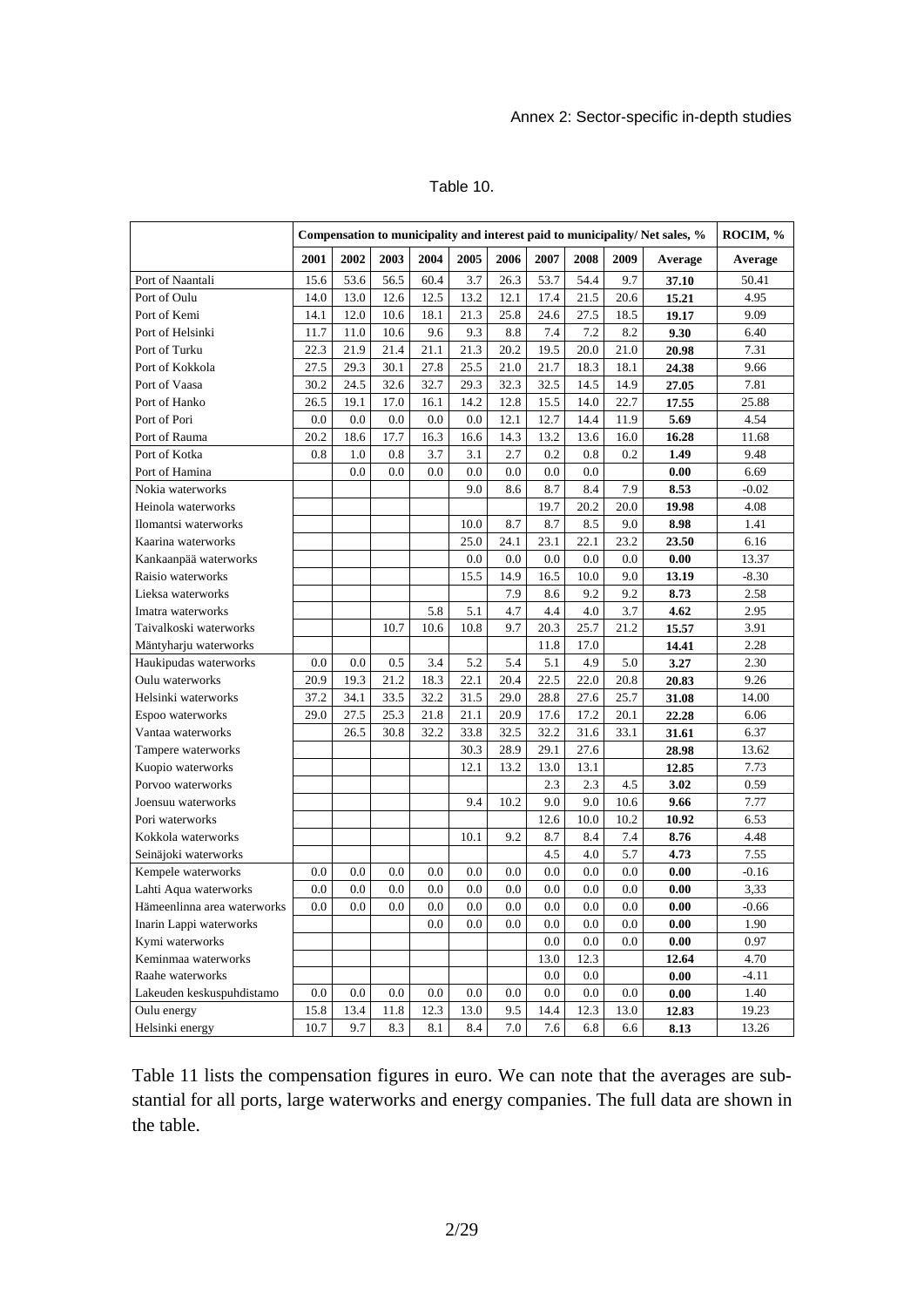#### Table 10.

|                             | Compensation to municipality and interest paid to municipality/Net sales, % |         |      |         |         |         |         |         |          | ROCIM, % |         |
|-----------------------------|-----------------------------------------------------------------------------|---------|------|---------|---------|---------|---------|---------|----------|----------|---------|
|                             | 2001                                                                        | 2002    | 2003 | 2004    | 2005    | 2006    | 2007    | 2008    | 2009     | Average  | Average |
| Port of Naantali            | 15.6                                                                        | 53.6    | 56.5 | 60.4    | 3.7     | 26.3    | 53.7    | 54.4    | 9.7      | 37.10    | 50.41   |
| Port of Oulu                | 14.0                                                                        | 13.0    | 12.6 | 12.5    | 13.2    | 12.1    | 17.4    | 21.5    | 20.6     | 15.21    | 4.95    |
| Port of Kemi                | 14.1                                                                        | 12.0    | 10.6 | 18.1    | 21.3    | 25.8    | 24.6    | 27.5    | 18.5     | 19.17    | 9.09    |
| Port of Helsinki            | 11.7                                                                        | 11.0    | 10.6 | 9.6     | 9.3     | 8.8     | 7.4     | 7.2     | 8.2      | 9.30     | 6.40    |
| Port of Turku               | 22.3                                                                        | 21.9    | 21.4 | 21.1    | 21.3    | 20.2    | 19.5    | 20.0    | 21.0     | 20.98    | 7.31    |
| Port of Kokkola             | 27.5                                                                        | 29.3    | 30.1 | 27.8    | 25.5    | 21.0    | 21.7    | 18.3    | 18.1     | 24.38    | 9.66    |
| Port of Vaasa               | 30.2                                                                        | 24.5    | 32.6 | 32.7    | 29.3    | 32.3    | 32.5    | 14.5    | 14.9     | 27.05    | 7.81    |
| Port of Hanko               | 26.5                                                                        | 19.1    | 17.0 | 16.1    | 14.2    | 12.8    | 15.5    | 14.0    | 22.7     | 17.55    | 25.88   |
| Port of Pori                | 0.0                                                                         | 0.0     | 0.0  | 0.0     | 0.0     | 12.1    | 12.7    | 14.4    | 11.9     | 5.69     | 4.54    |
| Port of Rauma               | 20.2                                                                        | 18.6    | 17.7 | 16.3    | 16.6    | 14.3    | 13.2    | 13.6    | 16.0     | 16.28    | 11.68   |
| Port of Kotka               | 0.8                                                                         | 1.0     | 0.8  | 3.7     | 3.1     | 2.7     | 0.2     | 0.8     | 0.2      | 1.49     | 9.48    |
| Port of Hamina              |                                                                             | 0.0     | 0.0  | 0.0     | 0.0     | 0.0     | 0.0     | 0.0     |          | 0.00     | 6.69    |
| Nokia waterworks            |                                                                             |         |      |         | 9.0     | 8.6     | 8.7     | 8.4     | 7.9      | 8.53     | $-0.02$ |
| Heinola waterworks          |                                                                             |         |      |         |         |         | 19.7    | 20.2    | 20.0     | 19.98    | 4.08    |
| Ilomantsi waterworks        |                                                                             |         |      |         | 10.0    | 8.7     | 8.7     | 8.5     | 9.0      | 8.98     | 1.41    |
| Kaarina waterworks          |                                                                             |         |      |         | 25.0    | 24.1    | 23.1    | 22.1    | 23.2     | 23.50    | 6.16    |
| Kankaanpää waterworks       |                                                                             |         |      |         | 0.0     | 0.0     | 0.0     | 0.0     | 0.0      | 0.00     | 13.37   |
| Raisio waterworks           |                                                                             |         |      |         | 15.5    | 14.9    | 16.5    | 10.0    | 9.0      | 13.19    | $-8.30$ |
| Lieksa waterworks           |                                                                             |         |      |         |         | 7.9     | 8.6     | 9.2     | 9.2      | 8.73     | 2.58    |
| Imatra waterworks           |                                                                             |         |      | 5.8     | 5.1     | 4.7     | 4.4     | 4.0     | 3.7      | 4.62     | 2.95    |
| Taivalkoski waterworks      |                                                                             |         | 10.7 | 10.6    | 10.8    | 9.7     | 20.3    | 25.7    | 21.2     | 15.57    | 3.91    |
| Mäntyharju waterworks       |                                                                             |         |      |         |         |         | 11.8    | 17.0    |          | 14.41    | 2.28    |
| Haukipudas waterworks       | 0.0                                                                         | 0.0     | 0.5  | 3.4     | 5.2     | 5.4     | 5.1     | 4.9     | 5.0      | 3.27     | 2.30    |
| Oulu waterworks             | 20.9                                                                        | 19.3    | 21.2 | 18.3    | 22.1    | 20.4    | 22.5    | 22.0    | 20.8     | 20.83    | 9.26    |
| Helsinki waterworks         | 37.2                                                                        | 34.1    | 33.5 | 32.2    | 31.5    | 29.0    | 28.8    | 27.6    | 25.7     | 31.08    | 14.00   |
| Espoo waterworks            | 29.0                                                                        | 27.5    | 25.3 | 21.8    | 21.1    | 20.9    | 17.6    | 17.2    | 20.1     | 22.28    | 6.06    |
| Vantaa waterworks           |                                                                             | 26.5    | 30.8 | 32.2    | 33.8    | 32.5    | 32.2    | 31.6    | 33.1     | 31.61    | 6.37    |
| Tampere waterworks          |                                                                             |         |      |         | 30.3    | 28.9    | 29.1    | 27.6    |          | 28.98    | 13.62   |
| Kuopio waterworks           |                                                                             |         |      |         | 12.1    | 13.2    | 13.0    | 13.1    |          | 12.85    | 7.73    |
| Porvoo waterworks           |                                                                             |         |      |         |         |         | 2.3     | 2.3     | 4.5      | 3.02     | 0.59    |
| Joensuu waterworks          |                                                                             |         |      |         | 9.4     | 10.2    | 9.0     | 9.0     | 10.6     | 9.66     | 7.77    |
| Pori waterworks             |                                                                             |         |      |         |         |         | 12.6    | 10.0    | 10.2     | 10.92    | 6.53    |
| Kokkola waterworks          |                                                                             |         |      |         | 10.1    | 9.2     | 8.7     | 8.4     | 7.4      | 8.76     | 4.48    |
| Seinäjoki waterworks        |                                                                             |         |      |         |         |         | 4.5     | 4.0     | 5.7      | 4.73     | 7.55    |
| Kempele waterworks          | 0.0                                                                         | 0.0     | 0.0  | 0.0     | 0.0     | 0.0     | 0.0     | 0.0     | $_{0.0}$ | 0.00     | $-0.16$ |
| Lahti Aqua waterworks       | 0.0                                                                         | 0.0     | 0.0  | 0.0     | 0.0     | 0.0     | 0.0     | 0.0     | 0.0      | 0.00     | 3,33    |
| Hämeenlinna area waterworks | 0.0                                                                         | 0.0     | 0.0  | 0.0     | 0.0     | 0.0     | 0.0     | 0.0     | $_{0.0}$ | 0.00     | $-0.66$ |
| Inarin Lappi waterworks     |                                                                             |         |      | $0.0\,$ | $0.0\,$ | $0.0\,$ | $0.0\,$ | $0.0\,$ | 0.0      | 0.00     | 1.90    |
| Kymi waterworks             |                                                                             |         |      |         |         |         | $0.0\,$ | 0.0     | 0.0      | 0.00     | 0.97    |
| Keminmaa waterworks         |                                                                             |         |      |         |         |         | 13.0    | 12.3    |          | 12.64    | 4.70    |
| Raahe waterworks            |                                                                             |         |      |         |         |         | 0.0     | 0.0     |          | 0.00     | -4.11   |
| Lakeuden keskuspuhdistamo   | 0.0                                                                         | $0.0\,$ | 0.0  | 0.0     | 0.0     | $0.0\,$ | 0.0     | 0.0     | 0.0      | 0.00     | 1.40    |
| Oulu energy                 | 15.8                                                                        | 13.4    | 11.8 | 12.3    | 13.0    | 9.5     | 14.4    | 12.3    | 13.0     | 12.83    | 19.23   |
| Helsinki energy             | 10.7                                                                        | 9.7     | 8.3  | 8.1     | 8.4     | 7.0     | 7.6     | 6.8     | 6.6      | 8.13     | 13.26   |

Table 11 lists the compensation figures in euro. We can note that the averages are substantial for all ports, large waterworks and energy companies. The full data are shown in the table.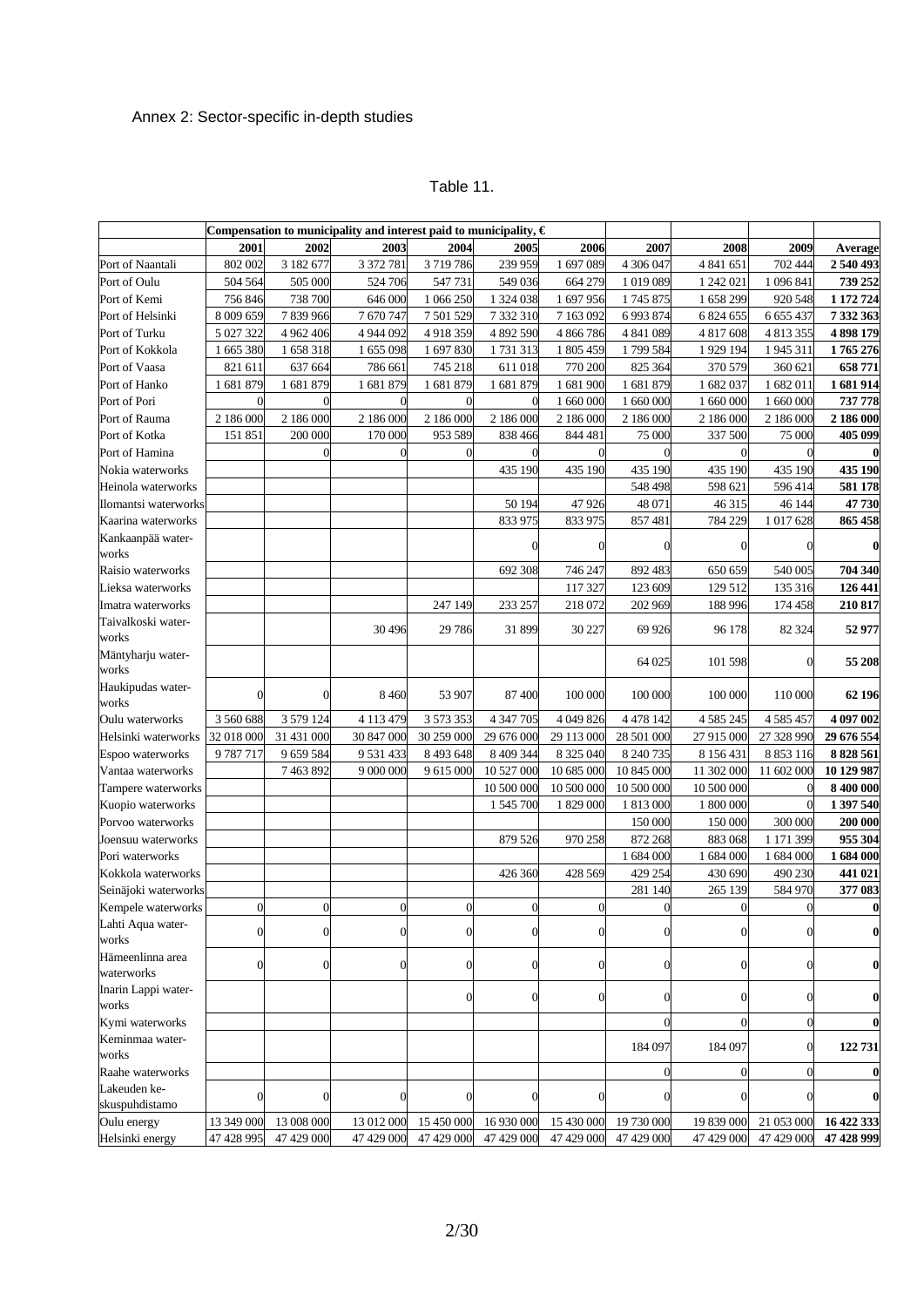#### Table 11.

|                                |                | Compensation to municipality and interest paid to municipality, $\epsilon$ |                |                |            |                |                |                |                |            |
|--------------------------------|----------------|----------------------------------------------------------------------------|----------------|----------------|------------|----------------|----------------|----------------|----------------|------------|
|                                | <b>2001</b>    | 2002                                                                       | 2003           | 2004           | 2005       | 2006           | 2007           | 2008           | 2009           | Average    |
| Port of Naantali               | 802 002        | 3 182 677                                                                  | 3 372 781      | 3719786        | 239 959    | 1697089        | 4 306 047      | 4 841 651      | 702 444        | 2540493    |
| Port of Oulu                   | 504 564        | 505 000                                                                    | 524 706        | 547 731        | 549 036    | 664 279        | 1 019 089      | 1 242 021      | 1 096 841      | 739 252    |
| Port of Kemi                   | 756846         | 738 700                                                                    | 646 000        | 1 066 250      | 1 324 038  | 1697956        | 1745875        | 1 658 299      | 920 548        | 1 172 724  |
| Port of Helsinki               | 8 009 659      | 7839966                                                                    | 7 670 747      | 7 501 529      | 7 332 310  | 7 163 092      | 6 9 9 3 8 7 4  | 6 824 655      | 6 6 5 4 4 3 7  | 7 332 363  |
| Port of Turku                  | 5 027 322      | 4 962 406                                                                  | 4 944 092      | 4918359        | 4 892 590  | 4 866 786      | 4841089        | 4 817 608      | 4 8 1 3 3 5 5  | 4898179    |
| Port of Kokkola                | 1 665 380      | 1658318                                                                    | 1 655 098      | 1697830        | 1731313    | 1 805 459      | 1799 584       | 1929 194       | 1945 311       | 1765276    |
| Port of Vaasa                  | 821 611        | 637 664                                                                    | 786 661        | 745 218        | 611 018    | 770 200        | 825 364        | 370 579        | 360 621        | 658771     |
| Port of Hanko                  | 1681879        | 1681879                                                                    | 1681879        | 1681879        | 1681879    | 1681900        | 1681879        | 1682037        | 1682011        | 1681914    |
| Port of Pori                   | 0              |                                                                            | $\Omega$       | $\Omega$       |            | 1 660 000      | 1 660 000      | 1 660 000      | 1 660 000      | 737 778    |
| Port of Rauma                  | 2 186 000      | 2 186 000                                                                  | 2 186 000      | 2 186 000      | 2 186 000  | 2 186 000      | 2 186 000      | 2 186 000      | 2 186 000      | 2 186 000  |
| Port of Kotka                  | 151 851        | 200 000                                                                    | 170 000        | 953 589        | 838 466    | 844 481        | 75 000         | 337 500        | 75 000         | 405 099    |
| Port of Hamina                 |                |                                                                            | $\Omega$       | $\Omega$       |            |                | $\Omega$       |                | $\Omega$       |            |
| Nokia waterworks               |                |                                                                            |                |                | 435 190    | 435 190        | 435 190        | 435 190        | 435 190        | 435 190    |
| Heinola waterworks             |                |                                                                            |                |                |            |                | 548 498        | 598 621        | 596414         | 581 178    |
| Ilomantsi waterworks           |                |                                                                            |                |                | 50 194     | 47926          | 48 071         | 46 315         | 46 144         | 47730      |
| Kaarina waterworks             |                |                                                                            |                |                | 833 975    | 833 975        | 857 481        | 784 229        | 1 017 628      | 865 458    |
| Kankaanpää water-              |                |                                                                            |                |                |            |                |                |                |                |            |
| works                          |                |                                                                            |                |                | $\Omega$   | 0              | C              |                | $\Omega$       | 0          |
| Raisio waterworks              |                |                                                                            |                |                | 692 308    | 746 247        | 892 483        | 650 659        | 540 005        | 704 340    |
| Lieksa waterworks              |                |                                                                            |                |                |            | 117 327        | 123 609        | 129 512        | 135 316        | 126 441    |
| Imatra waterworks              |                |                                                                            |                | 247 149        | 233 257    | 218 072        | 202 969        | 188 996        | 174 458        | 210 817    |
| Taivalkoski water-             |                |                                                                            |                |                |            |                |                |                |                |            |
| works                          |                |                                                                            | 30 4 96        | 29 7 86        | 31 899     | 30 227         | 69 9 26        | 96 178         | 82 324         | 52 977     |
| Mäntyharju water-<br>works     |                |                                                                            |                |                |            |                | 64 025         | 101 598        | $\Omega$       | 55 208     |
| Haukipudas water-              |                |                                                                            |                |                |            |                |                |                |                |            |
| works                          | $\Omega$       | $\theta$                                                                   | 8460           | 53 907         | 87 400     | 100 000        | 100 000        | 100 000        | 110 000        | 62 196     |
| Oulu waterworks                | 3 560 688      | 3 579 124                                                                  | 4 1 1 3 4 7 9  | 3 573 353      | 4 347 705  | 4 049 826      | 4 4 7 8 1 4 2  | 4 5 8 5 2 4 5  | 4 5 8 5 4 5 7  | 4 097 002  |
| Helsinki waterworks            | 32 018 000     | 31 431 000                                                                 | 30 847 000     | 30 259 000     | 29 676 000 | 29 113 000     | 28 501 000     | 27 915 000     | 27 328 990     | 29 676 554 |
| Espoo waterworks               | 9787717        | 9 659 584                                                                  | 9 5 3 1 4 3 3  | 8 4 9 3 6 4 8  | 8 409 344  | 8 3 2 5 0 4 0  | 8 240 735      | 8 156 431      | 8 8 5 3 1 1 6  | 8828561    |
| Vantaa waterworks              |                | 7463892                                                                    | 9 000 000      | 9 615 000      | 10 527 000 | 10 685 000     | 10 845 000     | 11 302 000     | 11 602 000     | 10 129 987 |
| Tampere waterworks             |                |                                                                            |                |                | 10 500 000 | 10 500 000     | 10 500 000     | 10 500 000     | $\Omega$       | 8 400 000  |
| Kuopio waterworks              |                |                                                                            |                |                | 1 545 700  | 1829000        | 1 813 000      | 1 800 000      |                | 1 397 540  |
| Porvoo waterworks              |                |                                                                            |                |                |            |                | 150 000        | 150 000        | 300 000        | 200 000    |
| Joensuu waterworks             |                |                                                                            |                |                | 879 526    | 970 258        | 872 268        | 883 068        | 1 171 399      | 955 304    |
| Pori waterworks                |                |                                                                            |                |                |            |                | 1 684 000      | 1 684 000      | 1 684 000      | 1684000    |
| Kokkola waterworks             |                |                                                                            |                |                | 426 360    | 428 569        | 429 254        | 430 690        | 490 230        | 441 021    |
| Seinäjoki waterworks           |                |                                                                            |                |                |            |                | 281 140        | 265 139        | 584 970        | 377 083    |
| Kempele waterworks             | $\mathbf{0}$   | $\Omega$                                                                   | $\mathbf 0$    | $\overline{0}$ | $\theta$   | $\overline{0}$ | $\theta$       | $\overline{0}$ | $\overline{0}$ | $\bf{0}$   |
| Lahti Aqua water-              | $\theta$       | 0                                                                          | $\Omega$       | $\overline{0}$ | $\theta$   | 0              |                | C              | 0              | $\bf{0}$   |
| works<br>Hämeenlinna area      |                |                                                                            |                |                |            |                |                |                |                |            |
| waterworks                     | $\Omega$       | $\Omega$                                                                   | $\Omega$       | $\Omega$       | $\Omega$   | $\overline{0}$ | $\Omega$       | $\overline{0}$ | $\overline{0}$ | $\bf{0}$   |
| Inarin Lappi water-<br>works   |                |                                                                            |                | $\Omega$       | $\Omega$   | $\overline{0}$ | 0              | $\Omega$       | $\theta$       | $\bf{0}$   |
| Kymi waterworks                |                |                                                                            |                |                |            |                | $\Omega$       |                | 0              | $\bf{0}$   |
| Keminmaa water-                |                |                                                                            |                |                |            |                |                |                |                |            |
| works                          |                |                                                                            |                |                |            |                | 184 097        | 184 097        | $\overline{0}$ | 122731     |
| Raahe waterworks               |                |                                                                            |                |                |            |                | $\overline{0}$ |                | $\overline{0}$ | 0          |
| Lakeuden ke-<br>skuspuhdistamo | $\overline{0}$ | $\Omega$                                                                   | $\overline{0}$ | $\overline{0}$ | $\theta$   | $\theta$       |                |                | 0              |            |
| Oulu energy                    | 13 349 000     | 13 008 000                                                                 | 13 012 000     | 15 450 000     | 16 930 000 | 15 430 000     | 19 730 000     | 19 839 000     | 21 053 000     | 16 422 333 |
| Helsinki energy                | 47 428 995     | 47 429 000                                                                 | 47 429 000     | 47 429 000     | 47 429 000 | 47 429 000     | 47 429 000     | 47 429 000     | 47 429 000     | 47 428 999 |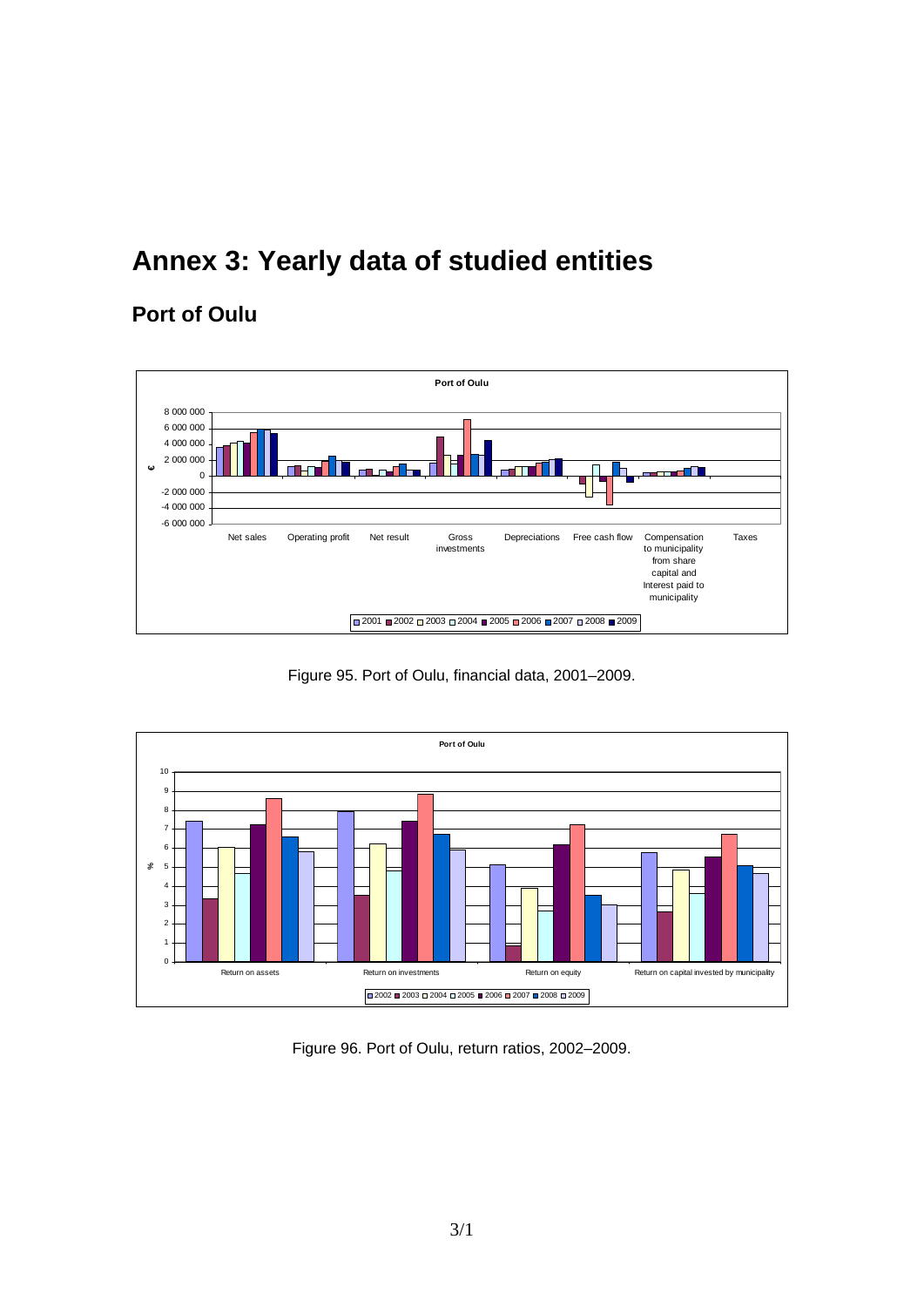#### **Port of Oulu**



Figure 95. Port of Oulu, financial data, 2001–2009.



Figure 96. Port of Oulu, return ratios, 2002–2009.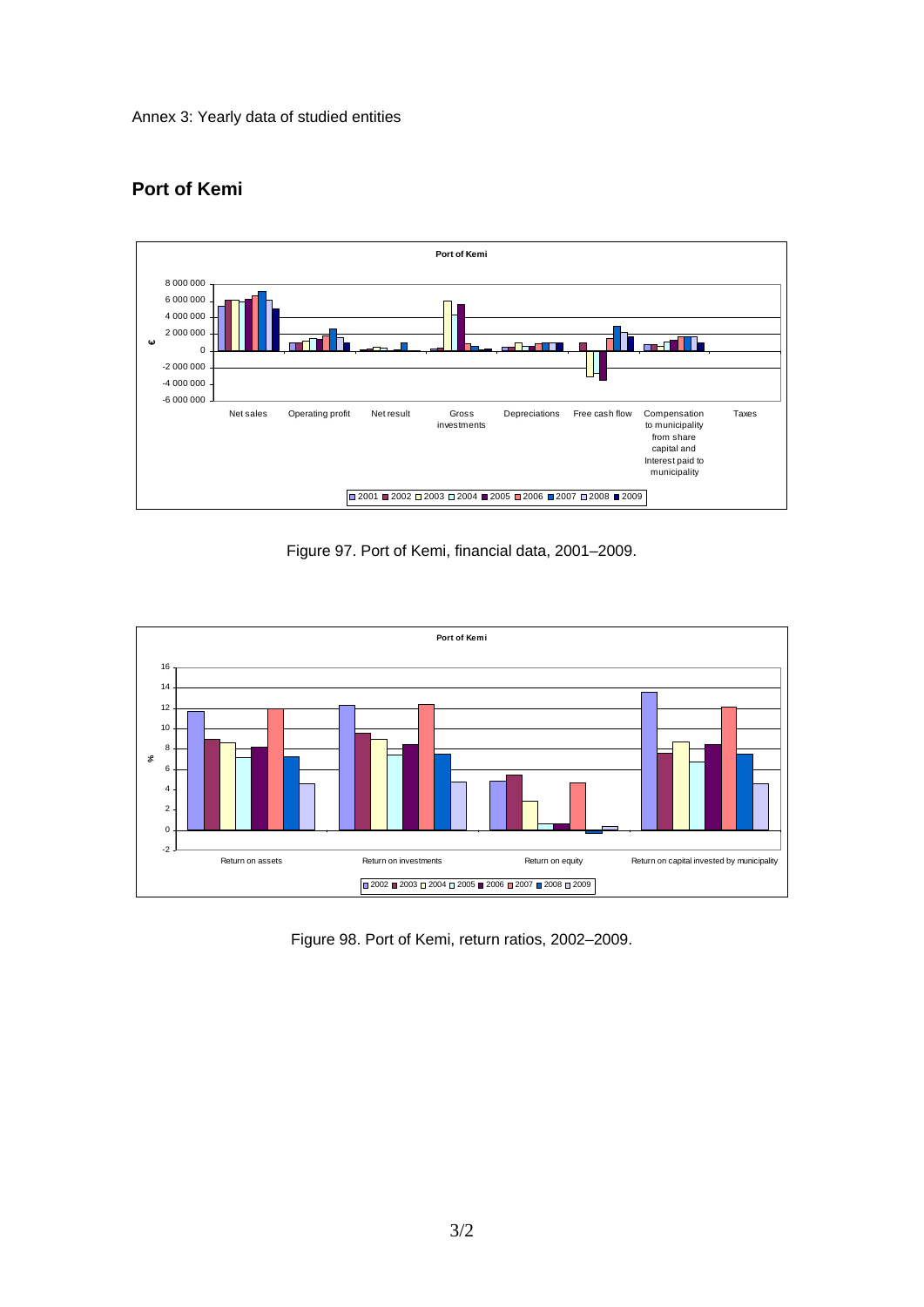#### **Port of Kemi**



Figure 97. Port of Kemi, financial data, 2001–2009.



Figure 98. Port of Kemi, return ratios, 2002–2009.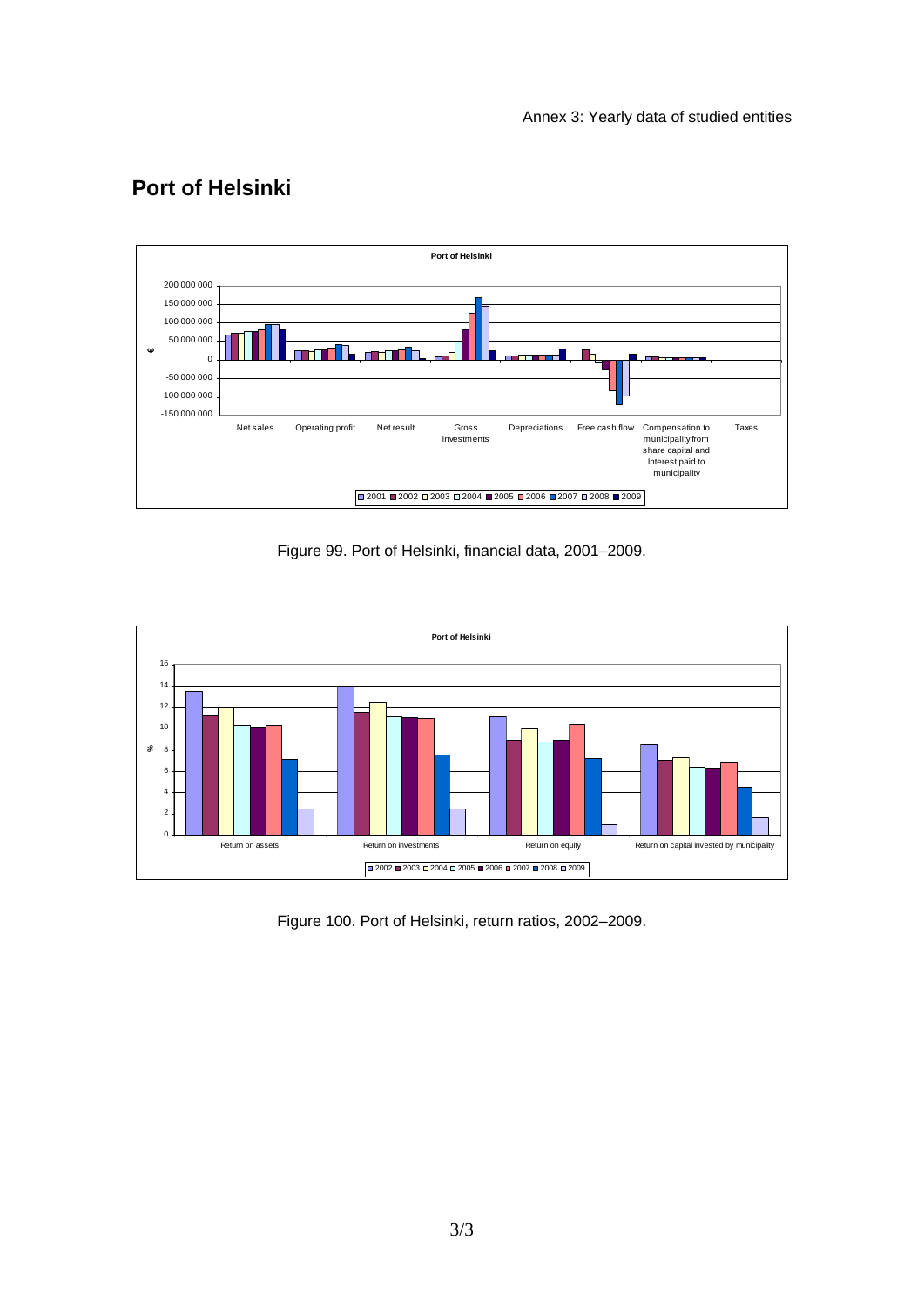### **Port of Helsinki**



Figure 99. Port of Helsinki, financial data, 2001–2009.



Figure 100. Port of Helsinki, return ratios, 2002–2009.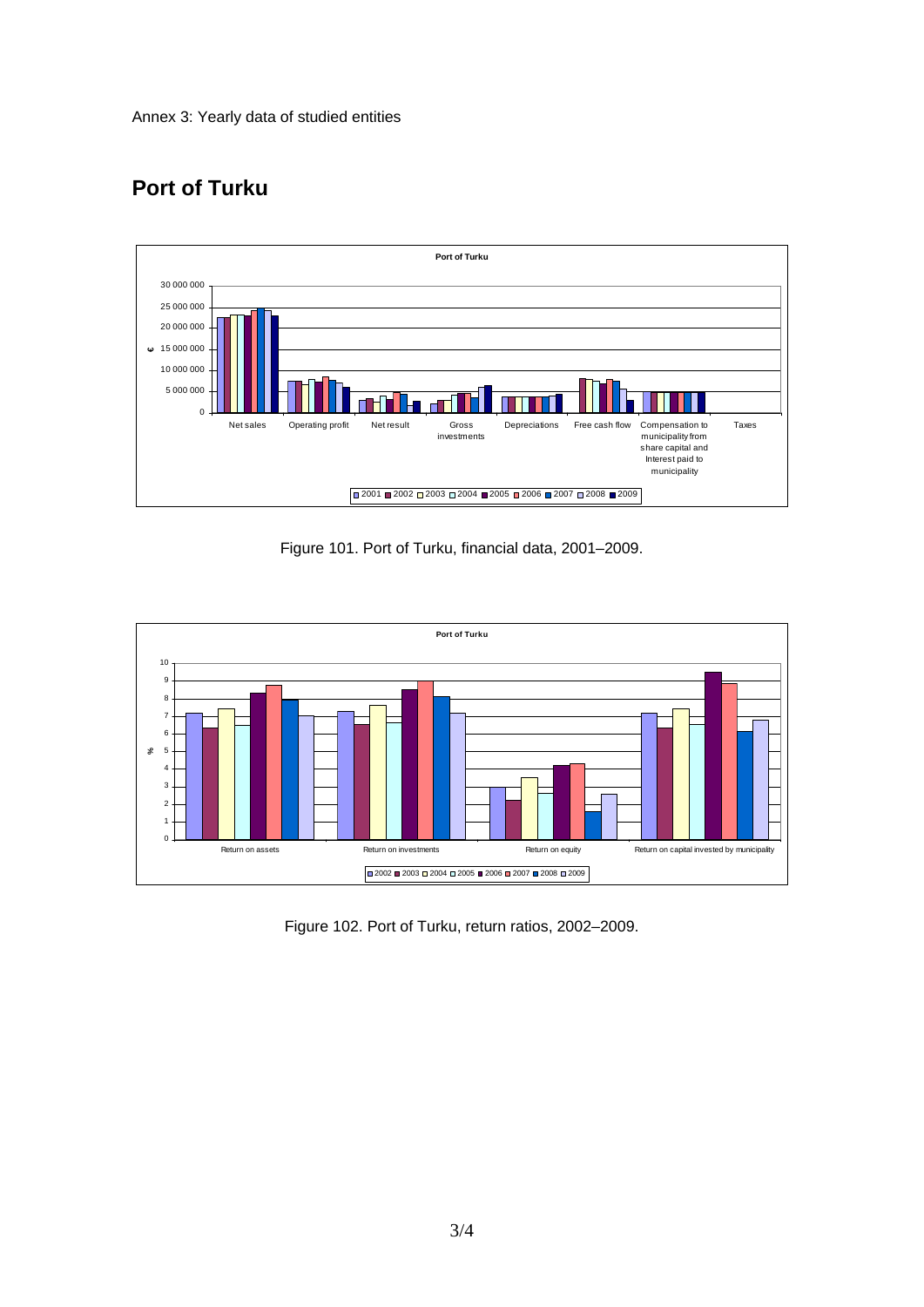# **Port of Turku**



Figure 101. Port of Turku, financial data, 2001–2009.



Figure 102. Port of Turku, return ratios, 2002–2009.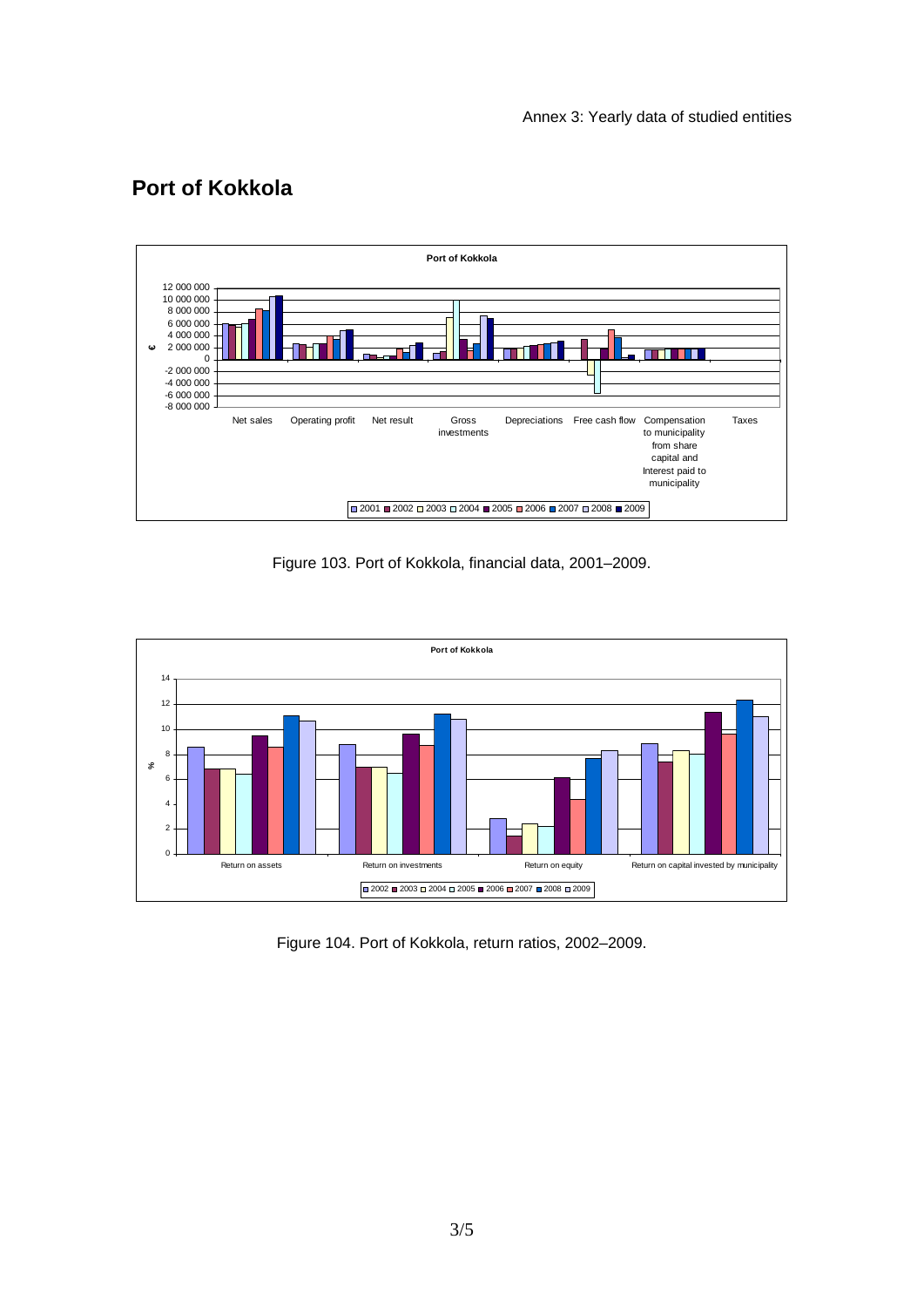# **Port of Kokkola**



Figure 103. Port of Kokkola, financial data, 2001–2009.



Figure 104. Port of Kokkola, return ratios, 2002–2009.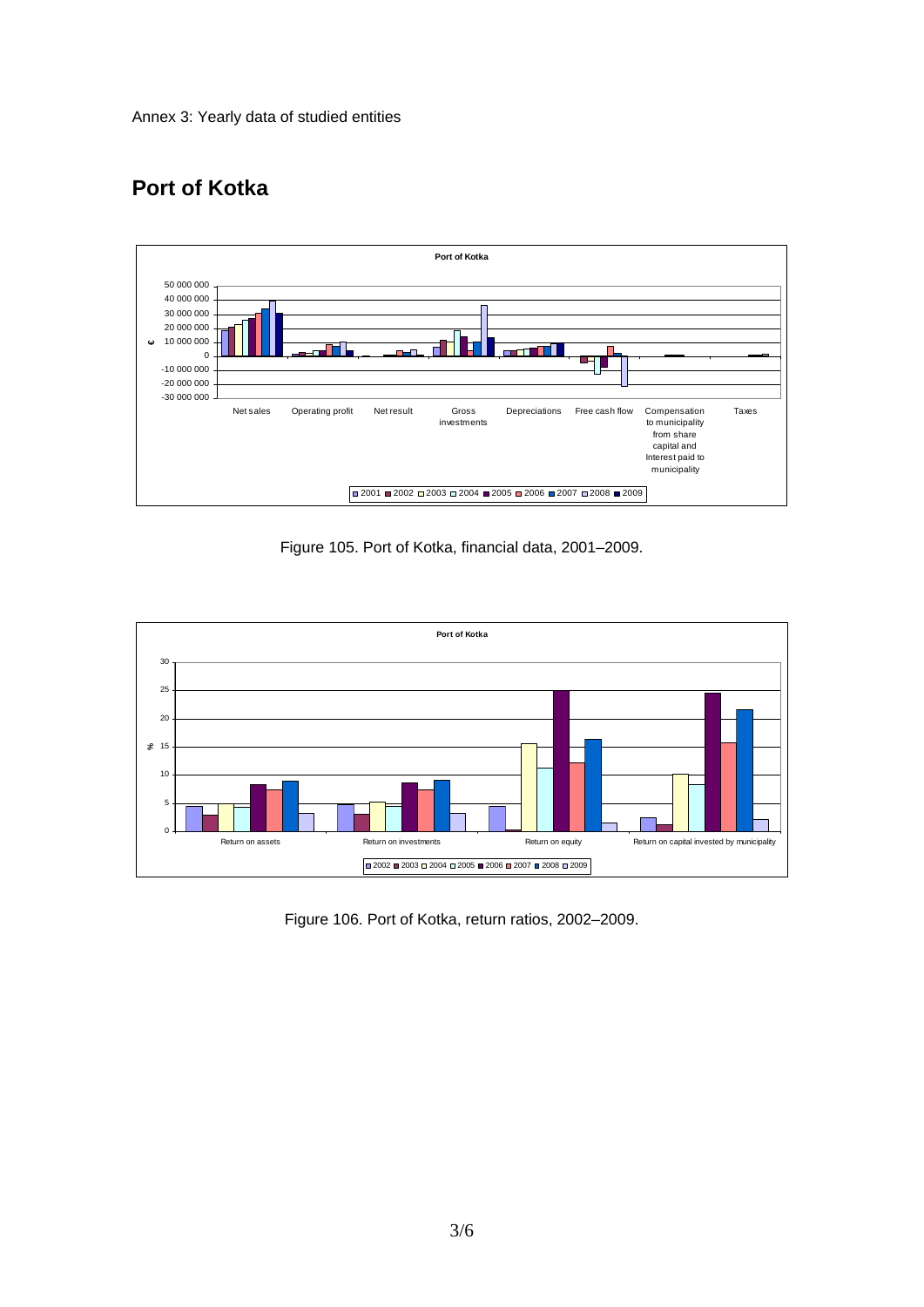# **Port of Kotka**



Figure 105. Port of Kotka, financial data, 2001–2009.



Figure 106. Port of Kotka, return ratios, 2002–2009.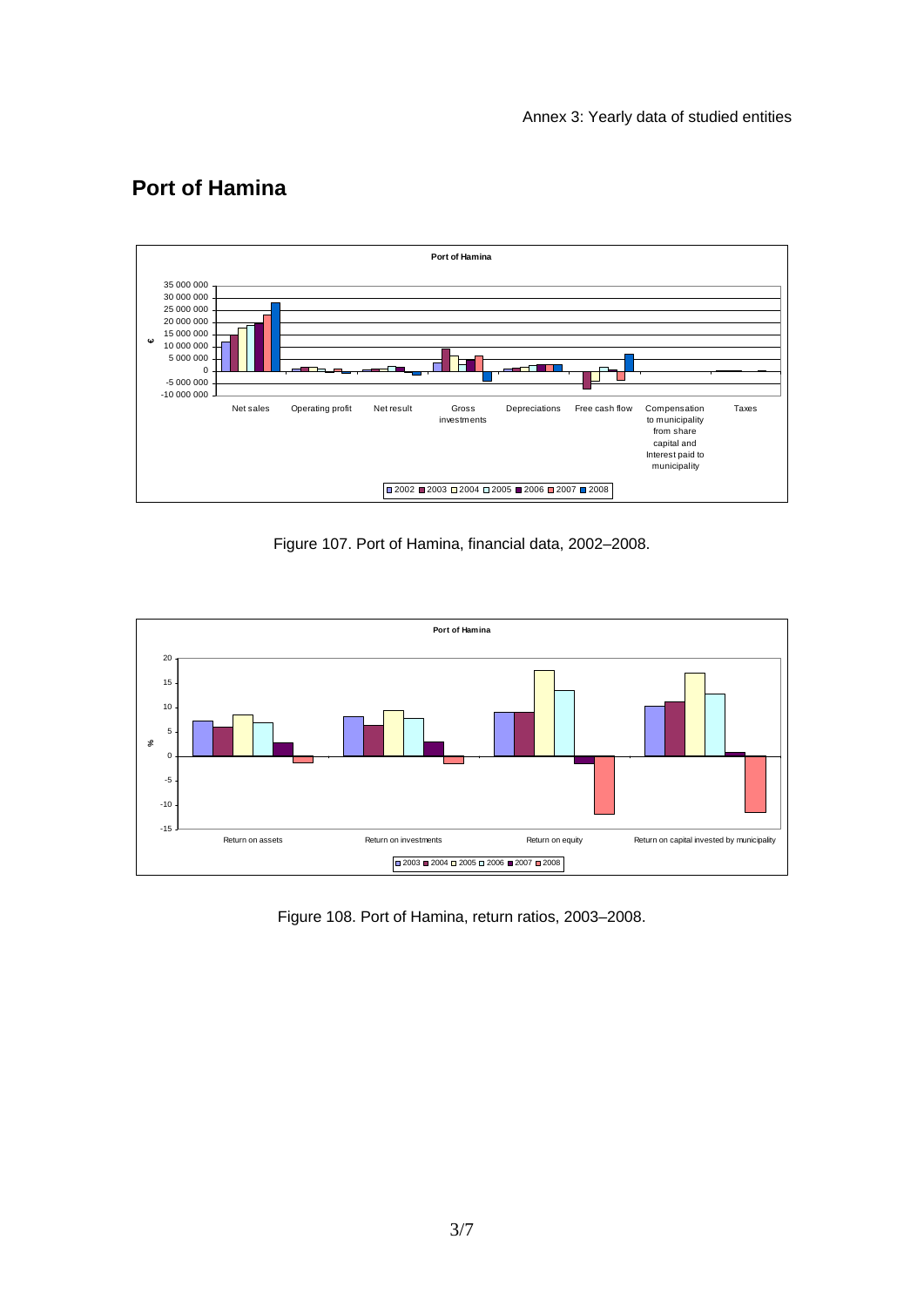### **Port of Hamina**



Figure 107. Port of Hamina, financial data, 2002–2008.



Figure 108. Port of Hamina, return ratios, 2003–2008.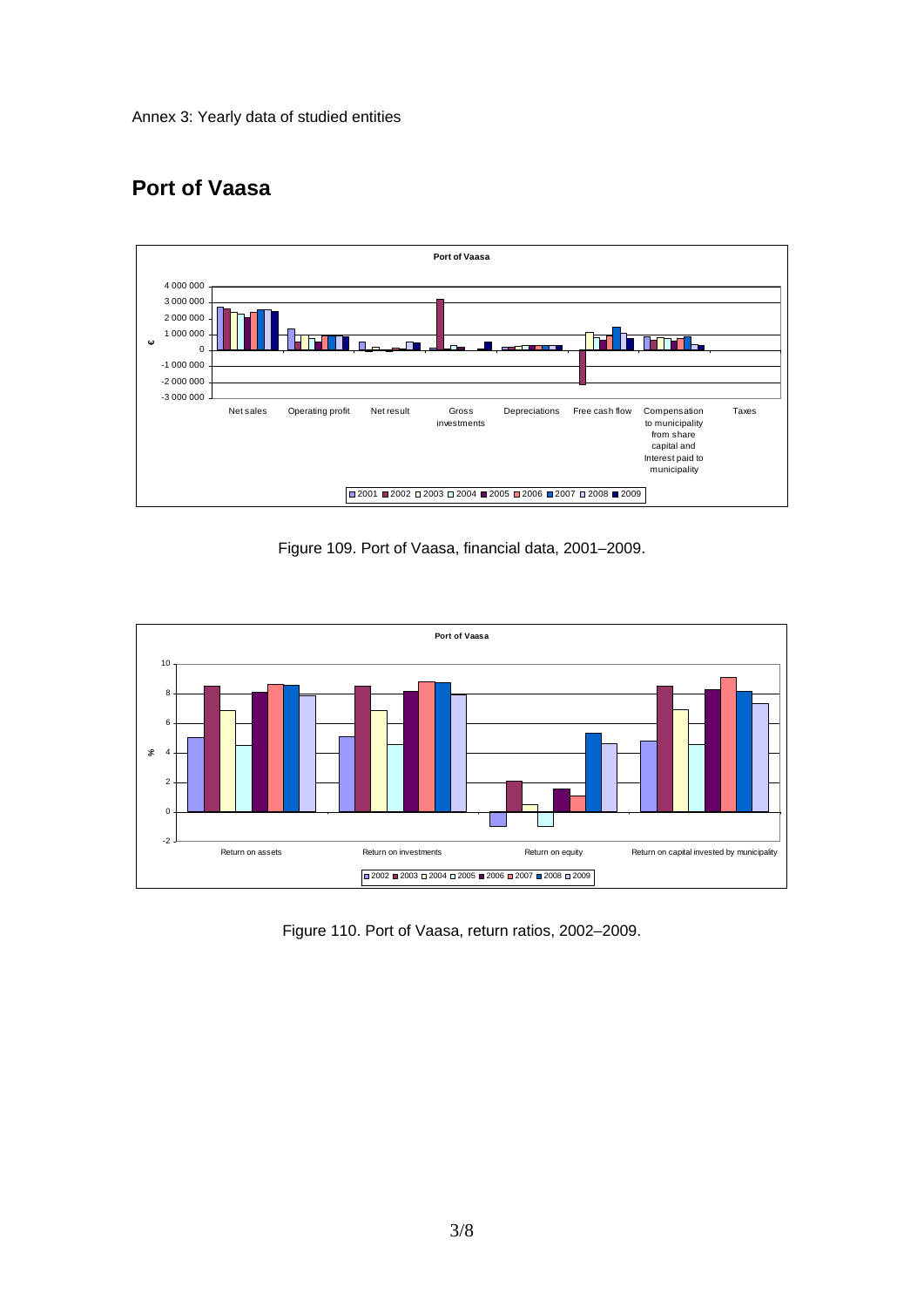# **Port of Vaasa**



Figure 109. Port of Vaasa, financial data, 2001–2009.



Figure 110. Port of Vaasa, return ratios, 2002–2009.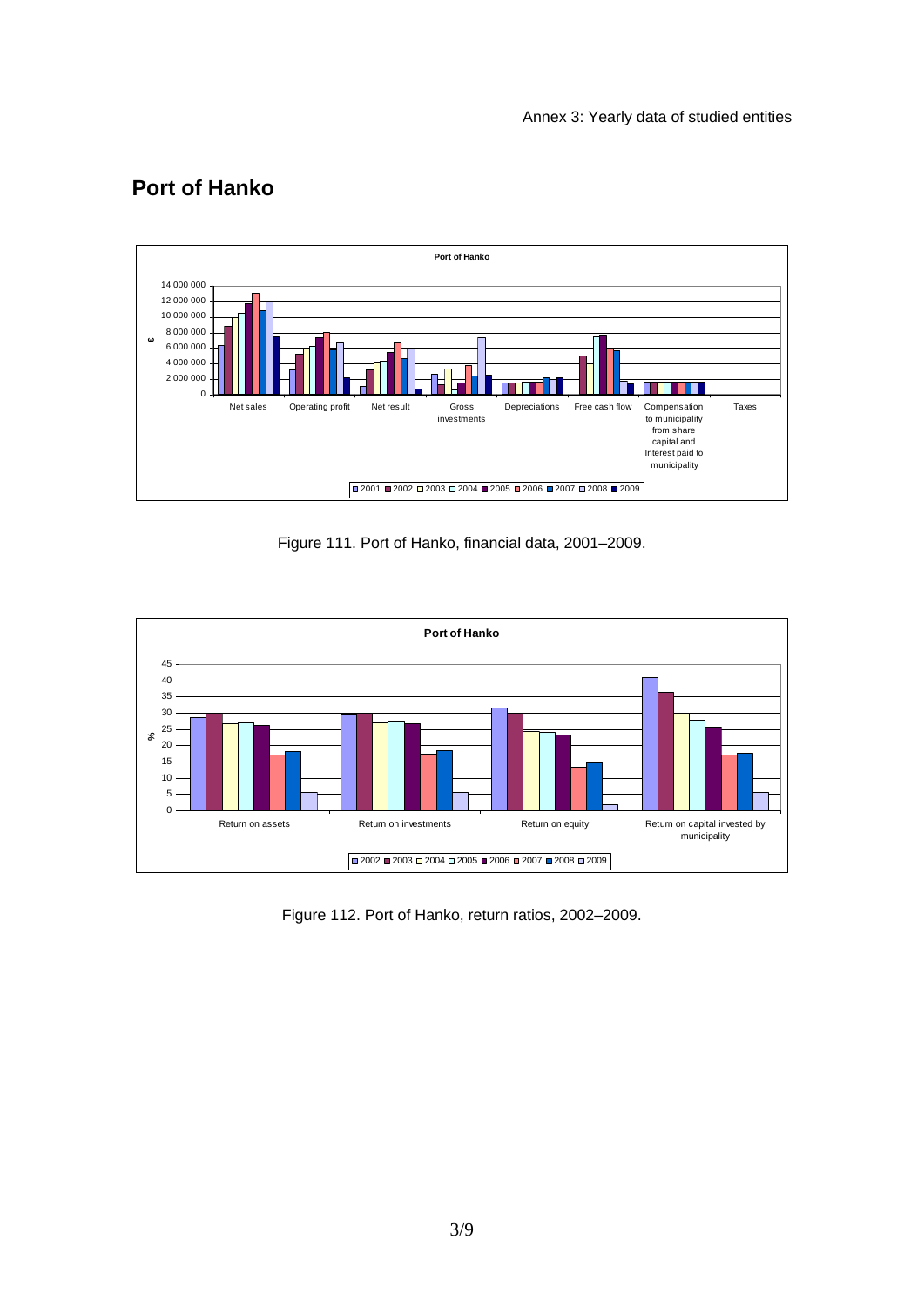### **Port of Hanko**



Figure 111. Port of Hanko, financial data, 2001–2009.



Figure 112. Port of Hanko, return ratios, 2002–2009.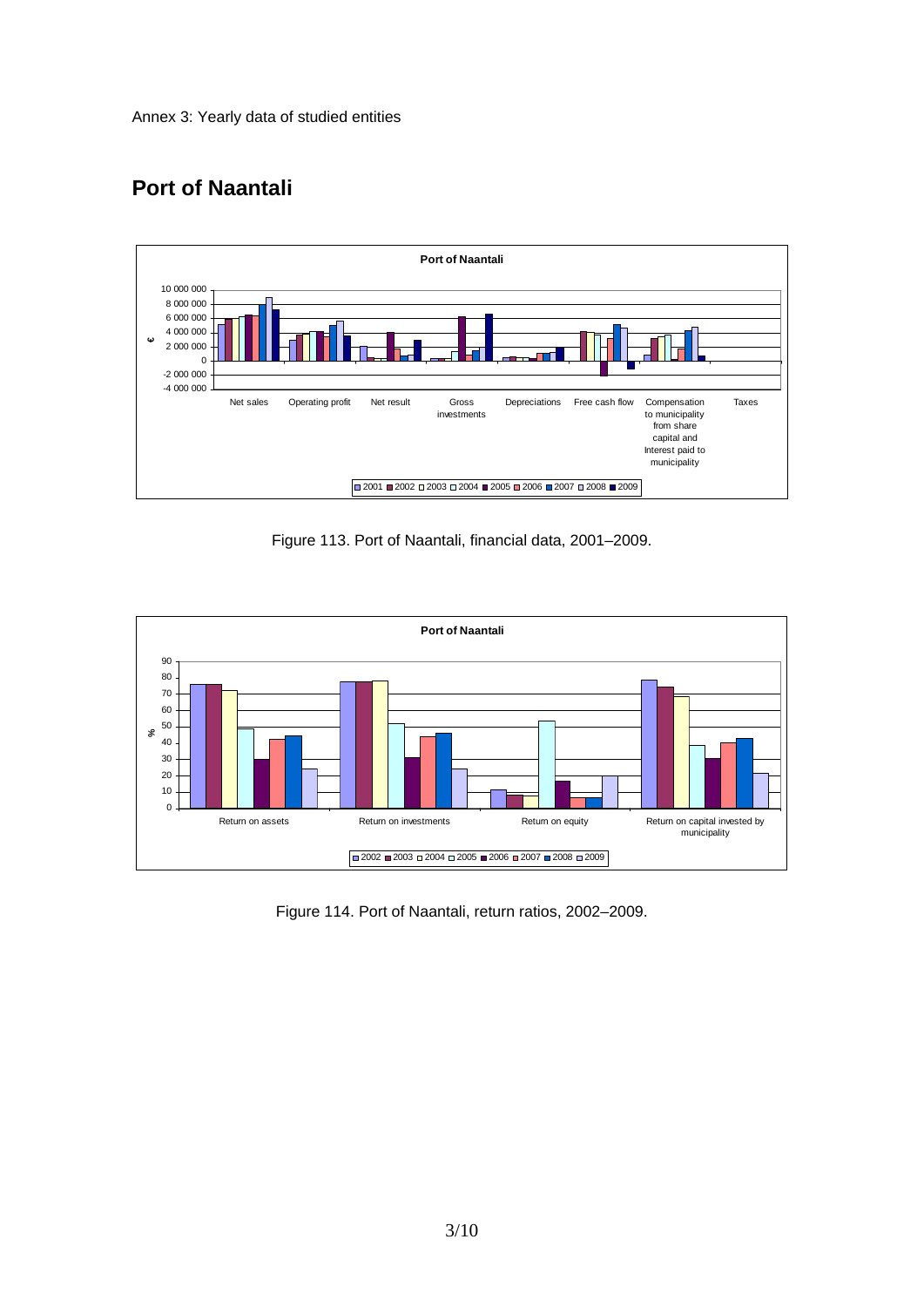# **Port of Naantali**



Figure 113. Port of Naantali, financial data, 2001–2009.



Figure 114. Port of Naantali, return ratios, 2002–2009.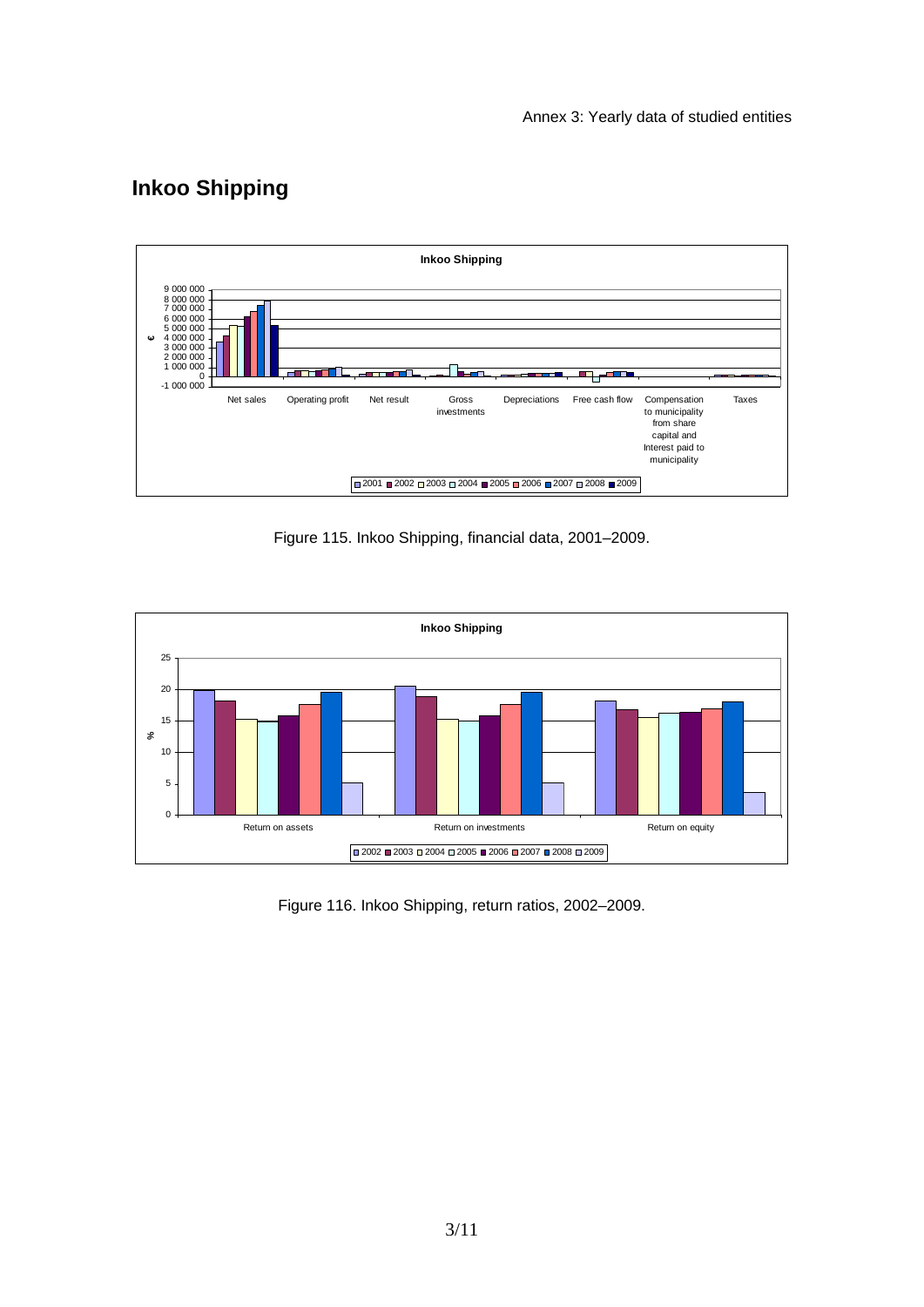# **Inkoo Shipping**



Figure 115. Inkoo Shipping, financial data, 2001–2009.



Figure 116. Inkoo Shipping, return ratios, 2002–2009.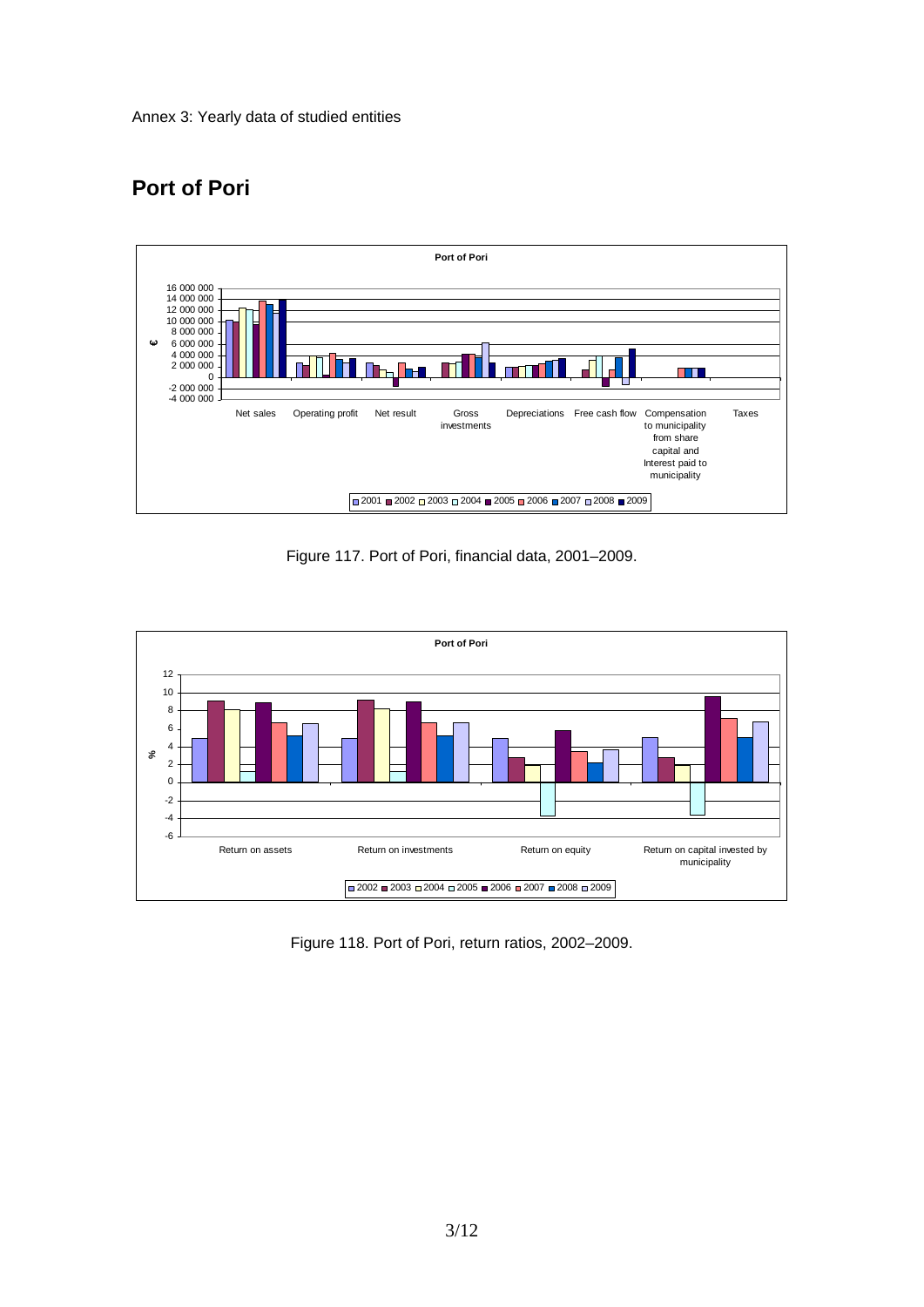# **Port of Pori**



Figure 117. Port of Pori, financial data, 2001–2009.



Figure 118. Port of Pori, return ratios, 2002–2009.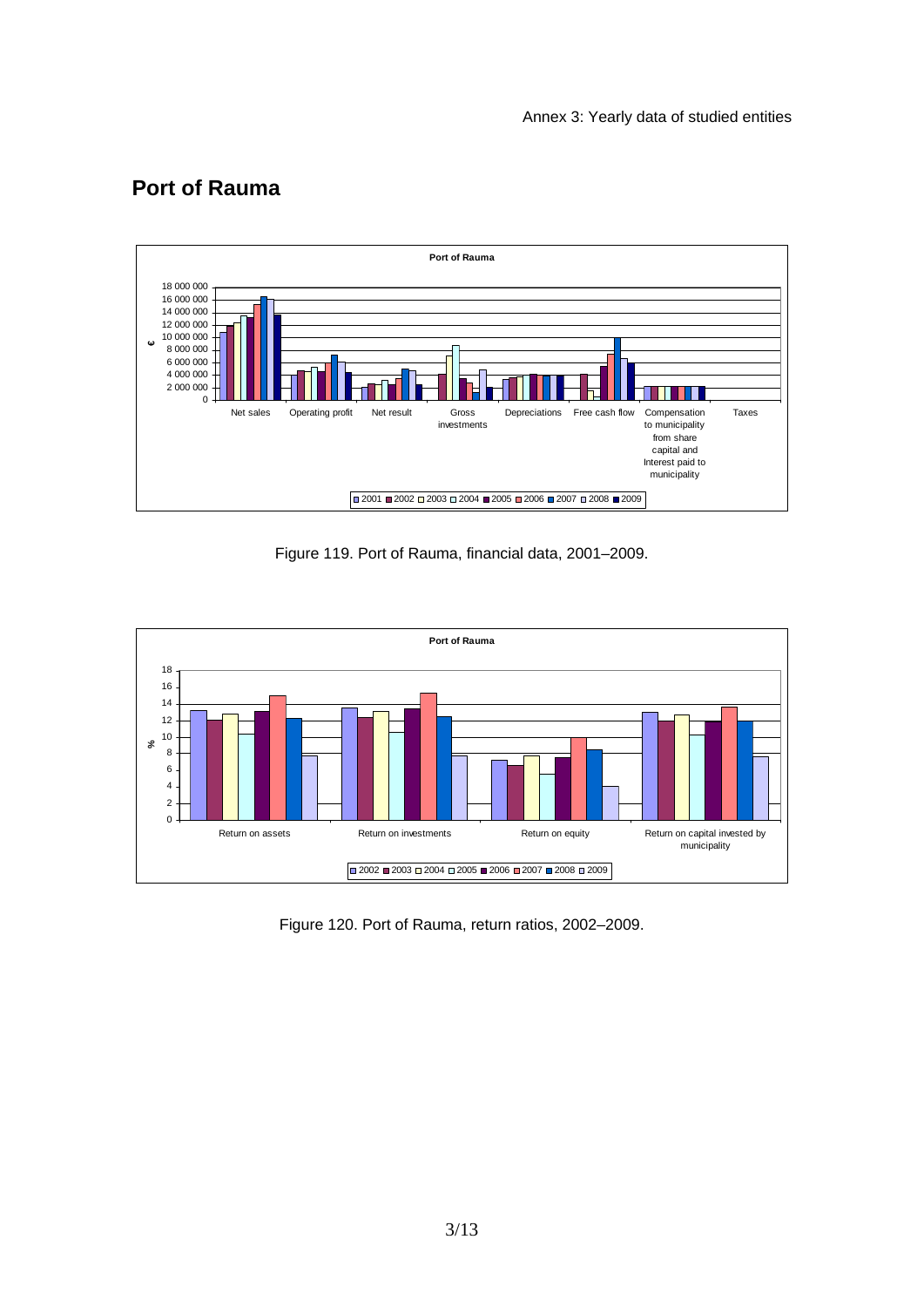### **Port of Rauma**



Figure 119. Port of Rauma, financial data, 2001–2009.



Figure 120. Port of Rauma, return ratios, 2002–2009.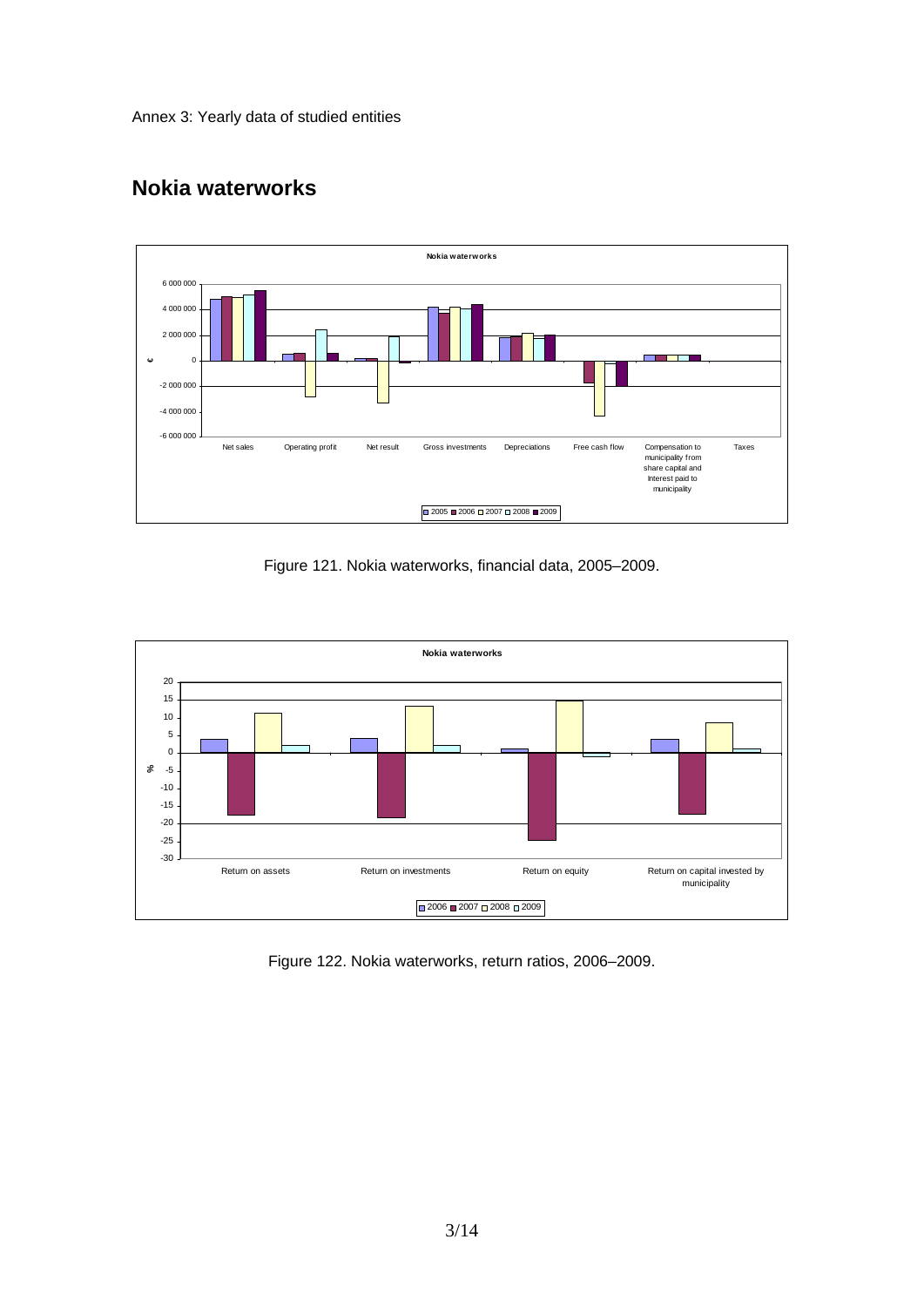#### **Nokia waterworks**



Figure 121. Nokia waterworks, financial data, 2005–2009.



Figure 122. Nokia waterworks, return ratios, 2006–2009.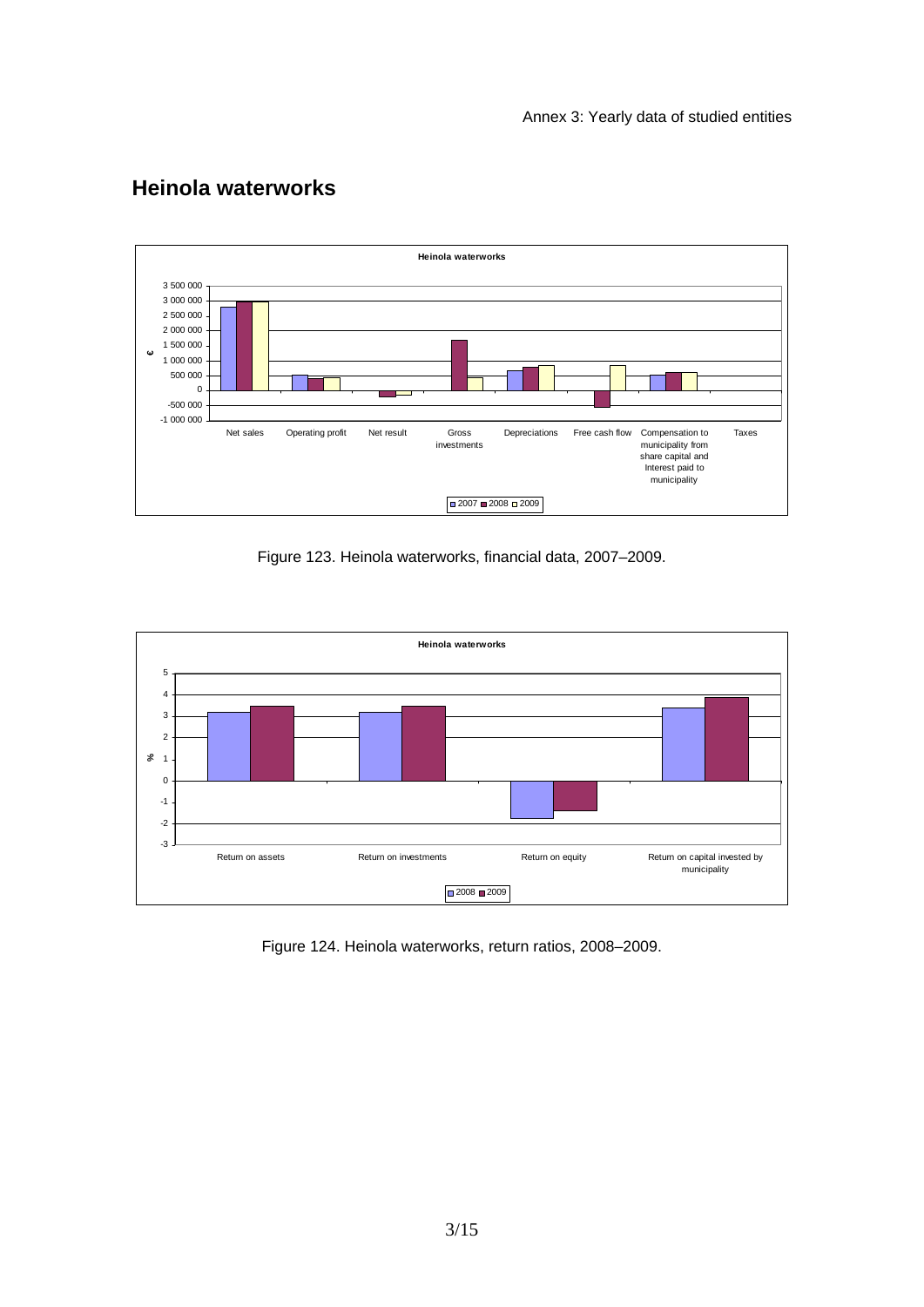

#### **Heinola waterworks**

Figure 123. Heinola waterworks, financial data, 2007–2009.



Figure 124. Heinola waterworks, return ratios, 2008–2009.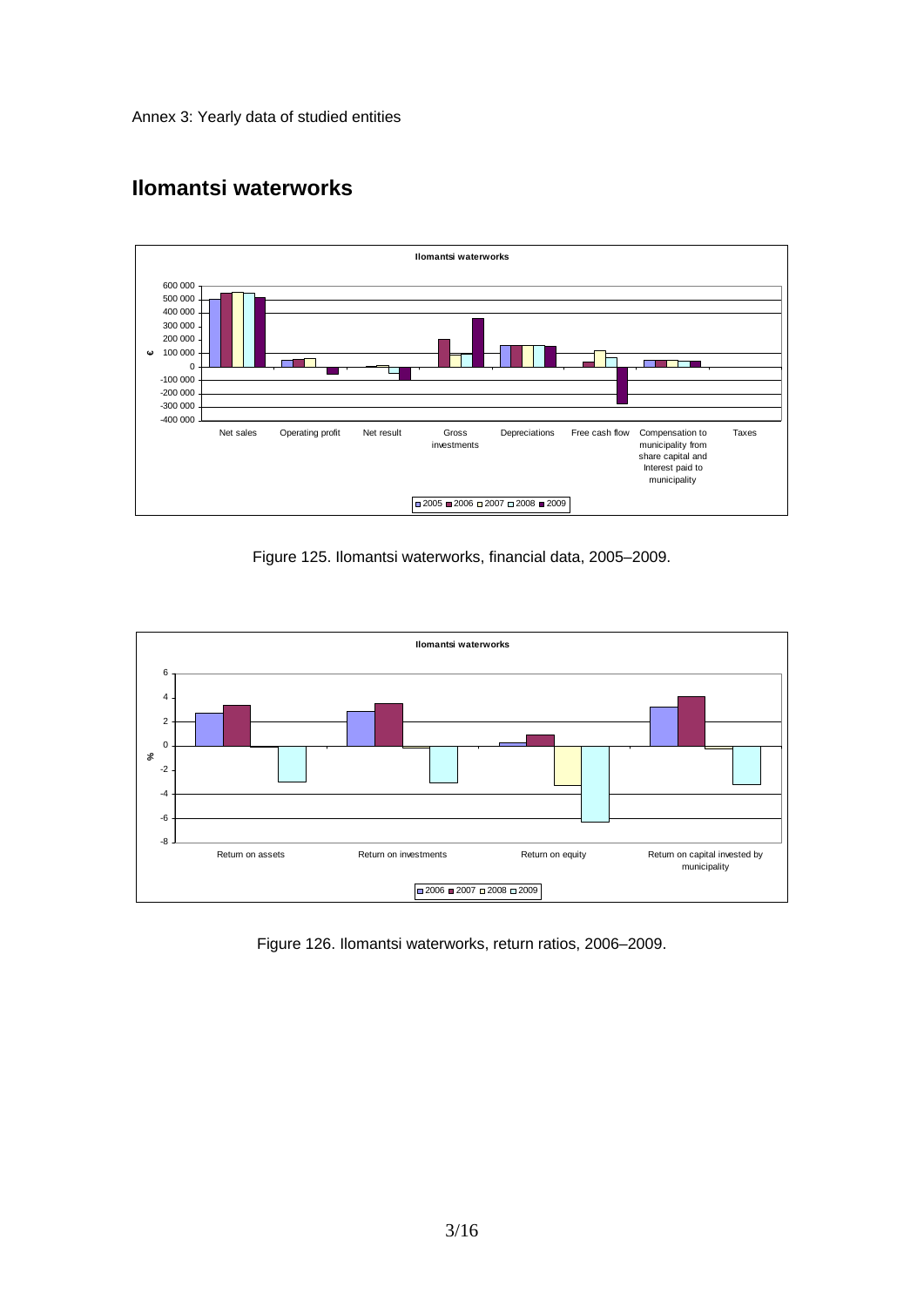

#### **Ilomantsi waterworks**

Figure 125. Ilomantsi waterworks, financial data, 2005–2009.



Figure 126. Ilomantsi waterworks, return ratios, 2006–2009.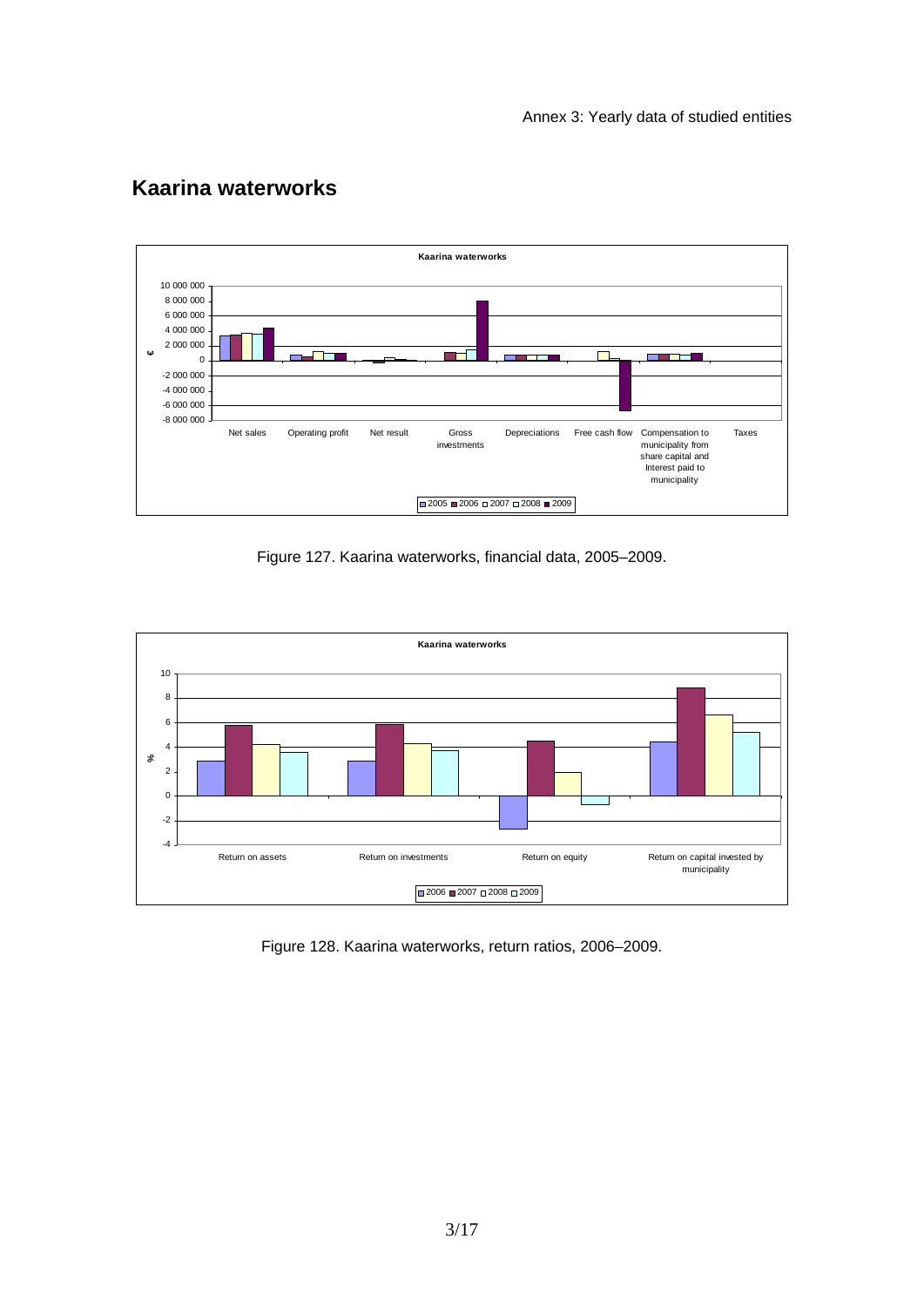

# **Kaarina waterworks**

Figure 127. Kaarina waterworks, financial data, 2005–2009.



Figure 128. Kaarina waterworks, return ratios, 2006–2009.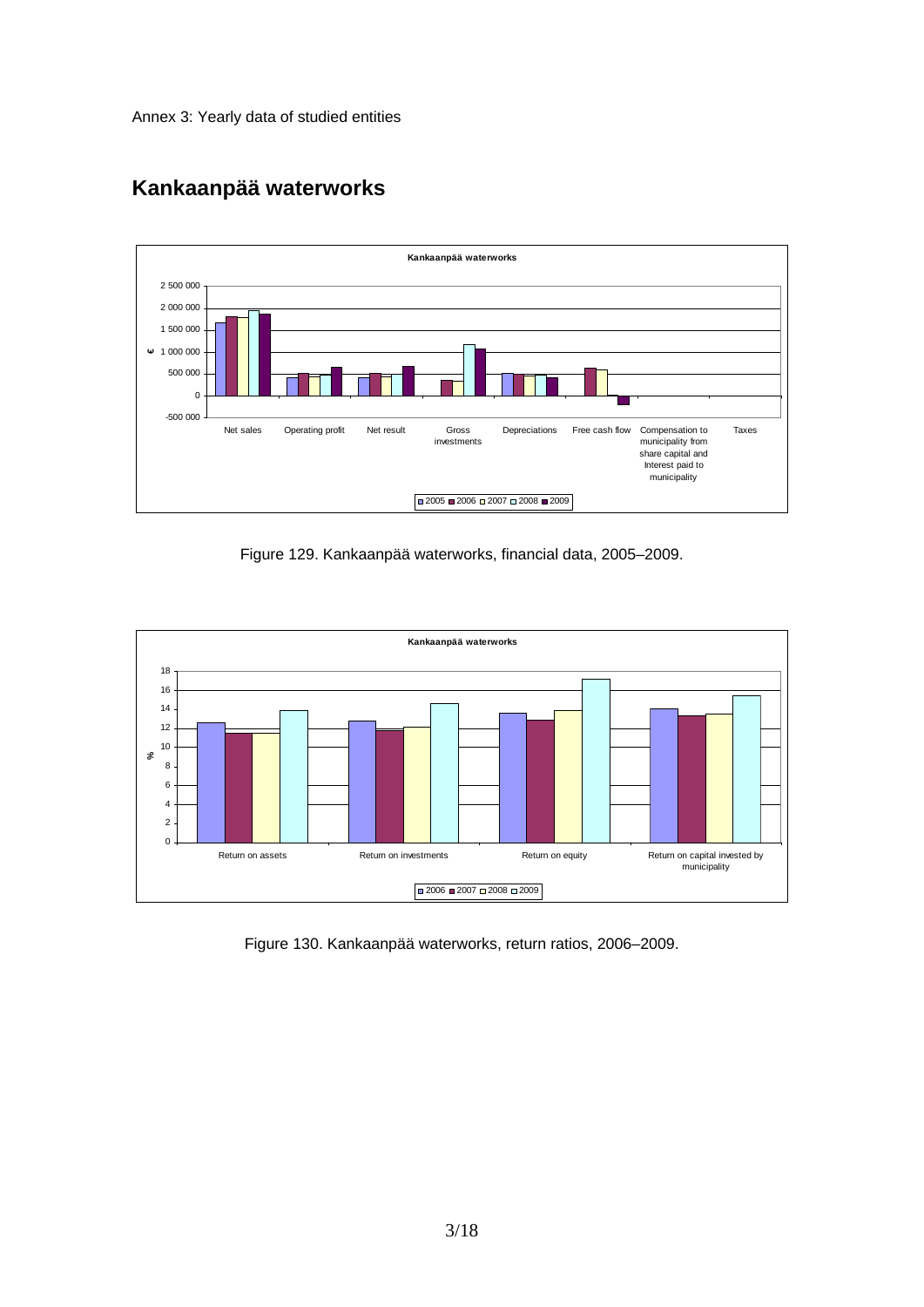

# **Kankaanpää waterworks**

Figure 129. Kankaanpää waterworks, financial data, 2005–2009.



Figure 130. Kankaanpää waterworks, return ratios, 2006–2009.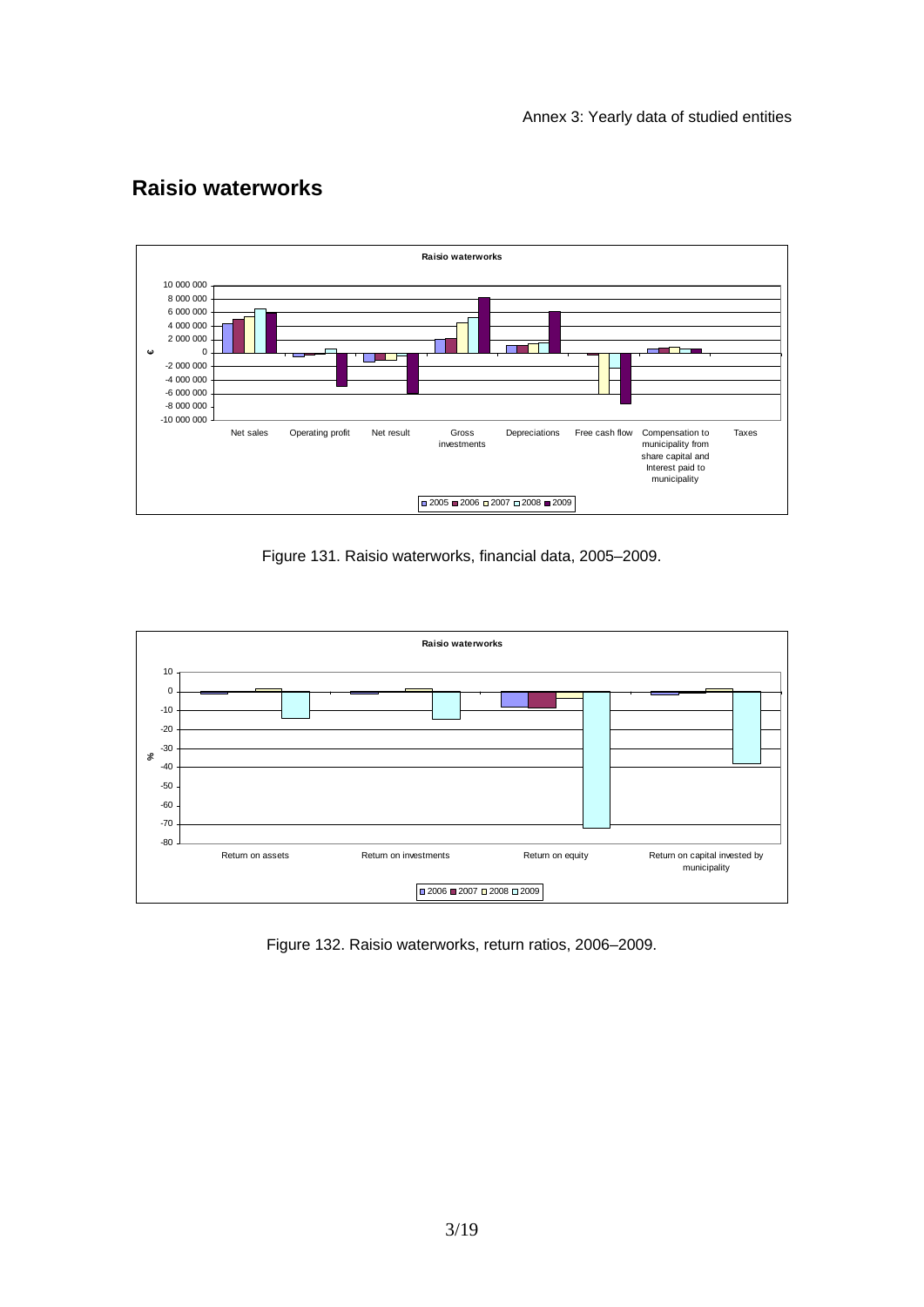

### **Raisio waterworks**

Figure 131. Raisio waterworks, financial data, 2005–2009.



Figure 132. Raisio waterworks, return ratios, 2006–2009.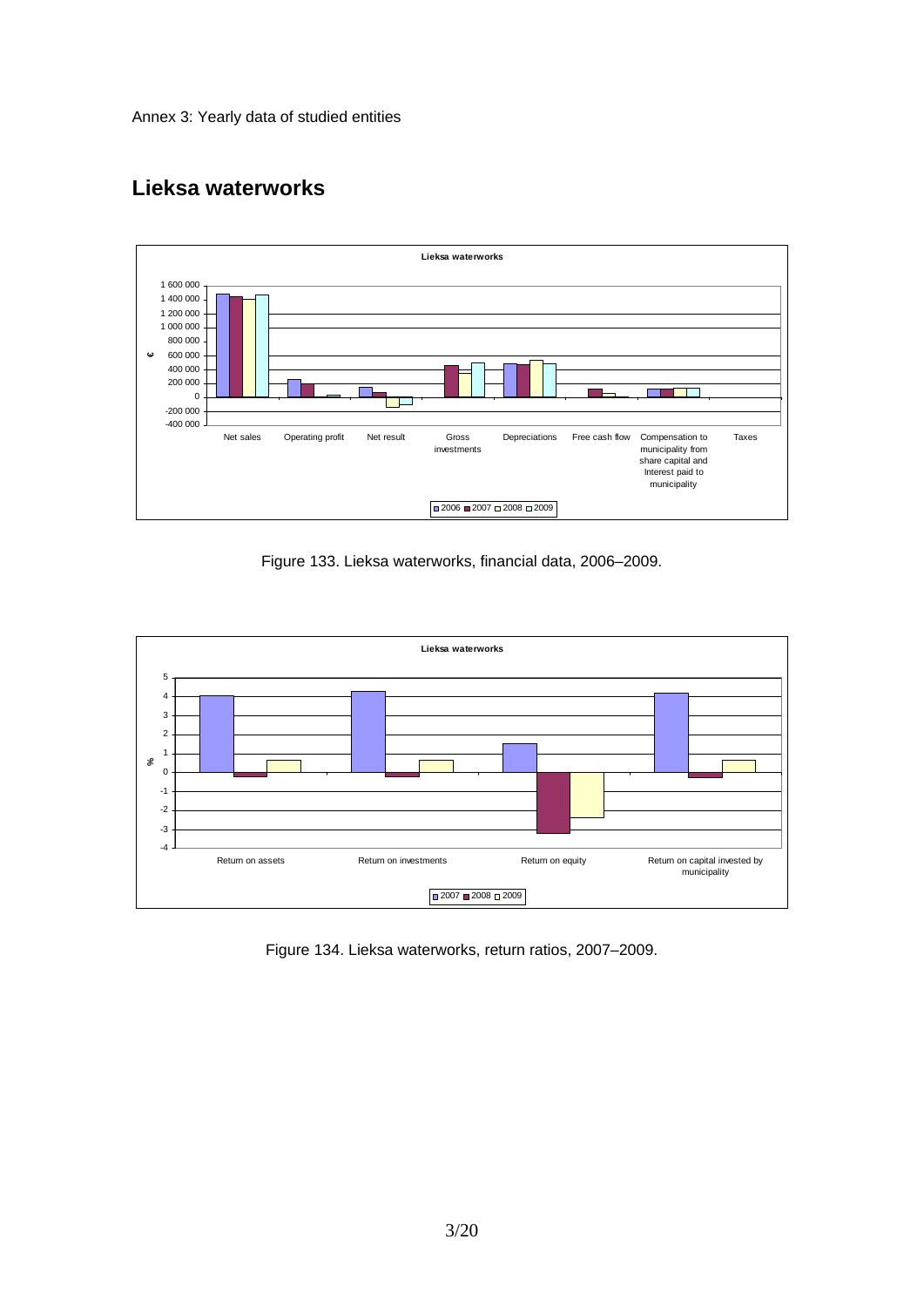### **Lieksa waterworks**



Figure 133. Lieksa waterworks, financial data, 2006–2009.



Figure 134. Lieksa waterworks, return ratios, 2007–2009.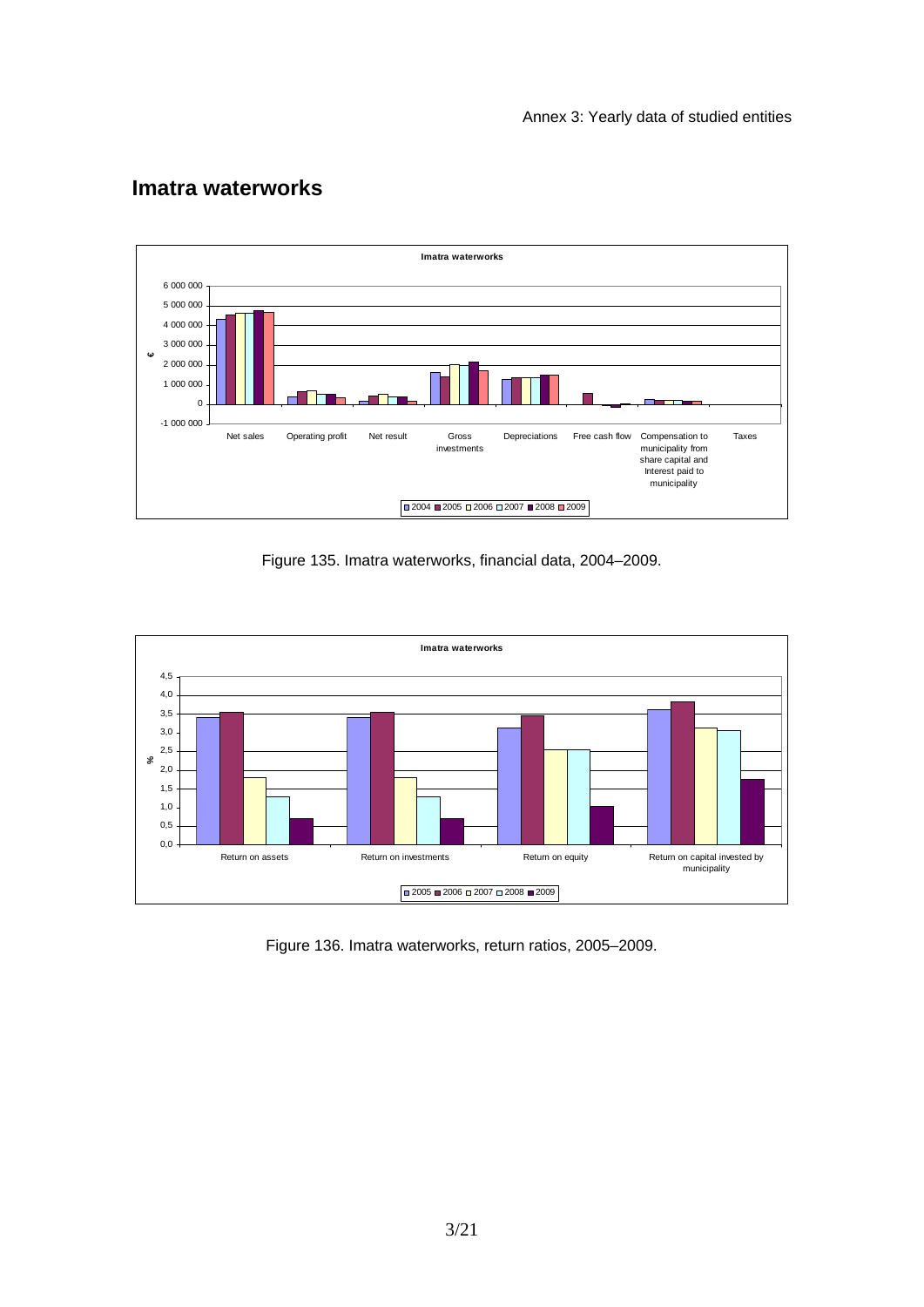

#### **Imatra waterworks**

Figure 135. Imatra waterworks, financial data, 2004–2009.



Figure 136. Imatra waterworks, return ratios, 2005–2009.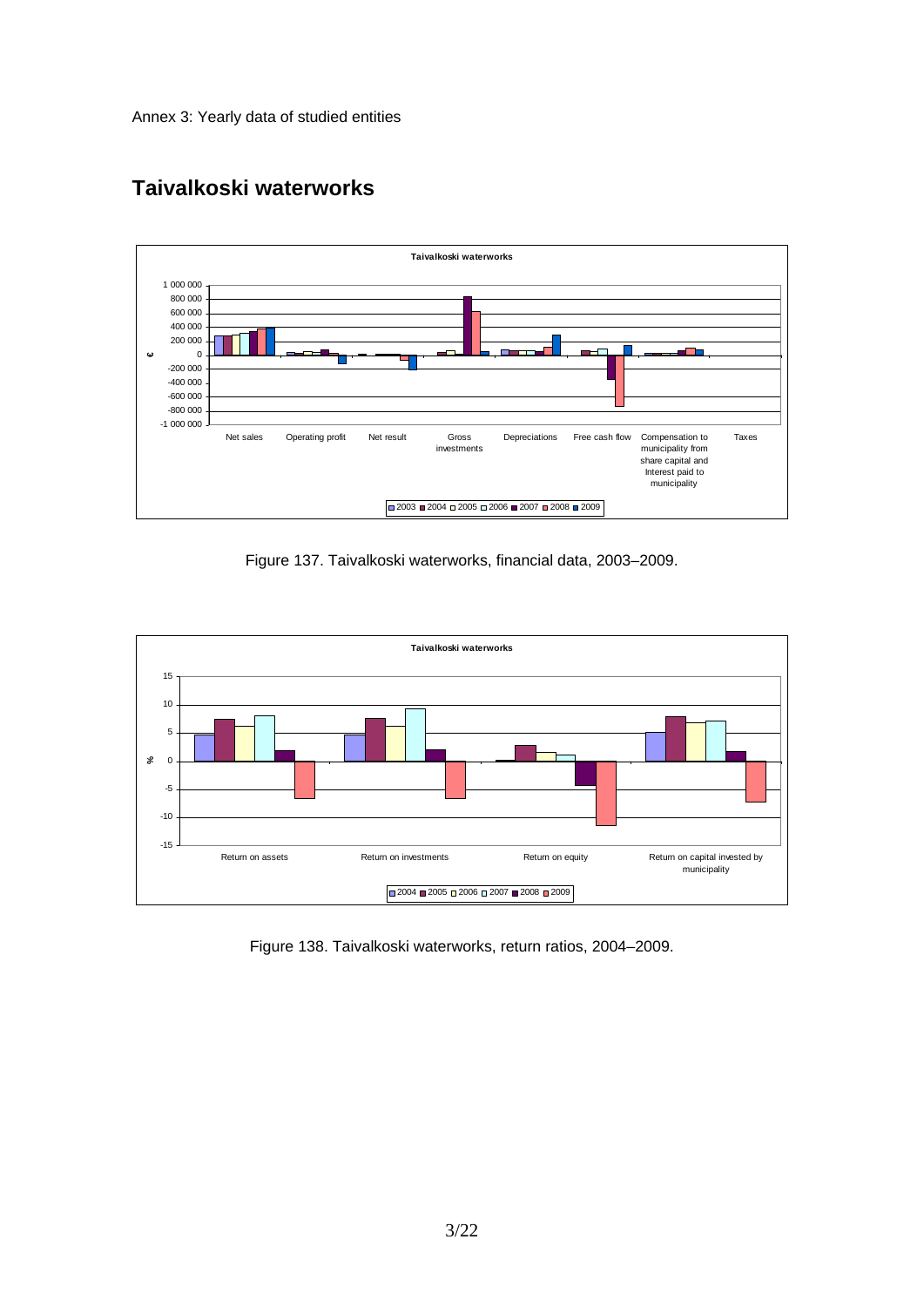

### **Taivalkoski waterworks**

Figure 137. Taivalkoski waterworks, financial data, 2003–2009.



Figure 138. Taivalkoski waterworks, return ratios, 2004–2009.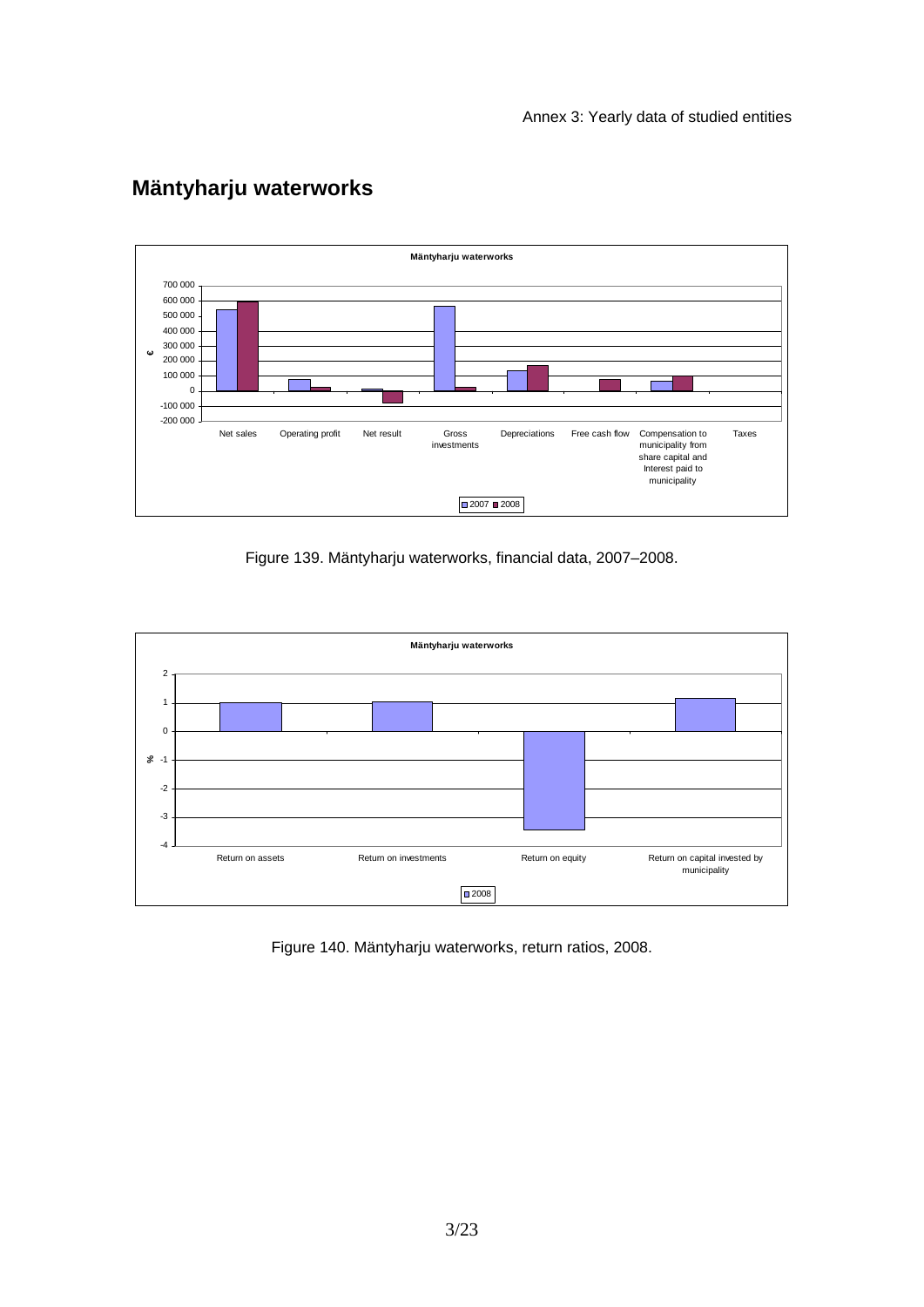

## **Mäntyharju waterworks**

Figure 139. Mäntyharju waterworks, financial data, 2007–2008.



Figure 140. Mäntyharju waterworks, return ratios, 2008.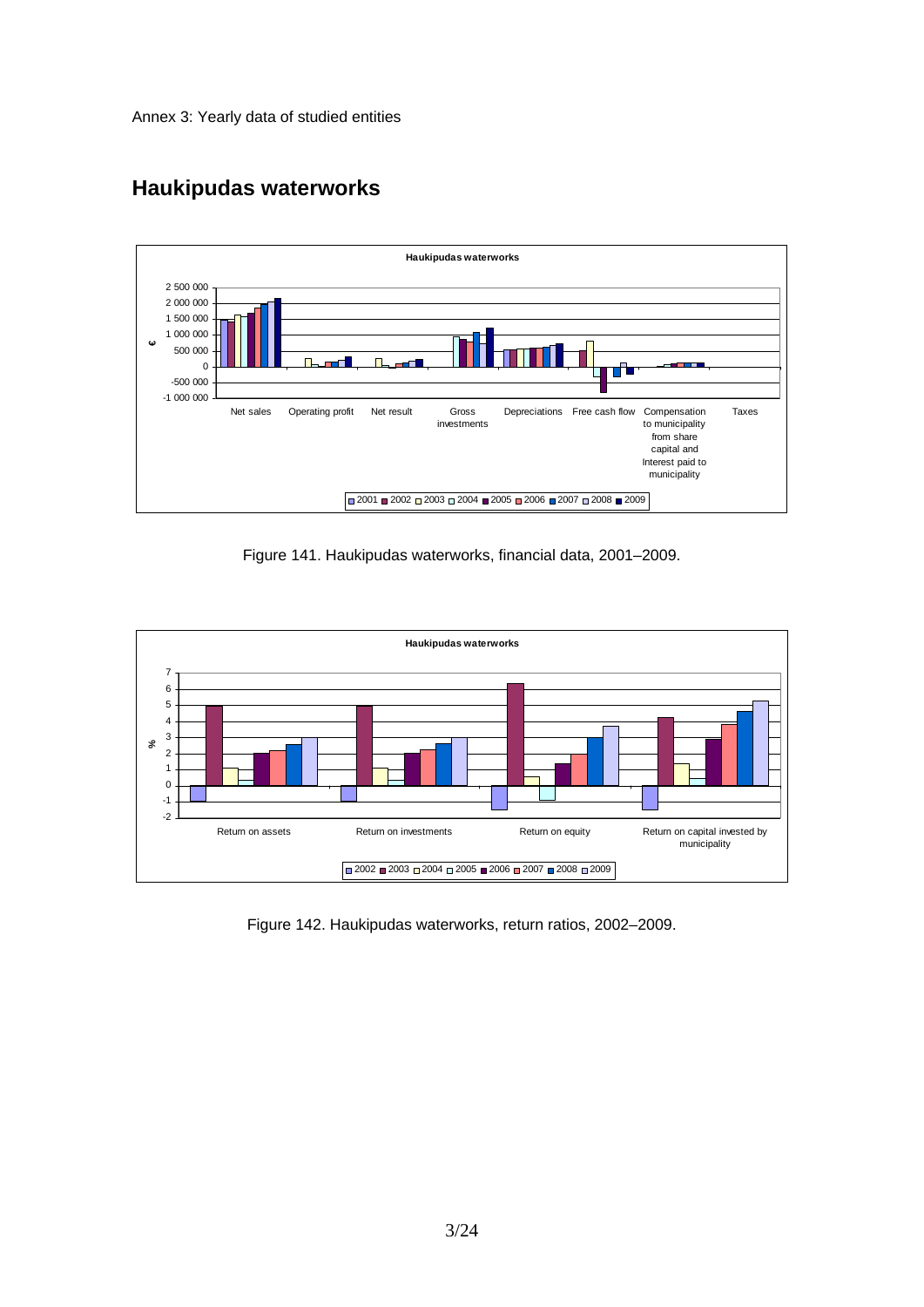

## **Haukipudas waterworks**

Figure 141. Haukipudas waterworks, financial data, 2001–2009.



Figure 142. Haukipudas waterworks, return ratios, 2002–2009.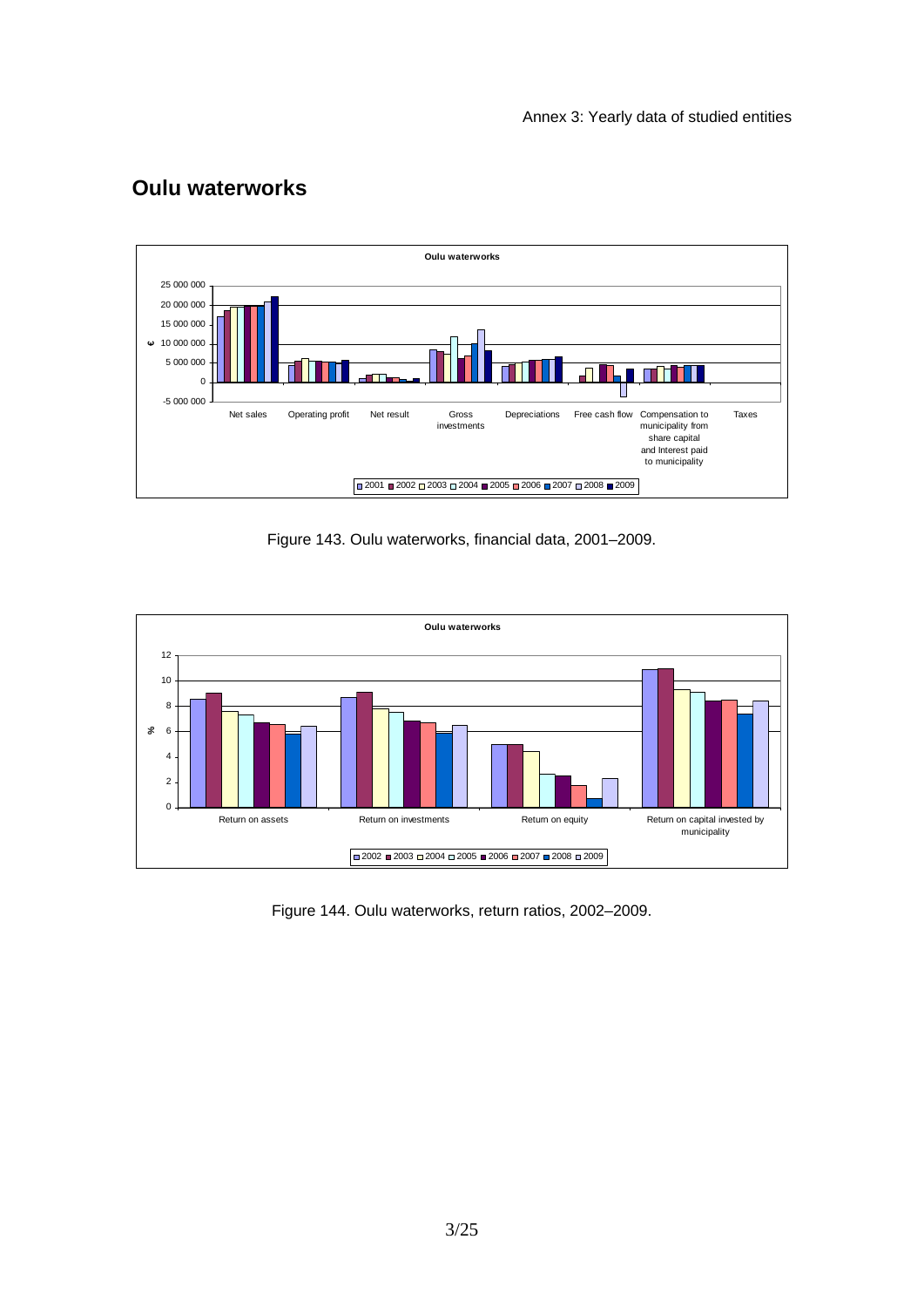### **Oulu waterworks**



Figure 143. Oulu waterworks, financial data, 2001–2009.



Figure 144. Oulu waterworks, return ratios, 2002–2009.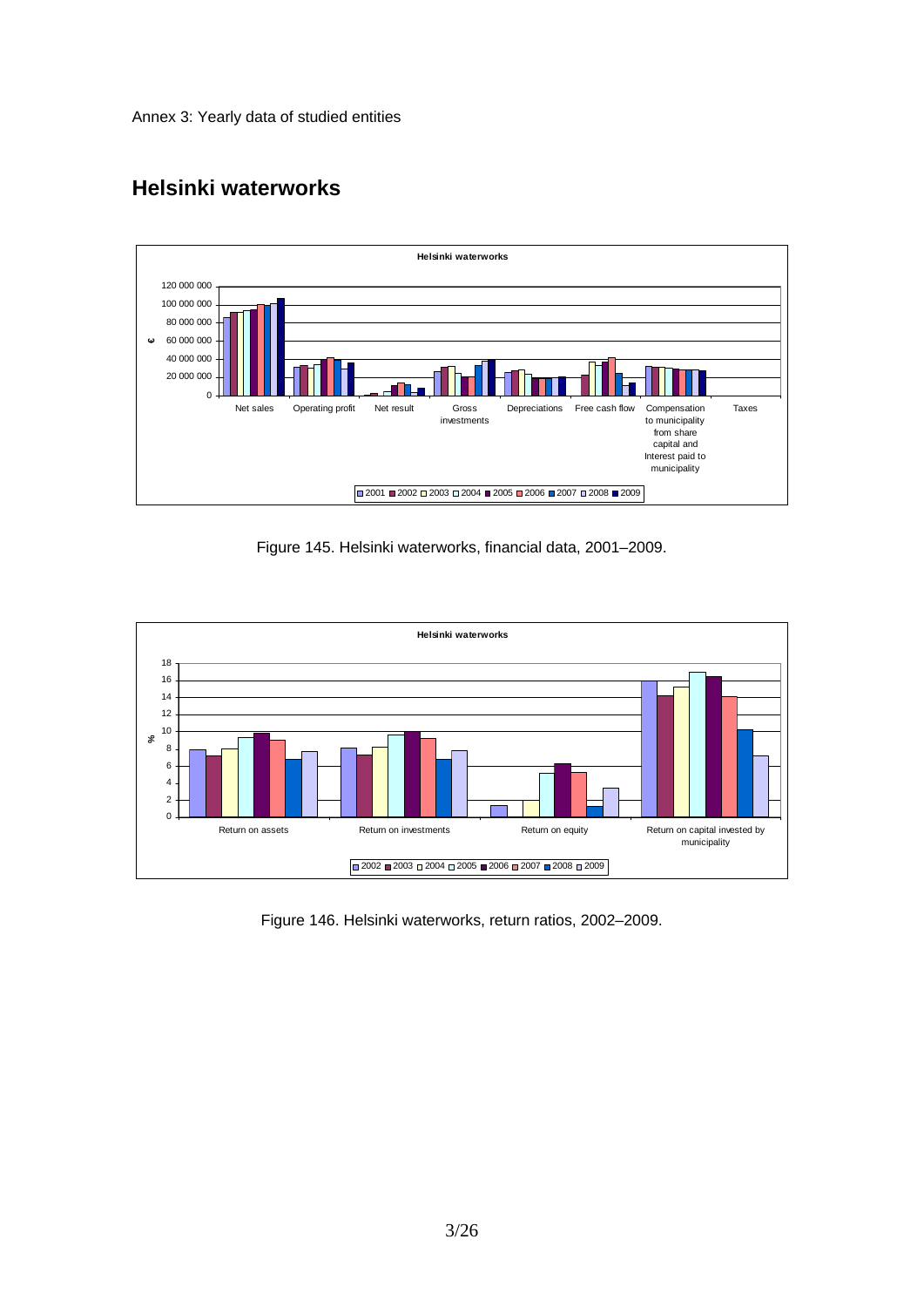

## **Helsinki waterworks**

Figure 145. Helsinki waterworks, financial data, 2001–2009.



Figure 146. Helsinki waterworks, return ratios, 2002–2009.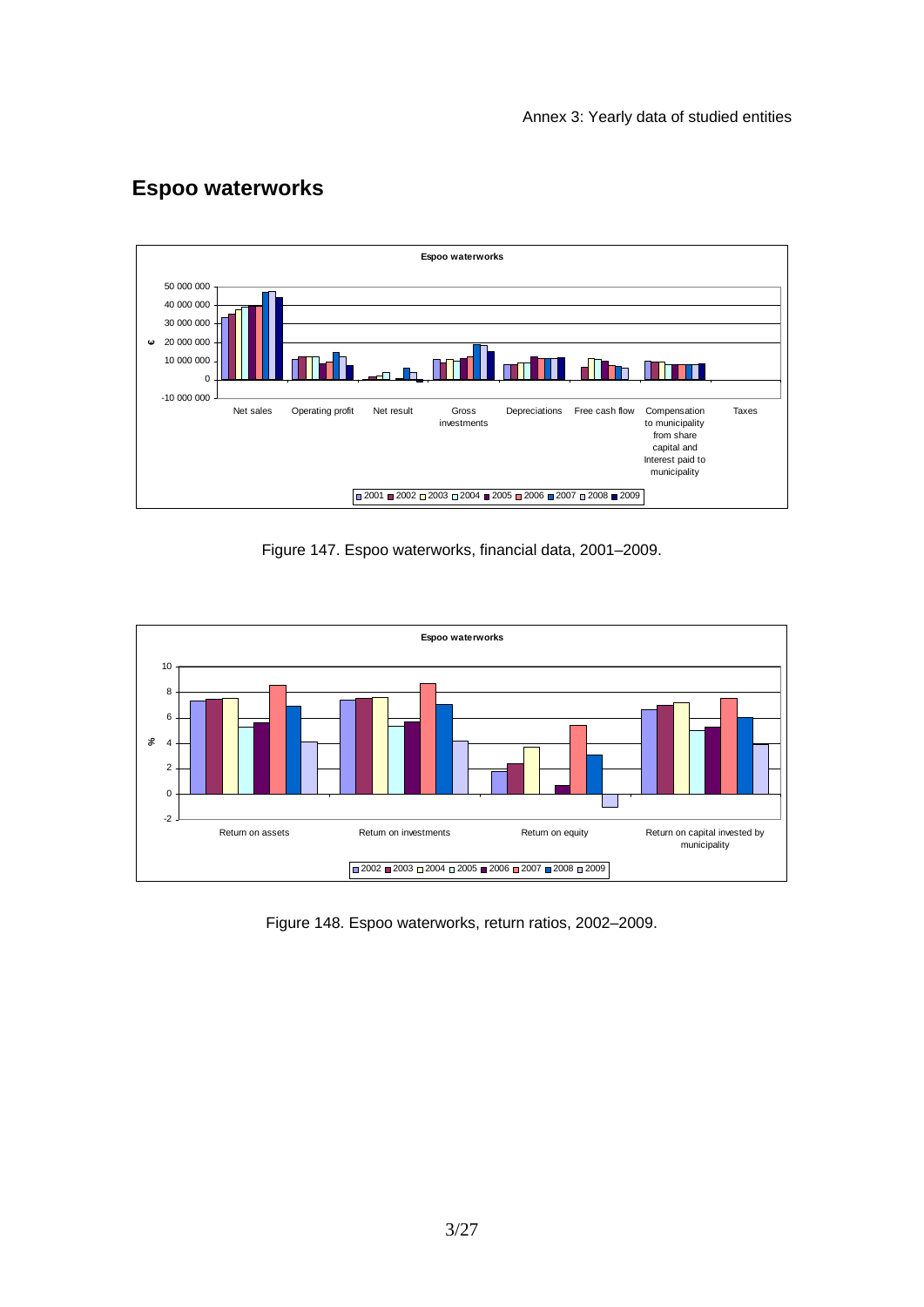### **Espoo waterworks**



Figure 147. Espoo waterworks, financial data, 2001–2009.



Figure 148. Espoo waterworks, return ratios, 2002–2009.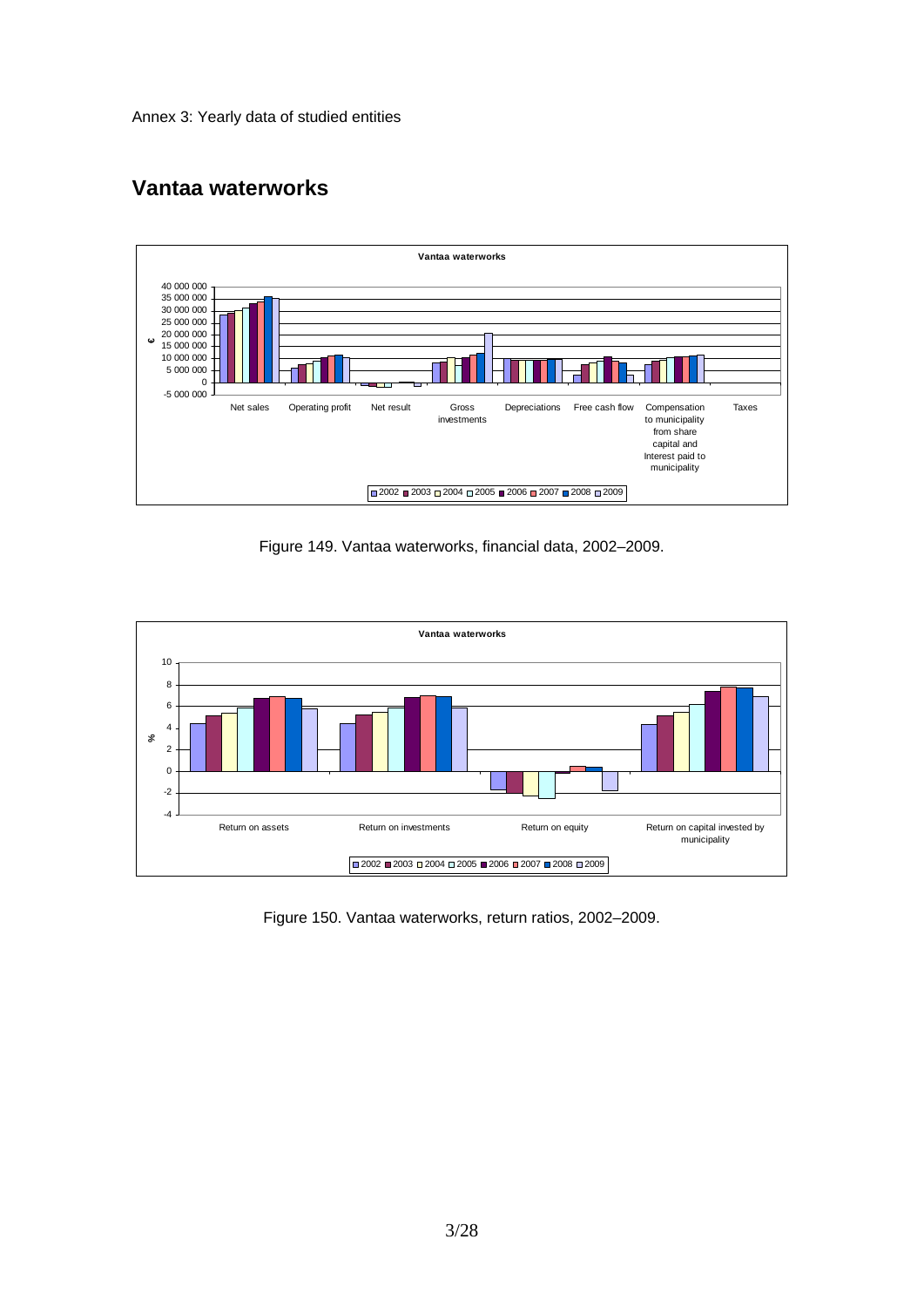### **Vantaa waterworks**



Figure 149. Vantaa waterworks, financial data, 2002–2009.



Figure 150. Vantaa waterworks, return ratios, 2002–2009.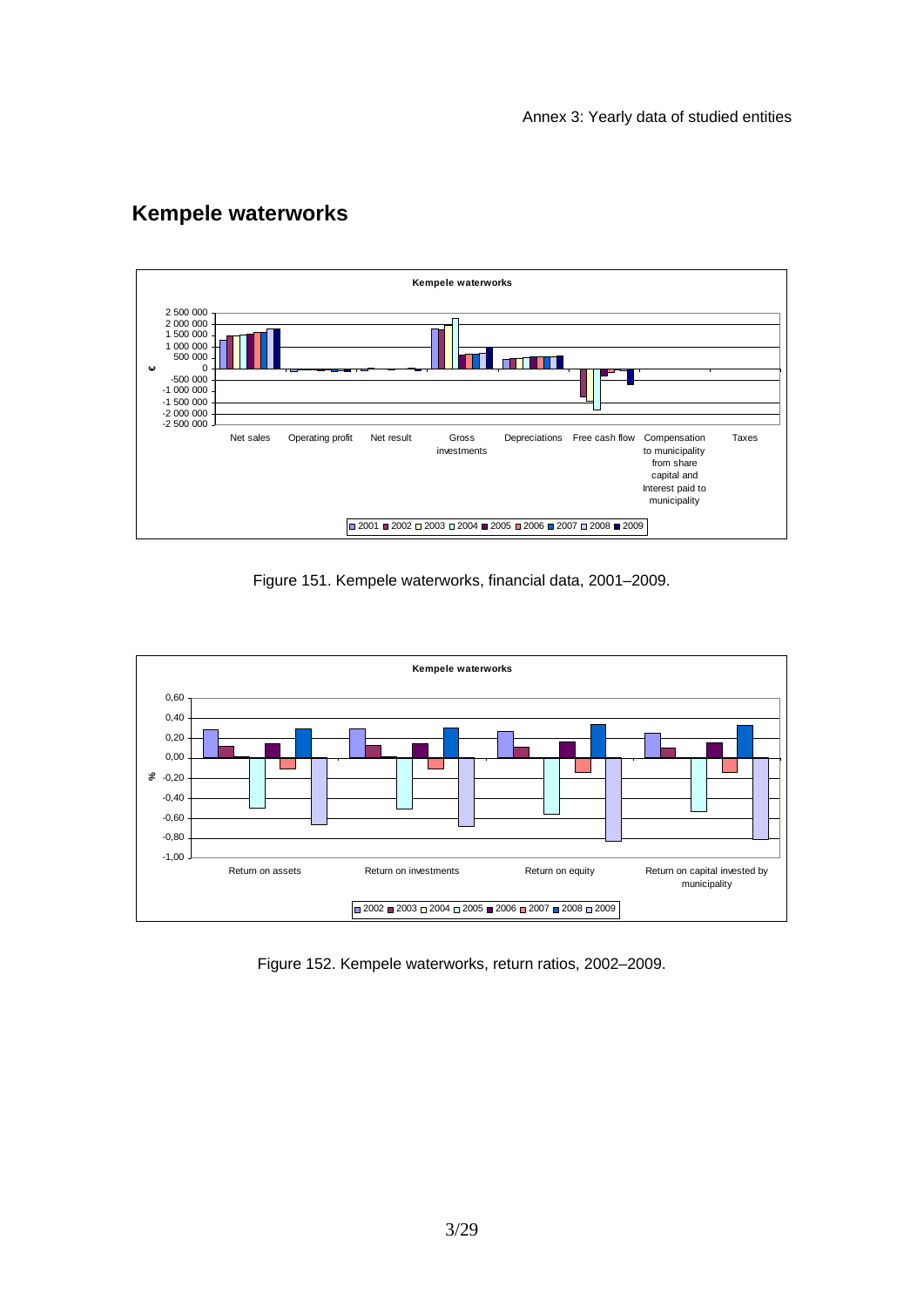

### **Kempele waterworks**

Figure 151. Kempele waterworks, financial data, 2001–2009.



Figure 152. Kempele waterworks, return ratios, 2002–2009.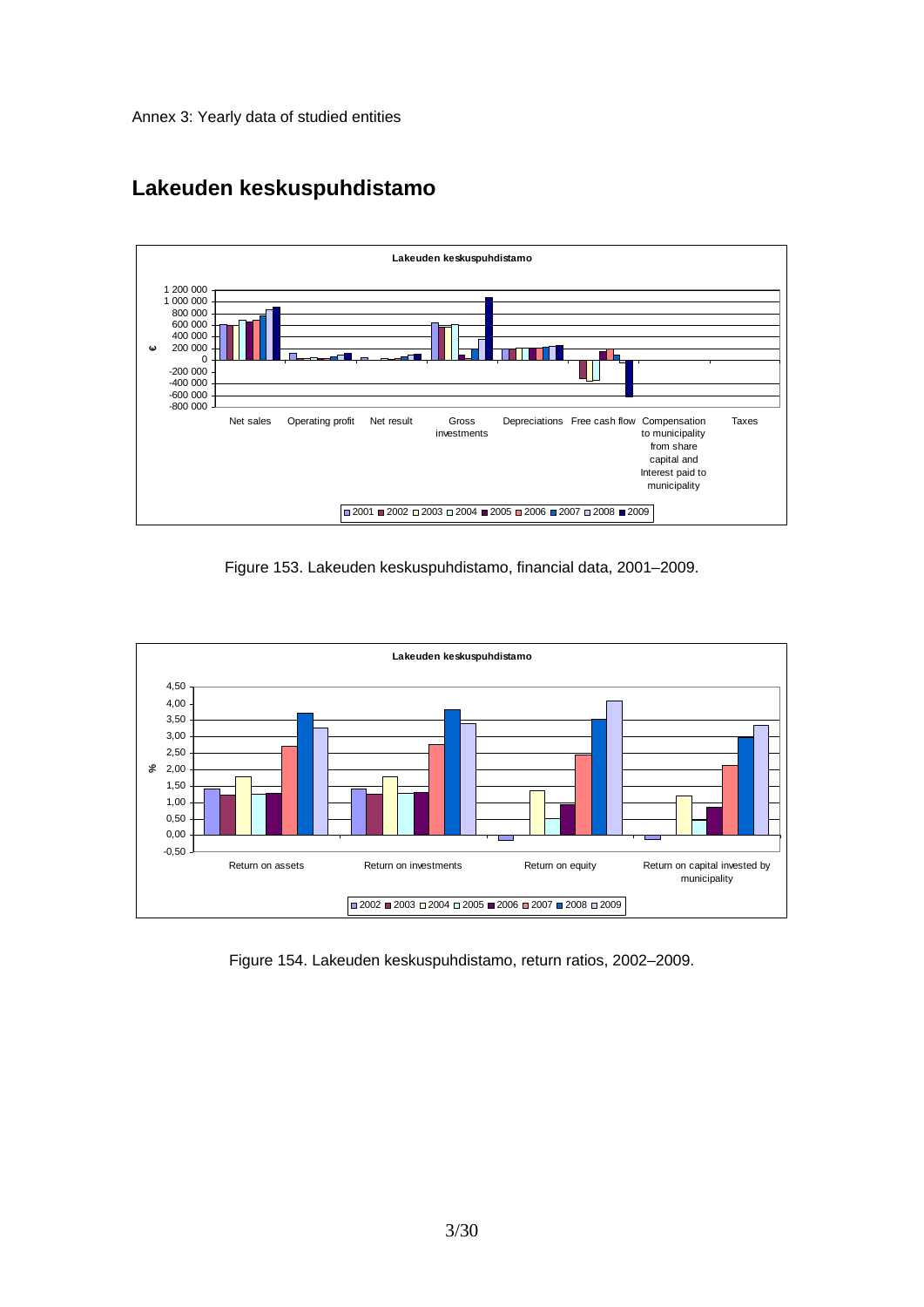

## **Lakeuden keskuspuhdistamo**

Figure 153. Lakeuden keskuspuhdistamo, financial data, 2001–2009.



Figure 154. Lakeuden keskuspuhdistamo, return ratios, 2002–2009.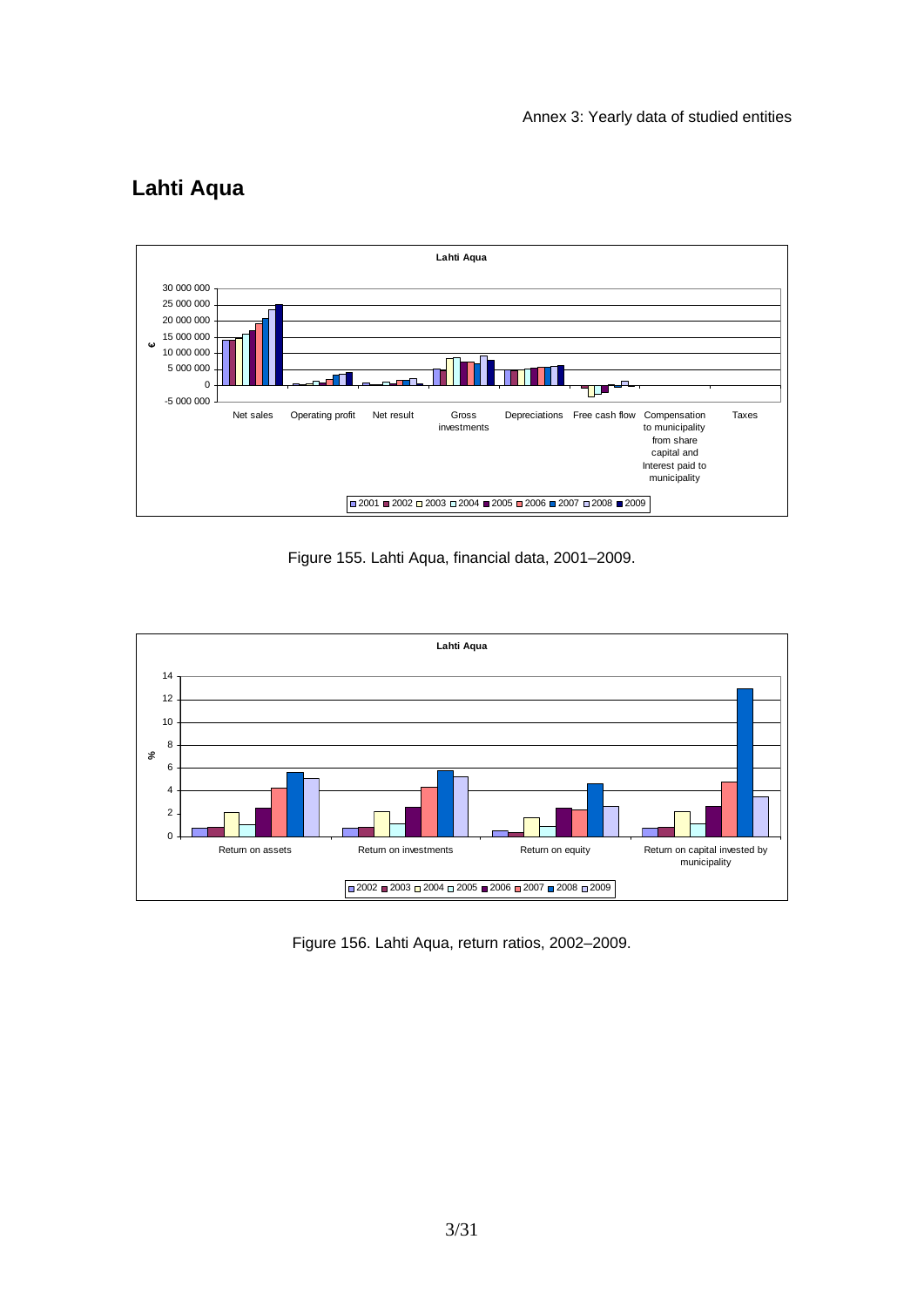



Figure 155. Lahti Aqua, financial data, 2001–2009.



Figure 156. Lahti Aqua, return ratios, 2002–2009.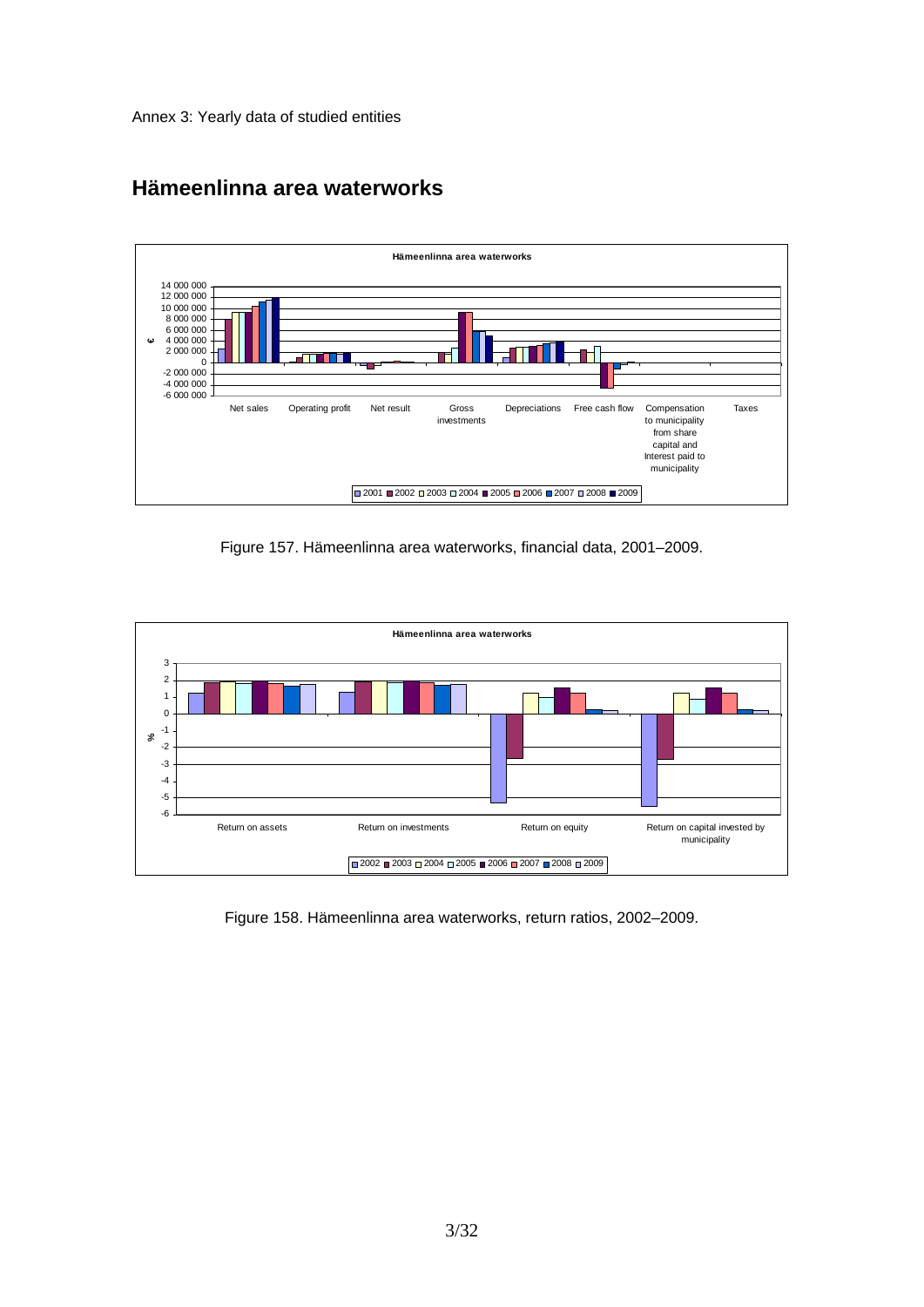

### **Hämeenlinna area waterworks**

Figure 157. Hämeenlinna area waterworks, financial data, 2001–2009.



Figure 158. Hämeenlinna area waterworks, return ratios, 2002–2009.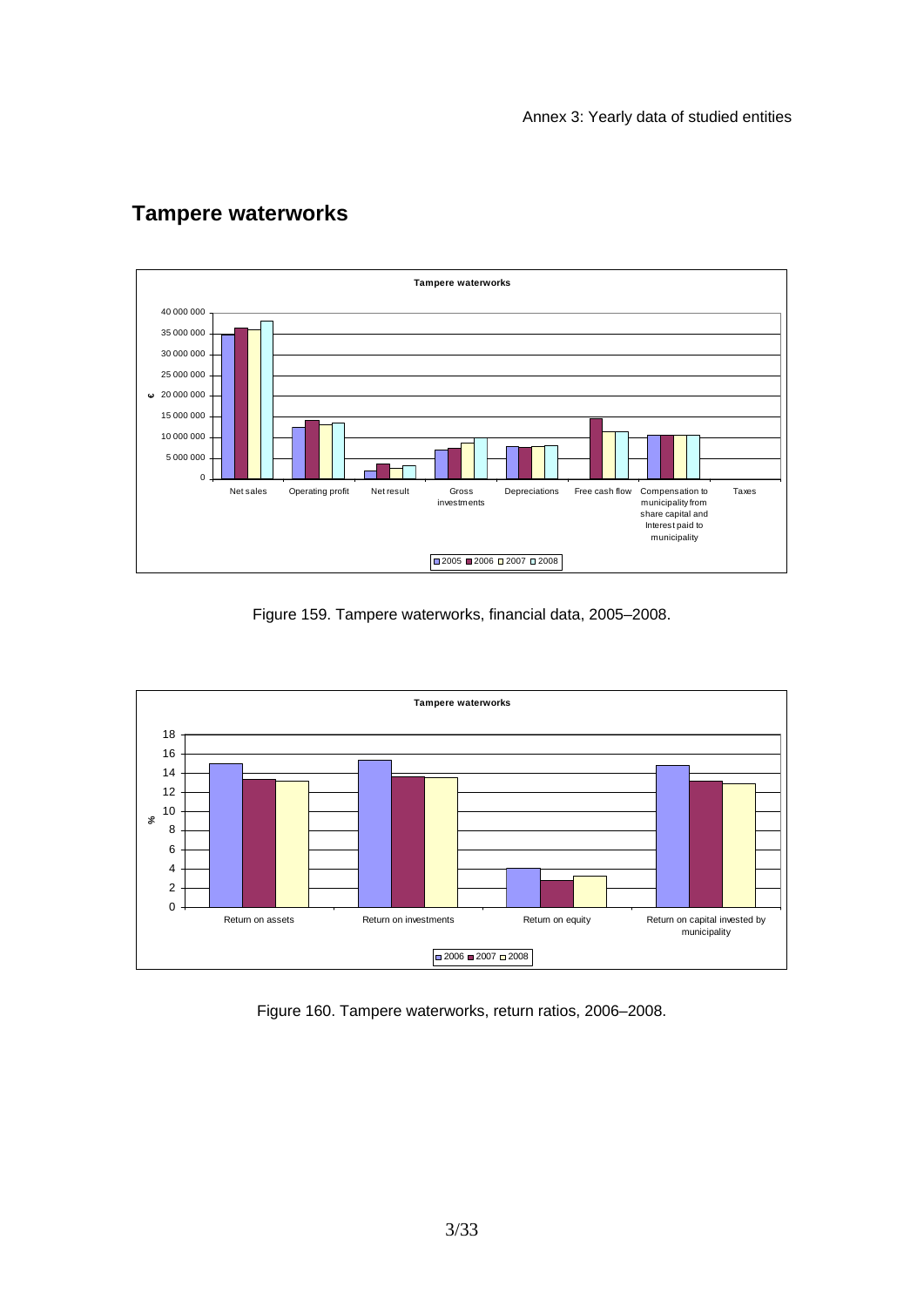

### **Tampere waterworks**

Figure 159. Tampere waterworks, financial data, 2005–2008.



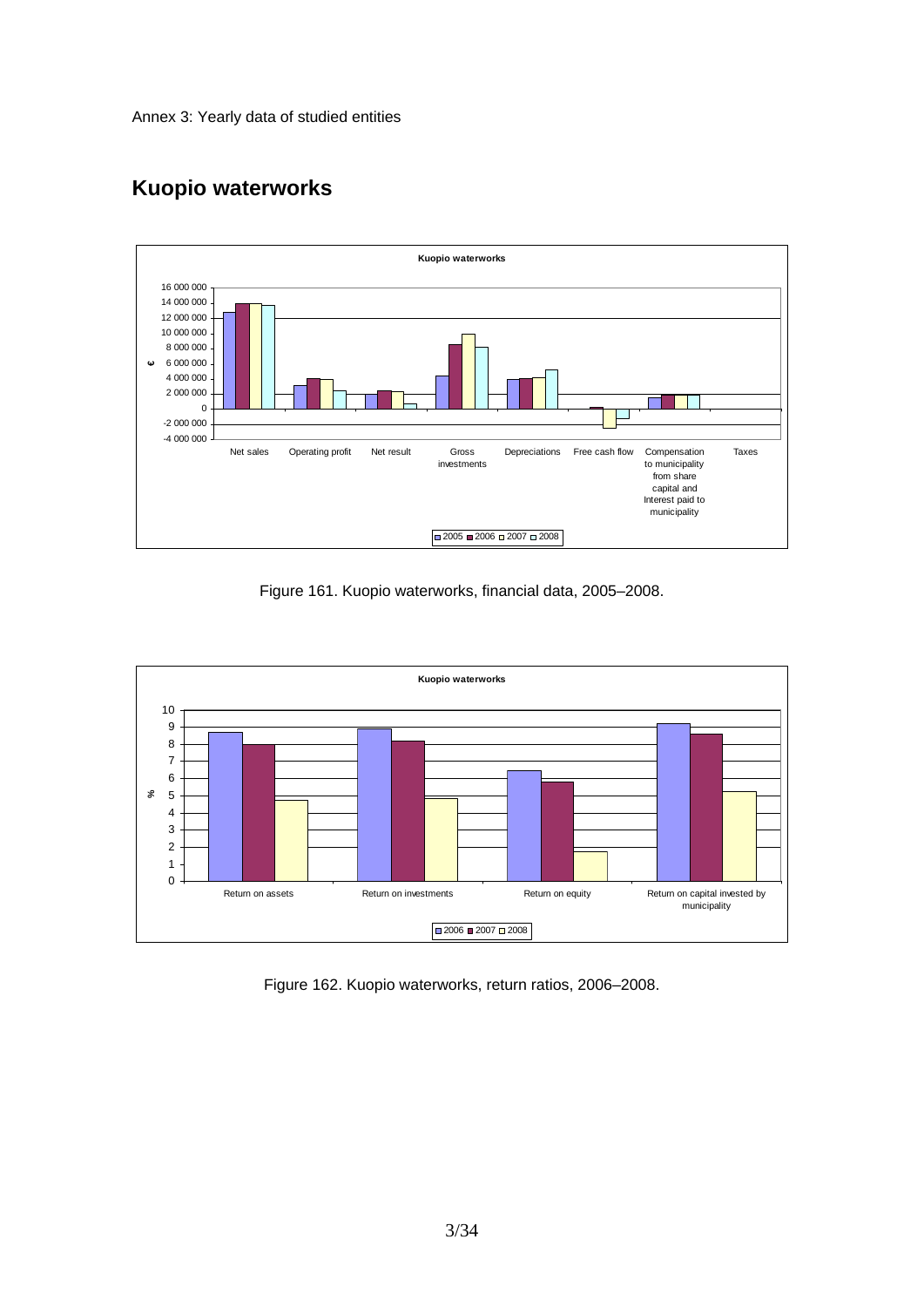

# **Kuopio waterworks**

Figure 161. Kuopio waterworks, financial data, 2005–2008.



Figure 162. Kuopio waterworks, return ratios, 2006–2008.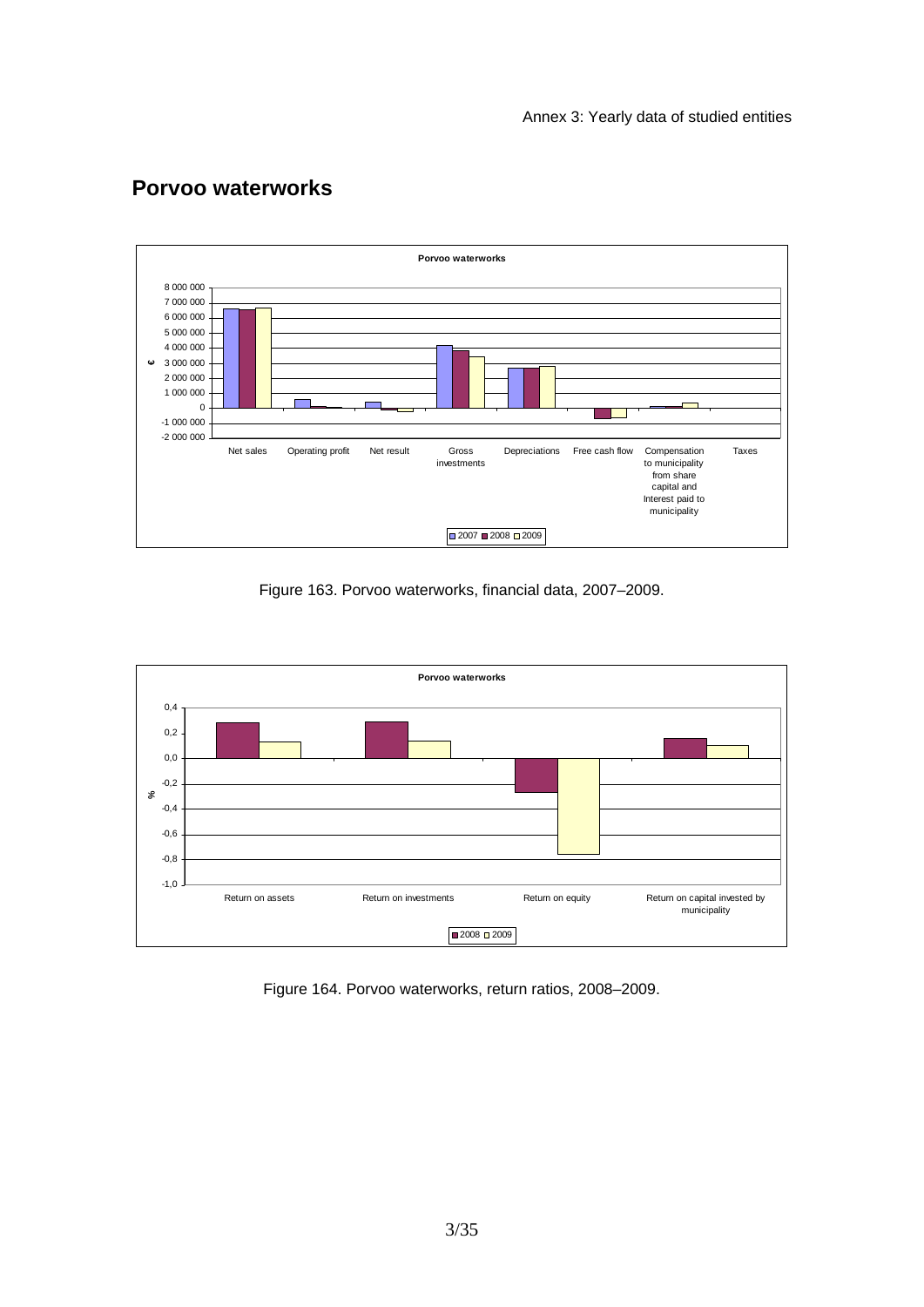

#### **Porvoo waterworks**

Figure 163. Porvoo waterworks, financial data, 2007–2009.



Figure 164. Porvoo waterworks, return ratios, 2008–2009.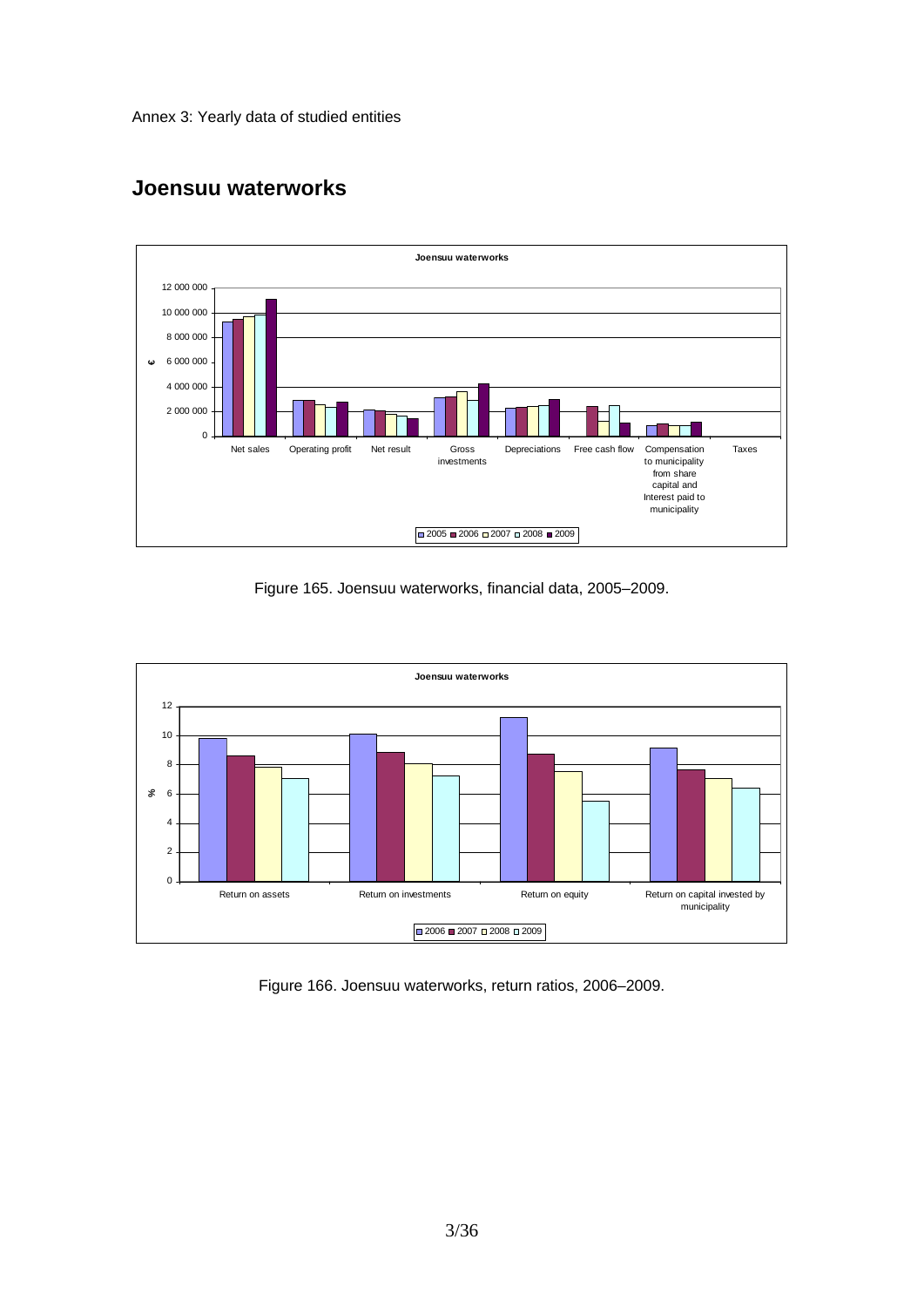

#### **Joensuu waterworks**

Figure 165. Joensuu waterworks, financial data, 2005–2009.



Figure 166. Joensuu waterworks, return ratios, 2006–2009.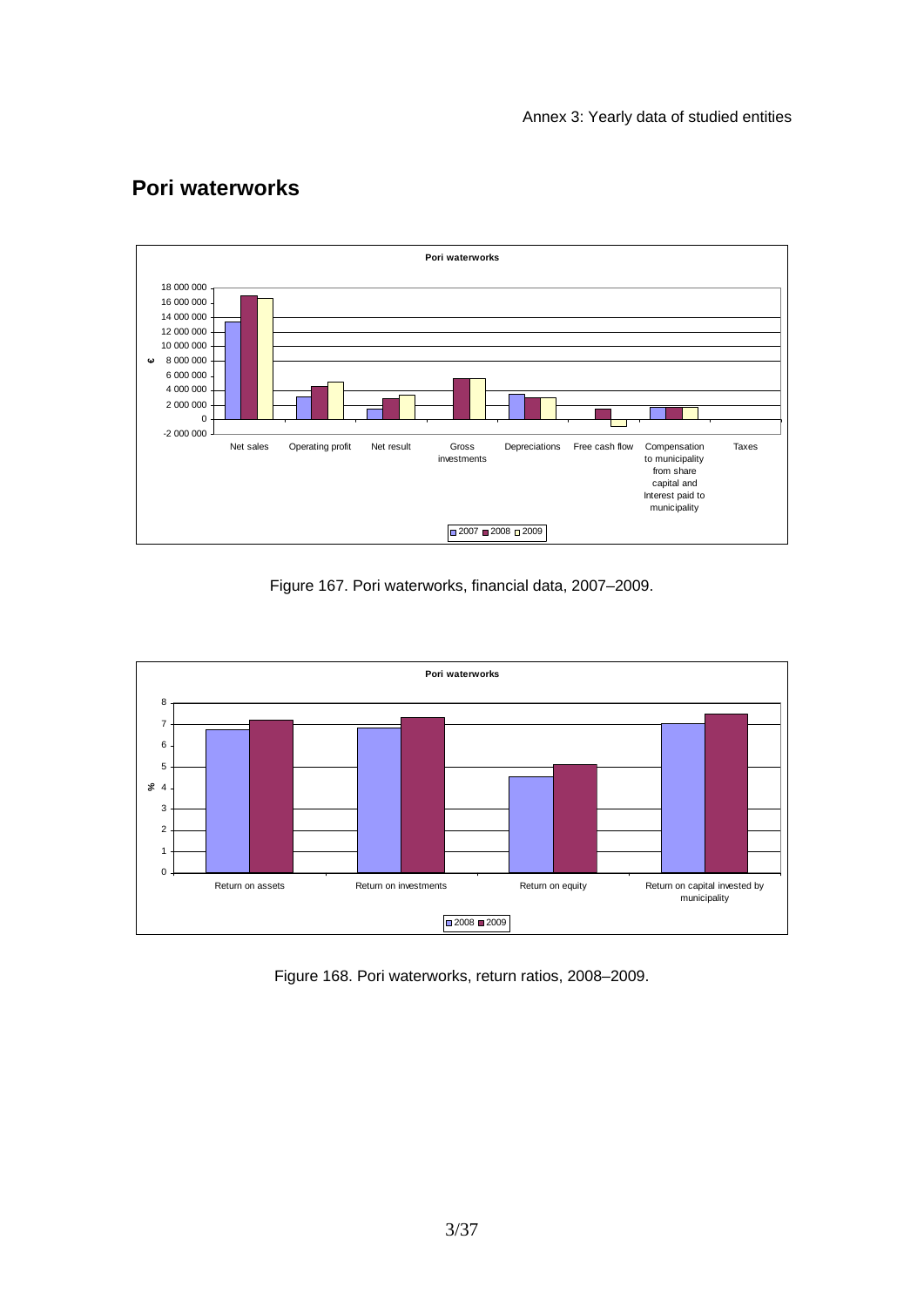



Figure 167. Pori waterworks, financial data, 2007–2009.



Figure 168. Pori waterworks, return ratios, 2008–2009.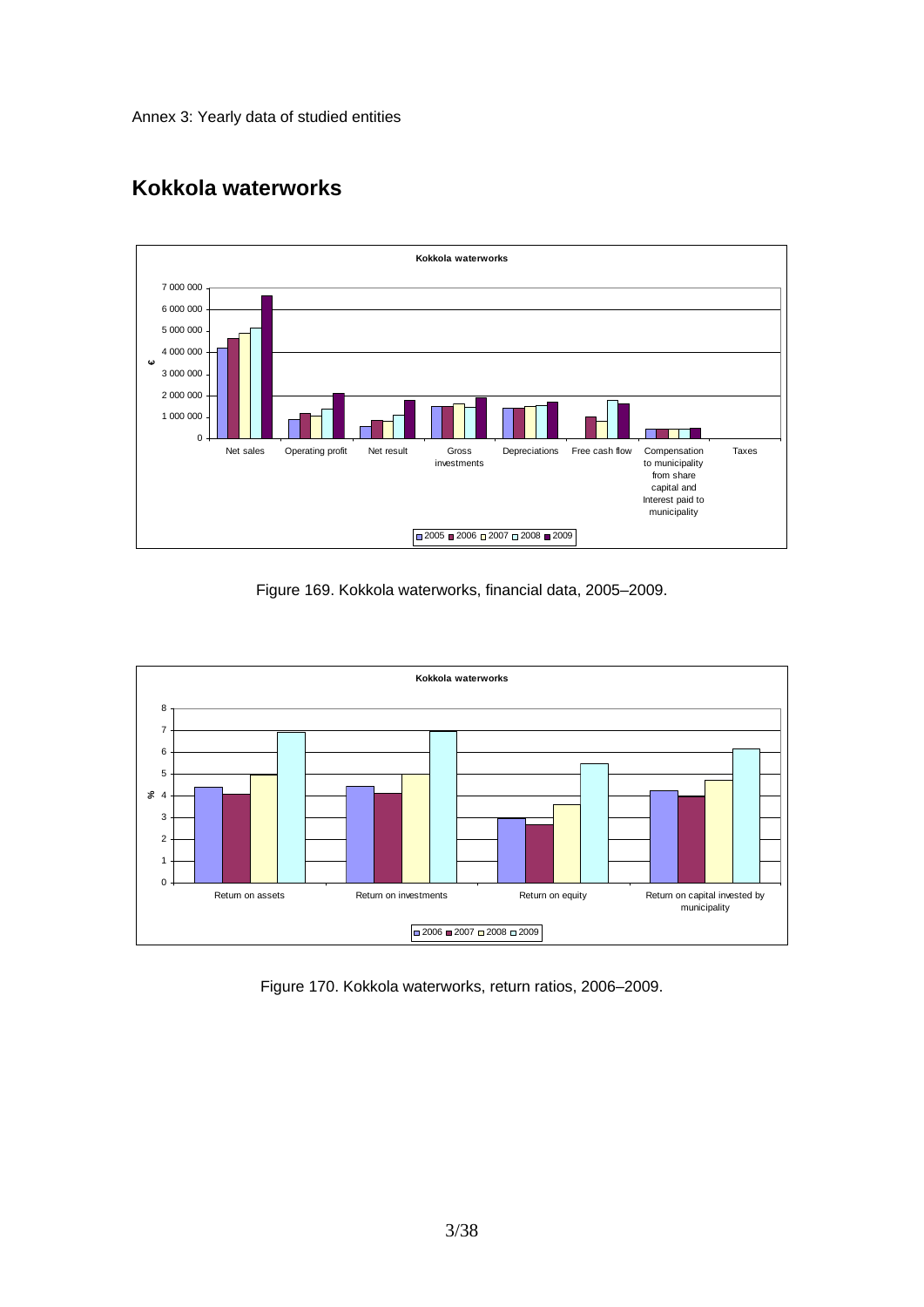

### **Kokkola waterworks**

Figure 169. Kokkola waterworks, financial data, 2005–2009.



Figure 170. Kokkola waterworks, return ratios, 2006–2009.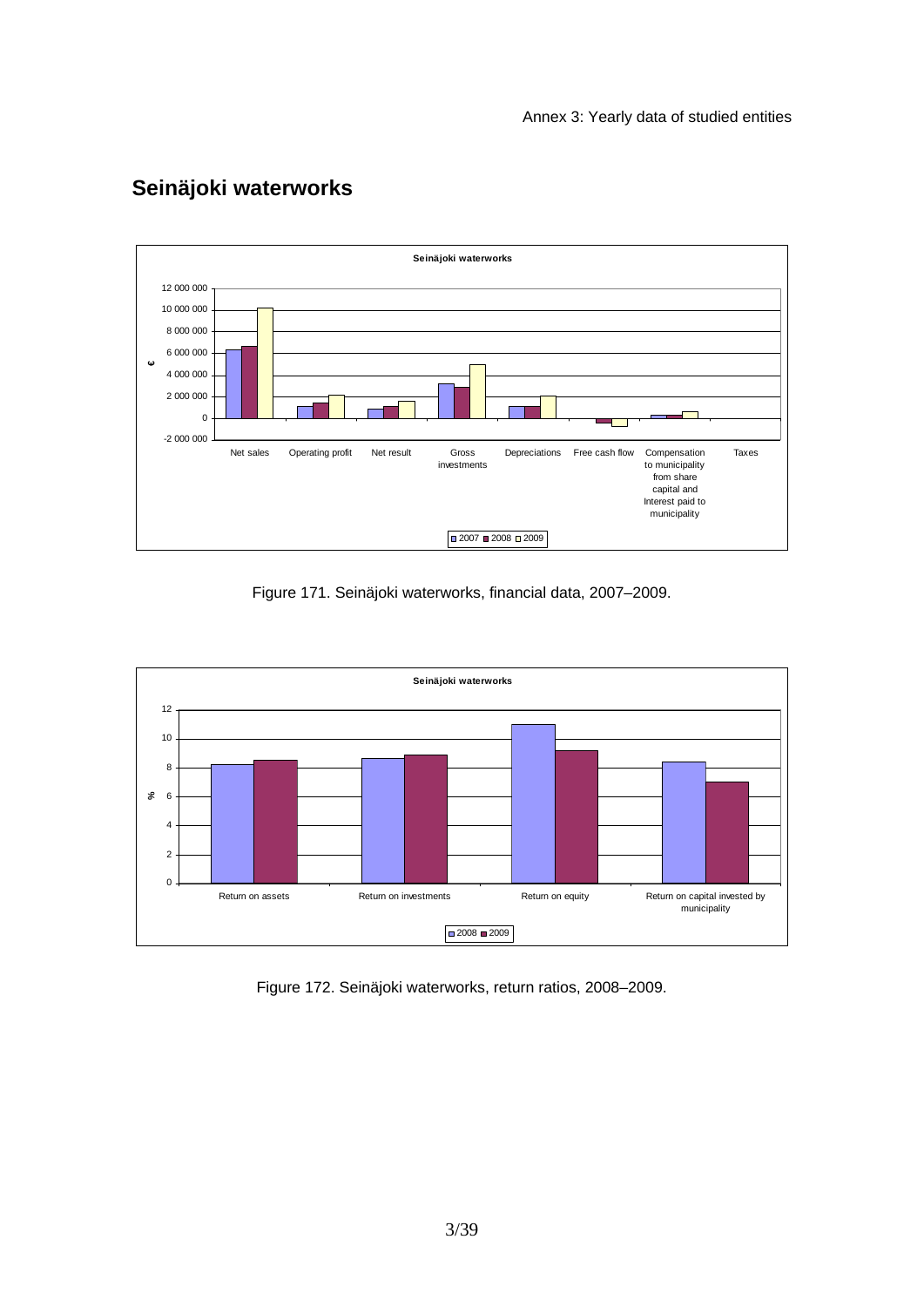

## **Seinäjoki waterworks**

Figure 171. Seinäjoki waterworks, financial data, 2007–2009.



Figure 172. Seinäjoki waterworks, return ratios, 2008–2009.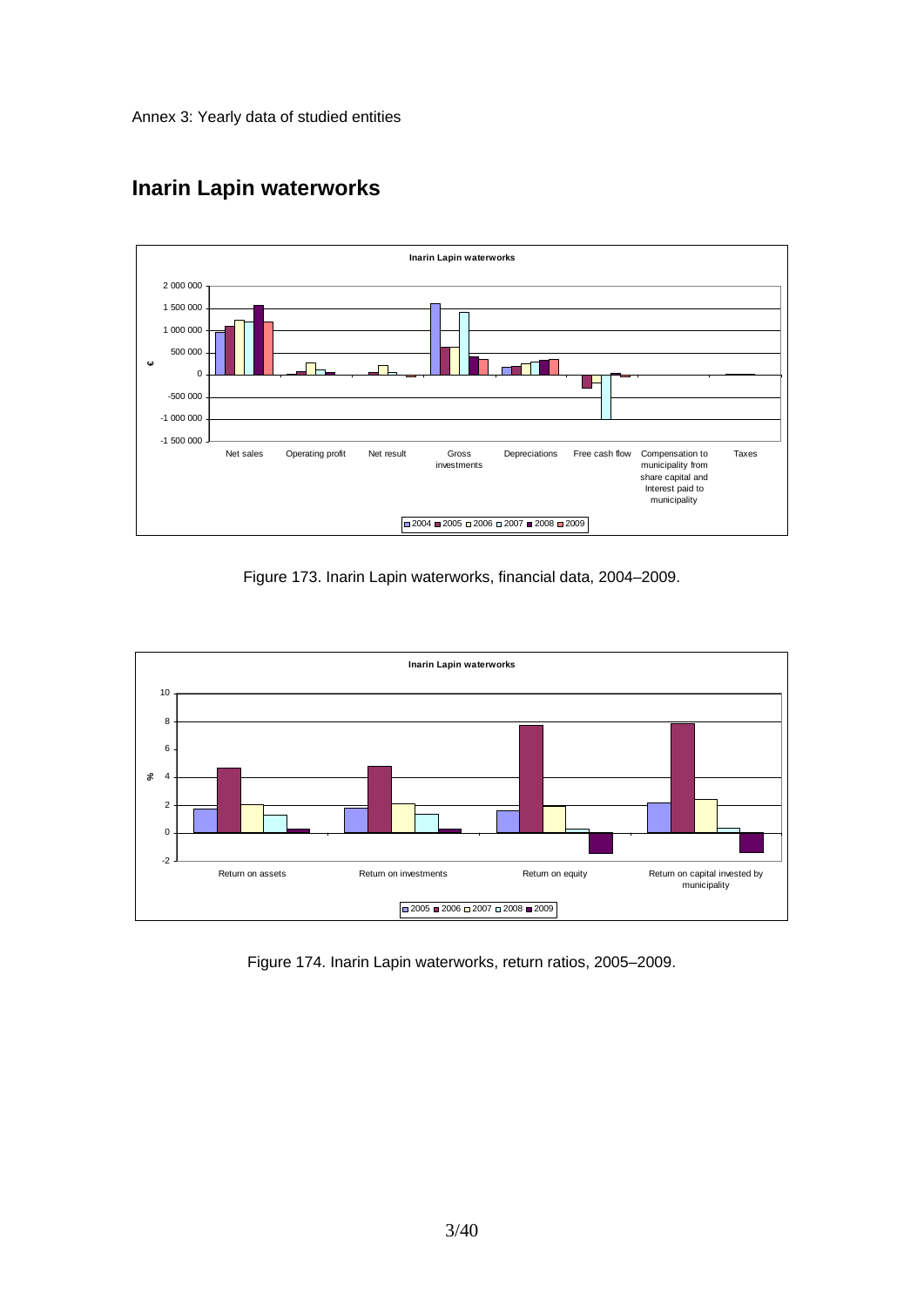

## **Inarin Lapin waterworks**

Figure 173. Inarin Lapin waterworks, financial data, 2004–2009.



Figure 174. Inarin Lapin waterworks, return ratios, 2005–2009.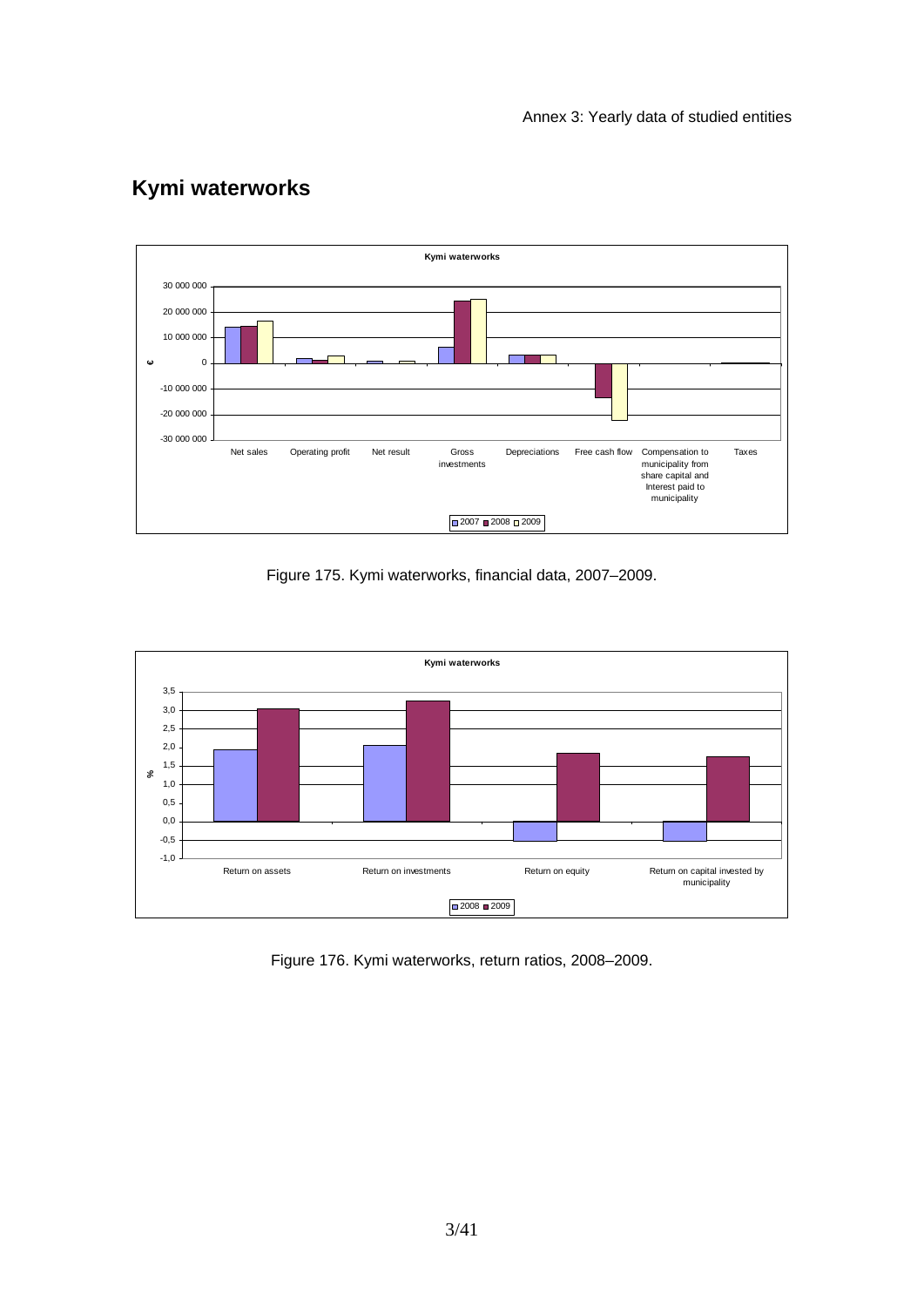Depreciations Free cash flow Compensation to

municipality from share capital and Interest paid to municipality

Taxes



Net sales Operating profit Net result Gross

## **Kymi waterworks**

**€**

0



 $2007 \n 2008 \n 2009$ 

<u>ranski politik (</u>

investments



Figure 176. Kymi waterworks, return ratios, 2008–2009.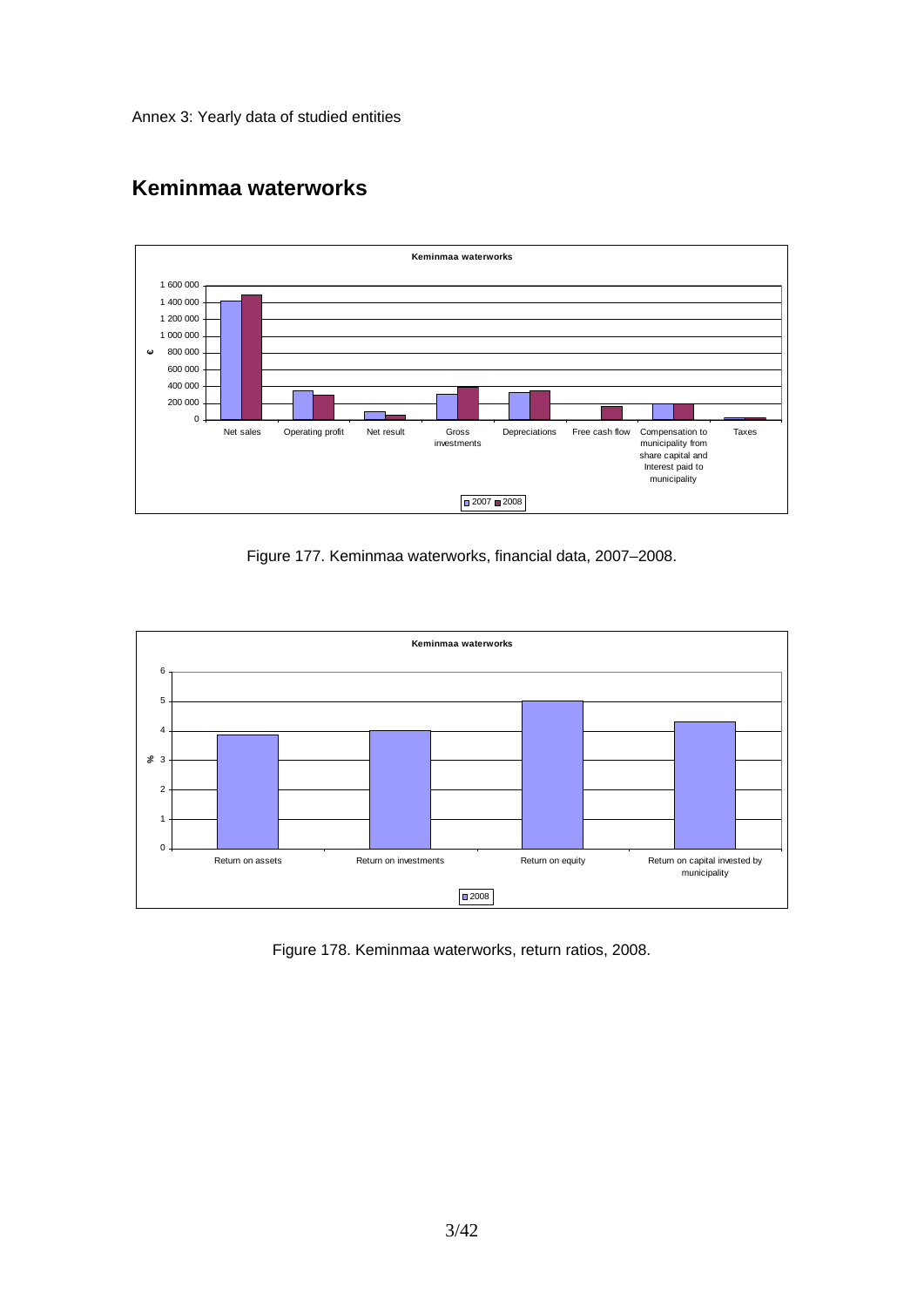

### **Keminmaa waterworks**

Figure 177. Keminmaa waterworks, financial data, 2007–2008.



Figure 178. Keminmaa waterworks, return ratios, 2008.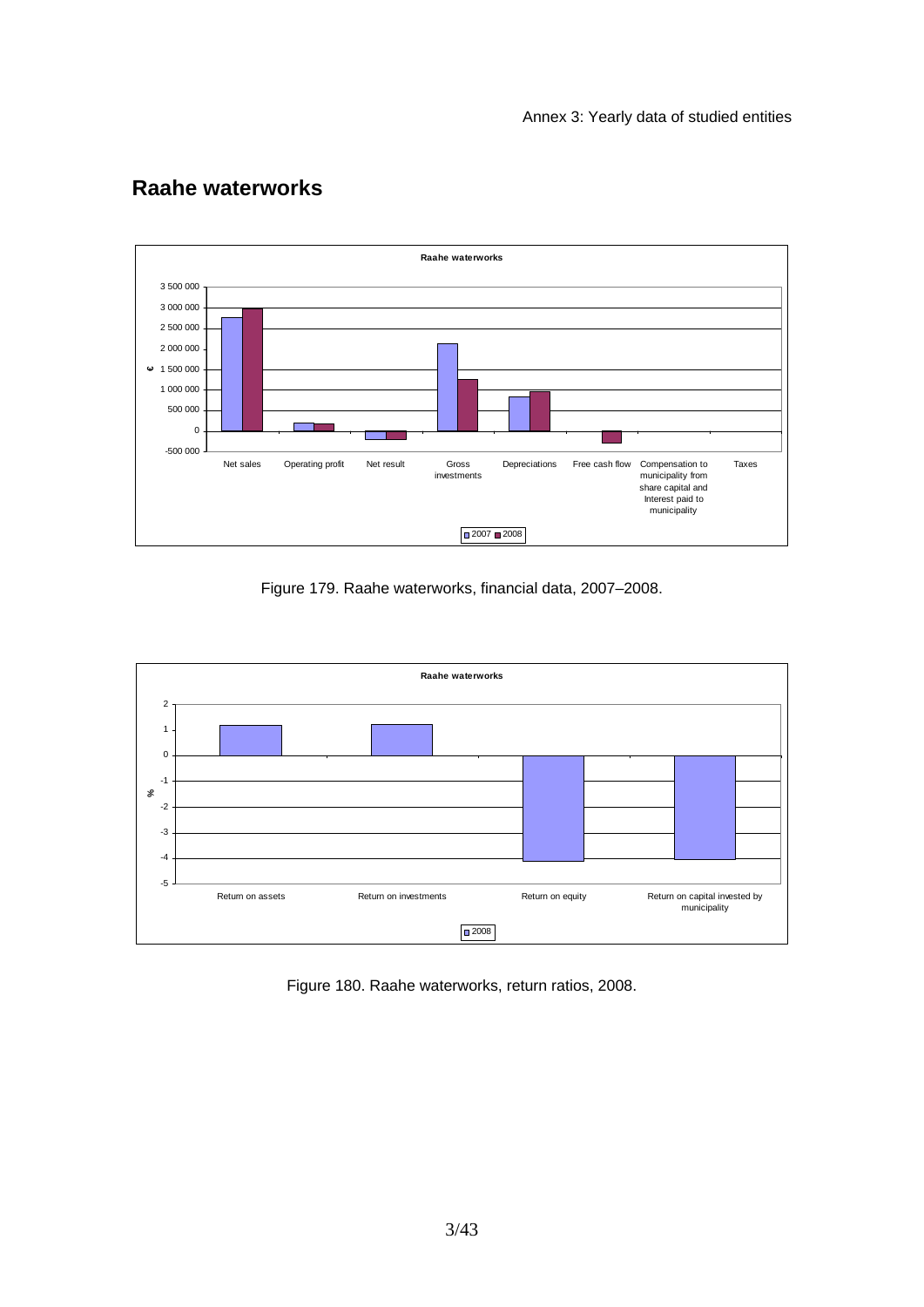

### **Raahe waterworks**

Figure 179. Raahe waterworks, financial data, 2007–2008.



Figure 180. Raahe waterworks, return ratios, 2008.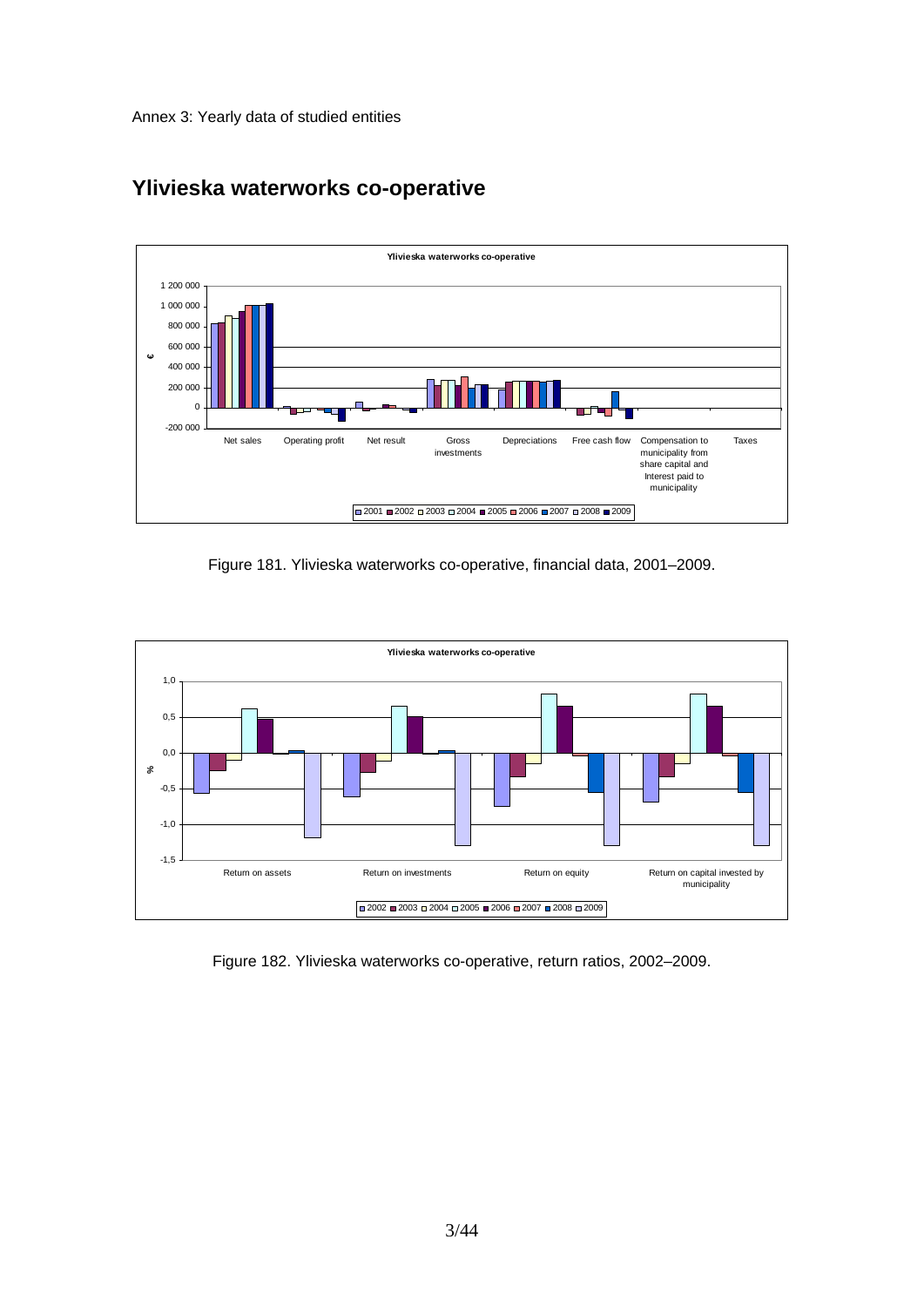

## **Ylivieska waterworks co-operative**

Figure 181. Ylivieska waterworks co-operative, financial data, 2001–2009.



Figure 182. Ylivieska waterworks co-operative, return ratios, 2002–2009.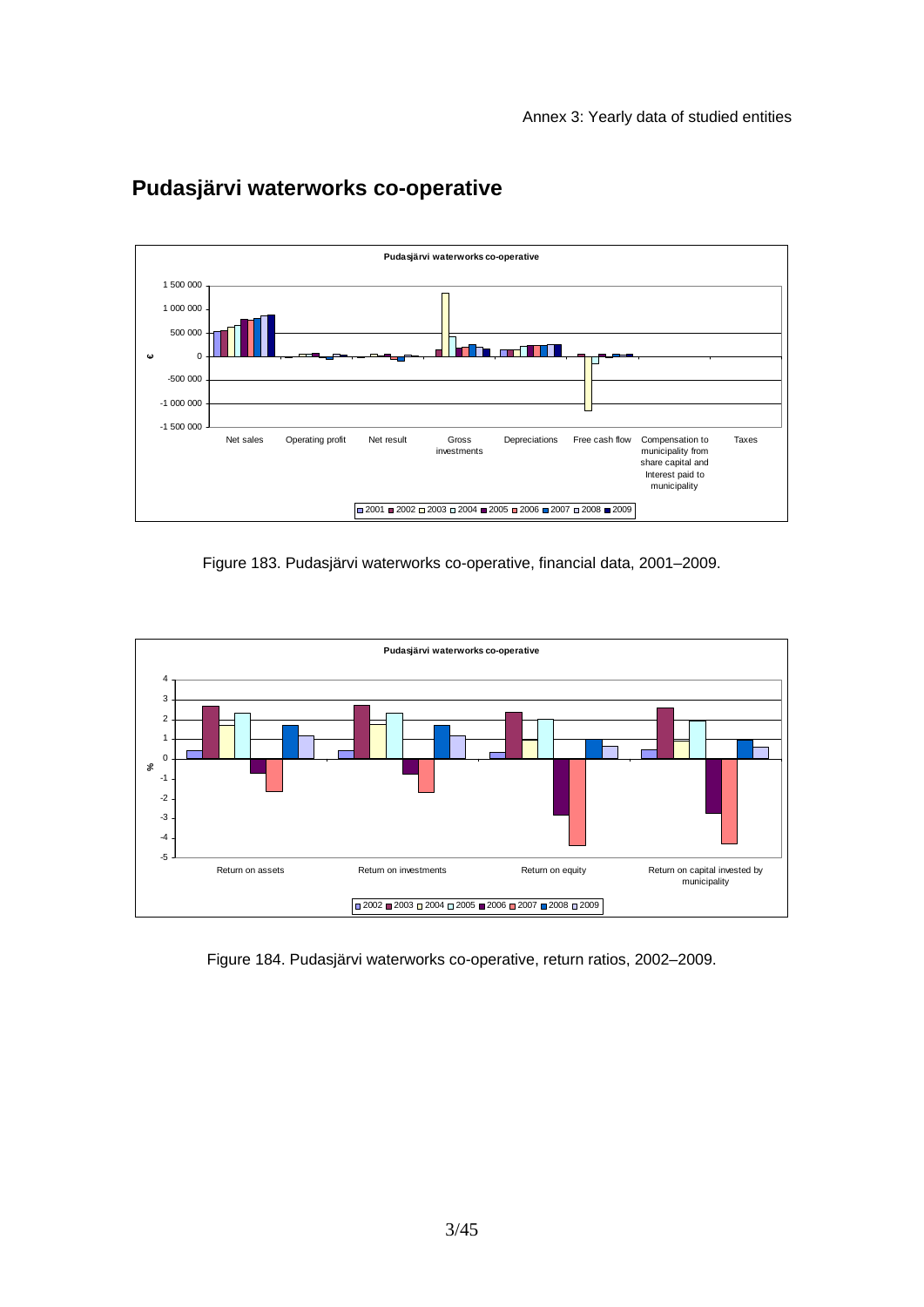

## **Pudasjärvi waterworks co-operative**

Figure 183. Pudasjärvi waterworks co-operative, financial data, 2001–2009.



Figure 184. Pudasjärvi waterworks co-operative, return ratios, 2002–2009.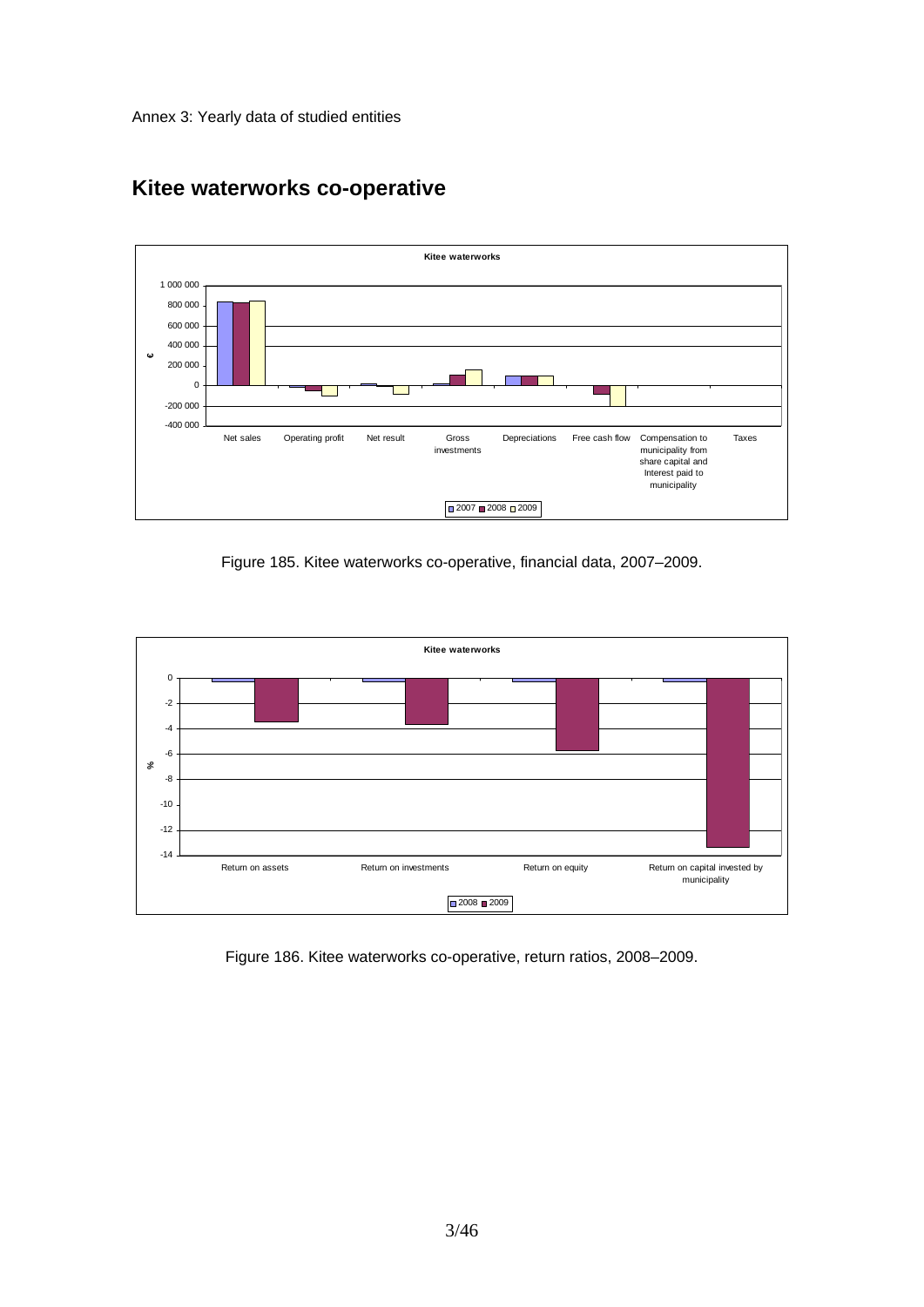

## **Kitee waterworks co-operative**

Figure 185. Kitee waterworks co-operative, financial data, 2007–2009.



Figure 186. Kitee waterworks co-operative, return ratios, 2008–2009.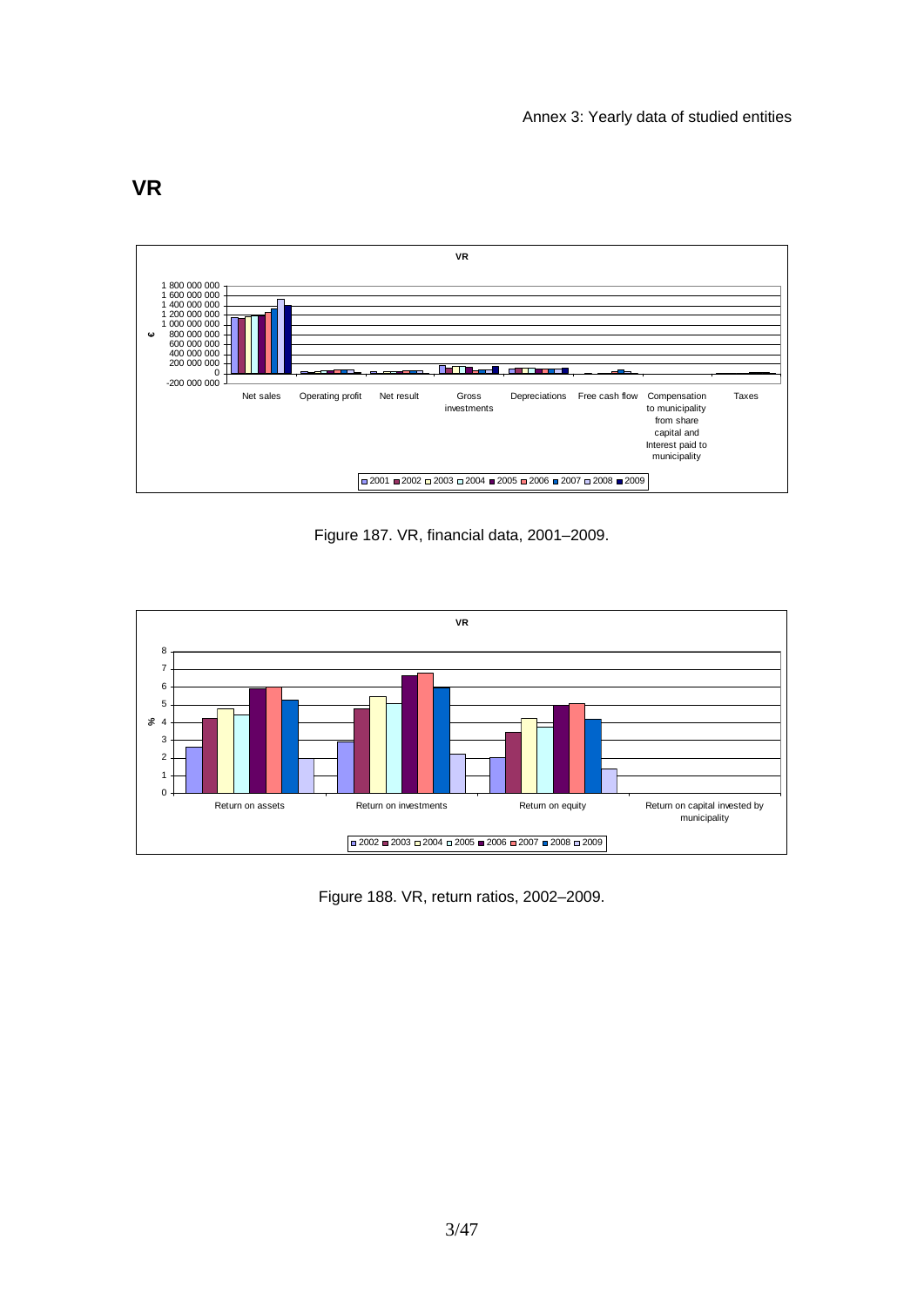**VR** 



Figure 187. VR, financial data, 2001–2009.



Figure 188. VR, return ratios, 2002–2009.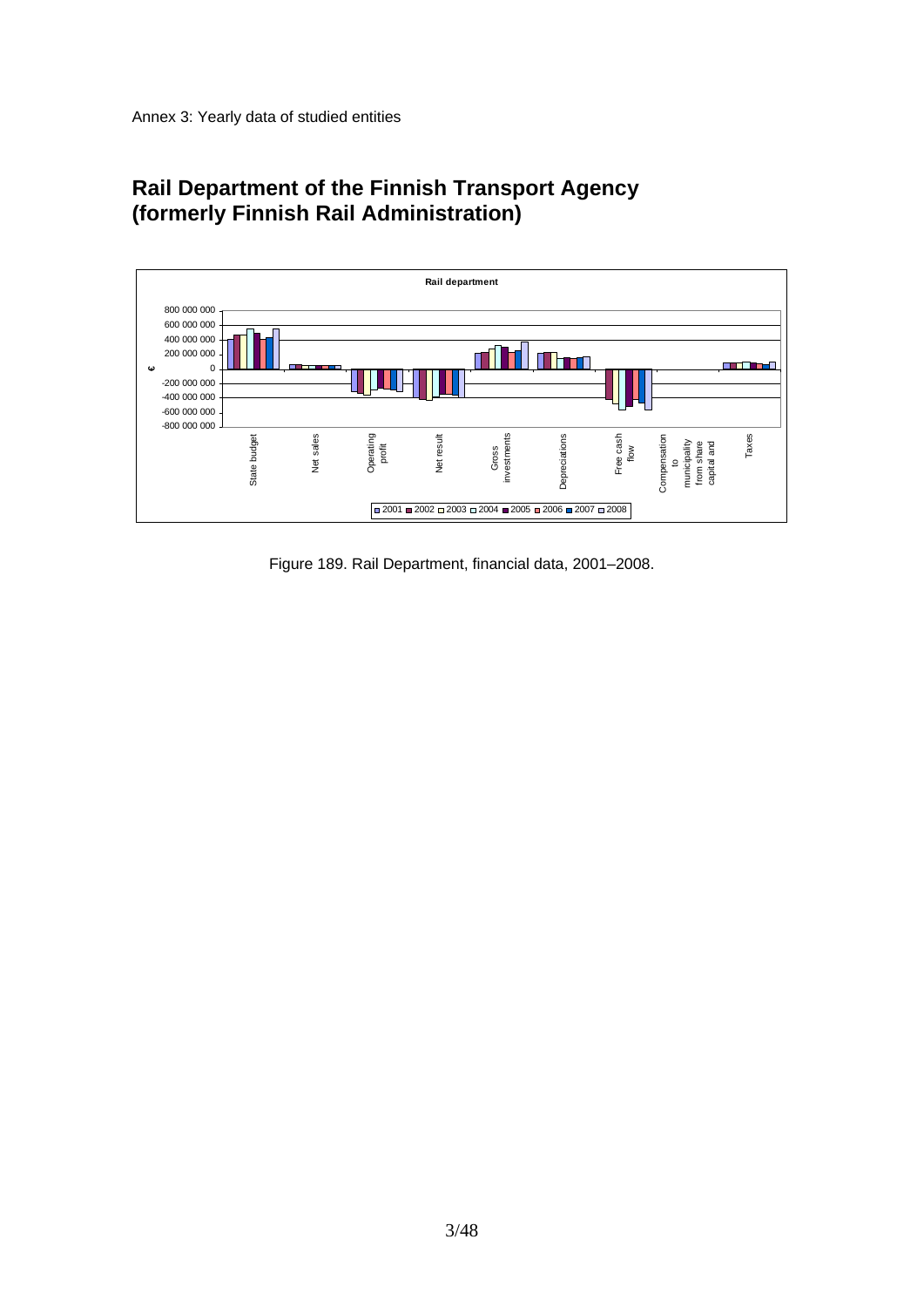

### **Rail Department of the Finnish Transport Agency (formerly Finnish Rail Administration)**

Figure 189. Rail Department, financial data, 2001–2008.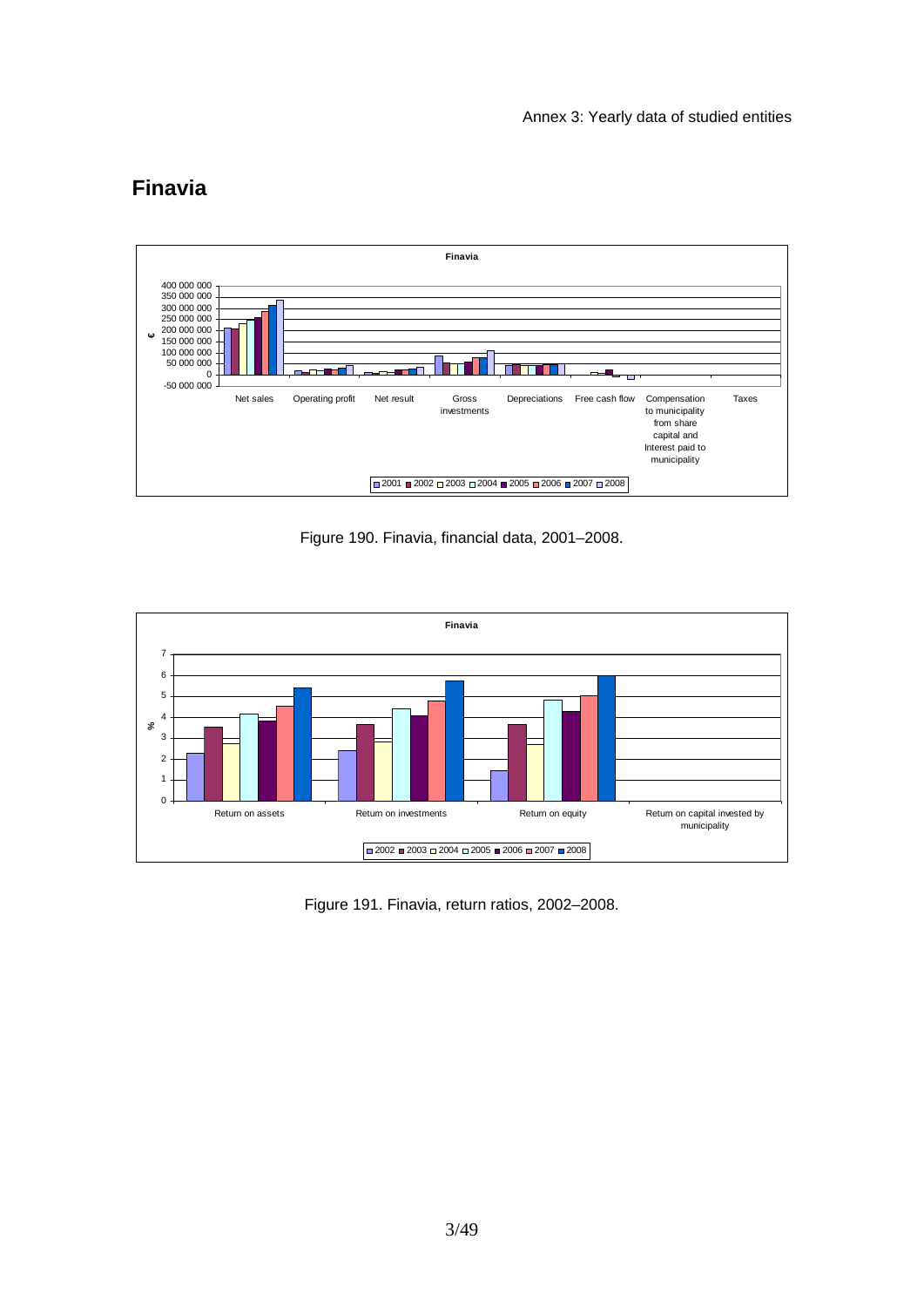## **Finavia**



Figure 190. Finavia, financial data, 2001–2008.



Figure 191. Finavia, return ratios, 2002–2008.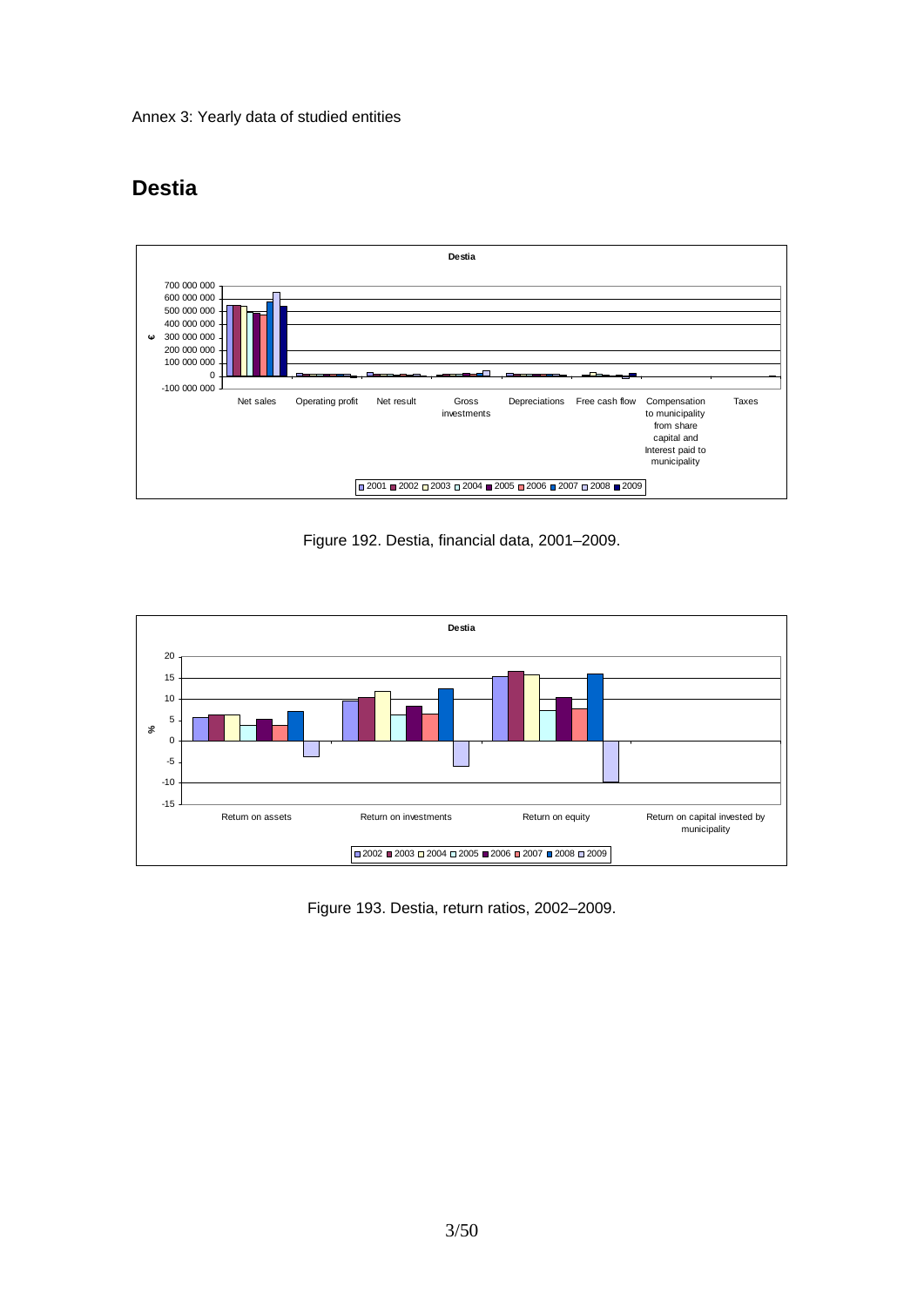## **Destia**



Figure 192. Destia, financial data, 2001–2009.



Figure 193. Destia, return ratios, 2002–2009.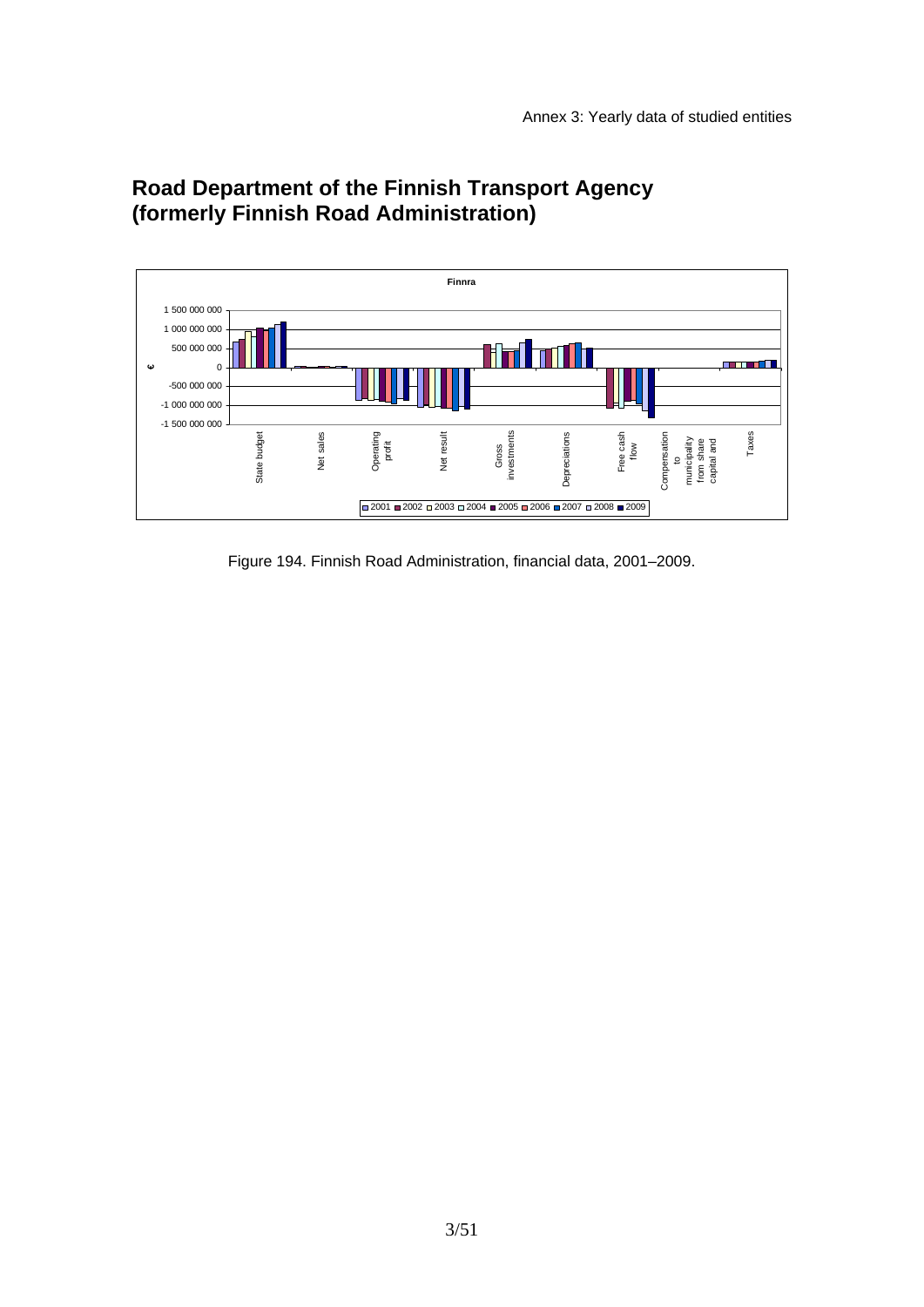

### **Road Department of the Finnish Transport Agency (formerly Finnish Road Administration)**

Figure 194. Finnish Road Administration, financial data, 2001–2009.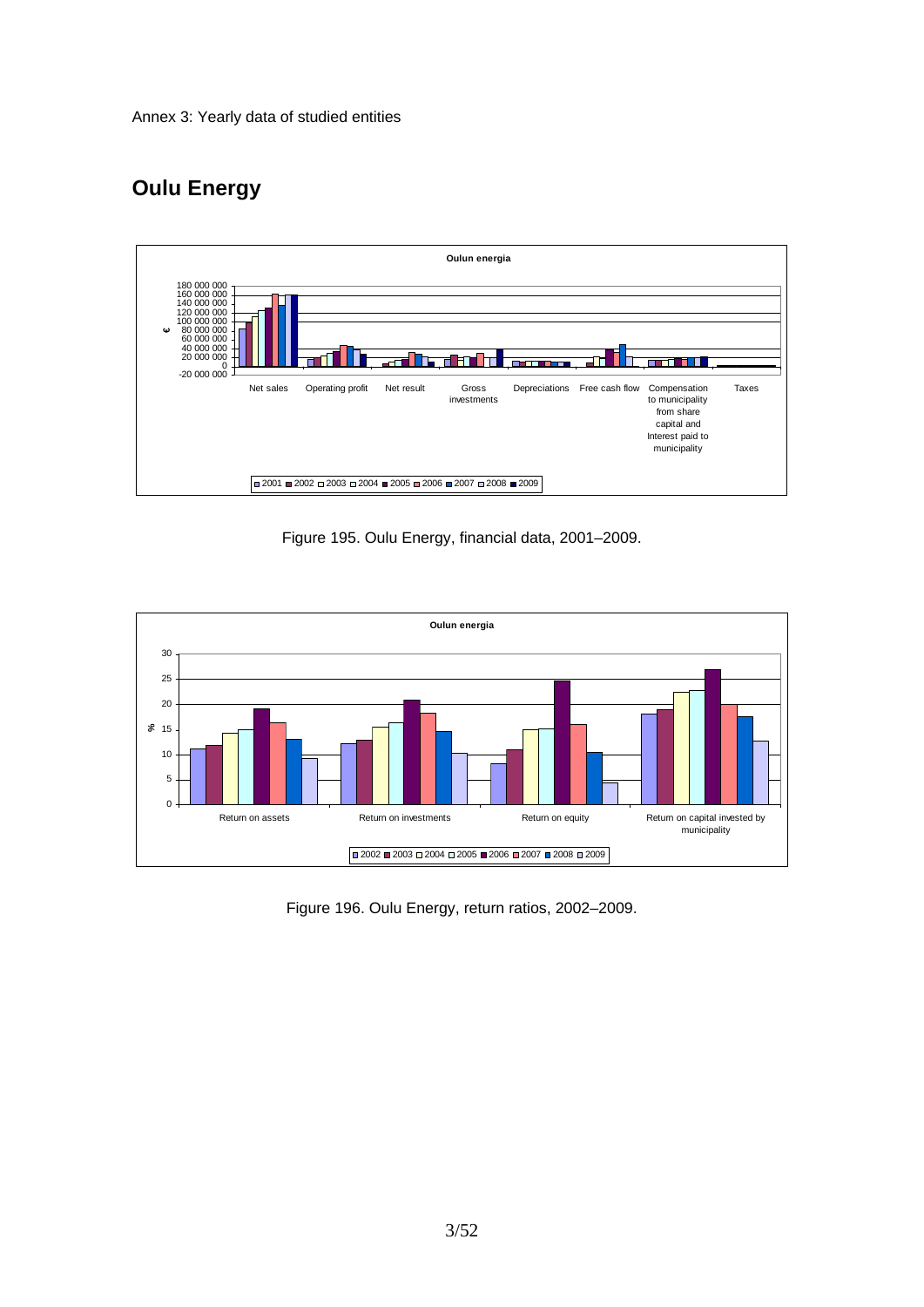# **Oulu Energy**



Figure 195. Oulu Energy, financial data, 2001–2009.



Figure 196. Oulu Energy, return ratios, 2002–2009.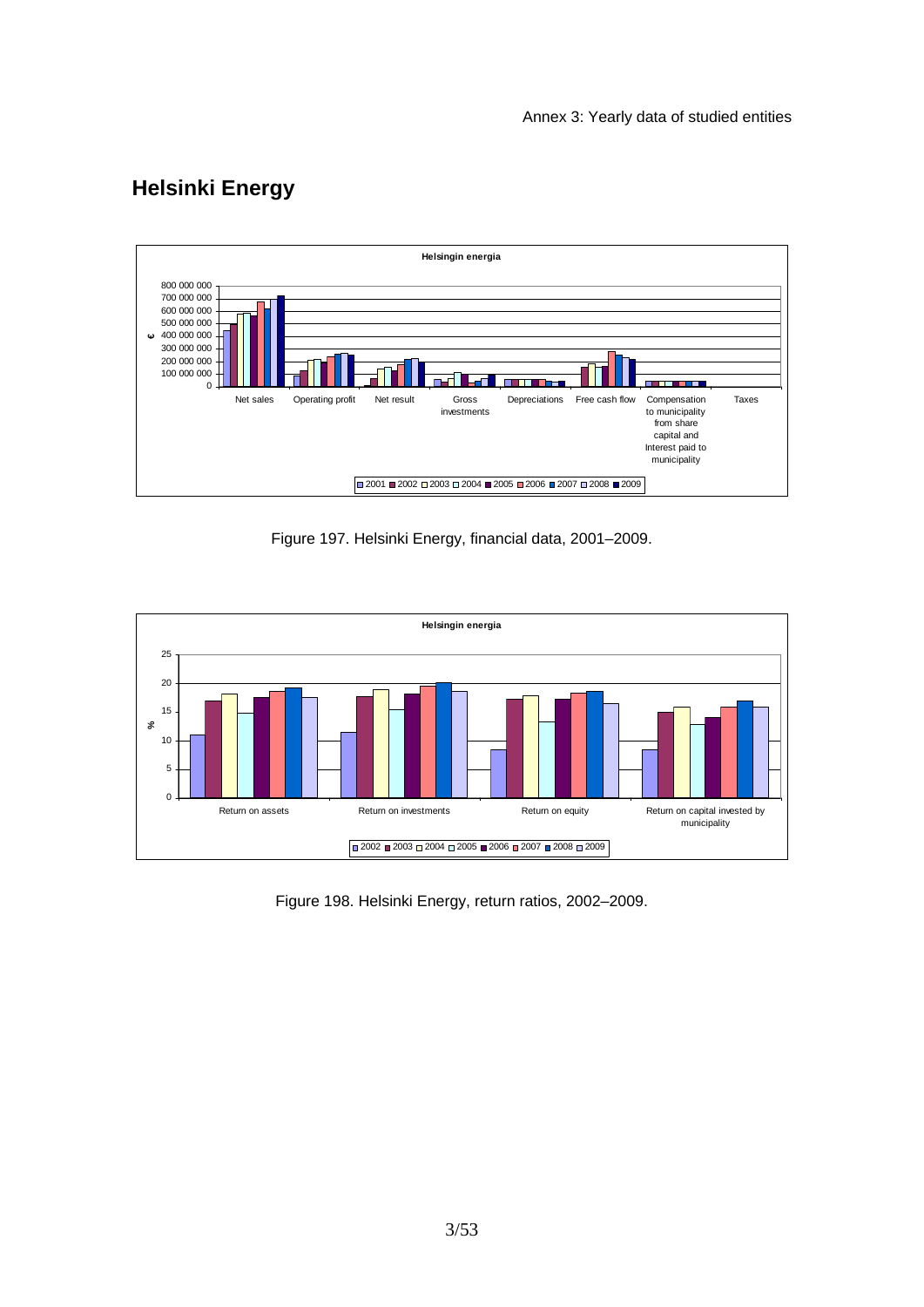## **Helsinki Energy**



Figure 197. Helsinki Energy, financial data, 2001–2009.



Figure 198. Helsinki Energy, return ratios, 2002–2009.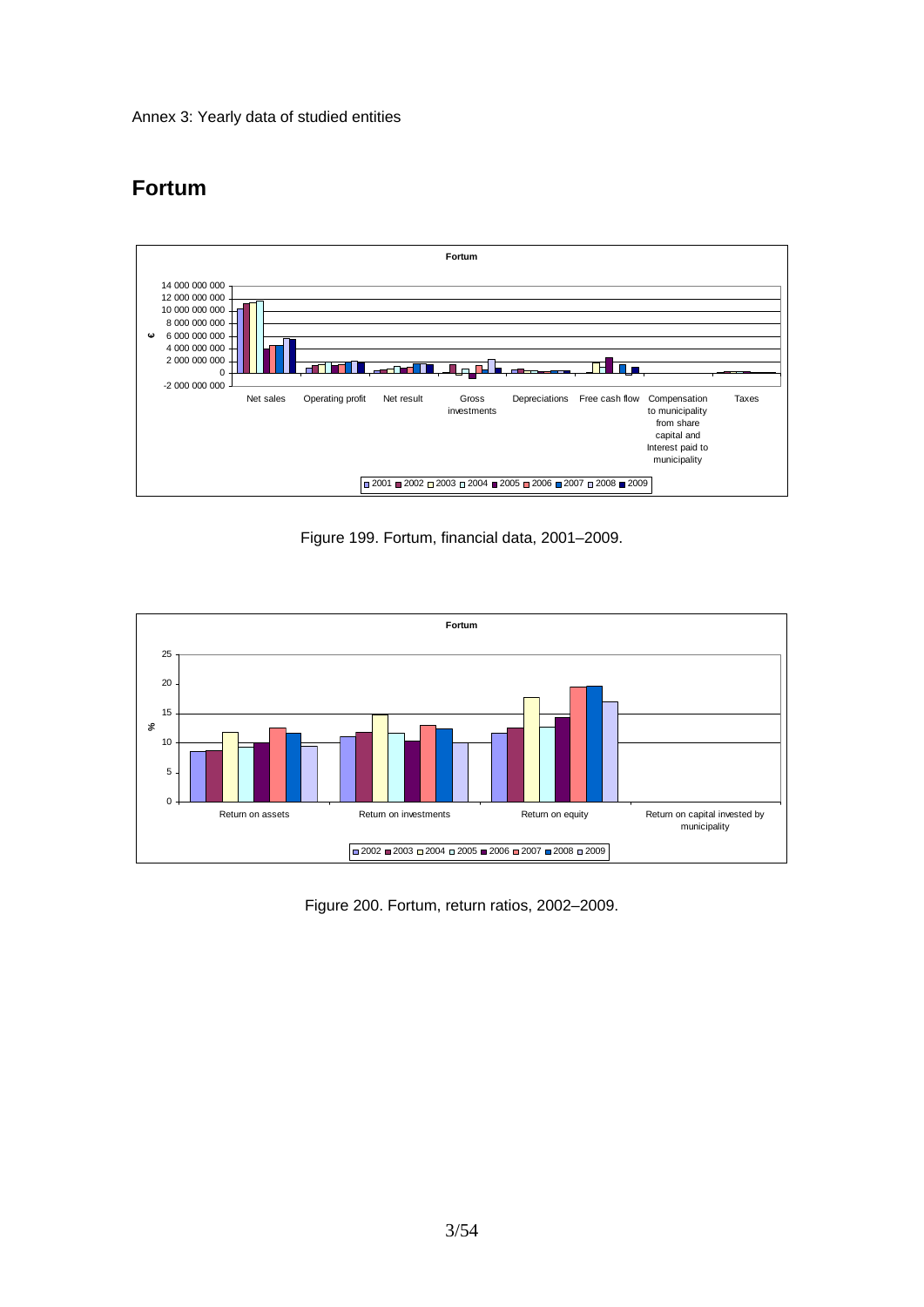Annex 3: Yearly data of studied entities

## **Fortum**



Figure 199. Fortum, financial data, 2001–2009.



Figure 200. Fortum, return ratios, 2002–2009.